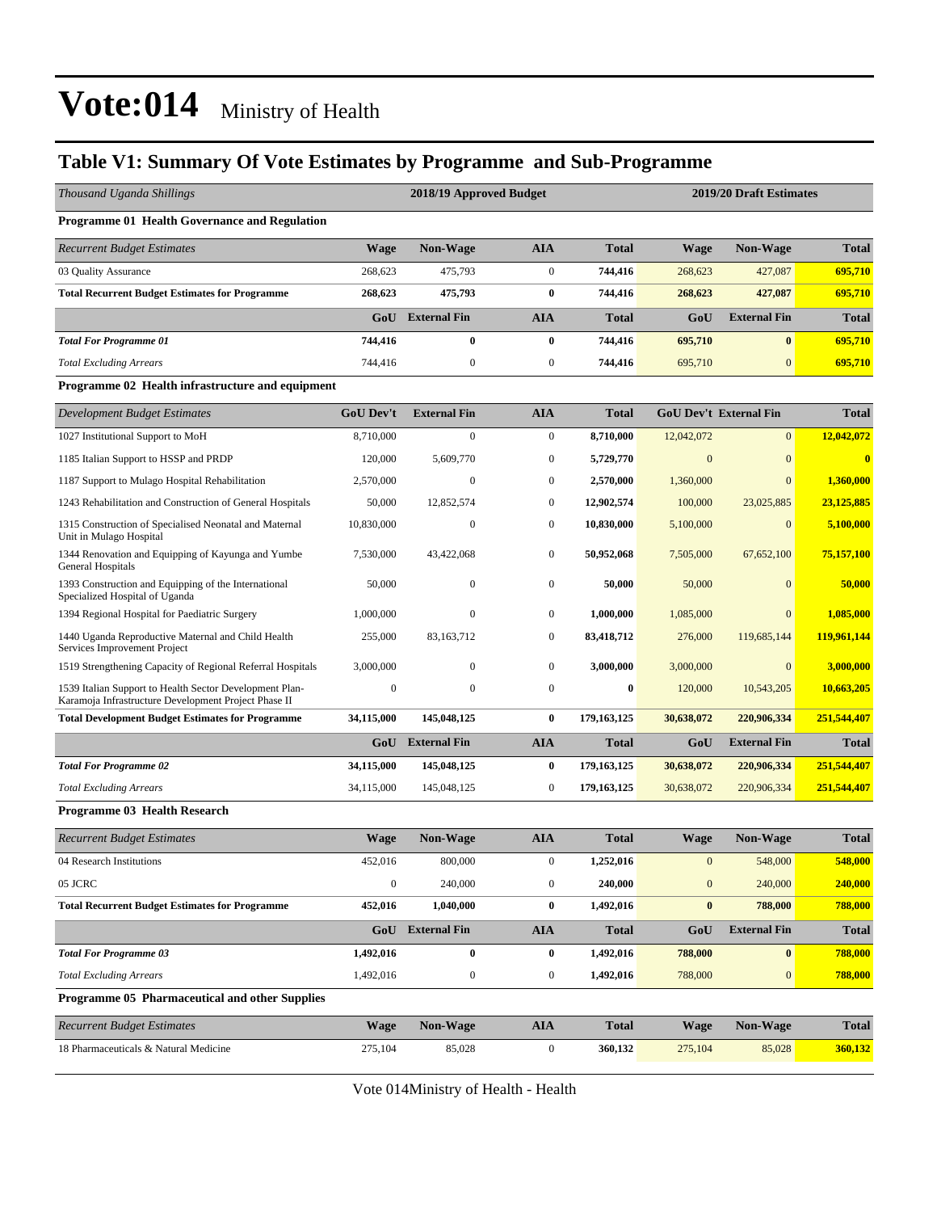#### **Table V1: Summary Of Vote Estimates by Programme and Sub-Programme**

| Thousand Uganda Shillings                                                                                       |                  | 2018/19 Approved Budget |                  |               | 2019/20 Draft Estimates |                               |              |  |  |  |
|-----------------------------------------------------------------------------------------------------------------|------------------|-------------------------|------------------|---------------|-------------------------|-------------------------------|--------------|--|--|--|
| Programme 01 Health Governance and Regulation                                                                   |                  |                         |                  |               |                         |                               |              |  |  |  |
| <b>Recurrent Budget Estimates</b>                                                                               | <b>Wage</b>      | Non-Wage                | <b>AIA</b>       | <b>Total</b>  | <b>Wage</b>             | Non-Wage                      | <b>Total</b> |  |  |  |
| 03 Quality Assurance                                                                                            | 268,623          | 475,793                 | $\mathbf{0}$     | 744,416       | 268,623                 | 427,087                       | 695,710      |  |  |  |
| <b>Total Recurrent Budget Estimates for Programme</b>                                                           | 268,623          | 475,793                 | $\bf{0}$         | 744,416       | 268,623                 | 427,087                       | 695,710      |  |  |  |
|                                                                                                                 |                  | <b>GoU</b> External Fin | <b>AIA</b>       | <b>Total</b>  | GoU                     | <b>External Fin</b>           | <b>Total</b> |  |  |  |
| <b>Total For Programme 01</b>                                                                                   | 744,416          | $\bf{0}$                | $\bf{0}$         | 744,416       | 695,710                 | $\bf{0}$                      | 695,710      |  |  |  |
| <b>Total Excluding Arrears</b>                                                                                  | 744,416          | $\boldsymbol{0}$        | $\mathbf{0}$     | 744,416       | 695,710                 | $\mathbf{0}$                  | 695,710      |  |  |  |
| Programme 02 Health infrastructure and equipment                                                                |                  |                         |                  |               |                         |                               |              |  |  |  |
| Development Budget Estimates                                                                                    | <b>GoU Dev't</b> | <b>External Fin</b>     | <b>AIA</b>       | <b>Total</b>  |                         | <b>GoU Dev't External Fin</b> | <b>Total</b> |  |  |  |
| 1027 Institutional Support to MoH                                                                               | 8,710,000        | $\boldsymbol{0}$        | $\mathbf{0}$     | 8,710,000     | 12,042,072              | $\mathbf{0}$                  | 12,042,072   |  |  |  |
| 1185 Italian Support to HSSP and PRDP                                                                           | 120,000          | 5,609,770               | $\mathbf{0}$     | 5,729,770     | $\Omega$                | $\overline{0}$                | $\bf{0}$     |  |  |  |
| 1187 Support to Mulago Hospital Rehabilitation                                                                  | 2,570,000        | $\mathbf{0}$            | $\mathbf{0}$     | 2,570,000     | 1,360,000               | $\mathbf{0}$                  | 1.360,000    |  |  |  |
| 1243 Rehabilitation and Construction of General Hospitals                                                       | 50,000           | 12,852,574              | $\mathbf{0}$     | 12,902,574    | 100,000                 | 23,025,885                    | 23,125,885   |  |  |  |
| 1315 Construction of Specialised Neonatal and Maternal<br>Unit in Mulago Hospital                               | 10,830,000       | $\boldsymbol{0}$        | $\mathbf{0}$     | 10,830,000    | 5,100,000               | $\overline{0}$                | 5,100,000    |  |  |  |
| 1344 Renovation and Equipping of Kayunga and Yumbe<br>General Hospitals                                         | 7,530,000        | 43,422,068              | $\mathbf{0}$     | 50,952,068    | 7,505,000               | 67,652,100                    | 75,157,100   |  |  |  |
| 1393 Construction and Equipping of the International<br>Specialized Hospital of Uganda                          | 50,000           | $\mathbf{0}$            | $\mathbf{0}$     | 50,000        | 50,000                  | $\Omega$                      | 50,000       |  |  |  |
| 1394 Regional Hospital for Paediatric Surgery                                                                   | 1,000,000        | $\mathbf{0}$            | $\mathbf{0}$     | 1,000,000     | 1,085,000               | $\overline{0}$                | 1,085,000    |  |  |  |
| 1440 Uganda Reproductive Maternal and Child Health<br>Services Improvement Project                              | 255,000          | 83,163,712              | $\mathbf{0}$     | 83,418,712    | 276,000                 | 119,685,144                   | 119,961,144  |  |  |  |
| 1519 Strengthening Capacity of Regional Referral Hospitals                                                      | 3,000,000        | $\mathbf{0}$            | $\mathbf{0}$     | 3,000,000     | 3,000,000               | $\mathbf{0}$                  | 3,000,000    |  |  |  |
| 1539 Italian Support to Health Sector Development Plan-<br>Karamoja Infrastructure Development Project Phase II | $\boldsymbol{0}$ | $\boldsymbol{0}$        | $\mathbf{0}$     | $\bf{0}$      | 120,000                 | 10,543,205                    | 10,663,205   |  |  |  |
| <b>Total Development Budget Estimates for Programme</b>                                                         | 34,115,000       | 145,048,125             | $\bf{0}$         | 179, 163, 125 | 30,638,072              | 220,906,334                   | 251,544,407  |  |  |  |
|                                                                                                                 |                  | <b>GoU</b> External Fin | <b>AIA</b>       | <b>Total</b>  | GoU                     | <b>External Fin</b>           | <b>Total</b> |  |  |  |
| <b>Total For Programme 02</b>                                                                                   | 34,115,000       | 145,048,125             | $\bf{0}$         | 179,163,125   | 30,638,072              | 220,906,334                   | 251,544,407  |  |  |  |
| <b>Total Excluding Arrears</b>                                                                                  | 34,115,000       | 145,048,125             | $\boldsymbol{0}$ | 179,163,125   | 30,638,072              | 220,906,334                   | 251,544,407  |  |  |  |
| Programme 03 Health Research                                                                                    |                  |                         |                  |               |                         |                               |              |  |  |  |
| <b>Recurrent Budget Estimates</b>                                                                               | <b>Wage</b>      | <b>Non-Wage</b>         | <b>AIA</b>       | <b>Total</b>  | <b>Wage</b>             | <b>Non-Wage</b>               | <b>Total</b> |  |  |  |
| 04 Research Institutions                                                                                        | 452,016          | 800,000                 | $\overline{0}$   | 1,252,016     | $\bf{0}$                | 548,000                       | 548,000      |  |  |  |
| 05 JCRC                                                                                                         | $\boldsymbol{0}$ | 240,000                 | $\boldsymbol{0}$ | 240,000       | $\boldsymbol{0}$        | 240,000                       | 240,000      |  |  |  |
| <b>Total Recurrent Budget Estimates for Programme</b>                                                           | 452,016          | 1,040,000               | $\boldsymbol{0}$ | 1,492,016     | $\boldsymbol{0}$        | 788,000                       | 788,000      |  |  |  |
|                                                                                                                 |                  | GoU External Fin        | <b>AIA</b>       | <b>Total</b>  | GoU                     | <b>External Fin</b>           | <b>Total</b> |  |  |  |
| <b>Total For Programme 03</b>                                                                                   | 1,492,016        | $\bf{0}$                | $\bf{0}$         | 1,492,016     | 788,000                 | $\bf{0}$                      | 788,000      |  |  |  |
| <b>Total Excluding Arrears</b>                                                                                  | 1,492,016        | $\boldsymbol{0}$        | $\boldsymbol{0}$ | 1,492,016     | 788,000                 | $\boldsymbol{0}$              | 788,000      |  |  |  |
| Programme 05 Pharmaceutical and other Supplies                                                                  |                  |                         |                  |               |                         |                               |              |  |  |  |
| <b>Recurrent Budget Estimates</b>                                                                               | <b>Wage</b>      | Non-Wage                | <b>AIA</b>       | <b>Total</b>  | <b>Wage</b>             | <b>Non-Wage</b>               | <b>Total</b> |  |  |  |
| 18 Pharmaceuticals & Natural Medicine                                                                           | 275,104          | 85,028                  | $\boldsymbol{0}$ | 360,132       | 275,104                 | 85,028                        | 360,132      |  |  |  |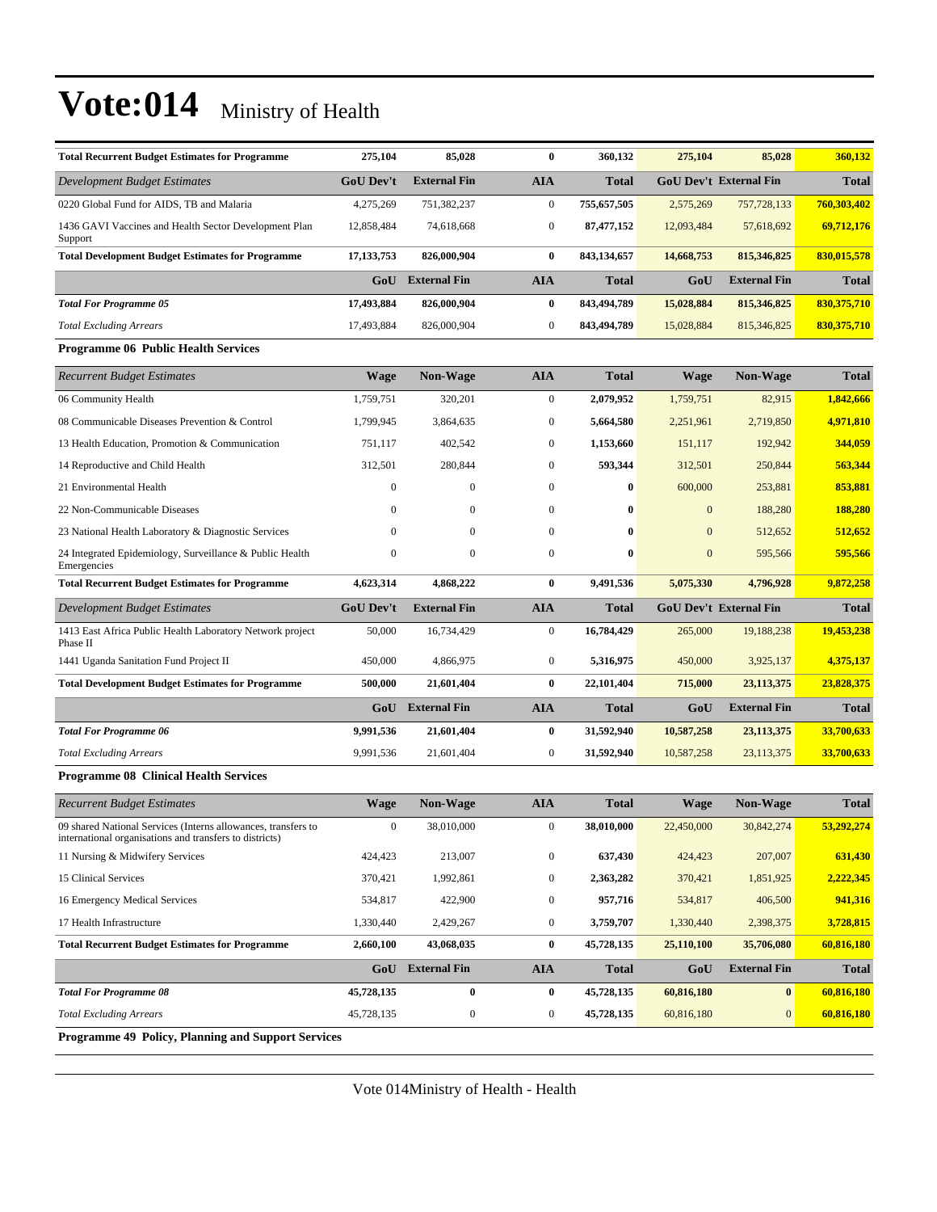| <b>Total Recurrent Budget Estimates for Programme</b>                                                                    | 275,104          | 85,028              | $\bf{0}$         | 360,132      | 275,104      | 85,028                        | 360,132       |
|--------------------------------------------------------------------------------------------------------------------------|------------------|---------------------|------------------|--------------|--------------|-------------------------------|---------------|
| Development Budget Estimates                                                                                             | <b>GoU Dev't</b> | <b>External Fin</b> | <b>AIA</b>       | <b>Total</b> |              | <b>GoU Dev't External Fin</b> | <b>Total</b>  |
| 0220 Global Fund for AIDS, TB and Malaria                                                                                | 4,275,269        | 751,382,237         | $\boldsymbol{0}$ | 755,657,505  | 2,575,269    | 757,728,133                   | 760,303,402   |
| 1436 GAVI Vaccines and Health Sector Development Plan<br>Support                                                         | 12,858,484       | 74,618,668          | $\boldsymbol{0}$ | 87,477,152   | 12,093,484   | 57,618,692                    | 69,712,176    |
| <b>Total Development Budget Estimates for Programme</b>                                                                  | 17, 133, 753     | 826,000,904         | $\bf{0}$         | 843,134,657  | 14,668,753   | 815,346,825                   | 830,015,578   |
|                                                                                                                          | GoU              | <b>External Fin</b> | <b>AIA</b>       | <b>Total</b> | GoU          | <b>External Fin</b>           | <b>Total</b>  |
| <b>Total For Programme 05</b>                                                                                            | 17,493,884       | 826,000,904         | $\bf{0}$         | 843,494,789  | 15,028,884   | 815,346,825                   | 830, 375, 710 |
| <b>Total Excluding Arrears</b>                                                                                           | 17,493,884       | 826,000,904         | $\boldsymbol{0}$ | 843,494,789  | 15,028,884   | 815,346,825                   | 830, 375, 710 |
| <b>Programme 06 Public Health Services</b>                                                                               |                  |                     |                  |              |              |                               |               |
| <b>Recurrent Budget Estimates</b>                                                                                        | <b>Wage</b>      | <b>Non-Wage</b>     | <b>AIA</b>       | <b>Total</b> | Wage         | <b>Non-Wage</b>               | <b>Total</b>  |
| 06 Community Health                                                                                                      | 1,759,751        | 320,201             | $\boldsymbol{0}$ | 2,079,952    | 1,759,751    | 82,915                        | 1,842,666     |
| 08 Communicable Diseases Prevention & Control                                                                            | 1,799,945        | 3,864,635           | $\boldsymbol{0}$ | 5,664,580    | 2,251,961    | 2,719,850                     | 4,971,810     |
| 13 Health Education, Promotion & Communication                                                                           | 751,117          | 402,542             | $\boldsymbol{0}$ | 1,153,660    | 151,117      | 192,942                       | 344,059       |
| 14 Reproductive and Child Health                                                                                         | 312,501          | 280,844             | $\boldsymbol{0}$ | 593,344      | 312,501      | 250,844                       | 563,344       |
| 21 Environmental Health                                                                                                  | $\mathbf{0}$     | $\boldsymbol{0}$    | $\boldsymbol{0}$ | $\bf{0}$     | 600,000      | 253,881                       | 853,881       |
| 22 Non-Communicable Diseases                                                                                             | $\Omega$         | $\mathbf{0}$        | $\mathbf{0}$     | $\bf{0}$     | $\Omega$     | 188,280                       | 188,280       |
| 23 National Health Laboratory & Diagnostic Services                                                                      | $\Omega$         | $\mathbf{0}$        | $\boldsymbol{0}$ | $\bf{0}$     | $\mathbf{0}$ | 512,652                       | 512,652       |
| 24 Integrated Epidemiology, Surveillance & Public Health<br>Emergencies                                                  | $\mathbf{0}$     | $\boldsymbol{0}$    | $\boldsymbol{0}$ | $\bf{0}$     | $\mathbf{0}$ | 595,566                       | 595,566       |
| <b>Total Recurrent Budget Estimates for Programme</b>                                                                    | 4,623,314        | 4,868,222           | $\bf{0}$         | 9,491,536    | 5,075,330    | 4,796,928                     | 9,872,258     |
| <b>Development Budget Estimates</b>                                                                                      | <b>GoU Dev't</b> | <b>External Fin</b> | <b>AIA</b>       | <b>Total</b> |              | <b>GoU Dev't External Fin</b> | <b>Total</b>  |
| 1413 East Africa Public Health Laboratory Network project<br>Phase II                                                    | 50,000           | 16,734,429          | $\mathbf{0}$     | 16,784,429   | 265,000      | 19,188,238                    | 19,453,238    |
| 1441 Uganda Sanitation Fund Project II                                                                                   | 450,000          | 4,866,975           | $\boldsymbol{0}$ | 5,316,975    | 450,000      | 3,925,137                     | 4,375,137     |
| <b>Total Development Budget Estimates for Programme</b>                                                                  | 500,000          | 21,601,404          | $\bf{0}$         | 22,101,404   | 715,000      | 23, 113, 375                  | 23,828,375    |
|                                                                                                                          | GoU              | <b>External Fin</b> | <b>AIA</b>       | <b>Total</b> | GoU          | <b>External Fin</b>           | <b>Total</b>  |
| <b>Total For Programme 06</b>                                                                                            | 9,991,536        | 21,601,404          | $\bf{0}$         | 31,592,940   | 10,587,258   | 23,113,375                    | 33,700,633    |
| <b>Total Excluding Arrears</b>                                                                                           | 9,991,536        | 21,601,404          | $\boldsymbol{0}$ | 31,592,940   | 10,587,258   | 23,113,375                    | 33,700,633    |
| <b>Programme 08 Clinical Health Services</b>                                                                             |                  |                     |                  |              |              |                               |               |
| <b>Recurrent Budget Estimates</b>                                                                                        | <b>Wage</b>      | <b>Non-Wage</b>     | <b>AIA</b>       | <b>Total</b> | <b>Wage</b>  | Non-Wage                      | <b>Total</b>  |
| 09 shared National Services (Interns allowances, transfers to<br>international organisations and transfers to districts) | $\mathbf{0}$     | 38,010,000          | $\boldsymbol{0}$ | 38,010,000   | 22,450,000   | 30,842,274                    | 53,292,274    |
| 11 Nursing & Midwifery Services                                                                                          | 424,423          | 213,007             | $\boldsymbol{0}$ | 637,430      | 424,423      | 207,007                       | 631,430       |
| 15 Clinical Services                                                                                                     | 370,421          | 1,992,861           | $\boldsymbol{0}$ | 2,363,282    | 370,421      | 1,851,925                     | 2,222,345     |
| 16 Emergency Medical Services                                                                                            | 534,817          | 422,900             | $\boldsymbol{0}$ | 957,716      | 534,817      | 406,500                       | 941,316       |
| 17 Health Infrastructure                                                                                                 | 1,330,440        | 2,429,267           | $\boldsymbol{0}$ | 3,759,707    | 1,330,440    | 2,398,375                     | 3,728,815     |
| <b>Total Recurrent Budget Estimates for Programme</b>                                                                    | 2,660,100        | 43,068,035          | $\bf{0}$         | 45,728,135   | 25,110,100   | 35,706,080                    | 60,816,180    |
|                                                                                                                          | GoU              | <b>External Fin</b> | <b>AIA</b>       | <b>Total</b> | GoU          | <b>External Fin</b>           | <b>Total</b>  |
|                                                                                                                          |                  |                     |                  |              |              |                               | 60,816,180    |
| <b>Total For Programme 08</b>                                                                                            | 45,728,135       | $\pmb{0}$           | $\bf{0}$         | 45,728,135   | 60,816,180   | $\mathbf{0}$                  |               |
| <b>Total Excluding Arrears</b>                                                                                           | 45,728,135       | $\boldsymbol{0}$    | $\boldsymbol{0}$ | 45,728,135   | 60,816,180   | $\mathbf{0}$                  | 60,816,180    |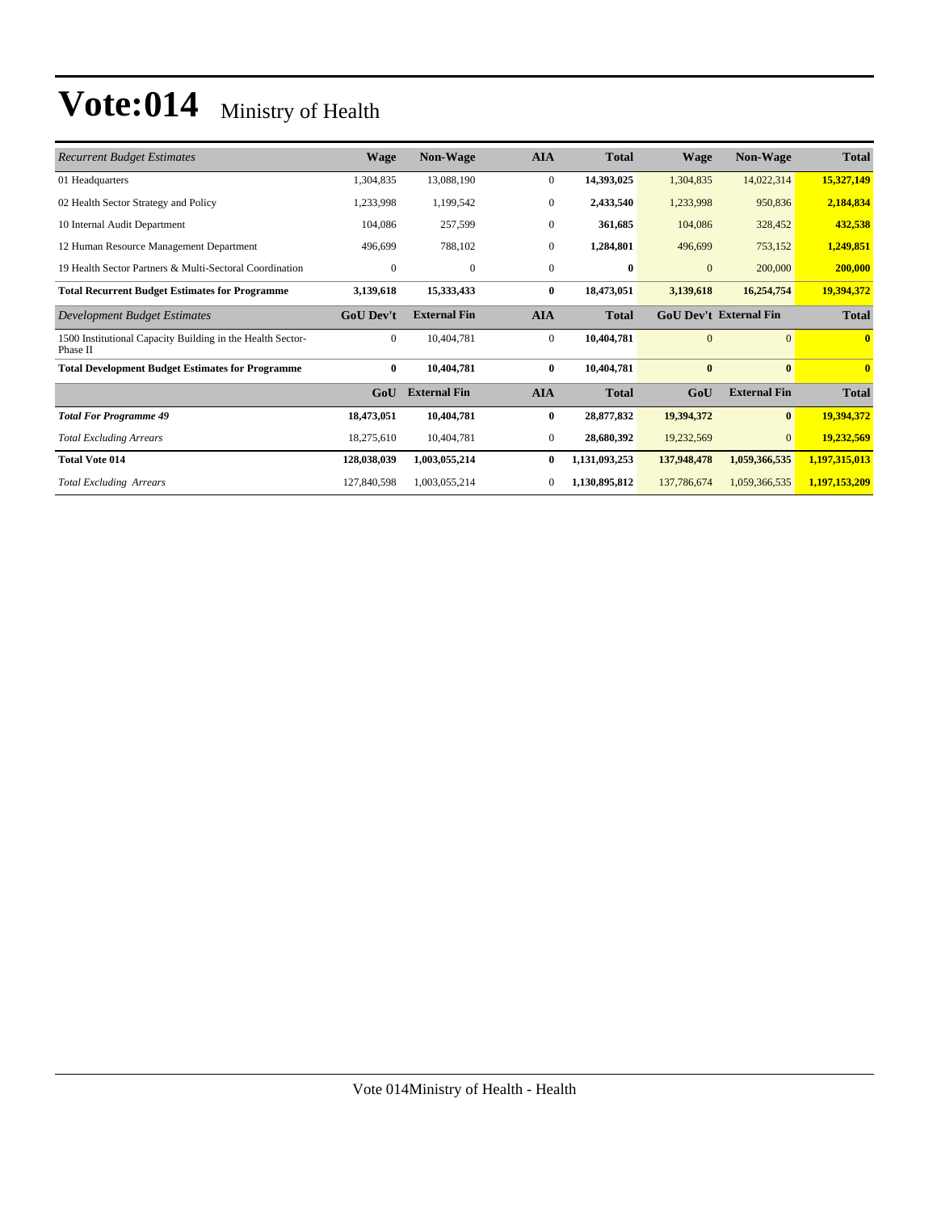| <b>Recurrent Budget Estimates</b>                                      | <b>Wage</b>      | Non-Wage            | <b>AIA</b>   | <b>Total</b>  | <b>Wage</b>    | <b>Non-Wage</b>               | <b>Total</b>  |
|------------------------------------------------------------------------|------------------|---------------------|--------------|---------------|----------------|-------------------------------|---------------|
| 01 Headquarters                                                        | 1,304,835        | 13,088,190          | $\mathbf{0}$ | 14,393,025    | 1,304,835      | 14,022,314                    | 15,327,149    |
| 02 Health Sector Strategy and Policy                                   | 1,233,998        | 1,199,542           | $\mathbf{0}$ | 2,433,540     | 1,233,998      | 950,836                       | 2,184,834     |
| 10 Internal Audit Department                                           | 104,086          | 257,599             | $\mathbf{0}$ | 361,685       | 104,086        | 328,452                       | 432,538       |
| 12 Human Resource Management Department                                | 496,699          | 788,102             | $\mathbf{0}$ | 1,284,801     | 496,699        | 753,152                       | 1,249,851     |
| 19 Health Sector Partners & Multi-Sectoral Coordination                | $\mathbf{0}$     | $\mathbf{0}$        | $\mathbf{0}$ | $\bf{0}$      | $\mathbf{0}$   | 200,000                       | 200,000       |
| <b>Total Recurrent Budget Estimates for Programme</b>                  | 3,139,618        | 15,333,433          | $\bf{0}$     | 18,473,051    | 3,139,618      | 16,254,754                    | 19,394,372    |
| Development Budget Estimates                                           | <b>GoU Dev't</b> | <b>External Fin</b> | <b>AIA</b>   | <b>Total</b>  |                | <b>GoU Dev't External Fin</b> | <b>Total</b>  |
| 1500 Institutional Capacity Building in the Health Sector-<br>Phase II | $\overline{0}$   | 10.404.781          | $\mathbf{0}$ | 10,404,781    | $\overline{0}$ | $\overline{0}$                | $\bf{0}$      |
| <b>Total Development Budget Estimates for Programme</b>                | $\bf{0}$         | 10,404,781          | $\bf{0}$     | 10,404,781    | $\bf{0}$       | $\bf{0}$                      | $\bf{0}$      |
|                                                                        | GoU              | <b>External Fin</b> | <b>AIA</b>   | <b>Total</b>  | GoU            | <b>External Fin</b>           | <b>Total</b>  |
| <b>Total For Programme 49</b>                                          | 18,473,051       | 10,404,781          | $\bf{0}$     | 28,877,832    | 19,394,372     | $\bf{0}$                      | 19,394,372    |
| <b>Total Excluding Arrears</b>                                         | 18,275,610       | 10,404,781          | $\mathbf{0}$ | 28,680,392    | 19,232,569     | $\overline{0}$                | 19,232,569    |
| <b>Total Vote 014</b>                                                  | 128,038,039      | 1,003,055,214       | $\bf{0}$     | 1,131,093,253 | 137,948,478    | 1,059,366,535                 | 1,197,315,013 |
| <b>Total Excluding Arrears</b>                                         | 127,840,598      | 1,003,055,214       | $\mathbf{0}$ | 1,130,895,812 | 137,786,674    | 1,059,366,535                 | 1,197,153,209 |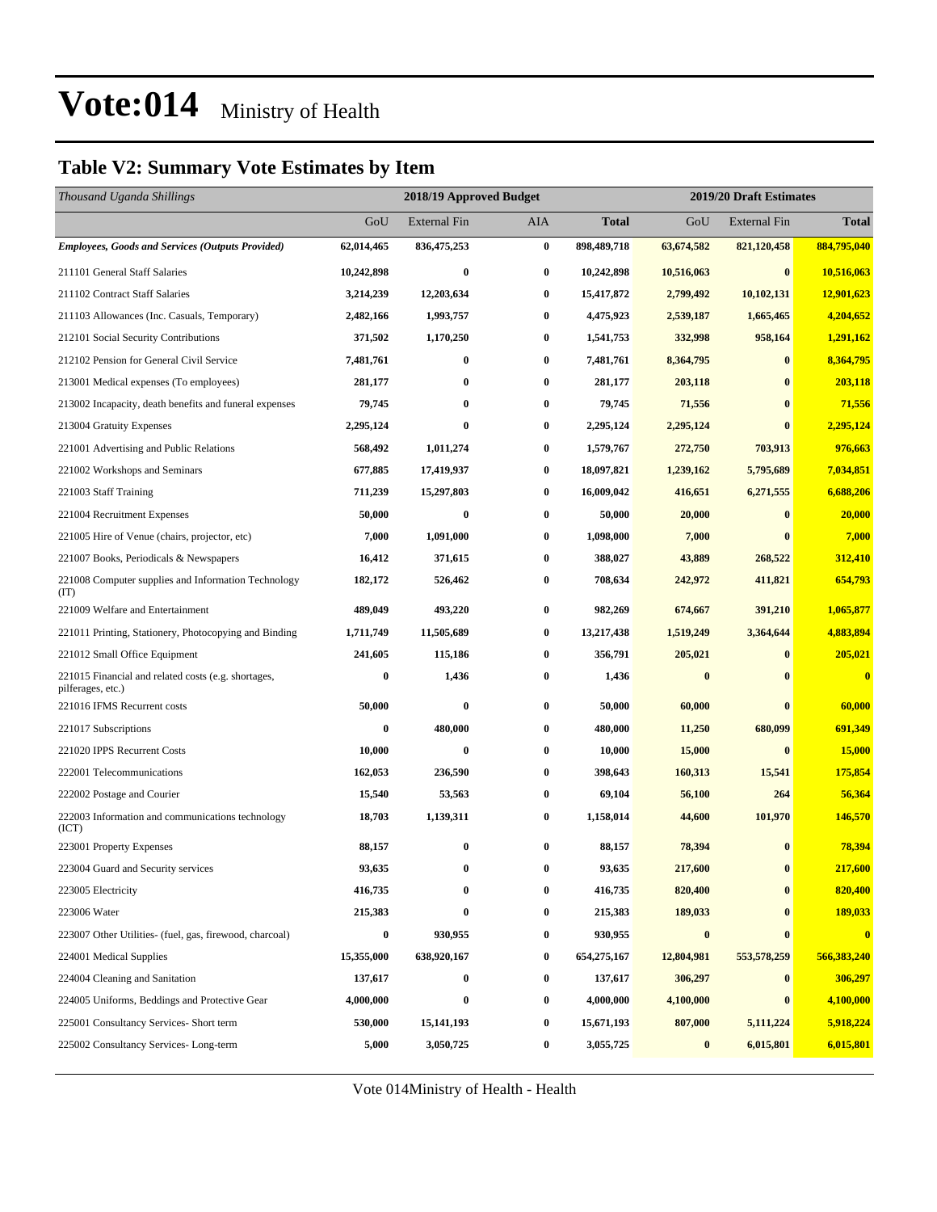#### **Table V2: Summary Vote Estimates by Item**

| Thousand Uganda Shillings                                                |                  | 2018/19 Approved Budget<br>2019/20 Draft Estimates |          |              |                  |                     |              |
|--------------------------------------------------------------------------|------------------|----------------------------------------------------|----------|--------------|------------------|---------------------|--------------|
|                                                                          | GoU              | <b>External Fin</b>                                | AIA      | <b>Total</b> | GoU              | <b>External Fin</b> | <b>Total</b> |
| <b>Employees, Goods and Services (Outputs Provided)</b>                  | 62,014,465       | 836,475,253                                        | $\bf{0}$ | 898,489,718  | 63,674,582       | 821,120,458         | 884,795,040  |
| 211101 General Staff Salaries                                            | 10,242,898       | $\bf{0}$                                           | 0        | 10,242,898   | 10,516,063       | $\bf{0}$            | 10,516,063   |
| 211102 Contract Staff Salaries                                           | 3,214,239        | 12,203,634                                         | 0        | 15,417,872   | 2,799,492        | 10,102,131          | 12,901,623   |
| 211103 Allowances (Inc. Casuals, Temporary)                              | 2,482,166        | 1,993,757                                          | 0        | 4,475,923    | 2,539,187        | 1,665,465           | 4,204,652    |
| 212101 Social Security Contributions                                     | 371,502          | 1,170,250                                          | 0        | 1,541,753    | 332,998          | 958,164             | 1,291,162    |
| 212102 Pension for General Civil Service                                 | 7,481,761        | $\bf{0}$                                           | 0        | 7,481,761    | 8,364,795        | $\mathbf{0}$        | 8,364,795    |
| 213001 Medical expenses (To employees)                                   | 281,177          | $\bf{0}$                                           | 0        | 281,177      | 203,118          | $\bf{0}$            | 203,118      |
| 213002 Incapacity, death benefits and funeral expenses                   | 79,745           | $\bf{0}$                                           | $\bf{0}$ | 79,745       | 71,556           | $\bf{0}$            | 71,556       |
| 213004 Gratuity Expenses                                                 | 2,295,124        | $\bf{0}$                                           | 0        | 2,295,124    | 2,295,124        | $\bf{0}$            | 2,295,124    |
| 221001 Advertising and Public Relations                                  | 568,492          | 1,011,274                                          | 0        | 1,579,767    | 272,750          | 703,913             | 976,663      |
| 221002 Workshops and Seminars                                            | 677,885          | 17,419,937                                         | 0        | 18,097,821   | 1,239,162        | 5,795,689           | 7,034,851    |
| 221003 Staff Training                                                    | 711,239          | 15,297,803                                         | 0        | 16,009,042   | 416,651          | 6,271,555           | 6,688,206    |
| 221004 Recruitment Expenses                                              | 50,000           | $\bf{0}$                                           | $\bf{0}$ | 50,000       | 20,000           | $\bf{0}$            | 20,000       |
| 221005 Hire of Venue (chairs, projector, etc)                            | 7,000            | 1,091,000                                          | 0        | 1,098,000    | 7,000            |                     | 7,000        |
| 221007 Books, Periodicals & Newspapers                                   | 16,412           | 371,615                                            | 0        | 388,027      | 43,889           | 268,522             | 312,410      |
| 221008 Computer supplies and Information Technology<br>(TT)              | 182,172          | 526,462                                            | 0        | 708,634      | 242,972          | 411,821             | 654,793      |
| 221009 Welfare and Entertainment                                         | 489,049          | 493,220                                            | 0        | 982,269      | 674,667          | 391,210             | 1,065,877    |
| 221011 Printing, Stationery, Photocopying and Binding                    | 1,711,749        | 11,505,689                                         | 0        | 13,217,438   | 1,519,249        | 3,364,644           | 4,883,894    |
| 221012 Small Office Equipment                                            | 241,605          | 115,186                                            | 0        | 356,791      | 205,021          | $\mathbf{0}$        | 205,021      |
| 221015 Financial and related costs (e.g. shortages,<br>pilferages, etc.) | $\bf{0}$         | 1,436                                              | 0        | 1,436        | $\bf{0}$         | $\bf{0}$            | $\bf{0}$     |
| 221016 IFMS Recurrent costs                                              | 50,000           | $\bf{0}$                                           | $\bf{0}$ | 50,000       | 60,000           | $\bf{0}$            | 60,000       |
| 221017 Subscriptions                                                     | $\bf{0}$         | 480,000                                            | 0        | 480,000      | 11,250           | 680,099             | 691,349      |
| 221020 IPPS Recurrent Costs                                              | 10,000           | $\bf{0}$                                           | 0        | 10,000       | 15,000           | $\bf{0}$            | 15,000       |
| 222001 Telecommunications                                                | 162,053          | 236,590                                            | 0        | 398,643      | 160,313          | 15,541              | 175,854      |
| 222002 Postage and Courier                                               | 15,540           | 53,563                                             | 0        | 69,104       | 56,100           | 264                 | 56,364       |
| 222003 Information and communications technology<br>(ICT)                | 18,703           | 1,139,311                                          | 0        | 1,158,014    | 44,600           | 101,970             | 146,570      |
| 223001 Property Expenses                                                 | 88,157           | $\bf{0}$                                           | 0        | 88,157       | 78,394           |                     | 78,394       |
| 223004 Guard and Security services                                       | 93,635           | $\bf{0}$                                           |          | 93,635       | 217,600          |                     | 217,600      |
| 223005 Electricity                                                       | 416,735          | $\bf{0}$                                           | $\bf{0}$ | 416,735      | 820,400          | $\bf{0}$            | 820,400      |
| 223006 Water                                                             | 215,383          | $\bf{0}$                                           | $\bf{0}$ | 215,383      | 189,033          | $\bf{0}$            | 189,033      |
| 223007 Other Utilities- (fuel, gas, firewood, charcoal)                  | $\boldsymbol{0}$ | 930,955                                            | 0        | 930,955      | $\boldsymbol{0}$ | $\bf{0}$            | $\bf{0}$     |
| 224001 Medical Supplies                                                  | 15,355,000       | 638,920,167                                        | 0        | 654,275,167  | 12,804,981       | 553,578,259         | 566,383,240  |
| 224004 Cleaning and Sanitation                                           | 137,617          | $\bf{0}$                                           | 0        | 137,617      | 306,297          | $\bf{0}$            | 306,297      |
| 224005 Uniforms, Beddings and Protective Gear                            | 4,000,000        | $\bf{0}$                                           | 0        | 4,000,000    | 4,100,000        | $\bf{0}$            | 4,100,000    |
| 225001 Consultancy Services- Short term                                  | 530,000          | 15, 141, 193                                       | 0        | 15,671,193   | 807,000          | 5,111,224           | 5,918,224    |
| 225002 Consultancy Services-Long-term                                    | 5,000            | 3,050,725                                          | 0        | 3,055,725    | $\bf{0}$         | 6,015,801           | 6,015,801    |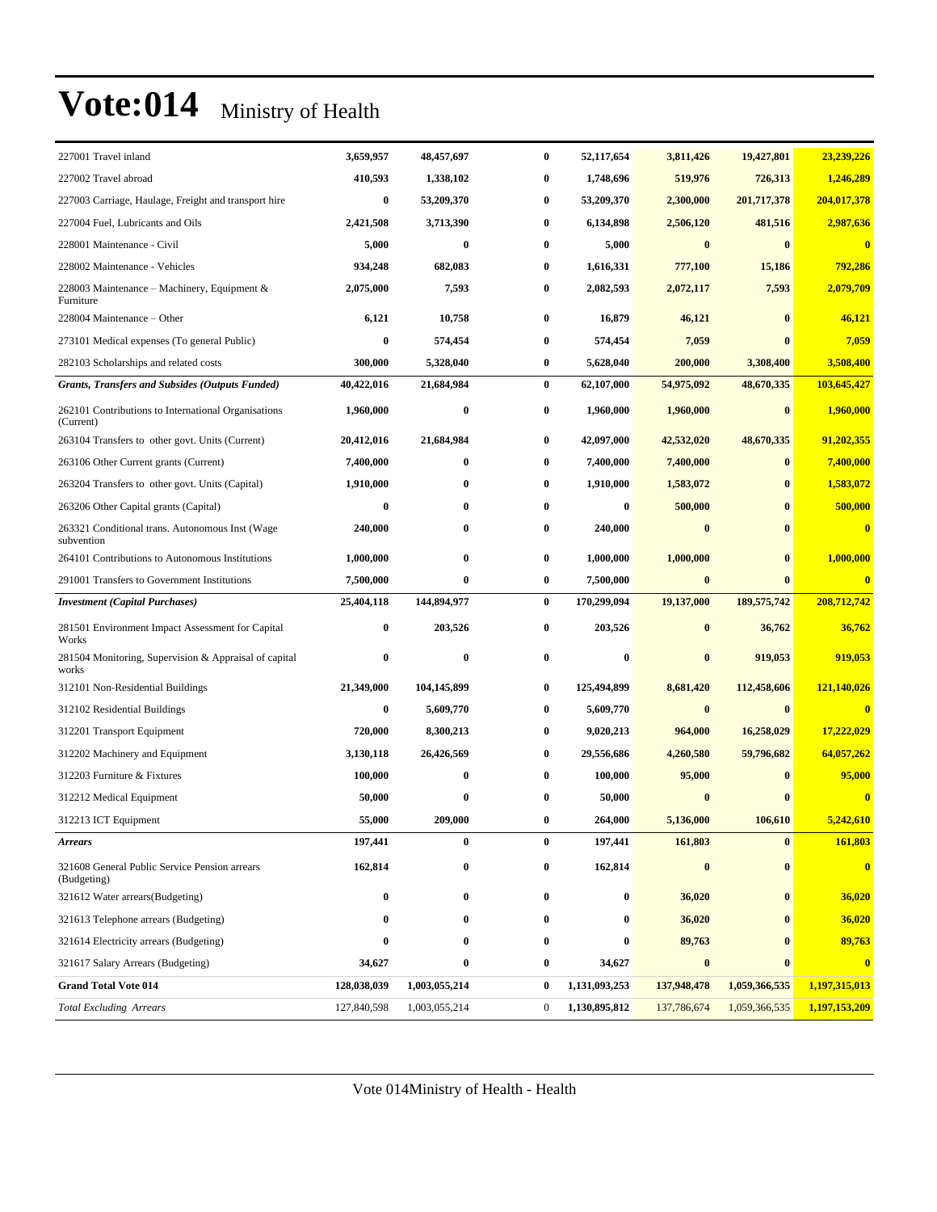| 227001 Travel inland                                             | 3,659,957   | 48,457,697    | $\bf{0}$         | 52,117,654       | 3,811,426   | 19,427,801    | 23,239,226              |
|------------------------------------------------------------------|-------------|---------------|------------------|------------------|-------------|---------------|-------------------------|
| 227002 Travel abroad                                             | 410,593     | 1,338,102     | 0                | 1,748,696        | 519,976     | 726,313       | 1,246,289               |
| 227003 Carriage, Haulage, Freight and transport hire             | $\bf{0}$    | 53,209,370    | 0                | 53,209,370       | 2,300,000   | 201,717,378   | 204,017,378             |
| 227004 Fuel, Lubricants and Oils                                 | 2,421,508   | 3,713,390     | 0                | 6,134,898        | 2,506,120   | 481,516       | 2,987,636               |
| 228001 Maintenance - Civil                                       | 5,000       | $\bf{0}$      | 0                | 5,000            | $\bf{0}$    | $\bf{0}$      | $\bf{0}$                |
| 228002 Maintenance - Vehicles                                    | 934,248     | 682,083       | 0                | 1,616,331        | 777,100     | 15,186        | 792,286                 |
| 228003 Maintenance - Machinery, Equipment &<br>Furniture         | 2,075,000   | 7,593         | 0                | 2,082,593        | 2,072,117   | 7,593         | 2,079,709               |
| 228004 Maintenance – Other                                       | 6,121       | 10,758        | 0                | 16,879           | 46,121      | $\bf{0}$      | 46,121                  |
| 273101 Medical expenses (To general Public)                      | $\bf{0}$    | 574,454       | 0                | 574,454          | 7,059       |               | 7,059                   |
| 282103 Scholarships and related costs                            | 300,000     | 5,328,040     | 0                | 5,628,040        | 200,000     | 3,308,400     | 3,508,400               |
| <b>Grants, Transfers and Subsides (Outputs Funded)</b>           | 40,422,016  | 21,684,984    | $\bf{0}$         | 62,107,000       | 54,975,092  | 48,670,335    | 103,645,427             |
| 262101 Contributions to International Organisations<br>(Current) | 1,960,000   | $\bf{0}$      | 0                | 1,960,000        | 1,960,000   | $\bf{0}$      | 1,960,000               |
| 263104 Transfers to other govt. Units (Current)                  | 20,412,016  | 21,684,984    | 0                | 42,097,000       | 42,532,020  | 48,670,335    | 91,202,355              |
| 263106 Other Current grants (Current)                            | 7,400,000   | $\bf{0}$      | 0                | 7,400,000        | 7,400,000   | $\bf{0}$      | 7,400,000               |
| 263204 Transfers to other govt. Units (Capital)                  | 1,910,000   | $\bf{0}$      | 0                | 1,910,000        | 1,583,072   | $\bf{0}$      | 1,583,072               |
| 263206 Other Capital grants (Capital)                            | $\bf{0}$    | $\bf{0}$      | 0                | $\bf{0}$         | 500,000     | $\bf{0}$      | 500,000                 |
| 263321 Conditional trans. Autonomous Inst (Wage<br>subvention    | 240,000     | $\bf{0}$      | 0                | 240,000          | $\bf{0}$    | $\bf{0}$      | $\bf{0}$                |
| 264101 Contributions to Autonomous Institutions                  | 1,000,000   | $\bf{0}$      | $\bf{0}$         | 1,000,000        | 1,000,000   | $\bf{0}$      | 1,000,000               |
| 291001 Transfers to Government Institutions                      | 7,500,000   | $\bf{0}$      | 0                | 7,500,000        | $\bf{0}$    | $\bf{0}$      | $\bf{0}$                |
| <b>Investment</b> (Capital Purchases)                            | 25,404,118  | 144,894,977   | $\bf{0}$         | 170,299,094      | 19,137,000  | 189, 575, 742 | 208,712,742             |
| 281501 Environment Impact Assessment for Capital<br>Works        | $\bf{0}$    | 203,526       | $\bf{0}$         | 203,526          | $\bf{0}$    | 36,762        | 36,762                  |
| 281504 Monitoring, Supervision & Appraisal of capital<br>works   | 0           | $\bf{0}$      | $\bf{0}$         | $\boldsymbol{0}$ | $\bf{0}$    | 919,053       | 919,053                 |
| 312101 Non-Residential Buildings                                 | 21,349,000  | 104,145,899   | $\bf{0}$         | 125,494,899      | 8,681,420   | 112,458,606   | 121,140,026             |
| 312102 Residential Buildings                                     | $\bf{0}$    | 5,609,770     | 0                | 5,609,770        | $\bf{0}$    | $\bf{0}$      | $\bf{0}$                |
| 312201 Transport Equipment                                       | 720,000     | 8,300,213     | 0                | 9,020,213        | 964,000     | 16,258,029    | 17,222,029              |
| 312202 Machinery and Equipment                                   | 3,130,118   | 26,426,569    | 0                | 29,556,686       | 4,260,580   | 59,796,682    | 64,057,262              |
| 312203 Furniture & Fixtures                                      | 100,000     | $\bf{0}$      | 0                | 100,000          | 95,000      | $\bf{0}$      | 95,000                  |
| 312212 Medical Equipment                                         | 50,000      | $\bf{0}$      | 0                | 50,000           | $\bf{0}$    |               | $\overline{\mathbf{0}}$ |
| 312213 ICT Equipment                                             | 55,000      | 209,000       | 0                | 264,000          | 5,136,000   | 106,610       | 5,242,610               |
| <b>Arrears</b>                                                   | 197,441     | $\bf{0}$      | $\bf{0}$         | 197,441          | 161,803     | $\bf{0}$      | 161,803                 |
| 321608 General Public Service Pension arrears<br>(Budgeting)     | 162,814     | $\bf{0}$      | 0                | 162,814          | $\bf{0}$    | $\bf{0}$      | $\bf{0}$                |
| 321612 Water arrears(Budgeting)                                  | $\bf{0}$    | $\bf{0}$      | 0                | $\bf{0}$         | 36,020      | $\bf{0}$      | 36,020                  |
| 321613 Telephone arrears (Budgeting)                             | 0           | $\bf{0}$      | 0                | $\bf{0}$         | 36,020      | $\bf{0}$      | 36,020                  |
| 321614 Electricity arrears (Budgeting)                           | $\bf{0}$    | $\bf{0}$      | 0                | $\bf{0}$         | 89,763      | $\bf{0}$      | 89,763                  |
| 321617 Salary Arrears (Budgeting)                                | 34,627      | $\bf{0}$      | 0                | 34,627           | $\bf{0}$    | $\bf{0}$      | $\bf{0}$                |
| <b>Grand Total Vote 014</b>                                      | 128,038,039 | 1,003,055,214 | $\bf{0}$         | 1,131,093,253    | 137,948,478 | 1,059,366,535 | 1,197,315,013           |
| <b>Total Excluding Arrears</b>                                   | 127,840,598 | 1,003,055,214 | $\boldsymbol{0}$ | 1,130,895,812    | 137,786,674 | 1,059,366,535 | 1,197,153,209           |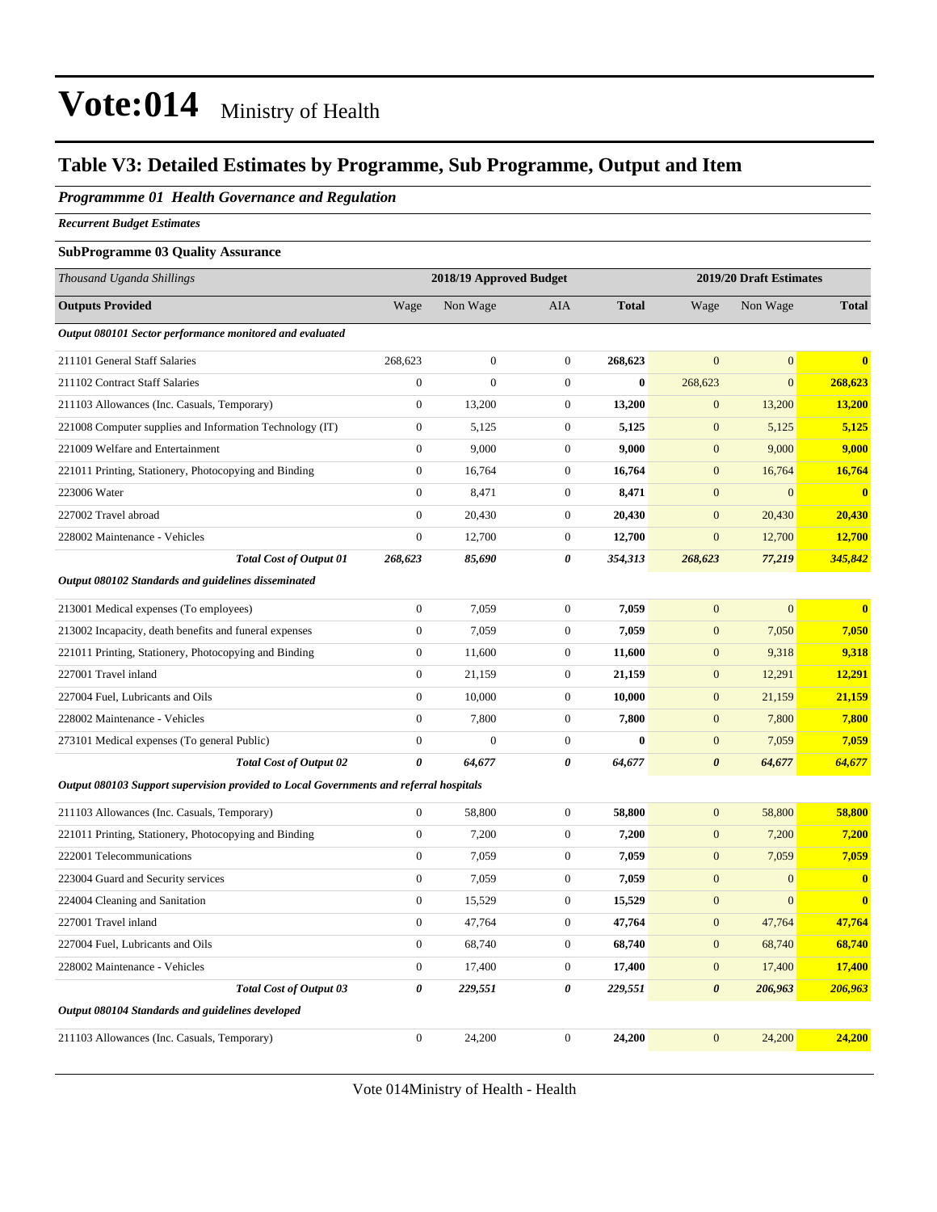#### **Table V3: Detailed Estimates by Programme, Sub Programme, Output and Item**

*Programmme 01 Health Governance and Regulation*

*Recurrent Budget Estimates*

#### **SubProgramme 03 Quality Assurance**

| Thousand Uganda Shillings                                                              |                  | 2018/19 Approved Budget |                  |              |                       | 2019/20 Draft Estimates |               |
|----------------------------------------------------------------------------------------|------------------|-------------------------|------------------|--------------|-----------------------|-------------------------|---------------|
| <b>Outputs Provided</b>                                                                | Wage             | Non Wage                | AIA              | <b>Total</b> | Wage                  | Non Wage                | <b>Total</b>  |
| Output 080101 Sector performance monitored and evaluated                               |                  |                         |                  |              |                       |                         |               |
| 211101 General Staff Salaries                                                          | 268,623          | $\boldsymbol{0}$        | $\boldsymbol{0}$ | 268,623      | $\mathbf{0}$          | $\overline{0}$          | $\bf{0}$      |
| 211102 Contract Staff Salaries                                                         | $\boldsymbol{0}$ | $\overline{0}$          | $\mathbf{0}$     | $\bf{0}$     | 268,623               | $\overline{0}$          | 268,623       |
| 211103 Allowances (Inc. Casuals, Temporary)                                            | $\boldsymbol{0}$ | 13,200                  | $\mathbf{0}$     | 13,200       | $\mathbf{0}$          | 13,200                  | 13,200        |
| 221008 Computer supplies and Information Technology (IT)                               | $\boldsymbol{0}$ | 5,125                   | $\mathbf{0}$     | 5,125        | $\mathbf{0}$          | 5,125                   | 5,125         |
| 221009 Welfare and Entertainment                                                       | $\boldsymbol{0}$ | 9,000                   | $\boldsymbol{0}$ | 9,000        | $\mathbf{0}$          | 9,000                   | 9,000         |
| 221011 Printing, Stationery, Photocopying and Binding                                  | $\boldsymbol{0}$ | 16,764                  | $\boldsymbol{0}$ | 16,764       | $\boldsymbol{0}$      | 16,764                  | 16,764        |
| 223006 Water                                                                           | $\boldsymbol{0}$ | 8,471                   | $\boldsymbol{0}$ | 8,471        | $\mathbf{0}$          | $\overline{0}$          | $\bf{0}$      |
| 227002 Travel abroad                                                                   | $\overline{0}$   | 20,430                  | $\boldsymbol{0}$ | 20,430       | $\boldsymbol{0}$      | 20,430                  | <b>20,430</b> |
| 228002 Maintenance - Vehicles                                                          | $\boldsymbol{0}$ | 12,700                  | $\boldsymbol{0}$ | 12,700       | $\boldsymbol{0}$      | 12,700                  | 12,700        |
| <b>Total Cost of Output 01</b>                                                         | 268,623          | 85,690                  | $\pmb{\theta}$   | 354,313      | 268,623               | 77,219                  | 345,842       |
| Output 080102 Standards and guidelines disseminated                                    |                  |                         |                  |              |                       |                         |               |
| 213001 Medical expenses (To employees)                                                 | $\boldsymbol{0}$ | 7,059                   | $\boldsymbol{0}$ | 7,059        | $\mathbf{0}$          | $\overline{0}$          | $\bf{0}$      |
| 213002 Incapacity, death benefits and funeral expenses                                 | $\boldsymbol{0}$ | 7,059                   | $\boldsymbol{0}$ | 7,059        | $\boldsymbol{0}$      | 7,050                   | 7,050         |
| 221011 Printing, Stationery, Photocopying and Binding                                  | $\boldsymbol{0}$ | 11,600                  | $\boldsymbol{0}$ | 11,600       | $\boldsymbol{0}$      | 9,318                   | 9,318         |
| 227001 Travel inland                                                                   | $\boldsymbol{0}$ | 21,159                  | $\boldsymbol{0}$ | 21,159       | $\boldsymbol{0}$      | 12,291                  | 12,291        |
| 227004 Fuel, Lubricants and Oils                                                       | $\overline{0}$   | 10,000                  | $\boldsymbol{0}$ | 10,000       | $\mathbf{0}$          | 21,159                  | 21,159        |
| 228002 Maintenance - Vehicles                                                          | $\overline{0}$   | 7,800                   | $\mathbf{0}$     | 7,800        | $\mathbf{0}$          | 7,800                   | 7,800         |
| 273101 Medical expenses (To general Public)                                            | $\overline{0}$   | $\overline{0}$          | $\overline{0}$   | $\bf{0}$     | $\boldsymbol{0}$      | 7,059                   | 7,059         |
| <b>Total Cost of Output 02</b>                                                         | 0                | 64,677                  | 0                | 64,677       | $\boldsymbol{\theta}$ | 64,677                  | 64,677        |
| Output 080103 Support supervision provided to Local Governments and referral hospitals |                  |                         |                  |              |                       |                         |               |
| 211103 Allowances (Inc. Casuals, Temporary)                                            | $\boldsymbol{0}$ | 58,800                  | $\boldsymbol{0}$ | 58,800       | $\boldsymbol{0}$      | 58,800                  | 58,800        |
| 221011 Printing, Stationery, Photocopying and Binding                                  | $\overline{0}$   | 7,200                   | $\boldsymbol{0}$ | 7,200        | $\boldsymbol{0}$      | 7,200                   | 7,200         |
| 222001 Telecommunications                                                              | $\overline{0}$   | 7,059                   | $\mathbf{0}$     | 7,059        | $\mathbf{0}$          | 7,059                   | 7,059         |
| 223004 Guard and Security services                                                     | $\overline{0}$   | 7,059                   | $\boldsymbol{0}$ | 7,059        | $\boldsymbol{0}$      | $\overline{0}$          | $\bf{0}$      |
| 224004 Cleaning and Sanitation                                                         | $\overline{0}$   | 15,529                  | $\mathbf{0}$     | 15,529       | $\mathbf{0}$          | $\overline{0}$          | $\bf{0}$      |
| 227001 Travel inland                                                                   | $\overline{0}$   | 47,764                  | $\mathbf{0}$     | 47,764       | $\mathbf{0}$          | 47,764                  | 47,764        |
| 227004 Fuel, Lubricants and Oils                                                       | $\boldsymbol{0}$ | 68,740                  | $\mathbf{0}$     | 68,740       | $\mathbf{0}$          | 68,740                  | 68,740        |
| 228002 Maintenance - Vehicles                                                          | $\mathbf{0}$     | 17,400                  | $\mathbf{0}$     | 17,400       | $\mathbf{0}$          | 17,400                  | 17,400        |
| <b>Total Cost of Output 03</b>                                                         | 0                | 229,551                 | 0                | 229,551      | $\boldsymbol{\theta}$ | 206,963                 | 206,963       |
| Output 080104 Standards and guidelines developed                                       |                  |                         |                  |              |                       |                         |               |
| 211103 Allowances (Inc. Casuals, Temporary)                                            | $\overline{0}$   | 24,200                  | $\overline{0}$   | 24,200       | $\overline{0}$        | 24,200                  | 24,200        |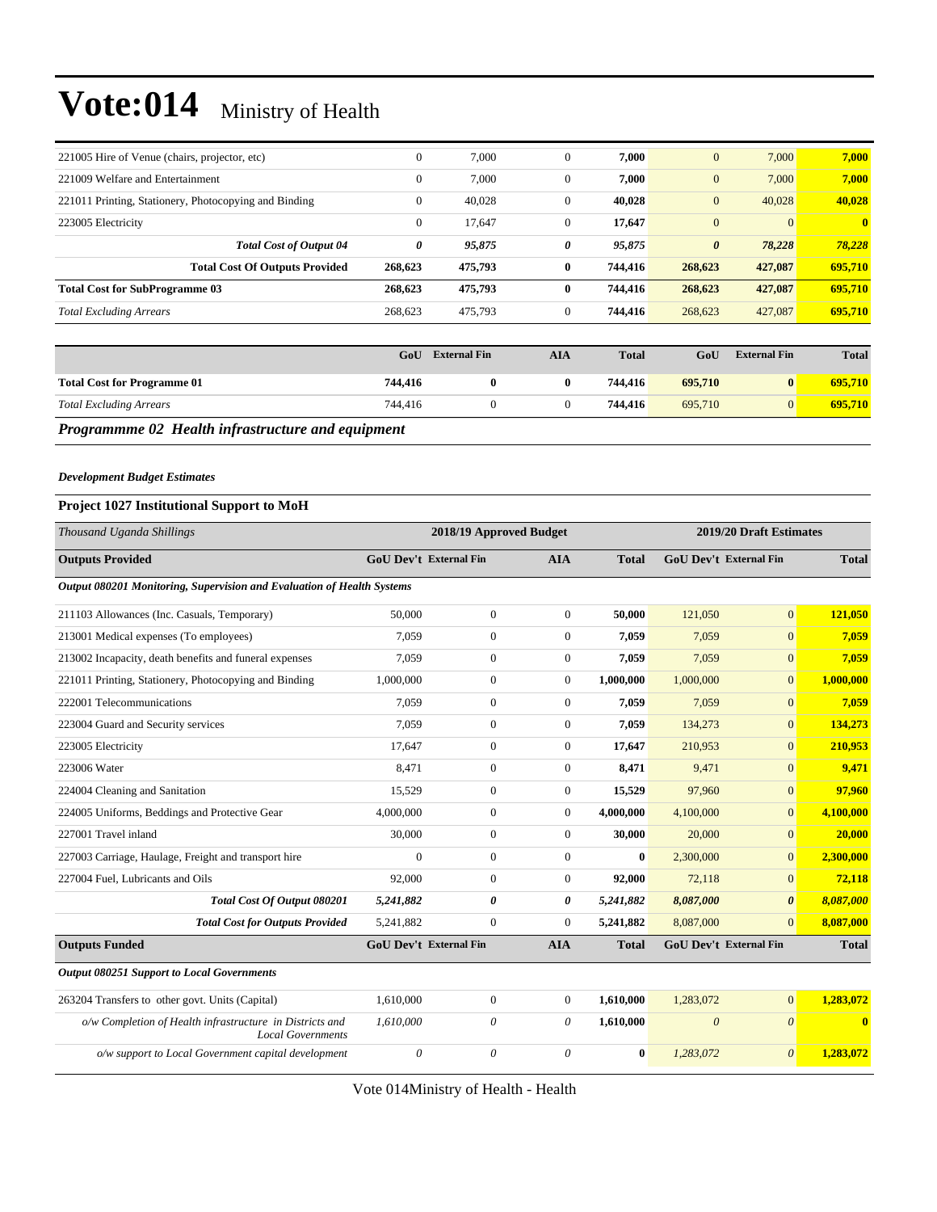|                                               |                                                       | $C_2H$       | <b>External Fin</b> | <b>ATA</b>     | Total   | $C_2H$                | <b>Fyternal Fin</b> | Total        |
|-----------------------------------------------|-------------------------------------------------------|--------------|---------------------|----------------|---------|-----------------------|---------------------|--------------|
|                                               |                                                       |              |                     |                |         |                       |                     |              |
| <b>Total Excluding Arrears</b>                |                                                       | 268,623      | 475,793             | $\overline{0}$ | 744,416 | 268,623               | 427,087             | 695,710      |
| <b>Total Cost for SubProgramme 03</b>         |                                                       | 268,623      | 475,793             | $\bf{0}$       | 744,416 | 268,623               | 427,087             | 695,710      |
|                                               | <b>Total Cost Of Outputs Provided</b>                 | 268,623      | 475,793             | $\bf{0}$       | 744,416 | 268,623               | 427,087             | 695,710      |
|                                               | <b>Total Cost of Output 04</b>                        | 0            | 95,875              | 0              | 95,875  | $\boldsymbol{\theta}$ | 78,228              | 78,228       |
| 223005 Electricity                            |                                                       | $\mathbf{0}$ | 17.647              | $\overline{0}$ | 17,647  | $\mathbf{0}$          | $\Omega$            | $\mathbf{0}$ |
|                                               | 221011 Printing, Stationery, Photocopying and Binding | $\mathbf{0}$ | 40.028              | $\mathbf{0}$   | 40.028  | $\overline{0}$        | 40,028              | 40,028       |
| 221009 Welfare and Entertainment              |                                                       | $\mathbf{0}$ | 7,000               | $\theta$       | 7,000   | $\mathbf{0}$          | 7,000               | 7,000        |
| 221005 Hire of Venue (chairs, projector, etc) |                                                       | $\mathbf{0}$ | 7,000               | $\theta$       | 7,000   | $\mathbf{0}$          | 7,000               | 7,000        |

|                                                          | GoU     | <b>External Fin</b> | AIA | <b>Total</b> | GoU     | <b>External Fin</b> | <b>Total</b> |  |  |
|----------------------------------------------------------|---------|---------------------|-----|--------------|---------|---------------------|--------------|--|--|
| <b>Total Cost for Programme 01</b>                       | 744.416 |                     |     | 744.416      | 695.710 |                     | 695.710      |  |  |
| <b>Total Excluding Arrears</b>                           | 744.416 |                     |     | 744.416      | 695,710 |                     | 695,710      |  |  |
| <b>Programmme 02 Health infrastructure and equipment</b> |         |                     |     |              |         |                     |              |  |  |

#### *Development Budget Estimates*

#### **Project 1027 Institutional Support to MoH**

| Thousand Uganda Shillings                                                            | 2018/19 Approved Budget       |                |                |              |           | 2019/20 Draft Estimates       |                         |  |  |
|--------------------------------------------------------------------------------------|-------------------------------|----------------|----------------|--------------|-----------|-------------------------------|-------------------------|--|--|
| <b>Outputs Provided</b>                                                              | <b>GoU Dev't External Fin</b> |                | <b>AIA</b>     | <b>Total</b> |           | <b>GoU Dev't External Fin</b> | <b>Total</b>            |  |  |
| Output 080201 Monitoring, Supervision and Evaluation of Health Systems               |                               |                |                |              |           |                               |                         |  |  |
| 211103 Allowances (Inc. Casuals, Temporary)                                          | 50,000                        | $\overline{0}$ | $\overline{0}$ | 50.000       | 121,050   | $\overline{0}$                | 121,050                 |  |  |
| 213001 Medical expenses (To employees)                                               | 7.059                         | $\overline{0}$ | $\overline{0}$ | 7.059        | 7.059     | $\overline{0}$                | 7.059                   |  |  |
| 213002 Incapacity, death benefits and funeral expenses                               | 7.059                         | $\overline{0}$ | $\Omega$       | 7.059        | 7.059     | $\overline{0}$                | 7.059                   |  |  |
| 221011 Printing, Stationery, Photocopying and Binding                                | 1,000,000                     | $\overline{0}$ | $\overline{0}$ | 1,000,000    | 1,000,000 | $\overline{0}$                | 1,000,000               |  |  |
| 222001 Telecommunications                                                            | 7.059                         | $\overline{0}$ | $\overline{0}$ | 7.059        | 7.059     | $\overline{0}$                | 7,059                   |  |  |
| 223004 Guard and Security services                                                   | 7.059                         | $\overline{0}$ | $\overline{0}$ | 7.059        | 134,273   | $\overline{0}$                | 134,273                 |  |  |
| 223005 Electricity                                                                   | 17.647                        | $\overline{0}$ | $\overline{0}$ | 17,647       | 210,953   | $\Omega$                      | 210,953                 |  |  |
| 223006 Water                                                                         | 8.471                         | $\overline{0}$ | $\overline{0}$ | 8.471        | 9,471     | $\overline{0}$                | 9.471                   |  |  |
| 224004 Cleaning and Sanitation                                                       | 15,529                        | $\overline{0}$ | $\overline{0}$ | 15,529       | 97.960    | $\overline{0}$                | 97,960                  |  |  |
| 224005 Uniforms, Beddings and Protective Gear                                        | 4,000,000                     | $\overline{0}$ | $\overline{0}$ | 4,000,000    | 4,100,000 | $\overline{0}$                | 4,100,000               |  |  |
| 227001 Travel inland                                                                 | 30,000                        | $\overline{0}$ | $\overline{0}$ | 30,000       | 20,000    | $\overline{0}$                | 20,000                  |  |  |
| 227003 Carriage, Haulage, Freight and transport hire                                 | $\overline{0}$                | $\mathbf{0}$   | $\overline{0}$ | $\bf{0}$     | 2,300,000 | $\overline{0}$                | 2,300,000               |  |  |
| 227004 Fuel, Lubricants and Oils                                                     | 92,000                        | $\overline{0}$ | $\overline{0}$ | 92,000       | 72,118    | $\overline{0}$                | 72,118                  |  |  |
| Total Cost Of Output 080201                                                          | 5,241,882                     | 0              | 0              | 5,241,882    | 8,087,000 | $\boldsymbol{\theta}$         | 8,087,000               |  |  |
| <b>Total Cost for Outputs Provided</b>                                               | 5,241,882                     | $\mathbf{0}$   | $\Omega$       | 5,241,882    | 8,087,000 | $\Omega$                      | 8,087,000               |  |  |
| <b>Outputs Funded</b>                                                                | <b>GoU Dev't External Fin</b> |                | <b>AIA</b>     | <b>Total</b> |           | <b>GoU Dev't External Fin</b> | <b>Total</b>            |  |  |
| <b>Output 080251 Support to Local Governments</b>                                    |                               |                |                |              |           |                               |                         |  |  |
| 263204 Transfers to other govt. Units (Capital)                                      | 1,610,000                     | $\overline{0}$ | $\overline{0}$ | 1,610,000    | 1,283,072 | $\overline{0}$                | 1.283.072               |  |  |
| o/w Completion of Health infrastructure in Districts and<br><b>Local Governments</b> | 1,610,000                     | $\theta$       | $\theta$       | 1,610,000    | $\theta$  | $\theta$                      | $\overline{\mathbf{0}}$ |  |  |
| o/w support to Local Government capital development                                  | $\theta$                      | $\theta$       | $\theta$       | $\bf{0}$     | 1,283,072 | $\theta$                      | 1.283,072               |  |  |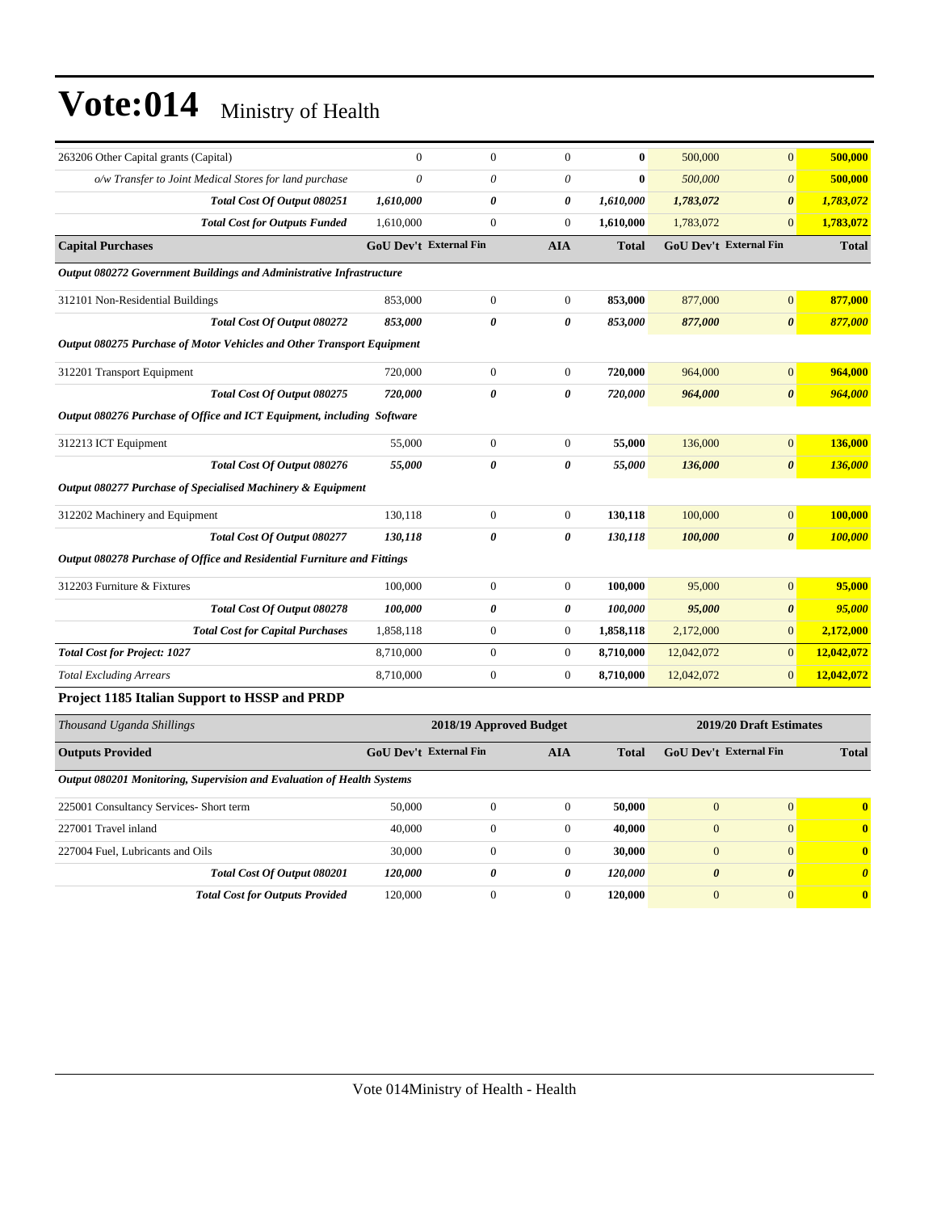| 263206 Other Capital grants (Capital)                                   | $\mathbf{0}$ | $\mathbf{0}$                  | $\overline{0}$          | $\bf{0}$     | 500,000      | $\mathbf{0}$                  | 500,000      |
|-------------------------------------------------------------------------|--------------|-------------------------------|-------------------------|--------------|--------------|-------------------------------|--------------|
| o/w Transfer to Joint Medical Stores for land purchase                  | $\theta$     | 0                             | $\theta$                | $\bf{0}$     | 500,000      | $\boldsymbol{\theta}$         | 500,000      |
| Total Cost Of Output 080251                                             | 1,610,000    | 0                             | 0                       | 1,610,000    | 1,783,072    | $\boldsymbol{\theta}$         | 1,783,072    |
| <b>Total Cost for Outputs Funded</b>                                    | 1,610,000    | $\mathbf{0}$                  | $\overline{0}$          | 1,610,000    | 1,783,072    | $\overline{0}$                | 1,783,072    |
| <b>Capital Purchases</b>                                                |              | <b>GoU Dev't External Fin</b> | <b>AIA</b>              | <b>Total</b> |              | <b>GoU Dev't External Fin</b> | <b>Total</b> |
| Output 080272 Government Buildings and Administrative Infrastructure    |              |                               |                         |              |              |                               |              |
| 312101 Non-Residential Buildings                                        | 853,000      | $\boldsymbol{0}$              | $\overline{0}$          | 853,000      | 877,000      | $\overline{0}$                | 877,000      |
| <b>Total Cost Of Output 080272</b>                                      | 853,000      | $\boldsymbol{\theta}$         | 0                       | 853,000      | 877,000      | $\boldsymbol{\theta}$         | 877,000      |
| Output 080275 Purchase of Motor Vehicles and Other Transport Equipment  |              |                               |                         |              |              |                               |              |
| 312201 Transport Equipment                                              | 720,000      | $\boldsymbol{0}$              | $\boldsymbol{0}$        | 720,000      | 964,000      | $\mathbf{0}$                  | 964,000      |
| Total Cost Of Output 080275                                             | 720,000      | 0                             | 0                       | 720,000      | 964,000      | $\boldsymbol{\theta}$         | 964,000      |
| Output 080276 Purchase of Office and ICT Equipment, including Software  |              |                               |                         |              |              |                               |              |
| 312213 ICT Equipment                                                    | 55,000       | $\boldsymbol{0}$              | $\boldsymbol{0}$        | 55,000       | 136,000      | $\mathbf{0}$                  | 136,000      |
| Total Cost Of Output 080276                                             | 55,000       | 0                             | 0                       | 55,000       | 136,000      | $\boldsymbol{\theta}$         | 136,000      |
| Output 080277 Purchase of Specialised Machinery & Equipment             |              |                               |                         |              |              |                               |              |
| 312202 Machinery and Equipment                                          | 130,118      | $\boldsymbol{0}$              | $\overline{0}$          | 130,118      | 100,000      | $\overline{0}$                | 100,000      |
| Total Cost Of Output 080277                                             | 130,118      | $\theta$                      | 0                       | 130,118      | 100,000      | $\boldsymbol{\theta}$         | 100,000      |
| Output 080278 Purchase of Office and Residential Furniture and Fittings |              |                               |                         |              |              |                               |              |
| 312203 Furniture & Fixtures                                             | 100,000      | $\boldsymbol{0}$              | $\mathbf{0}$            | 100,000      | 95,000       | $\mathbf{0}$                  | 95,000       |
| Total Cost Of Output 080278                                             | 100,000      | 0                             | 0                       | 100,000      | 95,000       | $\boldsymbol{\theta}$         | 95,000       |
| <b>Total Cost for Capital Purchases</b>                                 | 1,858,118    | $\boldsymbol{0}$              | $\boldsymbol{0}$        | 1,858,118    | 2,172,000    | $\mathbf{0}$                  | 2,172,000    |
| <b>Total Cost for Project: 1027</b>                                     | 8,710,000    | $\boldsymbol{0}$              | $\mathbf{0}$            | 8,710,000    | 12,042,072   | $\mathbf{0}$                  | 12,042,072   |
| <b>Total Excluding Arrears</b>                                          | 8,710,000    | $\boldsymbol{0}$              | $\overline{0}$          | 8,710,000    | 12,042,072   | $\mathbf{0}$                  | 12,042,072   |
| <b>Project 1185 Italian Support to HSSP and PRDP</b>                    |              |                               |                         |              |              |                               |              |
| Thousand Uganda Shillings                                               |              |                               | 2018/19 Approved Budget |              |              | 2019/20 Draft Estimates       |              |
| <b>Outputs Provided</b>                                                 |              | <b>GoU Dev't External Fin</b> | <b>AIA</b>              | <b>Total</b> |              | GoU Dev't External Fin        | <b>Total</b> |
| Output 080201 Monitoring, Supervision and Evaluation of Health Systems  |              |                               |                         |              |              |                               |              |
| 225001 Consultancy Services- Short term                                 | 50,000       | $\boldsymbol{0}$              | $\boldsymbol{0}$        | 50,000       | $\mathbf{0}$ | $\boldsymbol{0}$              | $\bf{0}$     |
| 227001 Travel inland                                                    | 40,000       | $\boldsymbol{0}$              | $\overline{0}$          | 40,000       | $\mathbf{0}$ | $\mathbf{0}$                  | $\bf{0}$     |
| 227004 Fuel, Lubricants and Oils                                        | 30,000       | $\overline{0}$                | $\overline{0}$          | 30,000       | $\mathbf{0}$ | $\overline{0}$                | $\bf{0}$     |

*Total Cost Of Output 080201 120,000 0 0 120,000 0 0 0 Total Cost for Outputs Provided* 120,000 0 0 **120,000** 0 0 **0**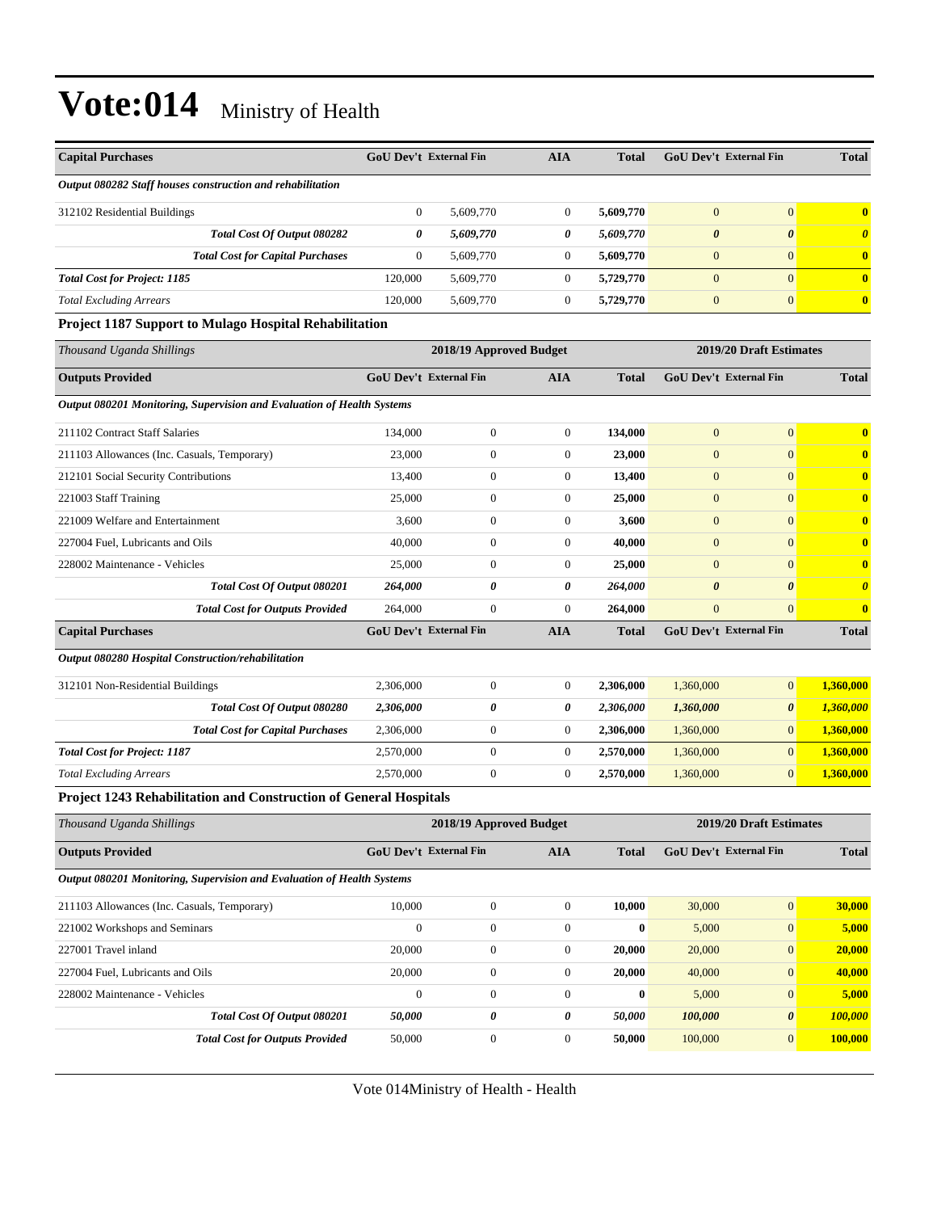| <b>Capital Purchases</b>                                               | <b>GoU Dev't External Fin</b> |                         | <b>AIA</b>       | Total        |                       | <b>GoU Dev't External Fin</b> | <b>Total</b>          |
|------------------------------------------------------------------------|-------------------------------|-------------------------|------------------|--------------|-----------------------|-------------------------------|-----------------------|
| Output 080282 Staff houses construction and rehabilitation             |                               |                         |                  |              |                       |                               |                       |
| 312102 Residential Buildings                                           | $\boldsymbol{0}$              | 5,609,770               | $\mathbf{0}$     | 5,609,770    | $\mathbf{0}$          | $\mathbf{0}$                  | $\bf{0}$              |
| Total Cost Of Output 080282                                            | 0                             | 5,609,770               | 0                | 5,609,770    | $\boldsymbol{\theta}$ | $\boldsymbol{\theta}$         | $\boldsymbol{\theta}$ |
| <b>Total Cost for Capital Purchases</b>                                | $\boldsymbol{0}$              | 5,609,770               | $\boldsymbol{0}$ | 5,609,770    | $\mathbf{0}$          | $\mathbf{0}$                  | $\bf{0}$              |
| <b>Total Cost for Project: 1185</b>                                    | 120,000                       | 5,609,770               | $\mathbf{0}$     | 5,729,770    | $\mathbf{0}$          | $\overline{0}$                | $\bf{0}$              |
| <b>Total Excluding Arrears</b>                                         | 120,000                       | 5,609,770               | $\boldsymbol{0}$ | 5,729,770    | $\boldsymbol{0}$      | $\mathbf{0}$                  | $\bf{0}$              |
| <b>Project 1187 Support to Mulago Hospital Rehabilitation</b>          |                               |                         |                  |              |                       |                               |                       |
| Thousand Uganda Shillings                                              |                               | 2018/19 Approved Budget |                  |              |                       | 2019/20 Draft Estimates       |                       |
| <b>Outputs Provided</b>                                                | <b>GoU Dev't External Fin</b> |                         | <b>AIA</b>       | <b>Total</b> |                       | <b>GoU Dev't External Fin</b> | <b>Total</b>          |
| Output 080201 Monitoring, Supervision and Evaluation of Health Systems |                               |                         |                  |              |                       |                               |                       |
| 211102 Contract Staff Salaries                                         | 134,000                       | $\boldsymbol{0}$        | $\boldsymbol{0}$ | 134,000      | $\mathbf{0}$          | $\mathbf{0}$                  | $\bf{0}$              |
| 211103 Allowances (Inc. Casuals, Temporary)                            | 23,000                        | $\boldsymbol{0}$        | $\mathbf{0}$     | 23,000       | $\boldsymbol{0}$      | $\mathbf{0}$                  | $\bf{0}$              |
| 212101 Social Security Contributions                                   | 13,400                        | $\boldsymbol{0}$        | $\boldsymbol{0}$ | 13,400       | $\mathbf{0}$          | $\mathbf{0}$                  | $\bf{0}$              |
| 221003 Staff Training                                                  | 25,000                        | $\boldsymbol{0}$        | $\mathbf{0}$     | 25,000       | $\mathbf{0}$          | $\overline{0}$                | $\bf{0}$              |
| 221009 Welfare and Entertainment                                       | 3,600                         | $\boldsymbol{0}$        | $\mathbf{0}$     | 3,600        | $\mathbf{0}$          | $\overline{0}$                | $\bf{0}$              |
| 227004 Fuel, Lubricants and Oils                                       | 40,000                        | $\boldsymbol{0}$        | $\mathbf{0}$     | 40,000       | $\mathbf{0}$          | $\mathbf{0}$                  | $\bf{0}$              |
| 228002 Maintenance - Vehicles                                          | 25,000                        | $\boldsymbol{0}$        | $\mathbf{0}$     | 25,000       | $\mathbf{0}$          | $\overline{0}$                | $\bf{0}$              |
| Total Cost Of Output 080201                                            | 264,000                       | 0                       | 0                | 264,000      | $\boldsymbol{\theta}$ | $\boldsymbol{\theta}$         | $\boldsymbol{\theta}$ |
| <b>Total Cost for Outputs Provided</b>                                 | 264,000                       | $\overline{0}$          | $\overline{0}$   | 264,000      | $\overline{0}$        | $\mathbf{0}$                  | $\bf{0}$              |
| <b>Capital Purchases</b>                                               | GoU Dev't External Fin        |                         | <b>AIA</b>       | <b>Total</b> |                       | GoU Dev't External Fin        | <b>Total</b>          |
| Output 080280 Hospital Construction/rehabilitation                     |                               |                         |                  |              |                       |                               |                       |
| 312101 Non-Residential Buildings                                       | 2,306,000                     | $\boldsymbol{0}$        | $\boldsymbol{0}$ | 2,306,000    | 1,360,000             | $\mathbf{0}$                  | 1,360,000             |
| Total Cost Of Output 080280                                            | 2,306,000                     | 0                       | 0                | 2,306,000    | 1,360,000             | 0                             | 1,360,000             |
| <b>Total Cost for Capital Purchases</b>                                | 2,306,000                     | $\boldsymbol{0}$        | $\mathbf{0}$     | 2,306,000    | 1,360,000             | $\overline{0}$                | 1,360,000             |
| <b>Total Cost for Project: 1187</b>                                    | 2,570,000                     | $\boldsymbol{0}$        | $\boldsymbol{0}$ | 2,570,000    | 1,360,000             | $\mathbf{0}$                  | 1,360,000             |
| <b>Total Excluding Arrears</b>                                         | 2,570,000                     | $\boldsymbol{0}$        | $\mathbf{0}$     | 2,570,000    | 1,360,000             | $\mathbf{0}$                  | 1,360,000             |
| Project 1243 Rehabilitation and Construction of General Hospitals      |                               |                         |                  |              |                       |                               |                       |
| Thousand Uganda Shillings                                              |                               | 2018/19 Approved Budget |                  |              |                       | 2019/20 Draft Estimates       |                       |
| <b>Outputs Provided</b>                                                | <b>GoU Dev't External Fin</b> |                         | <b>AIA</b>       | <b>Total</b> |                       | GoU Dev't External Fin        | <b>Total</b>          |
| Output 080201 Monitoring, Supervision and Evaluation of Health Systems |                               |                         |                  |              |                       |                               |                       |
| 211103 Allowances (Inc. Casuals, Temporary)                            | 10,000                        | $\boldsymbol{0}$        | $\boldsymbol{0}$ | 10,000       | 30,000                | $\vert 0 \vert$               | 30,000                |
| 221002 Workshops and Seminars                                          | $\overline{0}$                | $\boldsymbol{0}$        | $\boldsymbol{0}$ | $\bf{0}$     | 5,000                 | 0                             | 5,000                 |
| 227001 Travel inland                                                   | 20,000                        | $\boldsymbol{0}$        | $\mathbf{0}$     | 20,000       | 20,000                | 0                             | 20,000                |
| 227004 Fuel, Lubricants and Oils                                       | 20,000                        | $\boldsymbol{0}$        | $\boldsymbol{0}$ | 20,000       | 40,000                | 0                             | 40,000                |
| 228002 Maintenance - Vehicles                                          | $\boldsymbol{0}$              | $\boldsymbol{0}$        | $\boldsymbol{0}$ | $\bf{0}$     | 5,000                 | 0                             | 5,000                 |

Vote 014Ministry of Health - Health

*Total Cost Of Output 080201 50,000 0 0 50,000 100,000 0 100,000 Total Cost for Outputs Provided* 50,000 0 0 50,000 100,000 0 100,000 0 100,000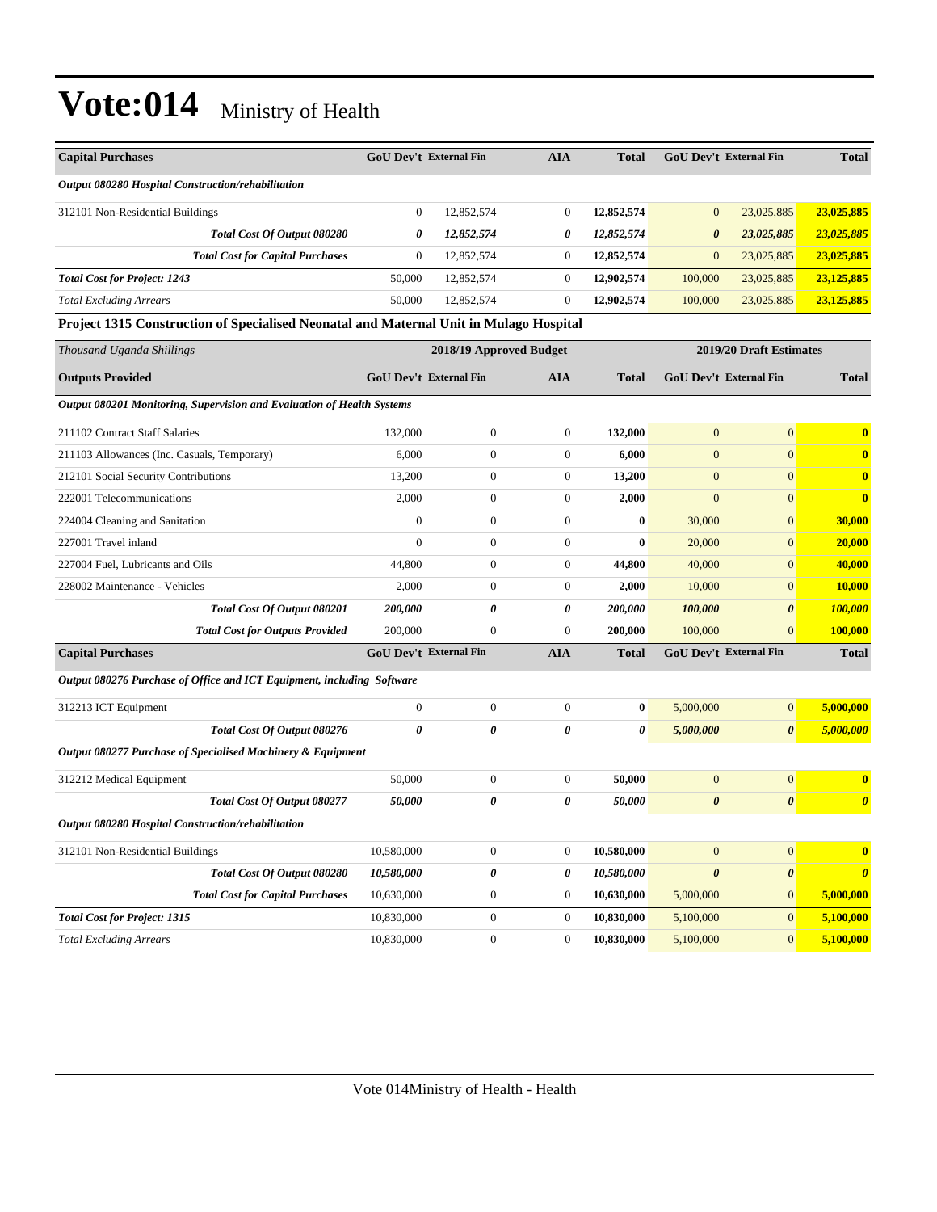| <b>Capital Purchases</b>                                                               | <b>GoU Dev't External Fin</b> |                         | <b>AIA</b>       | <b>Total</b> |                       | <b>GoU Dev't External Fin</b> |                         |
|----------------------------------------------------------------------------------------|-------------------------------|-------------------------|------------------|--------------|-----------------------|-------------------------------|-------------------------|
| Output 080280 Hospital Construction/rehabilitation                                     |                               |                         |                  |              |                       |                               |                         |
| 312101 Non-Residential Buildings                                                       | $\boldsymbol{0}$              | 12,852,574              | $\boldsymbol{0}$ | 12,852,574   | $\mathbf{0}$          | 23,025,885                    | 23,025,885              |
| Total Cost Of Output 080280                                                            | 0                             | 12,852,574              | 0                | 12,852,574   | $\boldsymbol{\theta}$ | 23,025,885                    | 23,025,885              |
| <b>Total Cost for Capital Purchases</b>                                                | $\boldsymbol{0}$              | 12,852,574              | $\boldsymbol{0}$ | 12,852,574   | $\boldsymbol{0}$      | 23,025,885                    | 23,025,885              |
| <b>Total Cost for Project: 1243</b>                                                    | 50,000                        | 12,852,574              | $\boldsymbol{0}$ | 12,902,574   | 100,000               | 23,025,885                    | 23,125,885              |
| <b>Total Excluding Arrears</b>                                                         | 50,000                        | 12,852,574              | $\overline{0}$   | 12,902,574   | 100,000               | 23,025,885                    | 23,125,885              |
| Project 1315 Construction of Specialised Neonatal and Maternal Unit in Mulago Hospital |                               |                         |                  |              |                       |                               |                         |
| Thousand Uganda Shillings                                                              |                               | 2018/19 Approved Budget |                  |              |                       | 2019/20 Draft Estimates       |                         |
| <b>Outputs Provided</b>                                                                | GoU Dev't External Fin        |                         | <b>AIA</b>       | <b>Total</b> |                       | GoU Dev't External Fin        | <b>Total</b>            |
| Output 080201 Monitoring, Supervision and Evaluation of Health Systems                 |                               |                         |                  |              |                       |                               |                         |
| 211102 Contract Staff Salaries                                                         | 132,000                       | $\boldsymbol{0}$        | $\mathbf{0}$     | 132,000      | $\boldsymbol{0}$      | $\overline{0}$                | $\bf{0}$                |
| 211103 Allowances (Inc. Casuals, Temporary)                                            | 6,000                         | $\boldsymbol{0}$        | $\mathbf{0}$     | 6,000        | $\mathbf{0}$          | $\overline{0}$                | $\bf{0}$                |
| 212101 Social Security Contributions                                                   | 13,200                        | $\boldsymbol{0}$        | $\mathbf{0}$     | 13,200       | $\boldsymbol{0}$      | $\overline{0}$                | $\bf{0}$                |
| 222001 Telecommunications                                                              | 2,000                         | $\boldsymbol{0}$        | $\mathbf{0}$     | 2,000        | $\boldsymbol{0}$      | $\overline{0}$                | $\bf{0}$                |
| 224004 Cleaning and Sanitation                                                         | $\mathbf{0}$                  | $\boldsymbol{0}$        | $\mathbf{0}$     | 0            | 30,000                | $\overline{0}$                | 30,000                  |
| 227001 Travel inland                                                                   | $\overline{0}$                | $\boldsymbol{0}$        | $\mathbf{0}$     | $\bf{0}$     | 20,000                | $\overline{0}$                | 20,000                  |
| 227004 Fuel, Lubricants and Oils                                                       | 44,800                        | $\boldsymbol{0}$        | $\mathbf{0}$     | 44,800       | 40,000                | $\overline{0}$                | 40,000                  |
| 228002 Maintenance - Vehicles                                                          | 2,000                         | $\boldsymbol{0}$        | $\mathbf{0}$     | 2,000        | 10,000                | $\overline{0}$                | 10,000                  |
| Total Cost Of Output 080201                                                            | 200,000                       | 0                       | 0                | 200,000      | 100,000               | 0                             | <b>100,000</b>          |
| <b>Total Cost for Outputs Provided</b>                                                 | 200,000                       | $\mathbf{0}$            | $\overline{0}$   | 200,000      | 100,000               | $\overline{0}$                | 100,000                 |
| <b>Capital Purchases</b>                                                               | <b>GoU Dev't External Fin</b> |                         | <b>AIA</b>       | <b>Total</b> |                       | GoU Dev't External Fin        | <b>Total</b>            |
| Output 080276 Purchase of Office and ICT Equipment, including Software                 |                               |                         |                  |              |                       |                               |                         |
| 312213 ICT Equipment                                                                   | $\boldsymbol{0}$              | $\boldsymbol{0}$        | $\mathbf{0}$     | $\bf{0}$     | 5,000,000             | $\boldsymbol{0}$              | 5,000,000               |
| Total Cost Of Output 080276                                                            | 0                             | 0                       | 0                | 0            | 5,000,000             | 0                             | 5,000,000               |
| Output 080277 Purchase of Specialised Machinery & Equipment                            |                               |                         |                  |              |                       |                               |                         |
| 312212 Medical Equipment                                                               | 50,000                        | $\boldsymbol{0}$        | $\boldsymbol{0}$ | 50,000       | $\mathbf{0}$          | $\overline{0}$                | $\bf{0}$                |
| Total Cost Of Output 080277                                                            | 50,000                        | 0                       | 0                | 50,000       | $\boldsymbol{\theta}$ | 0                             | $\boldsymbol{\theta}$   |
| Output 080280 Hospital Construction/rehabilitation                                     |                               |                         |                  |              |                       |                               |                         |
| 312101 Non-Residential Buildings                                                       | 10,580,000                    | $\boldsymbol{0}$        | $\mathbf{0}$     | 10,580,000   | $\mathbf{0}$          | $\mathbf{0}$                  | $\overline{\mathbf{0}}$ |
| <b>Total Cost Of Output 080280</b>                                                     | 10,580,000                    | 0                       | 0                | 10,580,000   | $\boldsymbol{\theta}$ | $\pmb{\theta}$                | $\boldsymbol{\theta}$   |
| <b>Total Cost for Capital Purchases</b>                                                | 10,630,000                    | $\boldsymbol{0}$        | $\boldsymbol{0}$ | 10,630,000   | 5,000,000             | $\boldsymbol{0}$              | 5,000,000               |
| <b>Total Cost for Project: 1315</b>                                                    | 10,830,000                    | $\boldsymbol{0}$        | $\mathbf{0}$     | 10,830,000   | 5,100,000             | $\mathbf{0}$                  | 5,100,000               |
| <b>Total Excluding Arrears</b>                                                         | 10,830,000                    | $\boldsymbol{0}$        | $\boldsymbol{0}$ | 10,830,000   | 5,100,000             | $\mathbf{0}$                  | 5,100,000               |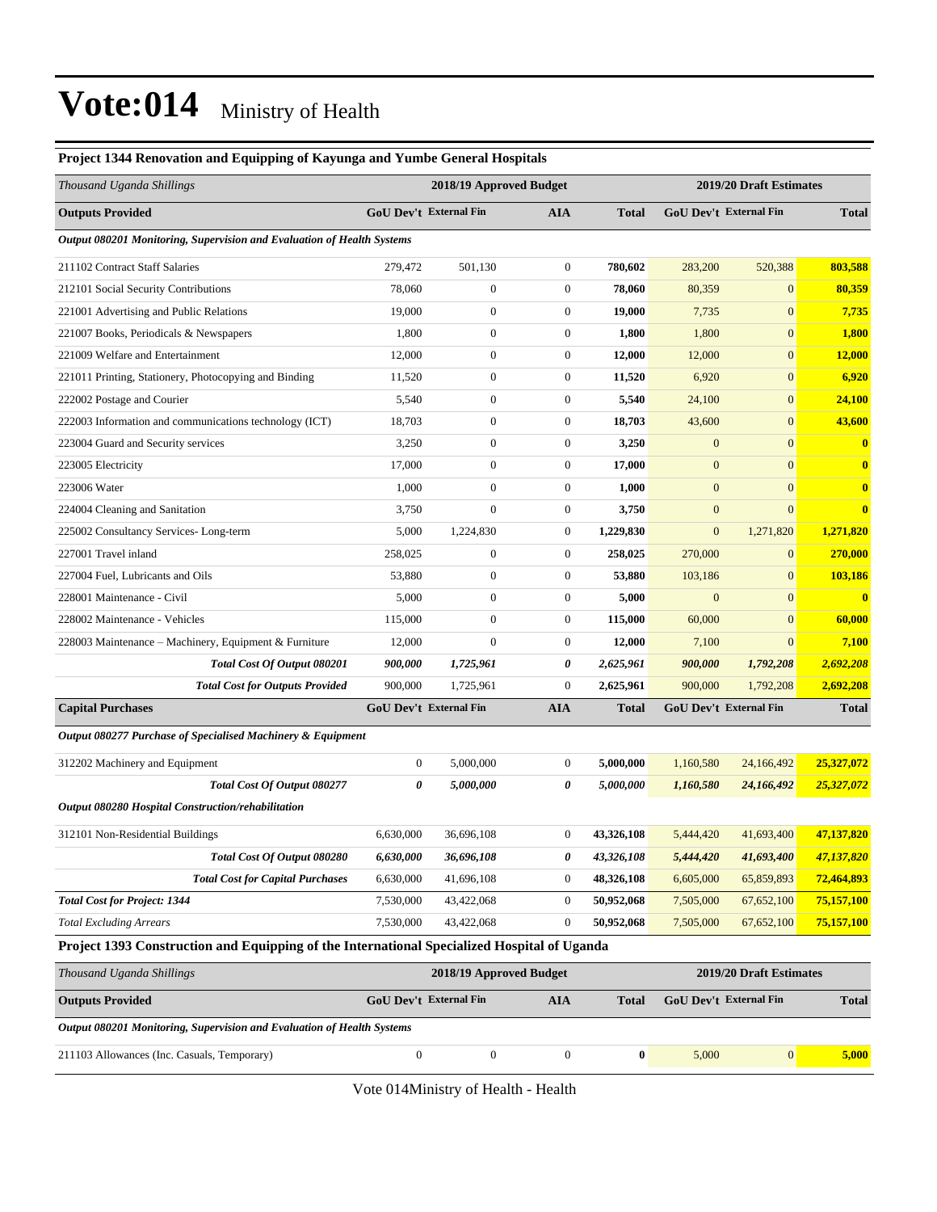#### **Project 1344 Renovation and Equipping of Kayunga and Yumbe General Hospitals**

| Thousand Uganda Shillings                                                                   |                               | 2018/19 Approved Budget |                       |              |                  | 2019/20 Draft Estimates       |              |  |  |
|---------------------------------------------------------------------------------------------|-------------------------------|-------------------------|-----------------------|--------------|------------------|-------------------------------|--------------|--|--|
| <b>Outputs Provided</b>                                                                     | <b>GoU Dev't External Fin</b> |                         | <b>AIA</b>            | <b>Total</b> |                  | <b>GoU Dev't External Fin</b> | <b>Total</b> |  |  |
| Output 080201 Monitoring, Supervision and Evaluation of Health Systems                      |                               |                         |                       |              |                  |                               |              |  |  |
| 211102 Contract Staff Salaries                                                              | 279,472                       | 501,130                 | $\boldsymbol{0}$      | 780,602      | 283,200          | 520,388                       | 803,588      |  |  |
| 212101 Social Security Contributions                                                        | 78,060                        | $\boldsymbol{0}$        | $\boldsymbol{0}$      | 78,060       | 80,359           | $\mathbf{0}$                  | 80,359       |  |  |
| 221001 Advertising and Public Relations                                                     | 19,000                        | $\boldsymbol{0}$        | $\boldsymbol{0}$      | 19,000       | 7,735            | $\mathbf{0}$                  | 7,735        |  |  |
| 221007 Books, Periodicals & Newspapers                                                      | 1,800                         | $\boldsymbol{0}$        | $\boldsymbol{0}$      | 1,800        | 1,800            | $\mathbf{0}$                  | 1,800        |  |  |
| 221009 Welfare and Entertainment                                                            | 12,000                        | $\boldsymbol{0}$        | $\boldsymbol{0}$      | 12,000       | 12,000           | $\mathbf{0}$                  | 12,000       |  |  |
| 221011 Printing, Stationery, Photocopying and Binding                                       | 11,520                        | $\boldsymbol{0}$        | $\boldsymbol{0}$      | 11,520       | 6,920            | $\mathbf{0}$                  | 6,920        |  |  |
| 222002 Postage and Courier                                                                  | 5,540                         | $\boldsymbol{0}$        | $\boldsymbol{0}$      | 5,540        | 24,100           | $\mathbf{0}$                  | 24,100       |  |  |
| 222003 Information and communications technology (ICT)                                      | 18,703                        | $\boldsymbol{0}$        | $\boldsymbol{0}$      | 18,703       | 43,600           | $\mathbf{0}$                  | 43,600       |  |  |
| 223004 Guard and Security services                                                          | 3,250                         | $\boldsymbol{0}$        | $\boldsymbol{0}$      | 3,250        | $\boldsymbol{0}$ | $\mathbf{0}$                  | $\bf{0}$     |  |  |
| 223005 Electricity                                                                          | 17,000                        | $\boldsymbol{0}$        | $\boldsymbol{0}$      | 17,000       | $\boldsymbol{0}$ | $\mathbf{0}$                  | $\bf{0}$     |  |  |
| 223006 Water                                                                                | 1,000                         | $\boldsymbol{0}$        | $\boldsymbol{0}$      | 1,000        | $\boldsymbol{0}$ | $\mathbf{0}$                  | $\bf{0}$     |  |  |
| 224004 Cleaning and Sanitation                                                              | 3,750                         | $\boldsymbol{0}$        | $\boldsymbol{0}$      | 3,750        | $\boldsymbol{0}$ | $\mathbf{0}$                  | $\bf{0}$     |  |  |
| 225002 Consultancy Services-Long-term                                                       | 5,000                         | 1,224,830               | $\boldsymbol{0}$      | 1,229,830    | $\boldsymbol{0}$ | 1,271,820                     | 1,271,820    |  |  |
| 227001 Travel inland                                                                        | 258,025                       | $\boldsymbol{0}$        | $\boldsymbol{0}$      | 258,025      | 270,000          | $\boldsymbol{0}$              | 270,000      |  |  |
| 227004 Fuel, Lubricants and Oils                                                            | 53,880                        | $\boldsymbol{0}$        | $\boldsymbol{0}$      | 53,880       | 103,186          | $\mathbf{0}$                  | 103,186      |  |  |
| 228001 Maintenance - Civil                                                                  | 5,000                         | $\boldsymbol{0}$        | $\boldsymbol{0}$      | 5,000        | $\boldsymbol{0}$ | $\mathbf{0}$                  | $\bf{0}$     |  |  |
| 228002 Maintenance - Vehicles                                                               | 115,000                       | $\boldsymbol{0}$        | $\boldsymbol{0}$      | 115,000      | 60,000           | $\mathbf{0}$                  | 60,000       |  |  |
| 228003 Maintenance - Machinery, Equipment & Furniture                                       | 12,000                        | $\mathbf{0}$            | $\boldsymbol{0}$      | 12,000       | 7,100            | $\mathbf{0}$                  | 7,100        |  |  |
| Total Cost Of Output 080201                                                                 | 900,000                       | 1,725,961               | 0                     | 2,625,961    | 900,000          | 1,792,208                     | 2,692,208    |  |  |
| <b>Total Cost for Outputs Provided</b>                                                      | 900,000                       | 1,725,961               | $\boldsymbol{0}$      | 2,625,961    | 900,000          | 1,792,208                     | 2,692,208    |  |  |
| <b>Capital Purchases</b>                                                                    | <b>GoU Dev't External Fin</b> |                         | <b>AIA</b>            | <b>Total</b> |                  | GoU Dev't External Fin        | <b>Total</b> |  |  |
| Output 080277 Purchase of Specialised Machinery & Equipment                                 |                               |                         |                       |              |                  |                               |              |  |  |
| 312202 Machinery and Equipment                                                              | $\boldsymbol{0}$              | 5,000,000               | $\boldsymbol{0}$      | 5,000,000    | 1,160,580        | 24,166,492                    | 25,327,072   |  |  |
| Total Cost Of Output 080277                                                                 | 0                             | 5,000,000               | 0                     | 5,000,000    | 1,160,580        | 24,166,492                    | 25,327,072   |  |  |
| Output 080280 Hospital Construction/rehabilitation                                          |                               |                         |                       |              |                  |                               |              |  |  |
| 312101 Non-Residential Buildings                                                            | 6,630,000                     | 36,696,108              | $\boldsymbol{0}$      | 43,326,108   | 5,444,420        | 41,693,400                    | 47,137,820   |  |  |
| Total Cost Of Output 080280                                                                 | 6,630,000                     | 36,696,108              | $\boldsymbol{\theta}$ | 43,326,108   |                  | 5,444,420 41,693,400          | 47,137,820   |  |  |
| <b>Total Cost for Capital Purchases</b>                                                     | 6,630,000                     | 41,696,108              | $\boldsymbol{0}$      | 48,326,108   | 6,605,000        | 65,859,893                    | 72,464,893   |  |  |
| <b>Total Cost for Project: 1344</b>                                                         | 7,530,000                     | 43,422,068              | $\boldsymbol{0}$      | 50,952,068   | 7,505,000        | 67,652,100                    | 75,157,100   |  |  |
| <b>Total Excluding Arrears</b>                                                              | 7,530,000                     | 43,422,068              | $\boldsymbol{0}$      | 50,952,068   | 7,505,000        | 67,652,100                    | 75,157,100   |  |  |
| Project 1393 Construction and Equipping of the International Specialized Hospital of Uganda |                               |                         |                       |              |                  |                               |              |  |  |
| Thousand Uganda Shillings                                                                   |                               | 2018/19 Approved Budget |                       |              |                  | 2019/20 Draft Estimates       |              |  |  |
| <b>Outputs Provided</b>                                                                     | <b>GoU Dev't External Fin</b> |                         | <b>AIA</b>            | <b>Total</b> |                  | GoU Dev't External Fin        | <b>Total</b> |  |  |

*Output 080201 Monitoring, Supervision and Evaluation of Health Systems*

211103 Allowances (Inc. Casuals, Temporary) 0 0 0 **0** 5,000 0 **5,000**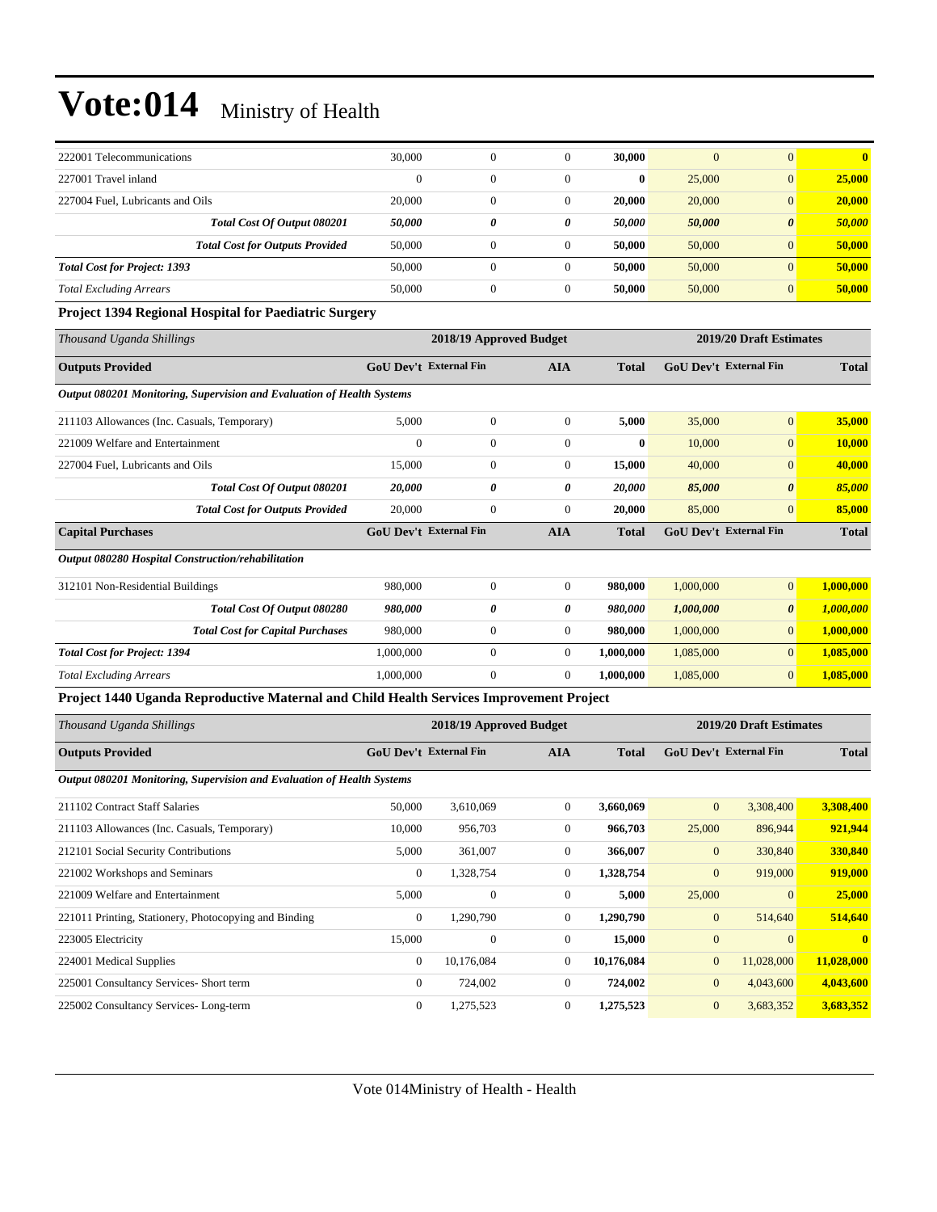| 222001 Telecommunications              | 30,000   | $\mathbf{0}$ |   | 30,000       | $\mathbf{0}$ | $\Omega$              | $\mathbf{0}$ |
|----------------------------------------|----------|--------------|---|--------------|--------------|-----------------------|--------------|
| 227001 Travel inland                   | $\Omega$ | $\mathbf{0}$ |   | $\mathbf{0}$ | 25,000       | $\overline{0}$        | 25,000       |
| 227004 Fuel, Lubricants and Oils       | 20,000   | $\mathbf{0}$ |   | 20,000       | 20,000       | $\overline{0}$        | 20,000       |
| Total Cost Of Output 080201            | 50,000   | 0            | 0 | 50.000       | 50,000       | $\boldsymbol{\theta}$ | 50,000       |
| <b>Total Cost for Outputs Provided</b> | 50,000   |              |   | 50,000       | 50,000       | $\mathbf{0}$          | 50,000       |
| <b>Total Cost for Project: 1393</b>    | 50,000   | 0            |   | 50,000       | 50,000       | $\mathbf{0}$          | 50,000       |
| <b>Total Excluding Arrears</b>         | 50,000   | 0            |   | 50,000       | 50,000       | $\overline{0}$        | 50,000       |

#### **Project 1394 Regional Hospital for Paediatric Surgery**

| 2018/19 Approved Budget |                                                                        |                                                                |              |           |                       |                                                                                           |
|-------------------------|------------------------------------------------------------------------|----------------------------------------------------------------|--------------|-----------|-----------------------|-------------------------------------------------------------------------------------------|
|                         |                                                                        | <b>AIA</b>                                                     | <b>Total</b> |           |                       | <b>Total</b>                                                                              |
|                         |                                                                        |                                                                |              |           |                       |                                                                                           |
| 5,000                   | $\mathbf{0}$                                                           | $\theta$                                                       | 5,000        | 35,000    | $\mathbf{0}$          | 35,000                                                                                    |
| $\boldsymbol{0}$        | $\mathbf{0}$                                                           | $\theta$                                                       | $\bf{0}$     | 10,000    | $\overline{0}$        | 10,000                                                                                    |
| 15,000                  | $\mathbf{0}$                                                           | $\theta$                                                       | 15,000       | 40,000    | $\mathbf{0}$          | 40,000                                                                                    |
| 20,000                  | 0                                                                      | 0                                                              | 20,000       | 85,000    | $\boldsymbol{\theta}$ | 85,000                                                                                    |
| 20,000                  | $\mathbf{0}$                                                           | $\mathbf{0}$                                                   | 20,000       | 85,000    | $\overline{0}$        | 85,000                                                                                    |
|                         |                                                                        | <b>AIA</b>                                                     | <b>Total</b> |           |                       | <b>Total</b>                                                                              |
|                         |                                                                        |                                                                |              |           |                       |                                                                                           |
| 980,000                 | $\overline{0}$                                                         | $\theta$                                                       | 980,000      | 1,000,000 | $\overline{0}$        | 1,000,000                                                                                 |
| 980,000                 | 0                                                                      | 0                                                              | 980,000      | 1,000,000 | $\boldsymbol{\theta}$ | 1,000,000                                                                                 |
| 980,000                 | $\mathbf{0}$                                                           | $\overline{0}$                                                 | 980,000      | 1,000,000 | $\overline{0}$        | 1,000,000                                                                                 |
| 1,000,000               | $\mathbf{0}$                                                           | $\overline{0}$                                                 | 1,000,000    | 1,085,000 | $\overline{0}$        | 1,085,000                                                                                 |
| 1,000,000               | $\mathbf{0}$                                                           | $\overline{0}$                                                 | 1,000,000    | 1,085,000 | $\overline{0}$        | 1,085,000                                                                                 |
|                         | Output 080201 Monitoring, Supervision and Evaluation of Health Systems | <b>GoU Dev't External Fin</b><br><b>GoU Dev't External Fin</b> |              |           |                       | 2019/20 Draft Estimates<br><b>GoU Dev't External Fin</b><br><b>GoU Dev't External Fin</b> |

**Project 1440 Uganda Reproductive Maternal and Child Health Services Improvement Project**

| Thousand Uganda Shillings                                              |                | 2018/19 Approved Budget       |                |              |                | 2019/20 Draft Estimates       |              |  |  |
|------------------------------------------------------------------------|----------------|-------------------------------|----------------|--------------|----------------|-------------------------------|--------------|--|--|
| <b>Outputs Provided</b>                                                |                | <b>GoU Dev't External Fin</b> | <b>AIA</b>     | <b>Total</b> |                | <b>GoU</b> Dev't External Fin |              |  |  |
| Output 080201 Monitoring, Supervision and Evaluation of Health Systems |                |                               |                |              |                |                               |              |  |  |
| 211102 Contract Staff Salaries                                         | 50,000         | 3,610,069                     | $\overline{0}$ | 3,660,069    | $\mathbf{0}$   | 3,308,400                     | 3,308,400    |  |  |
| 211103 Allowances (Inc. Casuals, Temporary)                            | 10,000         | 956,703                       | $\overline{0}$ | 966,703      | 25,000         | 896,944                       | 921,944      |  |  |
| 212101 Social Security Contributions                                   | 5,000          | 361,007                       | $\overline{0}$ | 366,007      | $\mathbf{0}$   | 330,840                       | 330,840      |  |  |
| 221002 Workshops and Seminars                                          | $\overline{0}$ | 1,328,754                     | $\overline{0}$ | 1,328,754    | $\mathbf{0}$   | 919,000                       | 919,000      |  |  |
| 221009 Welfare and Entertainment                                       | 5,000          | $\mathbf{0}$                  | $\overline{0}$ | 5,000        | 25,000         | $\mathbf{0}$                  | 25,000       |  |  |
| 221011 Printing, Stationery, Photocopying and Binding                  | $\overline{0}$ | 1,290,790                     | $\overline{0}$ | 1,290,790    | $\overline{0}$ | 514,640                       | 514,640      |  |  |
| 223005 Electricity                                                     | 15,000         | $\Omega$                      | $\overline{0}$ | 15,000       | $\mathbf{0}$   | $\Omega$                      | $\mathbf{0}$ |  |  |
| 224001 Medical Supplies                                                | $\overline{0}$ | 10,176,084                    | $\overline{0}$ | 10,176,084   | $\overline{0}$ | 11,028,000                    | 11,028,000   |  |  |
| 225001 Consultancy Services- Short term                                | $\overline{0}$ | 724,002                       | $\overline{0}$ | 724,002      | $\overline{0}$ | 4,043,600                     | 4,043,600    |  |  |
| 225002 Consultancy Services-Long-term                                  | $\overline{0}$ | 1,275,523                     | $\overline{0}$ | 1,275,523    | $\overline{0}$ | 3,683,352                     | 3,683,352    |  |  |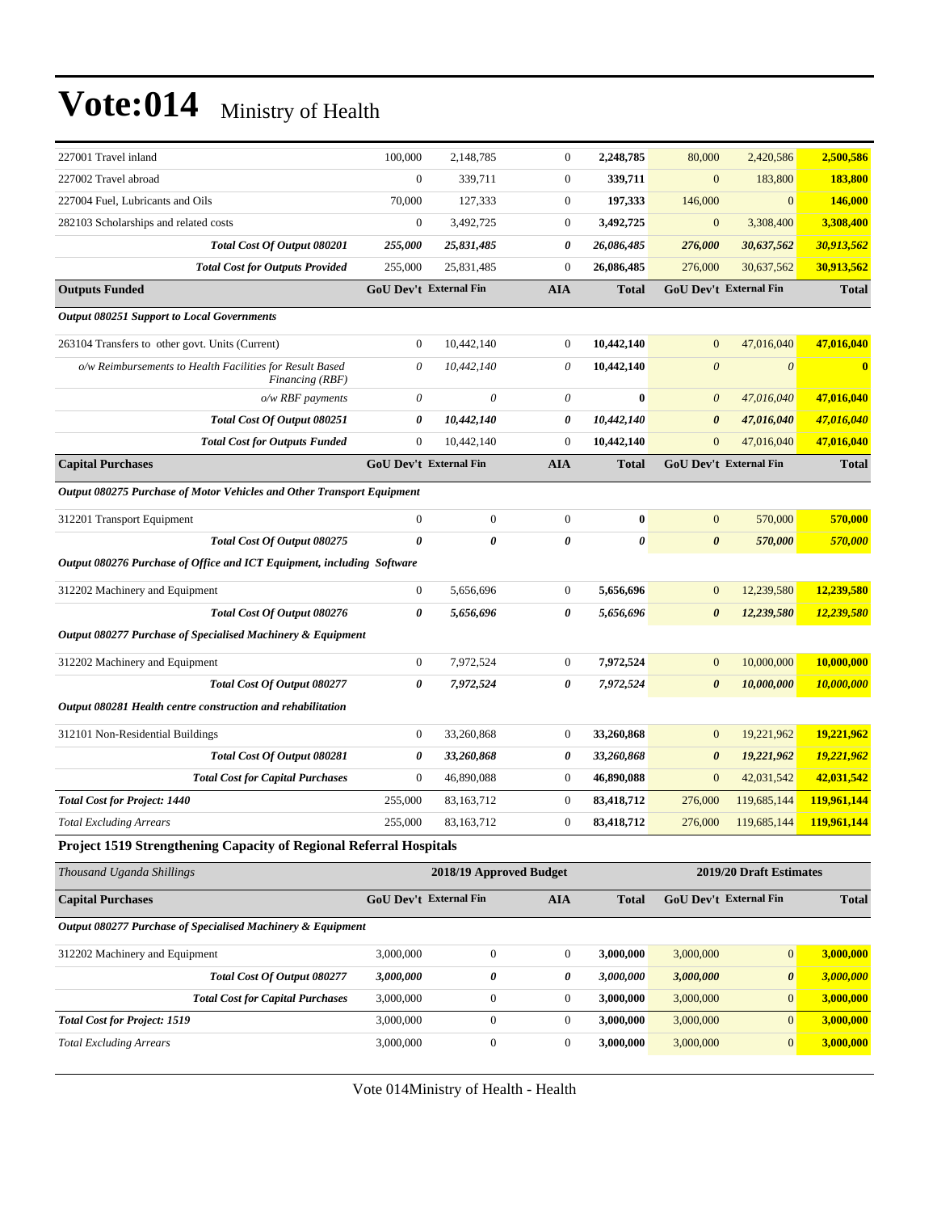| 227001 Travel inland                                                        | 100,000                                            | 2,148,785        | $\boldsymbol{0}$ | 2,248,785      | 80,000                | 2,420,586                     | 2,500,586    |
|-----------------------------------------------------------------------------|----------------------------------------------------|------------------|------------------|----------------|-----------------------|-------------------------------|--------------|
| 227002 Travel abroad                                                        | $\boldsymbol{0}$                                   | 339,711          | $\boldsymbol{0}$ | 339,711        | $\mathbf{0}$          | 183,800                       | 183,800      |
| 227004 Fuel, Lubricants and Oils                                            | 70,000                                             | 127,333          | $\boldsymbol{0}$ | 197,333        | 146,000               | $\mathbf{0}$                  | 146,000      |
| 282103 Scholarships and related costs                                       | $\mathbf{0}$                                       | 3,492,725        | $\boldsymbol{0}$ | 3,492,725      | $\mathbf{0}$          | 3,308,400                     | 3,308,400    |
| Total Cost Of Output 080201                                                 | 255,000                                            | 25,831,485       | 0                | 26,086,485     | 276,000               | 30,637,562                    | 30,913,562   |
| <b>Total Cost for Outputs Provided</b>                                      | 255,000                                            | 25,831,485       | $\boldsymbol{0}$ | 26,086,485     | 276,000               | 30,637,562                    | 30,913,562   |
| <b>Outputs Funded</b>                                                       | <b>GoU Dev't External Fin</b>                      |                  | <b>AIA</b>       | <b>Total</b>   |                       | <b>GoU Dev't External Fin</b> | <b>Total</b> |
| <b>Output 080251 Support to Local Governments</b>                           |                                                    |                  |                  |                |                       |                               |              |
| 263104 Transfers to other govt. Units (Current)                             | $\boldsymbol{0}$                                   | 10,442,140       | $\boldsymbol{0}$ | 10,442,140     | $\mathbf{0}$          | 47,016,040                    | 47,016,040   |
| o/w Reimbursements to Health Facilities for Result Based<br>Financing (RBF) | $\theta$                                           | 10,442,140       | $\theta$         | 10,442,140     | $\boldsymbol{\theta}$ | $\boldsymbol{\theta}$         | $\mathbf{0}$ |
| $o/w$ RBF payments                                                          | $\boldsymbol{\theta}$                              | 0                | 0                | $\bf{0}$       | $\theta$              | 47,016,040                    | 47,016,040   |
| Total Cost Of Output 080251                                                 | 0                                                  | 10,442,140       | 0                | 10,442,140     | $\boldsymbol{\theta}$ | 47,016,040                    | 47,016,040   |
| <b>Total Cost for Outputs Funded</b>                                        | $\theta$                                           | 10,442,140       | $\boldsymbol{0}$ | 10,442,140     | $\mathbf{0}$          | 47,016,040                    | 47,016,040   |
| <b>Capital Purchases</b>                                                    | <b>GoU Dev't External Fin</b>                      |                  | <b>AIA</b>       | <b>Total</b>   |                       | <b>GoU Dev't External Fin</b> | <b>Total</b> |
| Output 080275 Purchase of Motor Vehicles and Other Transport Equipment      |                                                    |                  |                  |                |                       |                               |              |
| 312201 Transport Equipment                                                  | $\boldsymbol{0}$                                   | $\mathbf{0}$     | $\boldsymbol{0}$ | $\bf{0}$       | $\mathbf{0}$          | 570,000                       | 570,000      |
| Total Cost Of Output 080275                                                 | $\boldsymbol{\theta}$                              | $\theta$         | $\theta$         | $\pmb{\theta}$ | $\boldsymbol{\theta}$ | 570,000                       | 570,000      |
| Output 080276 Purchase of Office and ICT Equipment, including Software      |                                                    |                  |                  |                |                       |                               |              |
| 312202 Machinery and Equipment                                              | $\bf{0}$                                           | 5,656,696        | $\mathbf{0}$     | 5,656,696      | $\mathbf{0}$          | 12,239,580                    | 12,239,580   |
| Total Cost Of Output 080276                                                 | 0                                                  | 5,656,696        | 0                | 5,656,696      | $\boldsymbol{\theta}$ | 12,239,580                    | 12,239,580   |
| Output 080277 Purchase of Specialised Machinery & Equipment                 |                                                    |                  |                  |                |                       |                               |              |
| 312202 Machinery and Equipment                                              | $\boldsymbol{0}$                                   | 7,972,524        | $\mathbf{0}$     | 7,972,524      | $\mathbf{0}$          | 10,000,000                    | 10,000,000   |
| Total Cost Of Output 080277                                                 | 0                                                  | 7,972,524        | 0                | 7,972,524      | $\boldsymbol{\theta}$ | 10,000,000                    | 10,000,000   |
| Output 080281 Health centre construction and rehabilitation                 |                                                    |                  |                  |                |                       |                               |              |
| 312101 Non-Residential Buildings                                            | $\boldsymbol{0}$                                   | 33,260,868       | $\boldsymbol{0}$ | 33,260,868     | $\mathbf{0}$          | 19,221,962                    | 19,221,962   |
| Total Cost Of Output 080281                                                 | 0                                                  | 33,260,868       | 0                | 33,260,868     | $\boldsymbol{\theta}$ | 19,221,962                    | 19,221,962   |
| <b>Total Cost for Capital Purchases</b>                                     | $\boldsymbol{0}$                                   | 46,890,088       | $\boldsymbol{0}$ | 46,890,088     | $\mathbf{0}$          | 42,031,542                    | 42,031,542   |
| <b>Total Cost for Project: 1440</b>                                         | 255,000                                            | 83,163,712       | $\boldsymbol{0}$ | 83,418,712     | 276,000               | 119,685,144                   | 119,961,144  |
| <b>Total Excluding Arrears</b>                                              | 255,000                                            | 83,163,712       | $\overline{0}$   | 83,418,712     | 276,000               | 119,685,144                   | 119,961,144  |
| <b>Project 1519 Strengthening Capacity of Regional Referral Hospitals</b>   |                                                    |                  |                  |                |                       |                               |              |
| Thousand Uganda Shillings                                                   | 2018/19 Approved Budget<br>2019/20 Draft Estimates |                  |                  |                |                       |                               |              |
| <b>Capital Purchases</b>                                                    | GoU Dev't External Fin                             |                  | <b>AIA</b>       | <b>Total</b>   |                       | GoU Dev't External Fin        | <b>Total</b> |
| Output 080277 Purchase of Specialised Machinery & Equipment                 |                                                    |                  |                  |                |                       |                               |              |
| 312202 Machinery and Equipment                                              | 3,000,000                                          | $\boldsymbol{0}$ | $\boldsymbol{0}$ | 3,000,000      | 3,000,000             | $\boldsymbol{0}$              | 3,000,000    |
| Total Cost Of Output 080277                                                 | 3,000,000                                          | 0                | 0                | 3,000,000      | 3,000,000             | $\pmb{\theta}$                | 3,000,000    |
| <b>Total Cost for Capital Purchases</b>                                     | 3,000,000                                          | $\boldsymbol{0}$ | $\boldsymbol{0}$ | 3,000,000      | 3,000,000             | $\mathbf{0}$                  | 3,000,000    |

*Total Cost for Project: 1519* 3,000,000 0 0 **3,000,000** 3,000,000 0 **3,000,000** *Total Excluding Arrears* 3,000,000 0 0 **3,000,000** 3,000,000 0 **3,000,000**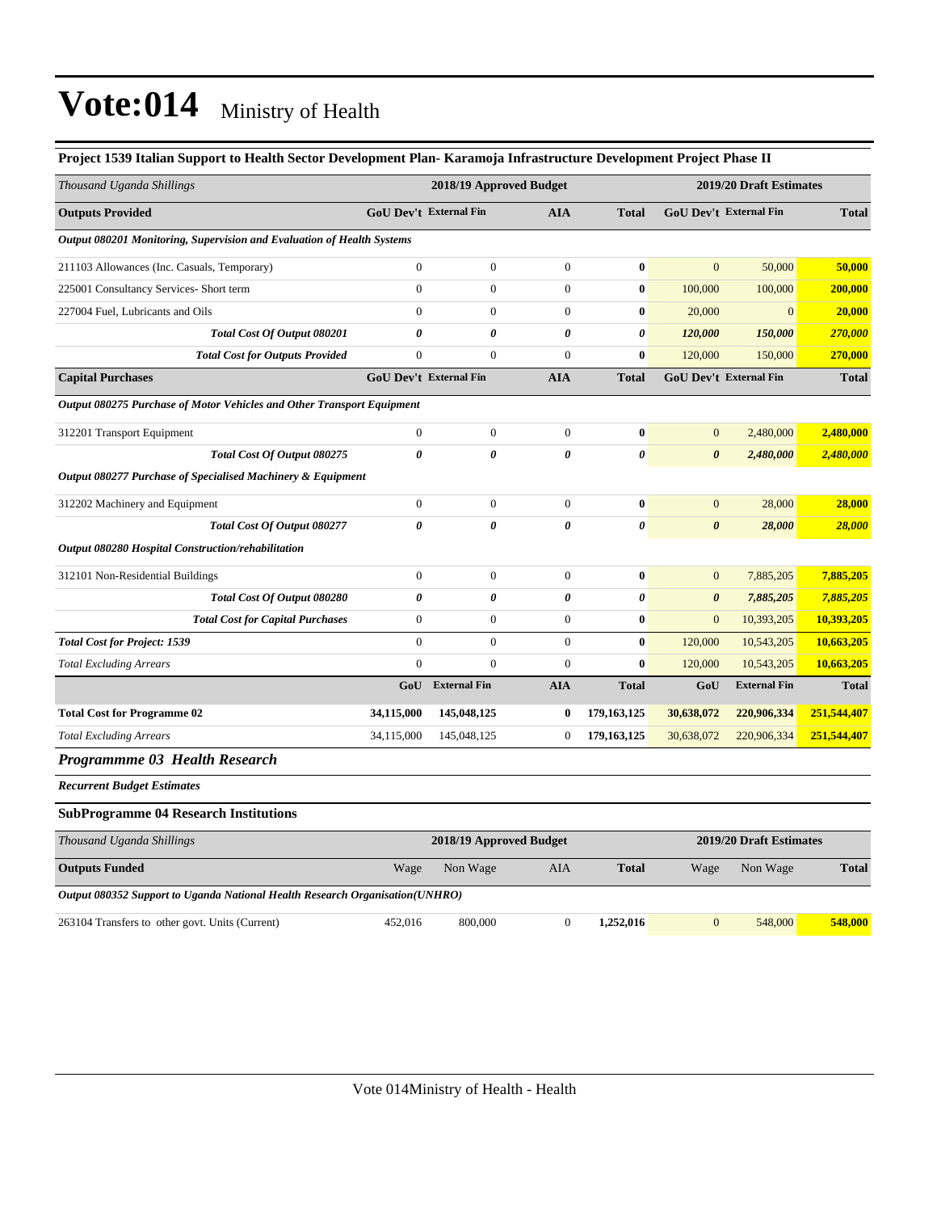| Thousand Uganda Shillings                                                    |                                                    | 2018/19 Approved Budget       |                  |                       |                       | 2019/20 Draft Estimates       |              |
|------------------------------------------------------------------------------|----------------------------------------------------|-------------------------------|------------------|-----------------------|-----------------------|-------------------------------|--------------|
| <b>Outputs Provided</b>                                                      |                                                    | <b>GoU Dev't External Fin</b> | <b>AIA</b>       | <b>Total</b>          |                       | GoU Dev't External Fin        | <b>Total</b> |
| Output 080201 Monitoring, Supervision and Evaluation of Health Systems       |                                                    |                               |                  |                       |                       |                               |              |
| 211103 Allowances (Inc. Casuals, Temporary)                                  | $\boldsymbol{0}$                                   | $\boldsymbol{0}$              | $\boldsymbol{0}$ | $\bf{0}$              | $\mathbf{0}$          | 50,000                        | 50,000       |
| 225001 Consultancy Services- Short term                                      | $\boldsymbol{0}$                                   | $\boldsymbol{0}$              | $\boldsymbol{0}$ | $\bf{0}$              | 100,000               | 100,000                       | 200,000      |
| 227004 Fuel, Lubricants and Oils                                             | $\overline{0}$                                     | $\boldsymbol{0}$              | $\boldsymbol{0}$ | $\bf{0}$              | 20,000                | $\mathbf{0}$                  | 20,000       |
| Total Cost Of Output 080201                                                  | 0                                                  | 0                             | 0                | 0                     | 120,000               | 150,000                       | 270,000      |
| <b>Total Cost for Outputs Provided</b>                                       | $\mathbf{0}$                                       | $\boldsymbol{0}$              | $\overline{0}$   | $\bf{0}$              | 120,000               | 150,000                       | 270,000      |
| <b>Capital Purchases</b>                                                     | <b>GoU Dev't External Fin</b>                      |                               | <b>AIA</b>       | <b>Total</b>          |                       | <b>GoU Dev't External Fin</b> | <b>Total</b> |
| Output 080275 Purchase of Motor Vehicles and Other Transport Equipment       |                                                    |                               |                  |                       |                       |                               |              |
| 312201 Transport Equipment                                                   | $\boldsymbol{0}$                                   | $\boldsymbol{0}$              | $\boldsymbol{0}$ | $\bf{0}$              | $\mathbf{0}$          | 2,480,000                     | 2,480,000    |
| Total Cost Of Output 080275                                                  | $\boldsymbol{\theta}$                              | 0                             | 0                | $\boldsymbol{\theta}$ | $\boldsymbol{\theta}$ | 2,480,000                     | 2,480,000    |
| Output 080277 Purchase of Specialised Machinery & Equipment                  |                                                    |                               |                  |                       |                       |                               |              |
| 312202 Machinery and Equipment                                               | $\mathbf{0}$                                       | $\boldsymbol{0}$              | $\overline{0}$   | $\bf{0}$              | $\mathbf{0}$          | 28,000                        | 28,000       |
| Total Cost Of Output 080277                                                  | $\theta$                                           | $\pmb{\theta}$                | 0                | $\pmb{\theta}$        | $\boldsymbol{\theta}$ | 28,000                        | 28,000       |
| Output 080280 Hospital Construction/rehabilitation                           |                                                    |                               |                  |                       |                       |                               |              |
| 312101 Non-Residential Buildings                                             | $\boldsymbol{0}$                                   | $\boldsymbol{0}$              | $\boldsymbol{0}$ | $\bf{0}$              | $\mathbf{0}$          | 7,885,205                     | 7,885,205    |
| Total Cost Of Output 080280                                                  | 0                                                  | 0                             | 0                | $\boldsymbol{\theta}$ | $\pmb{\theta}$        | 7,885,205                     | 7,885,205    |
| <b>Total Cost for Capital Purchases</b>                                      | $\overline{0}$                                     | $\boldsymbol{0}$              | $\boldsymbol{0}$ | $\bf{0}$              | $\mathbf{0}$          | 10,393,205                    | 10,393,205   |
| <b>Total Cost for Project: 1539</b>                                          | $\overline{0}$                                     | $\boldsymbol{0}$              | $\mathbf{0}$     | $\bf{0}$              | 120,000               | 10,543,205                    | 10,663,205   |
| <b>Total Excluding Arrears</b>                                               | $\overline{0}$                                     | $\boldsymbol{0}$              | $\boldsymbol{0}$ | $\bf{0}$              | 120,000               | 10,543,205                    | 10,663,205   |
|                                                                              |                                                    | GoU External Fin              | <b>AIA</b>       | <b>Total</b>          | GoU                   | <b>External Fin</b>           | <b>Total</b> |
| <b>Total Cost for Programme 02</b>                                           | 34,115,000                                         | 145,048,125                   | 0                | 179, 163, 125         | 30,638,072            | 220,906,334                   | 251,544,407  |
| <b>Total Excluding Arrears</b>                                               | 34,115,000                                         | 145,048,125                   | $\boldsymbol{0}$ | 179, 163, 125         | 30,638,072            | 220,906,334                   | 251,544,407  |
| Programmme 03 Health Research                                                |                                                    |                               |                  |                       |                       |                               |              |
| <b>Recurrent Budget Estimates</b>                                            |                                                    |                               |                  |                       |                       |                               |              |
| <b>SubProgramme 04 Research Institutions</b>                                 |                                                    |                               |                  |                       |                       |                               |              |
| Thousand Uganda Shillings                                                    | 2019/20 Draft Estimates<br>2018/19 Approved Budget |                               |                  |                       |                       |                               |              |
| <b>Outputs Funded</b>                                                        | Wage                                               | Non Wage                      | AIA              | <b>Total</b>          | Wage                  | Non Wage                      | <b>Total</b> |
| Output 080352 Support to Uganda National Health Research Organisation(UNHRO) |                                                    |                               |                  |                       |                       |                               |              |

263104 Transfers to other govt. Units (Current) 452,016 800,000 0 **1,252,016** 0 548,000 **548,000**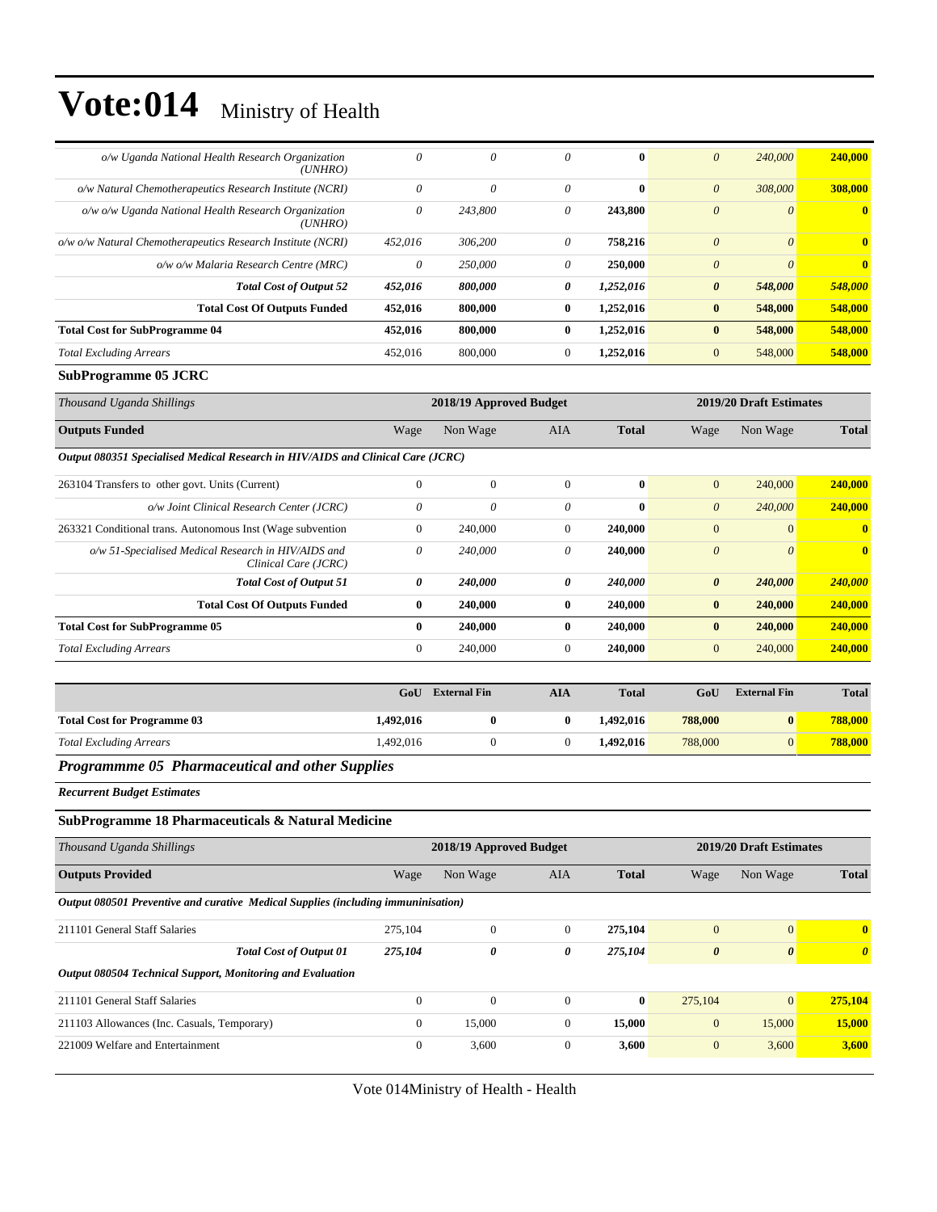| o/w Uganda National Health Research Organization<br>(UNHRO)     | 0       | 0        | 0            | $\mathbf{0}$ | $\boldsymbol{\theta}$ | 240,000  | 240,000      |
|-----------------------------------------------------------------|---------|----------|--------------|--------------|-----------------------|----------|--------------|
| o/w Natural Chemotherapeutics Research Institute (NCRI)         | 0       | $\theta$ | $\theta$     | $\mathbf{0}$ | $\theta$              | 308,000  | 308,000      |
| o/w o/w Uganda National Health Research Organization<br>(UNHRO) | 0       | 243,800  | 0            | 243,800      | $\boldsymbol{\theta}$ | $\theta$ | $\mathbf{0}$ |
| o/w o/w Natural Chemotherapeutics Research Institute (NCRI)     | 452.016 | 306,200  | 0            | 758,216      | $\boldsymbol{0}$      | $\theta$ | $\mathbf{0}$ |
| o/w o/w Malaria Research Centre (MRC)                           | 0       | 250,000  | 0            | 250,000      | $\theta$              | $\theta$ | $\mathbf{0}$ |
| <b>Total Cost of Output 52</b>                                  | 452,016 | 800,000  | 0            | 1,252,016    | $\boldsymbol{\theta}$ | 548,000  | 548,000      |
| <b>Total Cost Of Outputs Funded</b>                             | 452,016 | 800,000  | $\bf{0}$     | 1.252.016    | $\bf{0}$              | 548,000  | 548,000      |
| <b>Total Cost for SubProgramme 04</b>                           | 452,016 | 800,000  | $\mathbf{0}$ | 1,252,016    | $\bf{0}$              | 548,000  | 548,000      |
| <b>Total Excluding Arrears</b>                                  | 452,016 | 800,000  | $\Omega$     | 1,252,016    | $\mathbf{0}$          | 548,000  | 548,000      |

#### **SubProgramme 05 JCRC**

| Thousand Uganda Shillings                                                       |                       | 2018/19 Approved Budget |              |              |                       | 2019/20 Draft Estimates |                |  |
|---------------------------------------------------------------------------------|-----------------------|-------------------------|--------------|--------------|-----------------------|-------------------------|----------------|--|
| <b>Outputs Funded</b>                                                           | Wage                  | Non Wage                | AIA          | <b>Total</b> | Wage                  | Non Wage                | <b>Total</b>   |  |
| Output 080351 Specialised Medical Research in HIV/AIDS and Clinical Care (JCRC) |                       |                         |              |              |                       |                         |                |  |
| 263104 Transfers to other govt. Units (Current)                                 | $\mathbf{0}$          | $\mathbf{0}$            | $\Omega$     | $\mathbf{0}$ | $\mathbf{0}$          | 240,000                 | 240,000        |  |
| o/w Joint Clinical Research Center (JCRC)                                       | 0                     | 0                       | 0            | $\mathbf{0}$ | $\theta$              | 240,000                 | 240,000        |  |
| 263321 Conditional trans. Autonomous Inst (Wage subvention                      | $\overline{0}$        | 240,000                 | $\mathbf{0}$ | 240,000      | $\mathbf{0}$          | $\Omega$                | $\mathbf{0}$   |  |
| o/w 51-Specialised Medical Research in HIV/AIDS and<br>Clinical Care (JCRC)     | $\theta$              | 240,000                 | 0            | 240,000      | $\theta$              | $\theta$                | $\bf{0}$       |  |
| <b>Total Cost of Output 51</b>                                                  | $\boldsymbol{\theta}$ | 240,000                 | 0            | 240,000      | $\boldsymbol{\theta}$ | 240,000                 | <b>240,000</b> |  |
| <b>Total Cost Of Outputs Funded</b>                                             | $\bf{0}$              | 240,000                 | $\mathbf{0}$ | 240,000      | $\bf{0}$              | 240,000                 | 240,000        |  |
| <b>Total Cost for SubProgramme 05</b>                                           | $\mathbf{0}$          | 240,000                 | $\mathbf{0}$ | 240,000      | $\bf{0}$              | 240,000                 | 240,000        |  |
| <b>Total Excluding Arrears</b>                                                  | $\overline{0}$        | 240,000                 | $\Omega$     | 240,000      | $\mathbf{0}$          | 240,000                 | 240,000        |  |

| 788,000<br>1.492.016<br><b>Total Cost for Programme 03</b><br>1,492,016<br>$\bf{0}$ |                                | GoU      | <b>External Fin</b> | AIA | <b>Total</b> | GoU     | <b>External Fin</b> | <b>Total</b> |
|-------------------------------------------------------------------------------------|--------------------------------|----------|---------------------|-----|--------------|---------|---------------------|--------------|
|                                                                                     |                                |          |                     |     |              |         |                     | 788,000      |
|                                                                                     | <b>Total Excluding Arrears</b> | .492,016 |                     |     | 1.492.016    | 788,000 | $\overline{0}$      | 788,000      |

#### *Programmme 05 Pharmaceutical and other Supplies*

*Recurrent Budget Estimates*

#### **SubProgramme 18 Pharmaceuticals & Natural Medicine**

| Thousand Uganda Shillings                                                         |              | 2018/19 Approved Budget |              |              |                       | 2019/20 Draft Estimates |              |  |
|-----------------------------------------------------------------------------------|--------------|-------------------------|--------------|--------------|-----------------------|-------------------------|--------------|--|
| <b>Outputs Provided</b>                                                           | Wage         | Non Wage                | AIA          | <b>Total</b> | Wage                  | Non Wage                | <b>Total</b> |  |
| Output 080501 Preventive and curative Medical Supplies (including immuninisation) |              |                         |              |              |                       |                         |              |  |
| 211101 General Staff Salaries                                                     | 275,104      | $\Omega$                | $\Omega$     | 275,104      | $\mathbf{0}$          | $\overline{0}$          | $\mathbf{0}$ |  |
| <b>Total Cost of Output 01</b>                                                    | 275,104      | 0                       | 0            | 275,104      | $\boldsymbol{\theta}$ | $\theta$                | $\theta$     |  |
| Output 080504 Technical Support, Monitoring and Evaluation                        |              |                         |              |              |                       |                         |              |  |
| 211101 General Staff Salaries                                                     | $\Omega$     | $\mathbf{0}$            | $\Omega$     | $\bf{0}$     | 275,104               | $\overline{0}$          | 275,104      |  |
| 211103 Allowances (Inc. Casuals, Temporary)                                       | $\mathbf{0}$ | 15,000                  | $\mathbf{0}$ | 15,000       | $\mathbf{0}$          | 15,000                  | 15,000       |  |
| 221009 Welfare and Entertainment                                                  | $\mathbf{0}$ | 3,600                   | $\mathbf{0}$ | 3,600        | $\mathbf{0}$          | 3,600                   | 3,600        |  |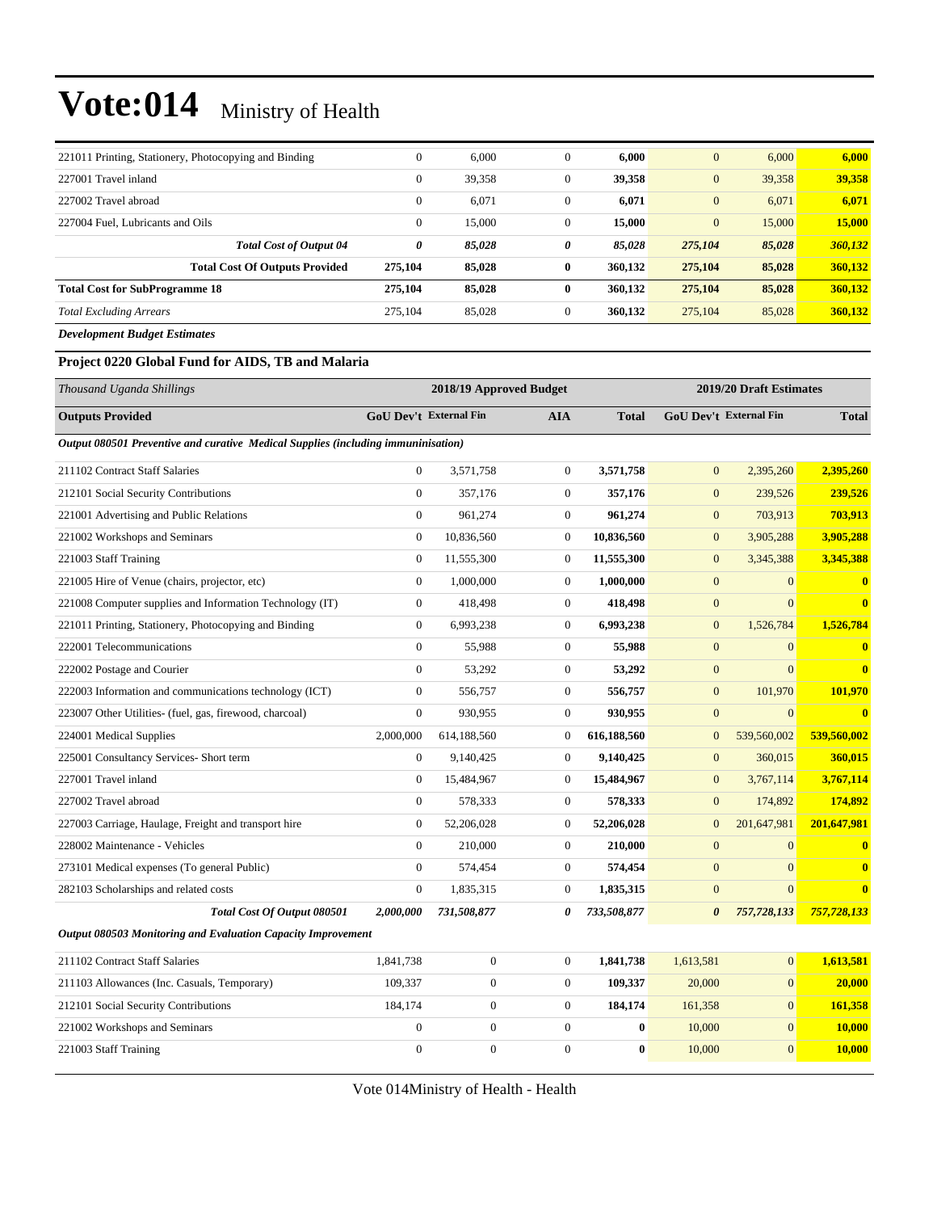| 221011 Printing, Stationery, Photocopying and Binding | $\overline{0}$ | 6,000  | $\mathbf{0}$ | 6,000   | $\mathbf{0}$   | 6,000  | 6,000   |
|-------------------------------------------------------|----------------|--------|--------------|---------|----------------|--------|---------|
| 227001 Travel inland                                  | $\mathbf{0}$   | 39,358 | $\mathbf{0}$ | 39,358  | $\mathbf{0}$   | 39,358 | 39,358  |
| 227002 Travel abroad                                  | $\theta$       | 6,071  | $\mathbf{0}$ | 6,071   | $\overline{0}$ | 6,071  | 6,071   |
| 227004 Fuel. Lubricants and Oils                      | $\mathbf{0}$   | 15,000 | $\mathbf{0}$ | 15,000  | $\overline{0}$ | 15,000 | 15,000  |
| <b>Total Cost of Output 04</b>                        | 0              | 85,028 | 0            | 85,028  | 275,104        | 85,028 | 360,132 |
| <b>Total Cost Of Outputs Provided</b>                 | 275,104        | 85,028 | $\bf{0}$     | 360,132 | 275,104        | 85,028 | 360,132 |
| <b>Total Cost for SubProgramme 18</b>                 | 275,104        | 85,028 | $\bf{0}$     | 360,132 | 275,104        | 85,028 | 360,132 |
| <b>Total Excluding Arrears</b>                        | 275,104        | 85,028 | $\mathbf{0}$ | 360,132 | 275,104        | 85,028 | 360,132 |
| <b>Development Budget Estimates</b>                   |                |        |              |         |                |        |         |

#### **Project 0220 Global Fund for AIDS, TB and Malaria**

| Thousand Uganda Shillings                                                         |                               | 2018/19 Approved Budget |                  |              |                               | 2019/20 Draft Estimates |              |  |  |
|-----------------------------------------------------------------------------------|-------------------------------|-------------------------|------------------|--------------|-------------------------------|-------------------------|--------------|--|--|
| <b>Outputs Provided</b>                                                           | <b>GoU Dev't External Fin</b> |                         | <b>AIA</b>       | <b>Total</b> | <b>GoU Dev't External Fin</b> |                         | <b>Total</b> |  |  |
| Output 080501 Preventive and curative Medical Supplies (including immuninisation) |                               |                         |                  |              |                               |                         |              |  |  |
| 211102 Contract Staff Salaries                                                    | $\boldsymbol{0}$              | 3,571,758               | $\boldsymbol{0}$ | 3,571,758    | $\boldsymbol{0}$              | 2,395,260               | 2,395,260    |  |  |
| 212101 Social Security Contributions                                              | $\overline{0}$                | 357,176                 | $\boldsymbol{0}$ | 357,176      | $\mathbf{0}$                  | 239,526                 | 239,526      |  |  |
| 221001 Advertising and Public Relations                                           | $\mathbf{0}$                  | 961,274                 | $\boldsymbol{0}$ | 961,274      | $\boldsymbol{0}$              | 703,913                 | 703,913      |  |  |
| 221002 Workshops and Seminars                                                     | $\boldsymbol{0}$              | 10,836,560              | $\boldsymbol{0}$ | 10,836,560   | $\boldsymbol{0}$              | 3,905,288               | 3,905,288    |  |  |
| 221003 Staff Training                                                             | $\mathbf{0}$                  | 11,555,300              | $\boldsymbol{0}$ | 11,555,300   | $\boldsymbol{0}$              | 3,345,388               | 3,345,388    |  |  |
| 221005 Hire of Venue (chairs, projector, etc)                                     | $\overline{0}$                | 1,000,000               | $\mathbf{0}$     | 1,000,000    | $\boldsymbol{0}$              | $\mathbf{0}$            | $\bf{0}$     |  |  |
| 221008 Computer supplies and Information Technology (IT)                          | $\overline{0}$                | 418,498                 | $\mathbf{0}$     | 418,498      | $\mathbf{0}$                  | $\Omega$                | $\bf{0}$     |  |  |
| 221011 Printing, Stationery, Photocopying and Binding                             | $\overline{0}$                | 6,993,238               | $\mathbf{0}$     | 6,993,238    | $\overline{0}$                | 1,526,784               | 1,526,784    |  |  |
| 222001 Telecommunications                                                         | $\overline{0}$                | 55,988                  | $\mathbf{0}$     | 55,988       | $\overline{0}$                | $\overline{0}$          | $\bf{0}$     |  |  |
| 222002 Postage and Courier                                                        | $\overline{0}$                | 53,292                  | $\boldsymbol{0}$ | 53,292       | $\boldsymbol{0}$              | $\overline{0}$          | $\bf{0}$     |  |  |
| 222003 Information and communications technology (ICT)                            | $\overline{0}$                | 556,757                 | $\mathbf{0}$     | 556,757      | $\mathbf{0}$                  | 101,970                 | 101,970      |  |  |
| 223007 Other Utilities- (fuel, gas, firewood, charcoal)                           | $\theta$                      | 930,955                 | $\mathbf{0}$     | 930,955      | $\overline{0}$                | $\Omega$                | $\bf{0}$     |  |  |
| 224001 Medical Supplies                                                           | 2,000,000                     | 614,188,560             | $\mathbf{0}$     | 616,188,560  | $\mathbf{0}$                  | 539,560,002             | 539,560,002  |  |  |
| 225001 Consultancy Services- Short term                                           | $\boldsymbol{0}$              | 9,140,425               | $\boldsymbol{0}$ | 9,140,425    | $\boldsymbol{0}$              | 360,015                 | 360,015      |  |  |
| 227001 Travel inland                                                              | $\boldsymbol{0}$              | 15,484,967              | $\boldsymbol{0}$ | 15,484,967   | $\boldsymbol{0}$              | 3,767,114               | 3,767,114    |  |  |
| 227002 Travel abroad                                                              | $\boldsymbol{0}$              | 578,333                 | $\boldsymbol{0}$ | 578,333      | $\boldsymbol{0}$              | 174,892                 | 174,892      |  |  |
| 227003 Carriage, Haulage, Freight and transport hire                              | $\mathbf{0}$                  | 52,206,028              | $\boldsymbol{0}$ | 52,206,028   | $\mathbf{0}$                  | 201,647,981             | 201,647,981  |  |  |
| 228002 Maintenance - Vehicles                                                     | $\overline{0}$                | 210,000                 | $\boldsymbol{0}$ | 210,000      | $\boldsymbol{0}$              | $\mathbf{0}$            | $\bf{0}$     |  |  |
| 273101 Medical expenses (To general Public)                                       | $\boldsymbol{0}$              | 574,454                 | $\boldsymbol{0}$ | 574,454      | $\mathbf{0}$                  | $\overline{0}$          | $\bf{0}$     |  |  |
| 282103 Scholarships and related costs                                             | $\mathbf{0}$                  | 1,835,315               | $\boldsymbol{0}$ | 1,835,315    | $\boldsymbol{0}$              | $\mathbf{0}$            | $\bf{0}$     |  |  |
| Total Cost Of Output 080501                                                       | 2,000,000                     | 731,508,877             | 0                | 733,508,877  | $\boldsymbol{\theta}$         | 757,728,133             | 757,728,133  |  |  |
| Output 080503 Monitoring and Evaluation Capacity Improvement                      |                               |                         |                  |              |                               |                         |              |  |  |
| 211102 Contract Staff Salaries                                                    | 1,841,738                     | $\boldsymbol{0}$        | $\boldsymbol{0}$ | 1,841,738    | 1,613,581                     | $\overline{0}$          | 1,613,581    |  |  |
| 211103 Allowances (Inc. Casuals, Temporary)                                       | 109,337                       | $\boldsymbol{0}$        | $\mathbf{0}$     | 109,337      | 20,000                        | $\mathbf{0}$            | 20,000       |  |  |
| 212101 Social Security Contributions                                              | 184,174                       | $\boldsymbol{0}$        | $\boldsymbol{0}$ | 184,174      | 161,358                       | $\overline{0}$          | 161,358      |  |  |
| 221002 Workshops and Seminars                                                     | $\overline{0}$                | $\boldsymbol{0}$        | $\mathbf{0}$     | $\bf{0}$     | 10,000                        | $\mathbf{0}$            | 10,000       |  |  |
| 221003 Staff Training                                                             | $\overline{0}$                | $\overline{0}$          | $\Omega$         | $\mathbf{0}$ | 10,000                        | $\overline{0}$          | 10,000       |  |  |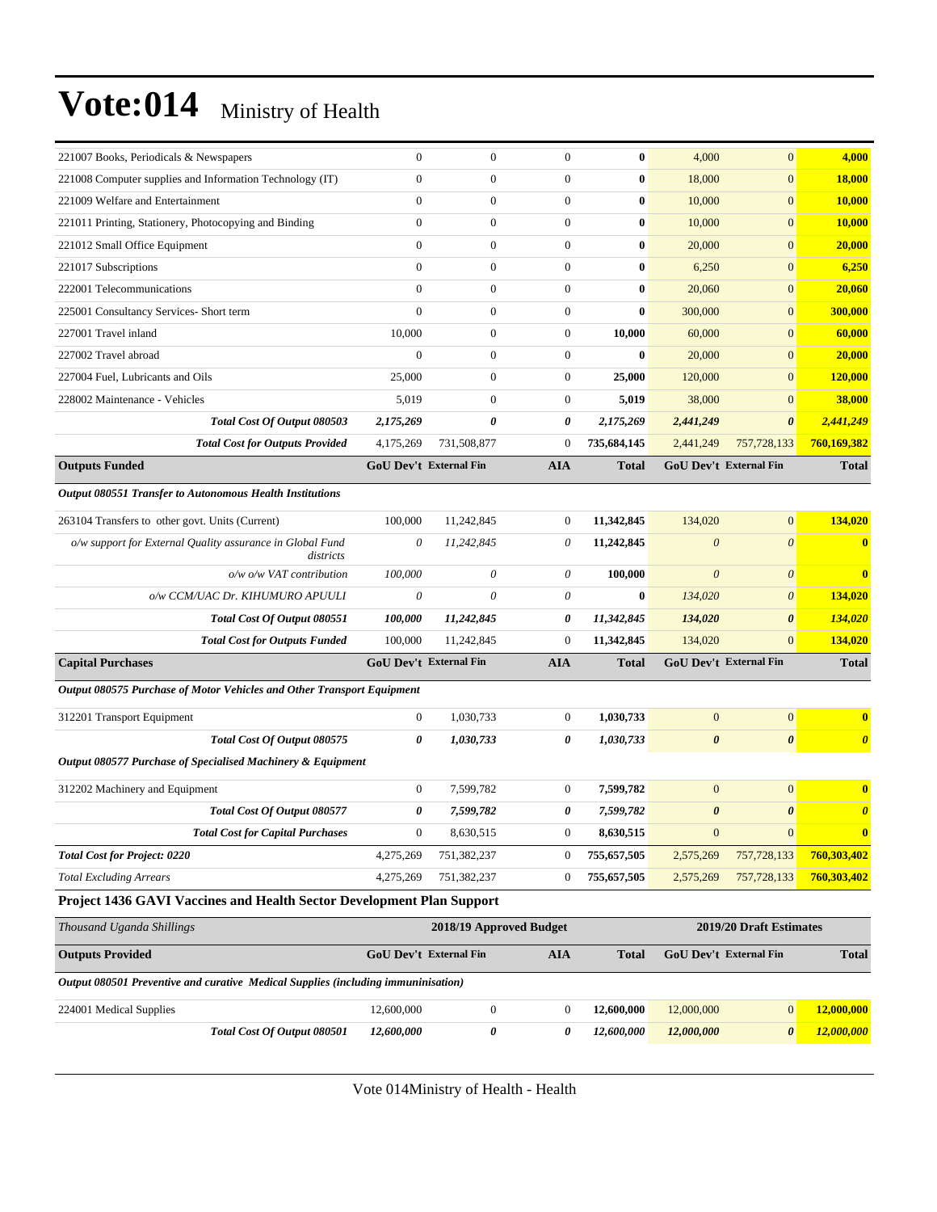| 221007 Books, Periodicals & Newspapers                                            | $\mathbf{0}$                  | $\boldsymbol{0}$        | $\mathbf{0}$     | $\bf{0}$     | 4,000                 | $\mathbf{0}$                  | 4,000                 |
|-----------------------------------------------------------------------------------|-------------------------------|-------------------------|------------------|--------------|-----------------------|-------------------------------|-----------------------|
| 221008 Computer supplies and Information Technology (IT)                          | $\mathbf{0}$                  | $\boldsymbol{0}$        | $\boldsymbol{0}$ | $\bf{0}$     | 18,000                | $\mathbf{0}$                  | 18,000                |
| 221009 Welfare and Entertainment                                                  | $\mathbf{0}$                  | $\boldsymbol{0}$        | $\mathbf{0}$     | 0            | 10,000                | $\mathbf{0}$                  | 10,000                |
| 221011 Printing, Stationery, Photocopying and Binding                             | $\mathbf{0}$                  | $\boldsymbol{0}$        | $\mathbf{0}$     | $\bf{0}$     | 10,000                | $\mathbf{0}$                  | <b>10,000</b>         |
| 221012 Small Office Equipment                                                     | $\mathbf{0}$                  | $\overline{0}$          | $\mathbf{0}$     | $\bf{0}$     | 20,000                | $\mathbf{0}$                  | 20,000                |
| 221017 Subscriptions                                                              | $\theta$                      | $\overline{0}$          | $\mathbf{0}$     | $\bf{0}$     | 6,250                 | $\mathbf{0}$                  | 6,250                 |
| 222001 Telecommunications                                                         | $\mathbf{0}$                  | $\boldsymbol{0}$        | $\boldsymbol{0}$ | $\bf{0}$     | 20,060                | $\mathbf{0}$                  | 20,060                |
| 225001 Consultancy Services- Short term                                           | $\mathbf{0}$                  | $\boldsymbol{0}$        | $\boldsymbol{0}$ | $\bf{0}$     | 300,000               | $\mathbf{0}$                  | 300,000               |
| 227001 Travel inland                                                              | 10,000                        | $\boldsymbol{0}$        | $\boldsymbol{0}$ | 10,000       | 60,000                | $\mathbf{0}$                  | 60,000                |
| 227002 Travel abroad                                                              | $\theta$                      | $\overline{0}$          | $\mathbf{0}$     | $\bf{0}$     | 20,000                | $\mathbf{0}$                  | 20,000                |
| 227004 Fuel, Lubricants and Oils                                                  | 25,000                        | $\overline{0}$          | $\boldsymbol{0}$ | 25,000       | 120,000               | $\mathbf{0}$                  | 120,000               |
| 228002 Maintenance - Vehicles                                                     | 5,019                         | $\boldsymbol{0}$        | $\overline{0}$   | 5,019        | 38,000                | $\mathbf{0}$                  | 38,000                |
| Total Cost Of Output 080503                                                       | 2,175,269                     | 0                       | 0                | 2,175,269    | 2,441,249             | $\boldsymbol{\theta}$         | 2,441,249             |
| <b>Total Cost for Outputs Provided</b>                                            | 4,175,269                     | 731,508,877             | $\mathbf{0}$     | 735,684,145  | 2,441,249             | 757,728,133                   | 760,169,382           |
| <b>Outputs Funded</b>                                                             | <b>GoU Dev't External Fin</b> |                         | <b>AIA</b>       | <b>Total</b> |                       | <b>GoU Dev't External Fin</b> | <b>Total</b>          |
| <b>Output 080551 Transfer to Autonomous Health Institutions</b>                   |                               |                         |                  |              |                       |                               |                       |
| 263104 Transfers to other govt. Units (Current)                                   | 100,000                       | 11,242,845              | $\mathbf{0}$     | 11,342,845   | 134,020               | $\mathbf{0}$                  | 134,020               |
| o/w support for External Quality assurance in Global Fund                         | $\theta$                      | 11,242,845              | 0                | 11,242,845   | $\boldsymbol{\theta}$ | $\theta$                      | $\bf{0}$              |
| districts                                                                         |                               |                         |                  |              |                       |                               |                       |
| $o/w$ $o/w$ VAT contribution                                                      | 100,000                       | 0                       | 0                | 100,000      | $\theta$              | $\boldsymbol{\theta}$         | $\bf{0}$              |
| o/w CCM/UAC Dr. KIHUMURO APUULI                                                   | $\theta$                      | 0                       | 0                | $\bf{0}$     | 134,020               | $\boldsymbol{\theta}$         | 134,020               |
| Total Cost Of Output 080551                                                       | 100,000                       | 11,242,845              | 0                | 11,342,845   | 134,020               | $\boldsymbol{\theta}$         | <b>134,020</b>        |
| <b>Total Cost for Outputs Funded</b>                                              | 100,000                       | 11,242,845              | $\mathbf{0}$     | 11,342,845   | 134,020               | $\overline{0}$                | 134,020               |
| <b>Capital Purchases</b>                                                          | <b>GoU Dev't External Fin</b> |                         | <b>AIA</b>       | <b>Total</b> |                       | <b>GoU Dev't External Fin</b> | <b>Total</b>          |
| Output 080575 Purchase of Motor Vehicles and Other Transport Equipment            |                               |                         |                  |              |                       |                               |                       |
| 312201 Transport Equipment                                                        | $\mathbf{0}$                  | 1,030,733               | $\boldsymbol{0}$ | 1,030,733    | $\boldsymbol{0}$      | $\mathbf{0}$                  | $\bf{0}$              |
| Total Cost Of Output 080575                                                       | 0                             | 1,030,733               | 0                | 1,030,733    | $\boldsymbol{\theta}$ | $\boldsymbol{\theta}$         | $\boldsymbol{\theta}$ |
| Output 080577 Purchase of Specialised Machinery & Equipment                       |                               |                         |                  |              |                       |                               |                       |
| 312202 Machinery and Equipment                                                    | $\boldsymbol{0}$              | 7.599.782               | $\boldsymbol{0}$ | 7,599,782    | $\boldsymbol{0}$      | $\mathbf{0}$                  | $\bf{0}$              |
| <b>Total Cost Of Output 080577</b>                                                | 0                             | 7,599,782               | 0                | 7,599,782    | $\boldsymbol{\theta}$ | $\boldsymbol{\theta}$         | $\boldsymbol{\theta}$ |
| <b>Total Cost for Capital Purchases</b>                                           | $\boldsymbol{0}$              | 8,630,515               | $\boldsymbol{0}$ | 8,630,515    | $\boldsymbol{0}$      | $\boldsymbol{0}$              | $\bf{0}$              |
| <b>Total Cost for Project: 0220</b>                                               | 4,275,269                     | 751,382,237             | $\boldsymbol{0}$ | 755,657,505  | 2,575,269             | 757,728,133                   | 760,303,402           |
| <b>Total Excluding Arrears</b>                                                    | 4,275,269                     | 751,382,237             | $\boldsymbol{0}$ | 755,657,505  | 2,575,269             | 757,728,133                   | 760,303,402           |
| Project 1436 GAVI Vaccines and Health Sector Development Plan Support             |                               |                         |                  |              |                       |                               |                       |
| Thousand Uganda Shillings                                                         |                               | 2018/19 Approved Budget |                  |              |                       | 2019/20 Draft Estimates       |                       |
| <b>Outputs Provided</b>                                                           | GoU Dev't External Fin        |                         | <b>AIA</b>       | <b>Total</b> |                       | GoU Dev't External Fin        | <b>Total</b>          |
| Output 080501 Preventive and curative Medical Supplies (including immuninisation) |                               |                         |                  |              |                       |                               |                       |
|                                                                                   |                               |                         |                  |              |                       |                               |                       |
| 224001 Medical Supplies                                                           | 12,600,000                    | $\boldsymbol{0}$        | $\boldsymbol{0}$ | 12,600,000   | 12,000,000            | $\mathbf{0}$                  | 12,000,000            |
| Total Cost Of Output 080501                                                       | 12,600,000                    | 0                       | 0                | 12,600,000   | 12,000,000            | $\boldsymbol{\theta}$         | 12,000,000            |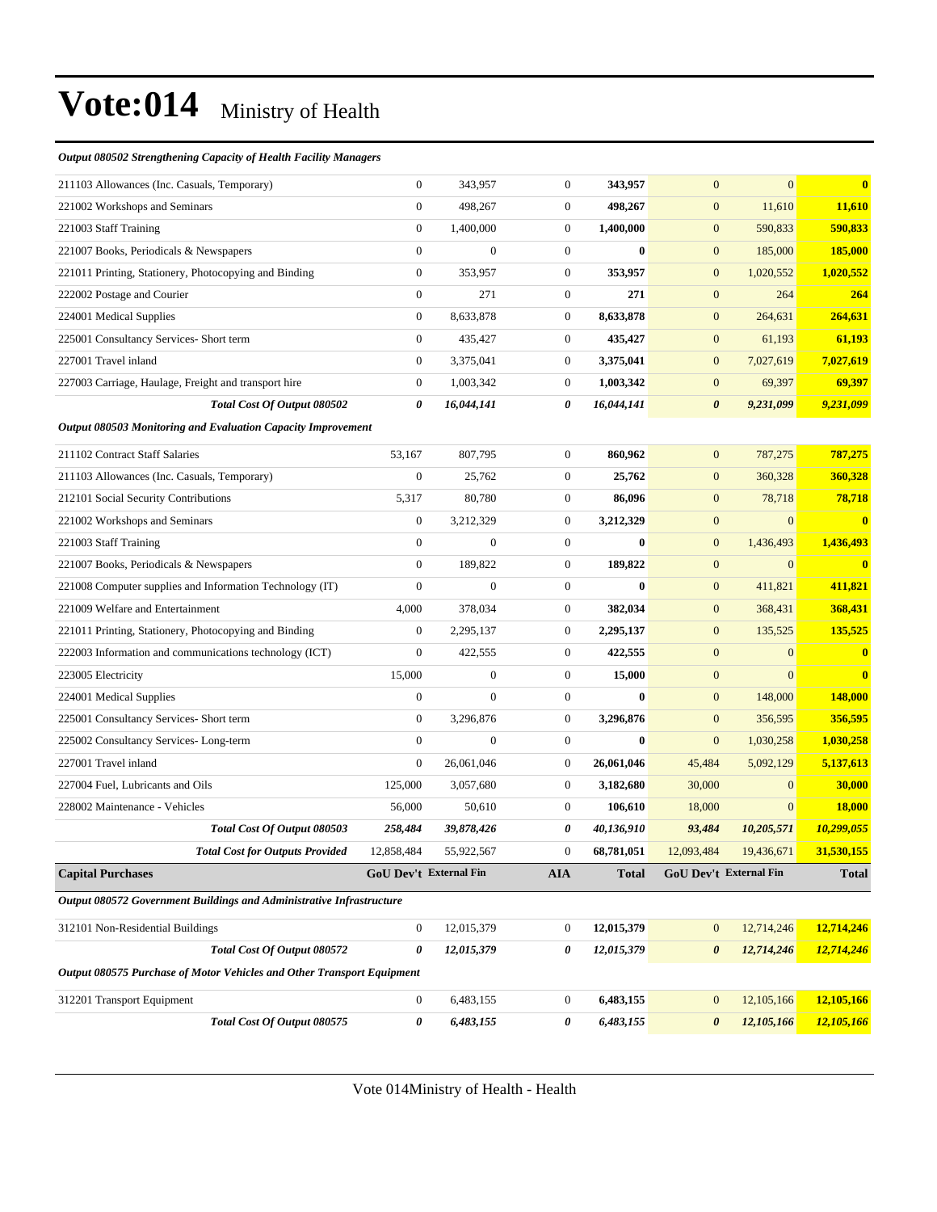#### *Output 080502 Strengthening Capacity of Health Facility Managers*

| 211103 Allowances (Inc. Casuals, Temporary)                            | $\boldsymbol{0}$ | 343,957                       | $\boldsymbol{0}$ | 343,957      | $\mathbf{0}$          | $\overline{0}$         | $\bf{0}$                |
|------------------------------------------------------------------------|------------------|-------------------------------|------------------|--------------|-----------------------|------------------------|-------------------------|
| 221002 Workshops and Seminars                                          | $\mathbf{0}$     | 498,267                       | $\boldsymbol{0}$ | 498,267      | $\mathbf{0}$          | 11,610                 | 11,610                  |
| 221003 Staff Training                                                  | $\mathbf{0}$     | 1,400,000                     | $\overline{0}$   | 1,400,000    | $\mathbf{0}$          | 590,833                | 590,833                 |
| 221007 Books, Periodicals & Newspapers                                 | $\mathbf{0}$     | $\overline{0}$                | $\boldsymbol{0}$ | $\bf{0}$     | $\mathbf{0}$          | 185,000                | 185,000                 |
| 221011 Printing, Stationery, Photocopying and Binding                  | $\mathbf{0}$     | 353,957                       | $\boldsymbol{0}$ | 353,957      | $\mathbf{0}$          | 1,020,552              | 1,020,552               |
| 222002 Postage and Courier                                             | $\boldsymbol{0}$ | 271                           | $\boldsymbol{0}$ | 271          | $\mathbf{0}$          | 264                    | 264                     |
| 224001 Medical Supplies                                                | $\mathbf{0}$     | 8,633,878                     | $\boldsymbol{0}$ | 8,633,878    | $\mathbf{0}$          | 264,631                | 264,631                 |
| 225001 Consultancy Services- Short term                                | $\mathbf{0}$     | 435,427                       | $\boldsymbol{0}$ | 435,427      | $\mathbf{0}$          | 61,193                 | 61,193                  |
| 227001 Travel inland                                                   | $\mathbf{0}$     | 3,375,041                     | $\boldsymbol{0}$ | 3,375,041    | $\mathbf{0}$          | 7,027,619              | 7,027,619               |
| 227003 Carriage, Haulage, Freight and transport hire                   | $\mathbf{0}$     | 1,003,342                     | $\boldsymbol{0}$ | 1,003,342    | $\mathbf{0}$          | 69,397                 | 69,397                  |
| Total Cost Of Output 080502                                            | $\theta$         | 16,044,141                    | 0                | 16,044,141   | $\boldsymbol{\theta}$ | 9,231,099              | 9,231,099               |
| Output 080503 Monitoring and Evaluation Capacity Improvement           |                  |                               |                  |              |                       |                        |                         |
| 211102 Contract Staff Salaries                                         | 53,167           | 807,795                       | $\boldsymbol{0}$ | 860,962      | $\mathbf{0}$          | 787,275                | 787,275                 |
| 211103 Allowances (Inc. Casuals, Temporary)                            | $\boldsymbol{0}$ | 25,762                        | $\boldsymbol{0}$ | 25,762       | $\mathbf{0}$          | 360,328                | 360,328                 |
| 212101 Social Security Contributions                                   | 5,317            | 80,780                        | $\boldsymbol{0}$ | 86,096       | $\boldsymbol{0}$      | 78,718                 | 78,718                  |
| 221002 Workshops and Seminars                                          | $\mathbf{0}$     | 3,212,329                     | $\boldsymbol{0}$ | 3,212,329    | $\mathbf{0}$          | $\mathbf{0}$           | $\overline{\mathbf{0}}$ |
| 221003 Staff Training                                                  | $\boldsymbol{0}$ | $\overline{0}$                | $\boldsymbol{0}$ | $\bf{0}$     | $\mathbf{0}$          | 1,436,493              | 1,436,493               |
| 221007 Books, Periodicals & Newspapers                                 | $\mathbf{0}$     | 189,822                       | $\boldsymbol{0}$ | 189,822      | $\mathbf{0}$          | $\mathbf{0}$           | $\bf{0}$                |
| 221008 Computer supplies and Information Technology (IT)               | $\mathbf{0}$     | $\overline{0}$                | $\overline{0}$   | $\mathbf{0}$ | $\mathbf{0}$          | 411,821                | 411,821                 |
| 221009 Welfare and Entertainment                                       | 4,000            | 378,034                       | $\boldsymbol{0}$ | 382,034      | $\mathbf{0}$          | 368,431                | 368,431                 |
| 221011 Printing, Stationery, Photocopying and Binding                  | $\mathbf{0}$     | 2,295,137                     | 0                | 2,295,137    | $\mathbf{0}$          | 135,525                | 135,525                 |
| 222003 Information and communications technology (ICT)                 | $\mathbf{0}$     | 422,555                       | $\boldsymbol{0}$ | 422,555      | $\boldsymbol{0}$      | $\mathbf{0}$           | $\mathbf{0}$            |
| 223005 Electricity                                                     | 15,000           | $\boldsymbol{0}$              | $\boldsymbol{0}$ | 15,000       | $\mathbf{0}$          | $\mathbf{0}$           | $\overline{\mathbf{0}}$ |
| 224001 Medical Supplies                                                | $\mathbf{0}$     | $\overline{0}$                | $\boldsymbol{0}$ | $\mathbf{0}$ | $\mathbf{0}$          | 148,000                | 148,000                 |
| 225001 Consultancy Services- Short term                                | $\mathbf{0}$     | 3,296,876                     | $\boldsymbol{0}$ | 3,296,876    | $\mathbf{0}$          | 356,595                | 356,595                 |
| 225002 Consultancy Services-Long-term                                  | $\mathbf{0}$     | $\boldsymbol{0}$              | $\mathbf{0}$     | $\bf{0}$     | $\mathbf{0}$          | 1,030,258              | 1,030,258               |
| 227001 Travel inland                                                   | $\mathbf{0}$     | 26,061,046                    | $\boldsymbol{0}$ | 26,061,046   | 45,484                | 5,092,129              | 5,137,613               |
| 227004 Fuel, Lubricants and Oils                                       | 125,000          | 3,057,680                     | $\overline{0}$   | 3,182,680    | 30,000                | $\mathbf{0}$           | 30,000                  |
| 228002 Maintenance - Vehicles                                          | 56,000           | 50,610                        | 0                | 106,610      | 18,000                | $\mathbf{0}$           | 18,000                  |
| Total Cost Of Output 080503                                            | 258,484          | 39,878,426                    | 0                | 40,136,910   | 93,484                | 10,205,571             | 10,299,055              |
| <b>Total Cost for Outputs Provided</b>                                 | 12,858,484       | 55,922,567                    | $\overline{0}$   | 68,781,051   | 12,093,484            | 19,436,671             | 31,530,155              |
| <b>Capital Purchases</b>                                               |                  | <b>GoU Dev't External Fin</b> | <b>AIA</b>       | <b>Total</b> |                       | GoU Dev't External Fin | <b>Total</b>            |
| Output 080572 Government Buildings and Administrative Infrastructure   |                  |                               |                  |              |                       |                        |                         |
| 312101 Non-Residential Buildings                                       | $\mathbf{0}$     | 12,015,379                    | $\mathbf{0}$     | 12,015,379   | $\mathbf{0}$          | 12,714,246             | 12,714,246              |
| Total Cost Of Output 080572                                            | 0                | 12,015,379                    | 0                | 12,015,379   | $\pmb{\theta}$        | 12,714,246             | 12,714,246              |
| Output 080575 Purchase of Motor Vehicles and Other Transport Equipment |                  |                               |                  |              |                       |                        |                         |
| 312201 Transport Equipment                                             | $\boldsymbol{0}$ | 6,483,155                     | 0                | 6,483,155    | $\mathbf{0}$          | 12,105,166             | 12,105,166              |
| Total Cost Of Output 080575                                            | $\pmb{\theta}$   | 6,483,155                     | 0                | 6,483,155    | $\boldsymbol{\theta}$ | 12,105,166             | 12,105,166              |
|                                                                        |                  |                               |                  |              |                       |                        |                         |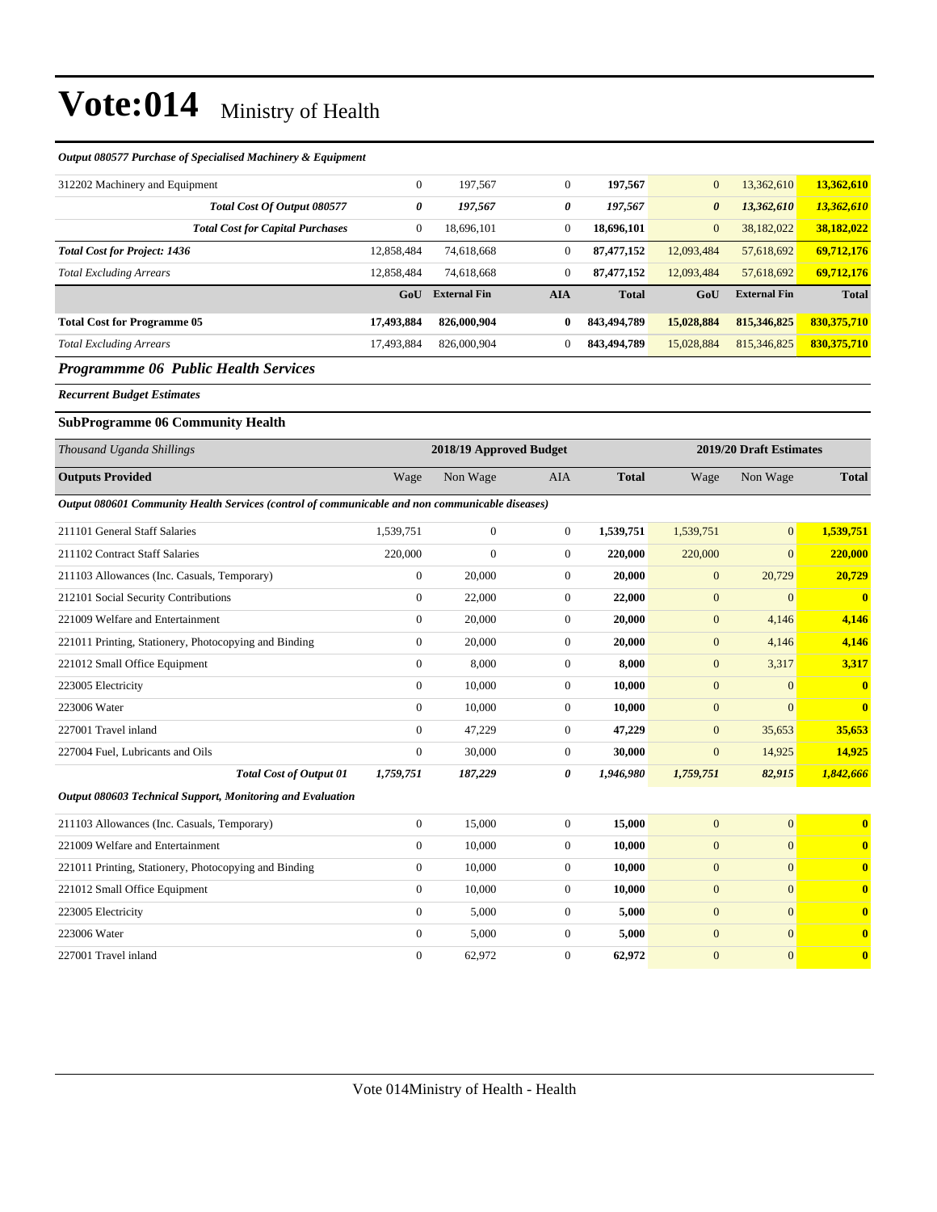#### *Output 080577 Purchase of Specialised Machinery & Equipment*

| 312202 Machinery and Equipment                                                                  | $\mathbf{0}$     | 197,567                 | $\boldsymbol{0}$      | 197,567      | $\mathbf{0}$     | 13,362,610              | 13,362,610              |
|-------------------------------------------------------------------------------------------------|------------------|-------------------------|-----------------------|--------------|------------------|-------------------------|-------------------------|
| Total Cost Of Output 080577                                                                     | 0                | 197,567                 | $\boldsymbol{\theta}$ | 197,567      | 0                | 13,362,610              | 13,362,610              |
| <b>Total Cost for Capital Purchases</b>                                                         | $\boldsymbol{0}$ | 18,696,101              | $\mathbf{0}$          | 18,696,101   | $\mathbf{0}$     | 38,182,022              | 38,182,022              |
| <b>Total Cost for Project: 1436</b>                                                             | 12,858,484       | 74,618,668              | $\mathbf{0}$          | 87,477,152   | 12,093,484       | 57,618,692              | 69,712,176              |
| <b>Total Excluding Arrears</b>                                                                  | 12,858,484       | 74,618,668              | $\boldsymbol{0}$      | 87,477,152   | 12,093,484       | 57,618,692              | 69,712,176              |
|                                                                                                 | GoU              | <b>External Fin</b>     | <b>AIA</b>            | <b>Total</b> | GoU              | <b>External Fin</b>     | <b>Total</b>            |
| <b>Total Cost for Programme 05</b>                                                              | 17,493,884       | 826,000,904             | $\bf{0}$              | 843,494,789  | 15,028,884       | 815,346,825             | 830,375,710             |
| <b>Total Excluding Arrears</b>                                                                  | 17,493,884       | 826,000,904             | $\mathbf{0}$          | 843,494,789  | 15,028,884       | 815,346,825             | 830, 375, 710           |
| <b>Programmme 06 Public Health Services</b>                                                     |                  |                         |                       |              |                  |                         |                         |
| <b>Recurrent Budget Estimates</b>                                                               |                  |                         |                       |              |                  |                         |                         |
| <b>SubProgramme 06 Community Health</b>                                                         |                  |                         |                       |              |                  |                         |                         |
| Thousand Uganda Shillings                                                                       |                  | 2018/19 Approved Budget |                       |              |                  | 2019/20 Draft Estimates |                         |
| <b>Outputs Provided</b>                                                                         | Wage             | Non Wage                | <b>AIA</b>            | <b>Total</b> | Wage             | Non Wage                | <b>Total</b>            |
| Output 080601 Community Health Services (control of communicable and non communicable diseases) |                  |                         |                       |              |                  |                         |                         |
| 211101 General Staff Salaries                                                                   | 1,539,751        | $\mathbf{0}$            | $\boldsymbol{0}$      | 1,539,751    | 1,539,751        | $\boldsymbol{0}$        | 1,539,751               |
| 211102 Contract Staff Salaries                                                                  | 220,000          | $\mathbf{0}$            | $\boldsymbol{0}$      | 220,000      | 220,000          | $\overline{0}$          | 220,000                 |
| 211103 Allowances (Inc. Casuals, Temporary)                                                     | $\boldsymbol{0}$ | 20,000                  | $\overline{0}$        | 20,000       | $\overline{0}$   | 20,729                  | 20,729                  |
| 212101 Social Security Contributions                                                            | $\boldsymbol{0}$ | 22,000                  | $\mathbf{0}$          | 22,000       | $\mathbf{0}$     | $\mathbf{0}$            | $\overline{\mathbf{0}}$ |
| 221009 Welfare and Entertainment                                                                | $\boldsymbol{0}$ | 20,000                  | $\boldsymbol{0}$      | 20,000       | $\overline{0}$   | 4,146                   | 4,146                   |
| 221011 Printing, Stationery, Photocopying and Binding                                           | $\boldsymbol{0}$ | 20,000                  | $\mathbf{0}$          | 20,000       | $\boldsymbol{0}$ | 4,146                   | 4,146                   |
| 221012 Small Office Equipment                                                                   | $\boldsymbol{0}$ | 8,000                   | $\mathbf{0}$          | 8,000        | $\boldsymbol{0}$ | 3,317                   | 3,317                   |
| 223005 Electricity                                                                              | $\boldsymbol{0}$ | 10,000                  | $\mathbf{0}$          | 10,000       | $\boldsymbol{0}$ | $\overline{0}$          | $\mathbf{0}$            |
| 223006 Water                                                                                    | $\overline{0}$   | 10,000                  | $\overline{0}$        | 10,000       | $\overline{0}$   | $\overline{0}$          | $\bf{0}$                |
| 227001 Travel inland                                                                            | $\overline{0}$   | 47,229                  | $\overline{0}$        | 47,229       | $\overline{0}$   | 35,653                  | 35,653                  |
| 227004 Fuel, Lubricants and Oils                                                                | $\boldsymbol{0}$ | 30,000                  | $\overline{0}$        | 30,000       | $\mathbf{0}$     | 14,925                  | 14,925                  |
| <b>Total Cost of Output 01</b>                                                                  | 1,759,751        | 187,229                 | $\boldsymbol{\theta}$ | 1,946,980    | 1,759,751        | 82,915                  | 1,842,666               |
| Output 080603 Technical Support, Monitoring and Evaluation                                      |                  |                         |                       |              |                  |                         |                         |
| 211103 Allowances (Inc. Casuals, Temporary)                                                     | $\boldsymbol{0}$ | 15,000                  | $\mathbf{0}$          | 15,000       | $\mathbf{0}$     | $\overline{0}$          | $\bf{0}$                |
| 221009 Welfare and Entertainment                                                                | $\boldsymbol{0}$ | 10,000                  | $\mathbf{0}$          | 10,000       | $\mathbf{0}$     | $\mathbf{0}$            | $\bf{0}$                |
| 221011 Printing, Stationery, Photocopying and Binding                                           | $\boldsymbol{0}$ | 10,000                  | $\mathbf{0}$          | 10,000       | $\mathbf{0}$     | $\boldsymbol{0}$        | $\bf{0}$                |
| 221012 Small Office Equipment                                                                   | $\overline{0}$   | 10,000                  | $\overline{0}$        | 10,000       | $\boldsymbol{0}$ | $\boldsymbol{0}$        | $\bf{0}$                |
| 223005 Electricity                                                                              | $\overline{0}$   | 5,000                   | $\overline{0}$        | 5,000        | $\overline{0}$   | $\boldsymbol{0}$        | $\bf{0}$                |
|                                                                                                 |                  |                         |                       |              |                  |                         |                         |

223006 Water 0 5,000 0 **5,000** 0 0 **0** 227001 Travel inland 0 62,972 0 **62,972** 0 0 **0**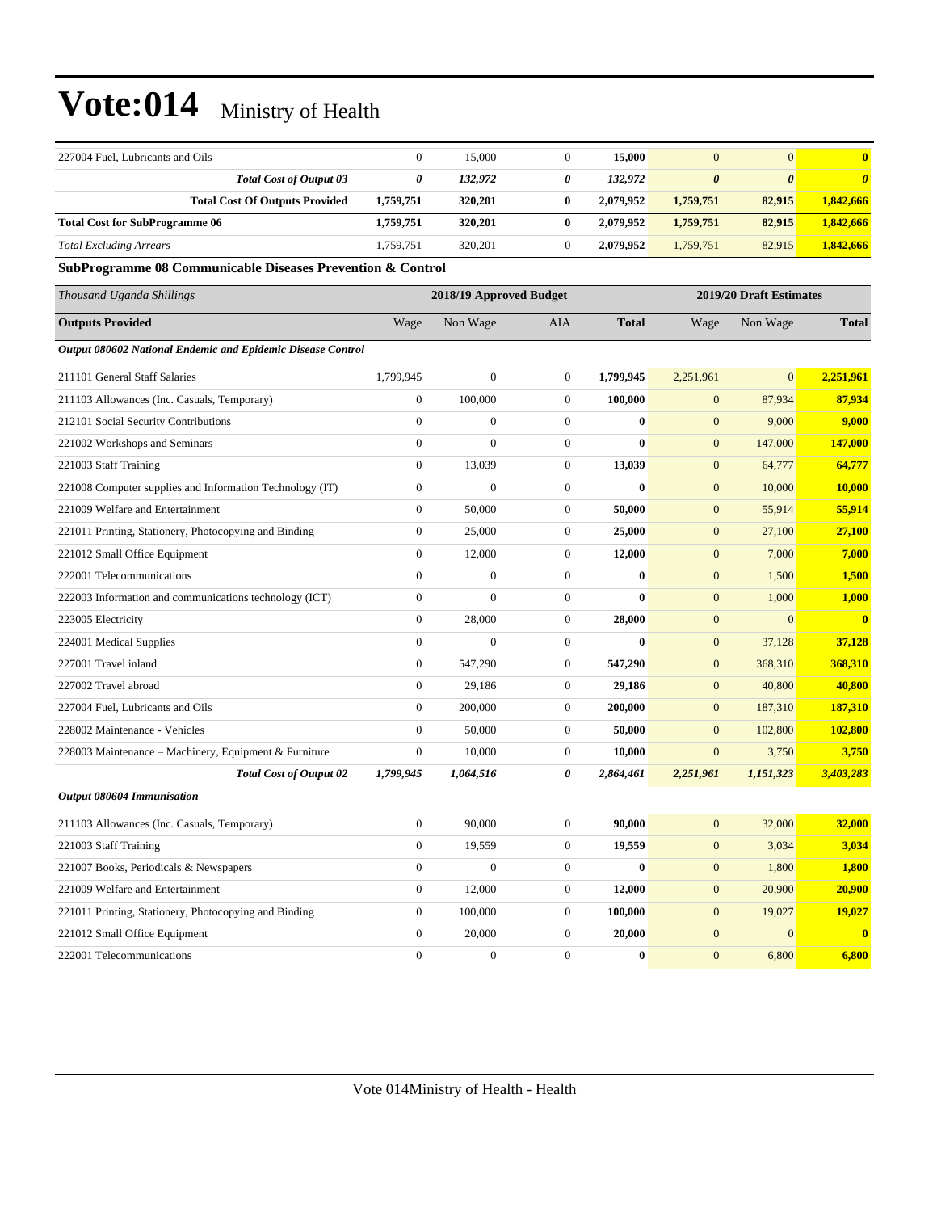| 227004 Fuel, Lubricants and Oils                            | $\boldsymbol{0}$ | 15,000                  | 0                | 15,000           | $\mathbf{0}$          | $\mathbf{0}$            | $\bf{0}$                |  |  |
|-------------------------------------------------------------|------------------|-------------------------|------------------|------------------|-----------------------|-------------------------|-------------------------|--|--|
| <b>Total Cost of Output 03</b>                              | 0                | 132,972                 | 0                | 132,972          | $\boldsymbol{\theta}$ | $\boldsymbol{\theta}$   | $\boldsymbol{\theta}$   |  |  |
| <b>Total Cost Of Outputs Provided</b>                       | 1,759,751        | 320,201                 | $\bf{0}$         | 2,079,952        | 1,759,751             | 82,915                  | 1,842,666               |  |  |
| <b>Total Cost for SubProgramme 06</b>                       | 1,759,751        | 320,201                 | $\bf{0}$         | 2,079,952        | 1,759,751             | 82,915                  | 1,842,666               |  |  |
| <b>Total Excluding Arrears</b>                              | 1,759,751        | 320,201                 | $\boldsymbol{0}$ | 2,079,952        | 1,759,751             | 82,915                  | 1,842,666               |  |  |
| SubProgramme 08 Communicable Diseases Prevention & Control  |                  |                         |                  |                  |                       |                         |                         |  |  |
| Thousand Uganda Shillings                                   |                  | 2018/19 Approved Budget |                  |                  |                       | 2019/20 Draft Estimates |                         |  |  |
| <b>Outputs Provided</b>                                     | Wage             | Non Wage                | AIA              | <b>Total</b>     | Wage                  | Non Wage                | <b>Total</b>            |  |  |
| Output 080602 National Endemic and Epidemic Disease Control |                  |                         |                  |                  |                       |                         |                         |  |  |
| 211101 General Staff Salaries                               | 1,799,945        | $\boldsymbol{0}$        | $\boldsymbol{0}$ | 1,799,945        | 2,251,961             | $\mathbf{0}$            | 2,251,961               |  |  |
| 211103 Allowances (Inc. Casuals, Temporary)                 | $\boldsymbol{0}$ | 100,000                 | $\boldsymbol{0}$ | 100,000          | $\boldsymbol{0}$      | 87,934                  | 87,934                  |  |  |
| 212101 Social Security Contributions                        | $\mathbf{0}$     | $\mathbf{0}$            | $\boldsymbol{0}$ | $\bf{0}$         | $\boldsymbol{0}$      | 9,000                   | 9,000                   |  |  |
| 221002 Workshops and Seminars                               | $\mathbf{0}$     | $\mathbf{0}$            | $\boldsymbol{0}$ | $\bf{0}$         | $\boldsymbol{0}$      | 147,000                 | 147,000                 |  |  |
| 221003 Staff Training                                       | $\mathbf{0}$     | 13,039                  | $\boldsymbol{0}$ | 13,039           | $\boldsymbol{0}$      | 64,777                  | 64,777                  |  |  |
| 221008 Computer supplies and Information Technology (IT)    | $\boldsymbol{0}$ | $\boldsymbol{0}$        | $\boldsymbol{0}$ | $\bf{0}$         | $\boldsymbol{0}$      | 10,000                  | <b>10,000</b>           |  |  |
| 221009 Welfare and Entertainment                            | $\boldsymbol{0}$ | 50,000                  | $\boldsymbol{0}$ | 50,000           | $\boldsymbol{0}$      | 55,914                  | 55,914                  |  |  |
| 221011 Printing, Stationery, Photocopying and Binding       | $\mathbf{0}$     | 25,000                  | $\boldsymbol{0}$ | 25,000           | $\mathbf{0}$          | 27,100                  | 27,100                  |  |  |
| 221012 Small Office Equipment                               | $\mathbf{0}$     | 12,000                  | $\boldsymbol{0}$ | 12,000           | $\mathbf{0}$          | 7,000                   | 7,000                   |  |  |
| 222001 Telecommunications                                   | $\mathbf{0}$     | $\overline{0}$          | $\boldsymbol{0}$ | $\bf{0}$         | $\boldsymbol{0}$      | 1,500                   | 1,500                   |  |  |
| 222003 Information and communications technology (ICT)      | $\boldsymbol{0}$ | $\boldsymbol{0}$        | $\boldsymbol{0}$ | $\bf{0}$         | $\boldsymbol{0}$      | 1,000                   | <b>1,000</b>            |  |  |
| 223005 Electricity                                          | $\boldsymbol{0}$ | 28,000                  | $\boldsymbol{0}$ | 28,000           | $\boldsymbol{0}$      | $\mathbf{0}$            | $\overline{\mathbf{0}}$ |  |  |
| 224001 Medical Supplies                                     | $\mathbf{0}$     | $\mathbf{0}$            | $\boldsymbol{0}$ | $\bf{0}$         | $\boldsymbol{0}$      | 37,128                  | 37,128                  |  |  |
| 227001 Travel inland                                        | $\mathbf{0}$     | 547,290                 | $\boldsymbol{0}$ | 547,290          | $\mathbf{0}$          | 368,310                 | 368,310                 |  |  |
| 227002 Travel abroad                                        | $\mathbf{0}$     | 29,186                  | $\boldsymbol{0}$ | 29,186           | $\mathbf{0}$          | 40,800                  | 40,800                  |  |  |
| 227004 Fuel, Lubricants and Oils                            | $\boldsymbol{0}$ | 200,000                 | $\boldsymbol{0}$ | 200,000          | $\mathbf{0}$          | 187,310                 | <b>187,310</b>          |  |  |
| 228002 Maintenance - Vehicles                               | $\mathbf{0}$     | 50,000                  | $\boldsymbol{0}$ | 50,000           | $\mathbf{0}$          | 102,800                 | 102,800                 |  |  |
| 228003 Maintenance – Machinery, Equipment & Furniture       | $\boldsymbol{0}$ | 10,000                  | $\boldsymbol{0}$ | 10,000           | $\mathbf{0}$          | 3,750                   | 3,750                   |  |  |
| <b>Total Cost of Output 02</b>                              | 1,799,945        | 1,064,516               | 0                | 2,864,461        | 2,251,961             | 1,151,323               | 3,403,283               |  |  |
| Output 080604 Immunisation                                  |                  |                         |                  |                  |                       |                         |                         |  |  |
| 211103 Allowances (Inc. Casuals, Temporary)                 | $\boldsymbol{0}$ | 90,000                  | $\boldsymbol{0}$ | 90,000           | $\boldsymbol{0}$      | 32,000                  | 32,000                  |  |  |
| 221003 Staff Training                                       | $\boldsymbol{0}$ | 19,559                  | 0                | 19,559           | $\mathbf{0}$          | 3,034                   | 3,034                   |  |  |
| 221007 Books, Periodicals & Newspapers                      | $\boldsymbol{0}$ | $\boldsymbol{0}$        | $\boldsymbol{0}$ | $\bf{0}$         | $\mathbf{0}$          | 1,800                   | 1,800                   |  |  |
| 221009 Welfare and Entertainment                            | $\mathbf{0}$     | 12,000                  | $\boldsymbol{0}$ | 12,000           | $\boldsymbol{0}$      | 20,900                  | 20,900                  |  |  |
| 221011 Printing, Stationery, Photocopying and Binding       | $\boldsymbol{0}$ | 100,000                 | $\boldsymbol{0}$ | 100,000          | $\boldsymbol{0}$      | 19,027                  | 19,027                  |  |  |
| 221012 Small Office Equipment                               | $\boldsymbol{0}$ | 20,000                  | $\boldsymbol{0}$ | 20,000           | $\mathbf{0}$          | $\mathbf{0}$            | $\boldsymbol{0}$        |  |  |
| 222001 Telecommunications                                   | $\boldsymbol{0}$ | $\boldsymbol{0}$        | $\boldsymbol{0}$ | $\boldsymbol{0}$ | $\boldsymbol{0}$      | 6,800                   | 6,800                   |  |  |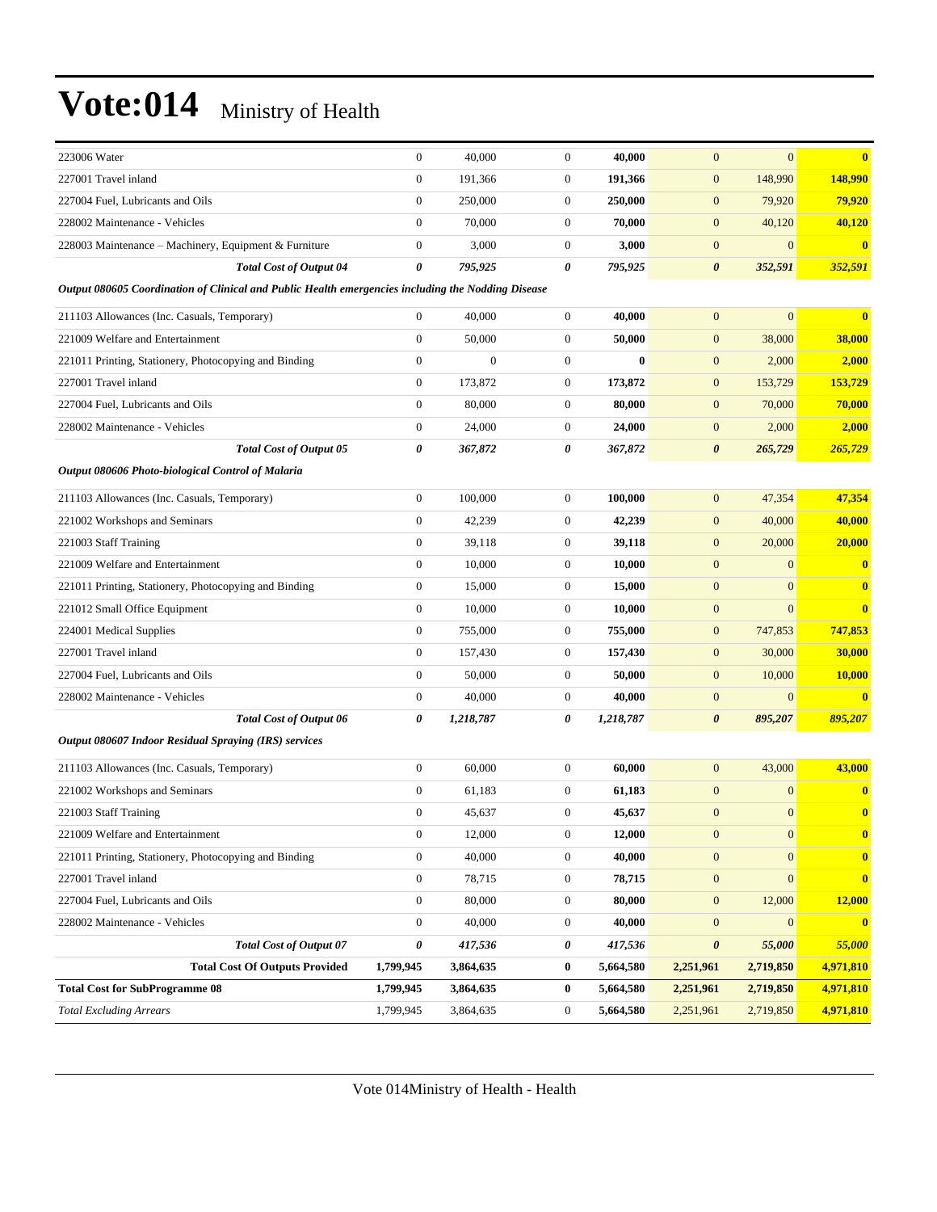| 223006 Water                                                                                       | $\mathbf{0}$     | 40,000           | $\boldsymbol{0}$ | 40,000    | $\mathbf{0}$          | $\overline{0}$ | $\bf{0}$      |
|----------------------------------------------------------------------------------------------------|------------------|------------------|------------------|-----------|-----------------------|----------------|---------------|
| 227001 Travel inland                                                                               | $\boldsymbol{0}$ | 191,366          | 0                | 191,366   | $\mathbf{0}$          | 148,990        | 148,990       |
| 227004 Fuel, Lubricants and Oils                                                                   | $\mathbf{0}$     | 250,000          | $\mathbf{0}$     | 250,000   | $\mathbf{0}$          | 79,920         | 79,920        |
| 228002 Maintenance - Vehicles                                                                      | $\mathbf{0}$     | 70,000           | 0                | 70,000    | $\mathbf{0}$          | 40,120         | 40,120        |
| 228003 Maintenance - Machinery, Equipment & Furniture                                              | $\mathbf{0}$     | 3,000            | 0                | 3,000     | $\mathbf{0}$          | $\overline{0}$ | $\bf{0}$      |
| Total Cost of Output 04                                                                            | 0                | 795,925          | 0                | 795,925   | $\boldsymbol{\theta}$ | 352,591        | 352,591       |
| Output 080605 Coordination of Clinical and Public Health emergencies including the Nodding Disease |                  |                  |                  |           |                       |                |               |
| 211103 Allowances (Inc. Casuals, Temporary)                                                        | $\boldsymbol{0}$ | 40,000           | $\mathbf{0}$     | 40,000    | $\mathbf{0}$          | $\overline{0}$ | $\bf{0}$      |
| 221009 Welfare and Entertainment                                                                   | $\mathbf{0}$     | 50,000           | $\mathbf{0}$     | 50,000    | $\mathbf{0}$          | 38,000         | <b>38,000</b> |
| 221011 Printing, Stationery, Photocopying and Binding                                              | $\boldsymbol{0}$ | $\boldsymbol{0}$ | 0                | $\bf{0}$  | $\mathbf{0}$          | 2,000          | 2,000         |
| 227001 Travel inland                                                                               | $\boldsymbol{0}$ | 173,872          | 0                | 173,872   | $\mathbf{0}$          | 153,729        | 153,729       |
| 227004 Fuel, Lubricants and Oils                                                                   | $\theta$         | 80,000           | $\mathbf{0}$     | 80,000    | $\mathbf{0}$          | 70,000         | 70,000        |
| 228002 Maintenance - Vehicles                                                                      | $\boldsymbol{0}$ | 24,000           | 0                | 24,000    | $\mathbf{0}$          | 2,000          | 2,000         |
| <b>Total Cost of Output 05</b>                                                                     | 0                | 367,872          | 0                | 367,872   | $\boldsymbol{\theta}$ | 265,729        | 265,729       |
| Output 080606 Photo-biological Control of Malaria                                                  |                  |                  |                  |           |                       |                |               |
| 211103 Allowances (Inc. Casuals, Temporary)                                                        | $\boldsymbol{0}$ | 100,000          | 0                | 100,000   | $\mathbf{0}$          | 47,354         | 47,354        |
| 221002 Workshops and Seminars                                                                      | $\mathbf{0}$     | 42,239           | $\boldsymbol{0}$ | 42,239    | $\mathbf{0}$          | 40,000         | 40,000        |
| 221003 Staff Training                                                                              | $\mathbf{0}$     | 39,118           | $\mathbf{0}$     | 39,118    | $\mathbf{0}$          | 20,000         | 20,000        |
| 221009 Welfare and Entertainment                                                                   | $\boldsymbol{0}$ | 10,000           | $\mathbf{0}$     | 10,000    | $\mathbf{0}$          | $\overline{0}$ | $\bf{0}$      |
| 221011 Printing, Stationery, Photocopying and Binding                                              | $\mathbf{0}$     | 15,000           | $\mathbf{0}$     | 15,000    | $\mathbf{0}$          | $\overline{0}$ | $\mathbf{0}$  |
| 221012 Small Office Equipment                                                                      | $\boldsymbol{0}$ | 10,000           | 0                | 10,000    | $\mathbf{0}$          | $\overline{0}$ | $\bf{0}$      |
| 224001 Medical Supplies                                                                            | $\boldsymbol{0}$ | 755,000          | 0                | 755,000   | $\mathbf{0}$          | 747,853        | 747,853       |
| 227001 Travel inland                                                                               | $\boldsymbol{0}$ | 157,430          | $\boldsymbol{0}$ | 157,430   | $\mathbf{0}$          | 30,000         | 30,000        |
| 227004 Fuel, Lubricants and Oils                                                                   | $\boldsymbol{0}$ | 50,000           | $\mathbf{0}$     | 50,000    | $\mathbf{0}$          | 10,000         | 10,000        |
| 228002 Maintenance - Vehicles                                                                      | $\boldsymbol{0}$ | 40,000           | $\mathbf{0}$     | 40,000    | $\mathbf{0}$          | $\mathbf{0}$   | $\bf{0}$      |
| <b>Total Cost of Output 06</b>                                                                     | 0                | 1,218,787        | 0                | 1,218,787 | $\boldsymbol{\theta}$ | 895,207        | 895,207       |
| <b>Output 080607 Indoor Residual Spraying (IRS) services</b>                                       |                  |                  |                  |           |                       |                |               |
| 211103 Allowances (Inc. Casuals, Temporary)                                                        | $\boldsymbol{0}$ | 60,000           | $\boldsymbol{0}$ | 60,000    | $\mathbf{0}$          | 43,000         | 43,000        |
| 221002 Workshops and Seminars                                                                      | $\mathbf{0}$     | 61,183           | $\mathbf{0}$     | 61,183    | $\mathbf{0}$          | $\mathbf{0}$   | $\mathbf{0}$  |
| 221003 Staff Training                                                                              | $\mathbf{0}$     | 45,637           | $\overline{0}$   | 45,637    | $\mathbf{0}$          | $\mathbf{0}$   | $\bf{0}$      |
| 221009 Welfare and Entertainment                                                                   | $\boldsymbol{0}$ | 12,000           | $\boldsymbol{0}$ | 12,000    | $\mathbf{0}$          | $\mathbf{0}$   | $\bf{0}$      |
| 221011 Printing, Stationery, Photocopying and Binding                                              | $\boldsymbol{0}$ | 40,000           | 0                | 40,000    | $\mathbf{0}$          | $\mathbf{0}$   | $\mathbf{0}$  |
| 227001 Travel inland                                                                               | $\boldsymbol{0}$ | 78,715           | $\boldsymbol{0}$ | 78,715    | $\mathbf{0}$          | $\overline{0}$ | $\mathbf{0}$  |
| 227004 Fuel, Lubricants and Oils                                                                   | $\boldsymbol{0}$ | 80,000           | $\boldsymbol{0}$ | 80,000    | $\mathbf{0}$          | 12,000         | 12,000        |
| 228002 Maintenance - Vehicles                                                                      | $\boldsymbol{0}$ | 40,000           | $\boldsymbol{0}$ | 40,000    | $\mathbf{0}$          | $\overline{0}$ | $\bf{0}$      |
| <b>Total Cost of Output 07</b>                                                                     | 0                | 417,536          | 0                | 417,536   | $\boldsymbol{\theta}$ | 55,000         | 55,000        |
| <b>Total Cost Of Outputs Provided</b>                                                              | 1,799,945        | 3,864,635        | 0                | 5,664,580 | 2,251,961             | 2,719,850      | 4,971,810     |
| <b>Total Cost for SubProgramme 08</b>                                                              | 1,799,945        | 3,864,635        | $\bf{0}$         | 5,664,580 | 2,251,961             | 2,719,850      | 4,971,810     |
| <b>Total Excluding Arrears</b>                                                                     | 1,799,945        | 3,864,635        | $\boldsymbol{0}$ | 5,664,580 | 2,251,961             | 2,719,850      | 4,971,810     |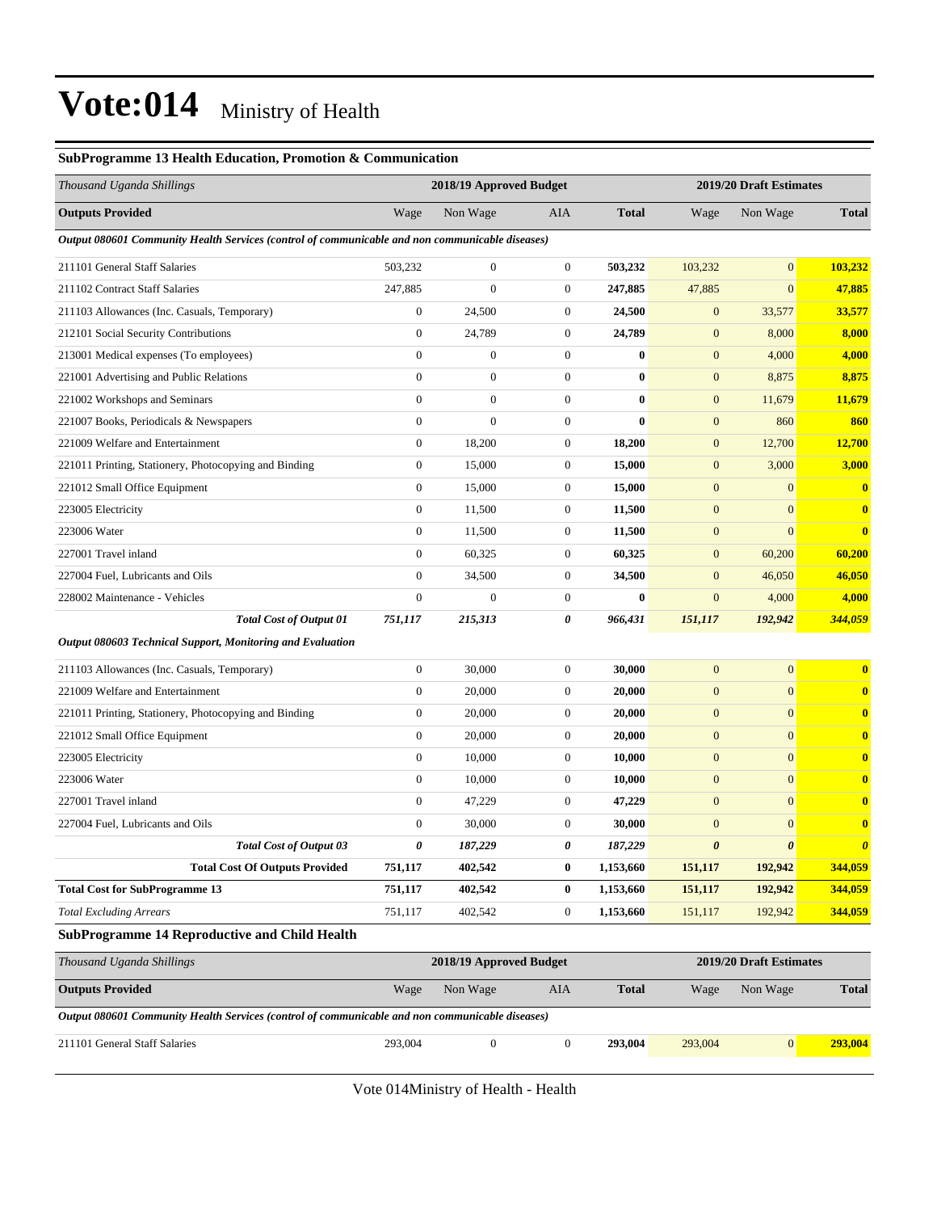#### **SubProgramme 13 Health Education, Promotion & Communication**

| Thousand Uganda Shillings                                                                       |                  | 2018/19 Approved Budget |                  |              |                       | 2019/20 Draft Estimates |                       |
|-------------------------------------------------------------------------------------------------|------------------|-------------------------|------------------|--------------|-----------------------|-------------------------|-----------------------|
| <b>Outputs Provided</b>                                                                         | Wage             | Non Wage                | AIA              | <b>Total</b> | Wage                  | Non Wage                | <b>Total</b>          |
| Output 080601 Community Health Services (control of communicable and non communicable diseases) |                  |                         |                  |              |                       |                         |                       |
| 211101 General Staff Salaries                                                                   | 503,232          | $\boldsymbol{0}$        | $\boldsymbol{0}$ | 503,232      | 103,232               | $\overline{0}$          | 103,232               |
| 211102 Contract Staff Salaries                                                                  | 247,885          | $\overline{0}$          | $\boldsymbol{0}$ | 247,885      | 47,885                | $\overline{0}$          | 47,885                |
| 211103 Allowances (Inc. Casuals, Temporary)                                                     | $\mathbf{0}$     | 24,500                  | $\boldsymbol{0}$ | 24,500       | $\mathbf{0}$          | 33,577                  | 33,577                |
| 212101 Social Security Contributions                                                            | $\boldsymbol{0}$ | 24,789                  | $\boldsymbol{0}$ | 24,789       | $\mathbf{0}$          | 8,000                   | 8,000                 |
| 213001 Medical expenses (To employees)                                                          | $\overline{0}$   | $\boldsymbol{0}$        | $\boldsymbol{0}$ | $\bf{0}$     | $\mathbf{0}$          | 4,000                   | 4,000                 |
| 221001 Advertising and Public Relations                                                         | $\boldsymbol{0}$ | $\boldsymbol{0}$        | $\boldsymbol{0}$ | $\bf{0}$     | $\mathbf{0}$          | 8,875                   | 8,875                 |
| 221002 Workshops and Seminars                                                                   | $\boldsymbol{0}$ | $\boldsymbol{0}$        | $\boldsymbol{0}$ | $\bf{0}$     | $\mathbf{0}$          | 11,679                  | 11,679                |
| 221007 Books, Periodicals & Newspapers                                                          | $\boldsymbol{0}$ | $\boldsymbol{0}$        | $\boldsymbol{0}$ | $\bf{0}$     | $\mathbf{0}$          | 860                     | 860                   |
| 221009 Welfare and Entertainment                                                                | $\boldsymbol{0}$ | 18,200                  | $\boldsymbol{0}$ | 18,200       | $\mathbf{0}$          | 12,700                  | 12,700                |
| 221011 Printing, Stationery, Photocopying and Binding                                           | $\overline{0}$   | 15,000                  | $\boldsymbol{0}$ | 15,000       | $\mathbf{0}$          | 3,000                   | 3,000                 |
| 221012 Small Office Equipment                                                                   | $\mathbf{0}$     | 15,000                  | $\boldsymbol{0}$ | 15,000       | $\mathbf{0}$          | $\mathbf{0}$            | $\mathbf{0}$          |
| 223005 Electricity                                                                              | $\boldsymbol{0}$ | 11,500                  | $\boldsymbol{0}$ | 11,500       | $\mathbf{0}$          | $\mathbf{0}$            | $\mathbf{0}$          |
| 223006 Water                                                                                    | $\boldsymbol{0}$ | 11,500                  | $\boldsymbol{0}$ | 11,500       | $\mathbf{0}$          | $\overline{0}$          | $\bf{0}$              |
| 227001 Travel inland                                                                            | $\boldsymbol{0}$ | 60,325                  | $\boldsymbol{0}$ | 60,325       | $\mathbf{0}$          | 60,200                  | 60,200                |
| 227004 Fuel, Lubricants and Oils                                                                | $\overline{0}$   | 34,500                  | $\boldsymbol{0}$ | 34,500       | $\mathbf{0}$          | 46,050                  | 46,050                |
| 228002 Maintenance - Vehicles                                                                   | $\overline{0}$   | $\overline{0}$          | $\boldsymbol{0}$ | $\bf{0}$     | $\mathbf{0}$          | 4,000                   | 4,000                 |
| <b>Total Cost of Output 01</b>                                                                  | 751,117          | 215,313                 | 0                | 966,431      | 151,117               | 192,942                 | 344,059               |
| Output 080603 Technical Support, Monitoring and Evaluation                                      |                  |                         |                  |              |                       |                         |                       |
| 211103 Allowances (Inc. Casuals, Temporary)                                                     | $\mathbf{0}$     | 30,000                  | $\boldsymbol{0}$ | 30,000       | $\mathbf{0}$          | $\mathbf{0}$            | $\bf{0}$              |
| 221009 Welfare and Entertainment                                                                | $\mathbf{0}$     | 20,000                  | $\boldsymbol{0}$ | 20,000       | $\mathbf{0}$          | $\boldsymbol{0}$        | $\bf{0}$              |
| 221011 Printing, Stationery, Photocopying and Binding                                           | $\boldsymbol{0}$ | 20,000                  | $\boldsymbol{0}$ | 20,000       | $\boldsymbol{0}$      | $\overline{0}$          | $\bf{0}$              |
| 221012 Small Office Equipment                                                                   | $\boldsymbol{0}$ | 20,000                  | $\boldsymbol{0}$ | 20,000       | $\mathbf{0}$          | $\overline{0}$          | $\bf{0}$              |
| 223005 Electricity                                                                              | $\boldsymbol{0}$ | 10,000                  | $\boldsymbol{0}$ | 10,000       | $\mathbf{0}$          | $\boldsymbol{0}$        | $\bf{0}$              |
| 223006 Water                                                                                    | $\overline{0}$   | 10,000                  | $\boldsymbol{0}$ | 10,000       | $\mathbf{0}$          | $\overline{0}$          | $\bf{0}$              |
| 227001 Travel inland                                                                            | 0                | 47,229                  | $\boldsymbol{0}$ | 47,229       | $\mathbf{0}$          | $\boldsymbol{0}$        | $\bf{0}$              |
| 227004 Fuel, Lubricants and Oils                                                                | $\boldsymbol{0}$ | 30,000                  | $\boldsymbol{0}$ | 30,000       | $\mathbf{0}$          | $\overline{0}$          | $\bf{0}$              |
| <b>Total Cost of Output 03</b>                                                                  | 0                | 187,229                 | 0                | 187,229      | $\boldsymbol{\theta}$ | $\boldsymbol{\theta}$   | $\boldsymbol{\theta}$ |
| <b>Total Cost Of Outputs Provided</b>                                                           | 751,117          | 402,542                 | $\boldsymbol{0}$ | 1,153,660    | 151,117               | 192,942                 | 344,059               |
| <b>Total Cost for SubProgramme 13</b>                                                           | 751,117          | 402,542                 | $\boldsymbol{0}$ | 1,153,660    | 151,117               | 192,942                 | 344,059               |
| <b>Total Excluding Arrears</b>                                                                  | 751,117          | 402,542                 | $\boldsymbol{0}$ | 1,153,660    | 151,117               | 192,942                 | 344,059               |
| <b>SubProgramme 14 Reproductive and Child Health</b>                                            |                  |                         |                  |              |                       |                         |                       |
| Thousand Uganda Shillings                                                                       |                  | 2018/19 Approved Budget |                  |              |                       | 2019/20 Draft Estimates |                       |
| <b>Outputs Provided</b>                                                                         | Wage             | Non Wage                | AIA              | <b>Total</b> | Wage                  | Non Wage                | <b>Total</b>          |
| Output 080601 Community Health Services (control of communicable and non communicable diseases) |                  |                         |                  |              |                       |                         |                       |
| 211101 General Staff Salaries                                                                   | 293,004          | $\boldsymbol{0}$        | $\mathbf{0}$     | 293,004      | 293,004               | 0                       | 293,004               |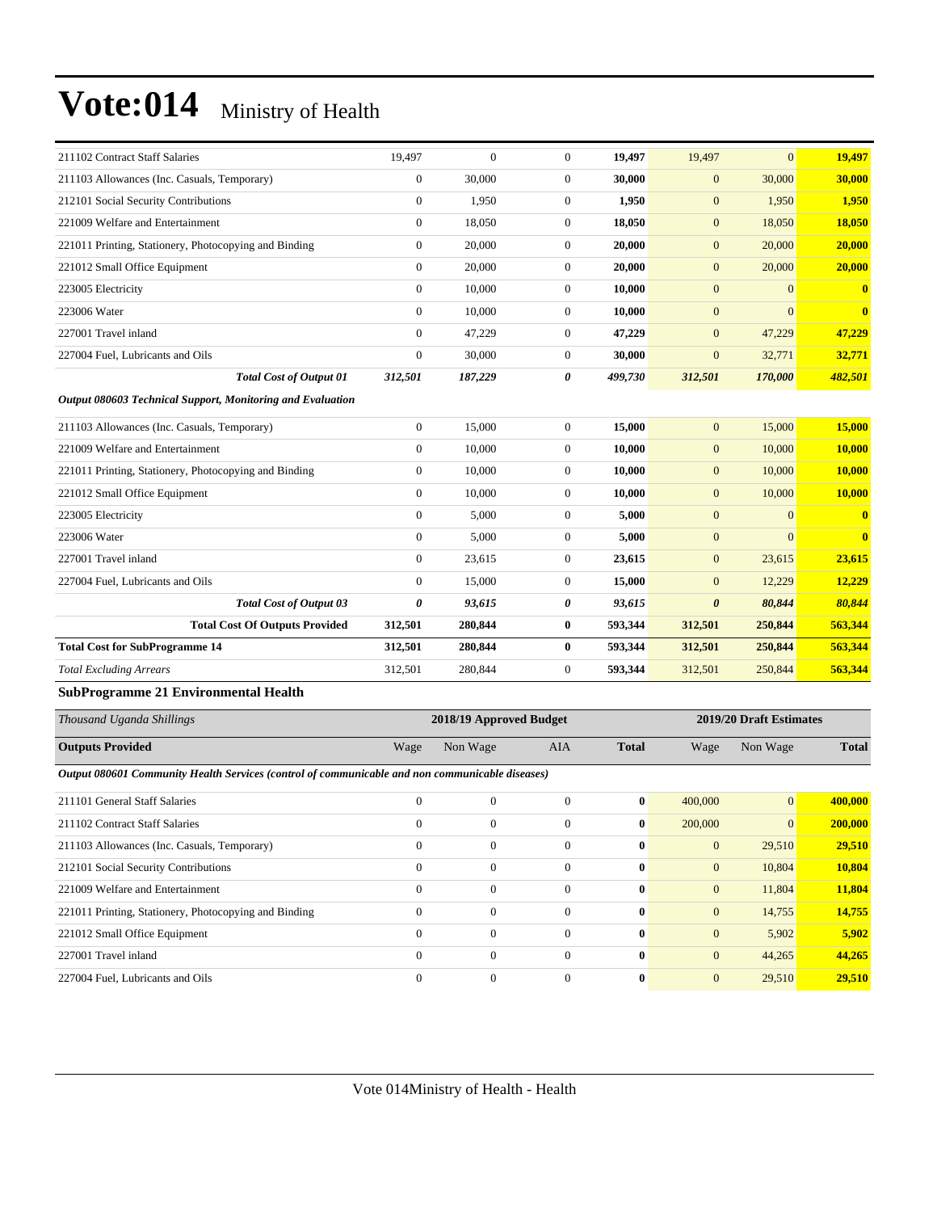| 211102 Contract Staff Salaries                                                                  | 19,497           | $\mathbf{0}$            | $\boldsymbol{0}$ | 19,497           | 19,497                | $\mathbf{0}$            | 19,497        |
|-------------------------------------------------------------------------------------------------|------------------|-------------------------|------------------|------------------|-----------------------|-------------------------|---------------|
| 211103 Allowances (Inc. Casuals, Temporary)                                                     | $\mathbf{0}$     | 30,000                  | $\boldsymbol{0}$ | 30,000           | $\boldsymbol{0}$      | 30,000                  | 30,000        |
| 212101 Social Security Contributions                                                            | $\mathbf{0}$     | 1,950                   | $\boldsymbol{0}$ | 1,950            | $\boldsymbol{0}$      | 1,950                   | 1,950         |
| 221009 Welfare and Entertainment                                                                | $\boldsymbol{0}$ | 18,050                  | $\boldsymbol{0}$ | 18,050           | $\mathbf{0}$          | 18,050                  | <b>18,050</b> |
| 221011 Printing, Stationery, Photocopying and Binding                                           | $\boldsymbol{0}$ | 20,000                  | $\boldsymbol{0}$ | 20,000           | $\mathbf{0}$          | 20,000                  | 20,000        |
| 221012 Small Office Equipment                                                                   | $\boldsymbol{0}$ | 20,000                  | $\boldsymbol{0}$ | 20,000           | $\mathbf{0}$          | 20,000                  | 20,000        |
| 223005 Electricity                                                                              | $\boldsymbol{0}$ | 10,000                  | $\boldsymbol{0}$ | 10,000           | $\mathbf{0}$          | $\mathbf{0}$            | $\mathbf{0}$  |
| 223006 Water                                                                                    | $\mathbf{0}$     | 10,000                  | $\boldsymbol{0}$ | 10,000           | $\boldsymbol{0}$      | $\mathbf{0}$            | $\mathbf{0}$  |
| 227001 Travel inland                                                                            | $\mathbf{0}$     | 47,229                  | $\boldsymbol{0}$ | 47,229           | $\mathbf{0}$          | 47,229                  | 47,229        |
| 227004 Fuel, Lubricants and Oils                                                                | $\mathbf{0}$     | 30,000                  | $\boldsymbol{0}$ | 30,000           | $\mathbf{0}$          | 32,771                  | 32,771        |
| <b>Total Cost of Output 01</b>                                                                  | 312,501          | 187,229                 | 0                | 499,730          | 312,501               | 170,000                 | 482,501       |
| Output 080603 Technical Support, Monitoring and Evaluation                                      |                  |                         |                  |                  |                       |                         |               |
| 211103 Allowances (Inc. Casuals, Temporary)                                                     | $\boldsymbol{0}$ | 15,000                  | $\boldsymbol{0}$ | 15,000           | $\mathbf{0}$          | 15,000                  | <b>15,000</b> |
| 221009 Welfare and Entertainment                                                                | $\mathbf{0}$     | 10,000                  | $\boldsymbol{0}$ | 10,000           | $\boldsymbol{0}$      | 10,000                  | 10,000        |
| 221011 Printing, Stationery, Photocopying and Binding                                           | $\mathbf{0}$     | 10,000                  | $\boldsymbol{0}$ | 10,000           | $\boldsymbol{0}$      | 10,000                  | 10,000        |
| 221012 Small Office Equipment                                                                   | $\boldsymbol{0}$ | 10,000                  | $\boldsymbol{0}$ | 10,000           | $\mathbf{0}$          | 10,000                  | 10,000        |
| 223005 Electricity                                                                              | $\boldsymbol{0}$ | 5,000                   | $\boldsymbol{0}$ | 5,000            | $\mathbf{0}$          | $\mathbf{0}$            | $\bf{0}$      |
| 223006 Water                                                                                    | $\boldsymbol{0}$ | 5,000                   | $\boldsymbol{0}$ | 5,000            | $\mathbf{0}$          | $\mathbf{0}$            | $\bf{0}$      |
| 227001 Travel inland                                                                            | $\mathbf{0}$     | 23,615                  | $\boldsymbol{0}$ | 23,615           | $\boldsymbol{0}$      | 23,615                  | 23,615        |
| 227004 Fuel, Lubricants and Oils                                                                | $\theta$         | 15,000                  | $\boldsymbol{0}$ | 15,000           | $\mathbf{0}$          | 12,229                  | 12,229        |
| <b>Total Cost of Output 03</b>                                                                  | 0                | 93,615                  | 0                | 93,615           | $\boldsymbol{\theta}$ | 80,844                  | 80,844        |
| <b>Total Cost Of Outputs Provided</b>                                                           | 312,501          | 280,844                 | $\bf{0}$         | 593,344          | 312,501               | 250,844                 | 563,344       |
| <b>Total Cost for SubProgramme 14</b>                                                           | 312,501          | 280,844                 | 0                | 593,344          | 312,501               | 250,844                 | 563,344       |
| <b>Total Excluding Arrears</b>                                                                  | 312,501          | 280,844                 | $\boldsymbol{0}$ | 593,344          | 312,501               | 250,844                 | 563,344       |
| <b>SubProgramme 21 Environmental Health</b>                                                     |                  |                         |                  |                  |                       |                         |               |
| Thousand Uganda Shillings                                                                       |                  | 2018/19 Approved Budget |                  |                  |                       | 2019/20 Draft Estimates |               |
| <b>Outputs Provided</b>                                                                         | Wage             | Non Wage                | AIA              | <b>Total</b>     | Wage                  | Non Wage                | <b>Total</b>  |
| Output 080601 Community Health Services (control of communicable and non communicable diseases) |                  |                         |                  |                  |                       |                         |               |
| 211101 General Staff Salaries                                                                   | $\boldsymbol{0}$ | $\boldsymbol{0}$        | $\boldsymbol{0}$ | $\bf{0}$         | 400,000               | $\mathbf{0}$            | 400,000       |
| 211102 Contract Staff Salaries                                                                  | $\mathbf{0}$     | $\mathbf{0}$            | $\mathbf{0}$     | $\bf{0}$         | 200,000               | $\overline{0}$          | 200,000       |
| 211103 Allowances (Inc. Casuals, Temporary)                                                     | $\boldsymbol{0}$ | $\boldsymbol{0}$        | $\boldsymbol{0}$ | $\bf{0}$         | $\mathbf{0}$          | 29,510                  | 29,510        |
| 212101 Social Security Contributions                                                            | $\boldsymbol{0}$ | $\boldsymbol{0}$        | $\boldsymbol{0}$ | $\boldsymbol{0}$ | $\boldsymbol{0}$      | 10,804                  | 10,804        |
| 221009 Welfare and Entertainment                                                                | $\boldsymbol{0}$ | $\boldsymbol{0}$        | $\boldsymbol{0}$ | $\bf{0}$         | $\mathbf{0}$          | 11,804                  | 11,804        |
| 221011 Printing, Stationery, Photocopying and Binding                                           | $\boldsymbol{0}$ | $\boldsymbol{0}$        | $\boldsymbol{0}$ | $\bf{0}$         | $\mathbf{0}$          | 14,755                  | 14,755        |
| 221012 Small Office Equipment                                                                   | $\boldsymbol{0}$ | $\boldsymbol{0}$        | $\boldsymbol{0}$ | $\bf{0}$         | $\mathbf{0}$          | 5,902                   | 5,902         |
| 227001 Travel inland                                                                            | $\boldsymbol{0}$ | $\boldsymbol{0}$        | $\boldsymbol{0}$ | $\bf{0}$         | $\mathbf{0}$          | 44,265                  | 44,265        |
| 227004 Fuel, Lubricants and Oils                                                                | $\boldsymbol{0}$ | $\boldsymbol{0}$        | $\boldsymbol{0}$ | $\boldsymbol{0}$ | $\boldsymbol{0}$      | 29,510                  | 29,510        |
|                                                                                                 |                  |                         |                  |                  |                       |                         |               |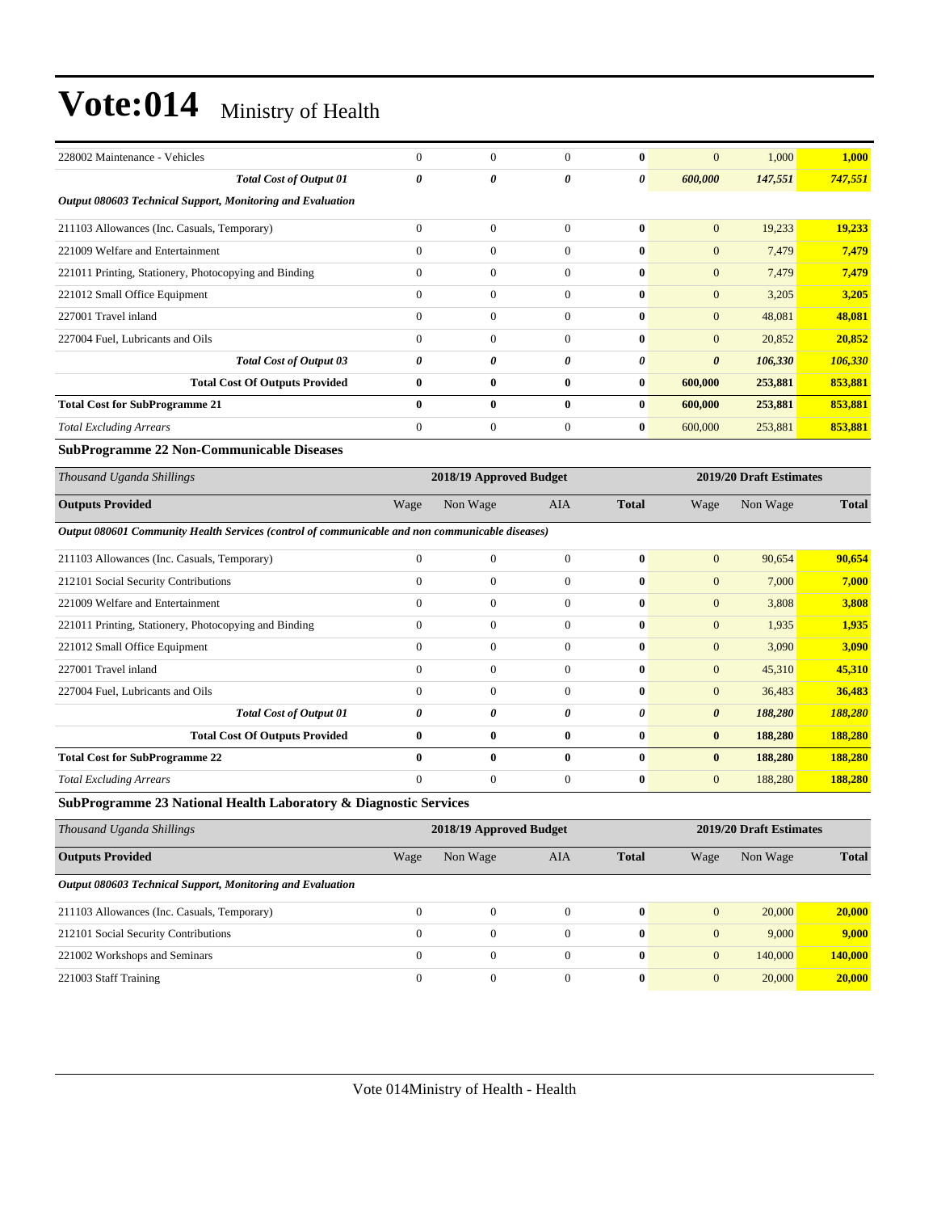| 228002 Maintenance - Vehicles                                                                   | $\mathbf{0}$          | $\boldsymbol{0}$        | $\overline{0}$ | $\bf{0}$     | $\mathbf{0}$          | 1,000                   | 1,000        |
|-------------------------------------------------------------------------------------------------|-----------------------|-------------------------|----------------|--------------|-----------------------|-------------------------|--------------|
| <b>Total Cost of Output 01</b>                                                                  | $\boldsymbol{\theta}$ | 0                       | 0              | 0            | 600,000               | 147,551                 | 747,551      |
| Output 080603 Technical Support, Monitoring and Evaluation                                      |                       |                         |                |              |                       |                         |              |
| 211103 Allowances (Inc. Casuals, Temporary)                                                     | $\mathbf{0}$          | $\boldsymbol{0}$        | $\overline{0}$ | $\bf{0}$     | $\mathbf{0}$          | 19,233                  | 19,233       |
| 221009 Welfare and Entertainment                                                                | $\mathbf{0}$          | $\overline{0}$          | $\overline{0}$ | $\mathbf{0}$ | $\mathbf{0}$          | 7,479                   | 7,479        |
| 221011 Printing, Stationery, Photocopying and Binding                                           | $\overline{0}$        | $\overline{0}$          | $\overline{0}$ | $\mathbf{0}$ | $\mathbf{0}$          | 7,479                   | 7,479        |
| 221012 Small Office Equipment                                                                   | $\Omega$              | $\overline{0}$          | $\overline{0}$ | $\bf{0}$     | $\mathbf{0}$          | 3,205                   | 3,205        |
| 227001 Travel inland                                                                            | $\theta$              | $\boldsymbol{0}$        | $\Omega$       | $\bf{0}$     | $\mathbf{0}$          | 48,081                  | 48,081       |
| 227004 Fuel, Lubricants and Oils                                                                | $\mathbf{0}$          | $\overline{0}$          | $\overline{0}$ | $\bf{0}$     | $\mathbf{0}$          | 20,852                  | 20,852       |
| <b>Total Cost of Output 03</b>                                                                  | $\boldsymbol{\theta}$ | 0                       | 0              | 0            | $\boldsymbol{\theta}$ | 106,330                 | 106,330      |
| <b>Total Cost Of Outputs Provided</b>                                                           | $\bf{0}$              | $\bf{0}$                | $\bf{0}$       | $\bf{0}$     | 600,000               | 253,881                 | 853,881      |
| <b>Total Cost for SubProgramme 21</b>                                                           | $\bf{0}$              | $\bf{0}$                | $\bf{0}$       | $\mathbf{0}$ | 600,000               | 253,881                 | 853,881      |
| <b>Total Excluding Arrears</b>                                                                  | $\Omega$              | $\overline{0}$          | $\overline{0}$ | $\bf{0}$     | 600,000               | 253,881                 | 853,881      |
| <b>SubProgramme 22 Non-Communicable Diseases</b>                                                |                       |                         |                |              |                       |                         |              |
| Thousand Uganda Shillings                                                                       |                       | 2018/19 Approved Budget |                |              |                       | 2019/20 Draft Estimates |              |
| <b>Outputs Provided</b>                                                                         | Wage                  | Non Wage                | AIA            | <b>Total</b> | Wage                  | Non Wage                | <b>Total</b> |
| Output 080601 Community Health Services (control of communicable and non communicable diseases) |                       |                         |                |              |                       |                         |              |
| 211103 Allowances (Inc. Casuals, Temporary)                                                     | $\theta$              | $\overline{0}$          | $\overline{0}$ | $\bf{0}$     | $\mathbf{0}$          | 90,654                  | 90.654       |
| 212101 Social Security Contributions                                                            | $\mathbf{0}$          | $\overline{0}$          | $\overline{0}$ | $\bf{0}$     | $\mathbf{0}$          | 7,000                   | 7,000        |
| 221009 Welfare and Entertainment                                                                | $\mathbf{0}$          | $\overline{0}$          | $\overline{0}$ | $\bf{0}$     | $\mathbf{0}$          | 3,808                   | 3,808        |
| 221011 Printing, Stationery, Photocopying and Binding                                           | $\mathbf{0}$          | $\overline{0}$          | $\overline{0}$ | $\bf{0}$     | $\mathbf{0}$          | 1,935                   | 1,935        |
| 221012 Small Office Equipment                                                                   | $\Omega$              | $\overline{0}$          | $\overline{0}$ | $\bf{0}$     | $\mathbf{0}$          | 3,090                   | 3,090        |
| 227001 Travel inland                                                                            | $\mathbf{0}$          | $\overline{0}$          | $\overline{0}$ | $\mathbf{0}$ | $\mathbf{0}$          | 45,310                  | 45,310       |
| 227004 Fuel. Lubricants and Oils                                                                | $\theta$              | $\overline{0}$          | $\Omega$       | $\mathbf{0}$ | $\mathbf{0}$          | 36,483                  | 36,483       |
| <b>Total Cost of Output 01</b>                                                                  | $\theta$              | 0                       | 0              | 0            | $\boldsymbol{\theta}$ | 188,280                 | 188,280      |
| <b>Total Cost Of Outputs Provided</b>                                                           | $\bf{0}$              | $\bf{0}$                | $\bf{0}$       | $\bf{0}$     | $\bf{0}$              | 188,280                 | 188,280      |
| <b>Total Cost for SubProgramme 22</b>                                                           | $\bf{0}$              | $\bf{0}$                | $\bf{0}$       | $\mathbf{0}$ | $\bf{0}$              | 188,280                 | 188,280      |
| <b>Total Excluding Arrears</b>                                                                  | $\theta$              | $\overline{0}$          | $\overline{0}$ | $\bf{0}$     | $\mathbf{0}$          | 188,280                 | 188,280      |
| SubProgramme 23 National Health Laboratory & Diagnostic Services                                |                       |                         |                |              |                       |                         |              |
| Thousand Uganda Shillings                                                                       |                       | 2018/19 Approved Budget |                |              |                       | 2019/20 Draft Estimates |              |
| <b>Outputs Provided</b>                                                                         | Wage                  | Non Wage                | <b>AIA</b>     | <b>Total</b> | Wage                  | Non Wage                | <b>Total</b> |

| Output 080603 Technical Support, Monitoring and Evaluation |  |  |  |              |  |         |         |
|------------------------------------------------------------|--|--|--|--------------|--|---------|---------|
| 211103 Allowances (Inc. Casuals, Temporary)                |  |  |  | $\mathbf{0}$ |  | 20,000  | 20,000  |
| 212101 Social Security Contributions                       |  |  |  | $\mathbf{0}$ |  | 9.000   | 9,000   |
| 221002 Workshops and Seminars                              |  |  |  | $\mathbf{0}$ |  | 140,000 | 140,000 |
| 221003 Staff Training                                      |  |  |  | $\mathbf{0}$ |  | 20,000  | 20,000  |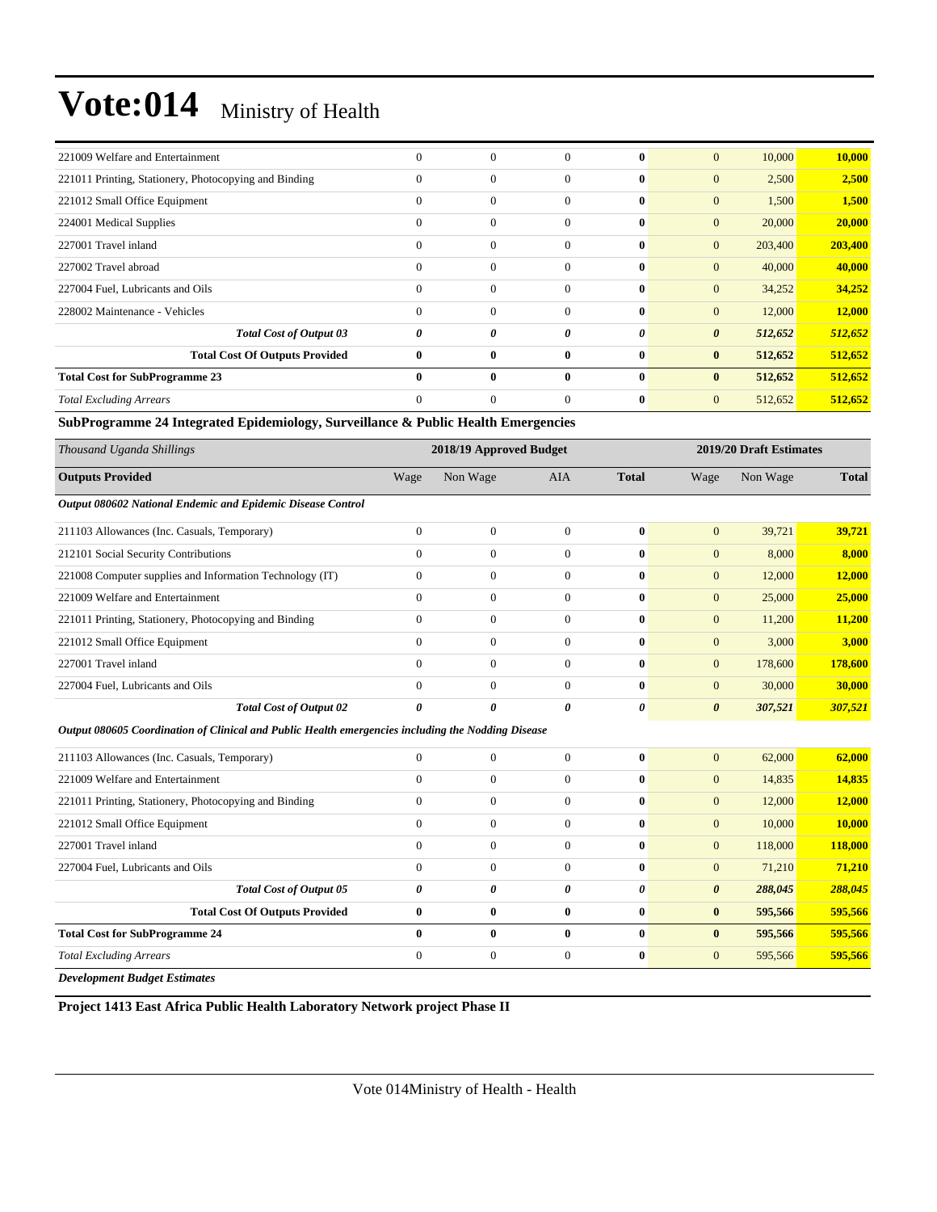| 221009 Welfare and Entertainment                      | $\mathbf{0}$ | $\boldsymbol{0}$ | $\theta$       | $\bf{0}$     | $\overline{0}$                   | 10,000<br>10,000 |
|-------------------------------------------------------|--------------|------------------|----------------|--------------|----------------------------------|------------------|
| 221011 Printing, Stationery, Photocopying and Binding | $\mathbf{0}$ | $\Omega$         | $\theta$       | $\mathbf{0}$ | $\mathbf{0}$                     | 2,500<br>2,500   |
| 221012 Small Office Equipment                         | $\mathbf{0}$ | $\boldsymbol{0}$ | $\overline{0}$ | $\bf{0}$     | $\mathbf{0}$                     | 1,500<br>1,500   |
| 224001 Medical Supplies                               | $\mathbf{0}$ | $\Omega$         | $\Omega$       | $\bf{0}$     | $\mathbf{0}$                     | 20,000<br>20,000 |
| 227001 Travel inland                                  | $\mathbf{0}$ | $\overline{0}$   | $\theta$       | $\bf{0}$     | $\mathbf{0}$<br>203,400          | 203,400          |
| 227002 Travel abroad                                  | $\mathbf{0}$ | $\overline{0}$   | $\overline{0}$ | $\bf{0}$     | $\mathbf{0}$                     | 40,000<br>40,000 |
| 227004 Fuel, Lubricants and Oils                      | $\mathbf{0}$ | $\boldsymbol{0}$ | $\overline{0}$ | $\bf{0}$     | $\mathbf{0}$                     | 34,252<br>34,252 |
| 228002 Maintenance - Vehicles                         | $\mathbf{0}$ | $\boldsymbol{0}$ | $\theta$       | $\mathbf{0}$ | $\mathbf{0}$                     | 12,000<br>12,000 |
| <b>Total Cost of Output 03</b>                        | 0            | 0                | 0              | 0            | $\boldsymbol{\theta}$<br>512,652 | 512,652          |
| <b>Total Cost Of Outputs Provided</b>                 | $\bf{0}$     | $\bf{0}$         | $\bf{0}$       | $\bf{0}$     | $\bf{0}$<br>512,652              | 512,652          |
| <b>Total Cost for SubProgramme 23</b>                 | $\bf{0}$     | $\mathbf{0}$     | $\mathbf{0}$   | $\mathbf{0}$ | $\bf{0}$<br>512,652              | 512,652          |
| <b>Total Excluding Arrears</b>                        | $\Omega$     | $\Omega$         | $\theta$       | $\mathbf{0}$ | $\overline{0}$<br>512,652        | 512,652          |

**SubProgramme 24 Integrated Epidemiology, Surveillance & Public Health Emergencies**

| Thousand Uganda Shillings                                                                          |                | 2018/19 Approved Budget |                |              |                       | 2019/20 Draft Estimates |              |
|----------------------------------------------------------------------------------------------------|----------------|-------------------------|----------------|--------------|-----------------------|-------------------------|--------------|
| <b>Outputs Provided</b>                                                                            | Wage           | Non Wage                | <b>AIA</b>     | <b>Total</b> | Wage                  | Non Wage                | <b>Total</b> |
| Output 080602 National Endemic and Epidemic Disease Control                                        |                |                         |                |              |                       |                         |              |
| 211103 Allowances (Inc. Casuals, Temporary)                                                        | $\overline{0}$ | $\mathbf{0}$            | $\mathbf{0}$   | $\mathbf{0}$ | $\overline{0}$        | 39,721                  | 39,721       |
| 212101 Social Security Contributions                                                               | $\Omega$       | $\overline{0}$          | $\Omega$       | $\mathbf{0}$ | $\overline{0}$        | 8,000                   | 8,000        |
| 221008 Computer supplies and Information Technology (IT)                                           | $\overline{0}$ | $\overline{0}$          | $\overline{0}$ | $\mathbf{0}$ | $\overline{0}$        | 12,000                  | 12,000       |
| 221009 Welfare and Entertainment                                                                   | $\mathbf{0}$   | $\overline{0}$          | $\Omega$       | $\bf{0}$     | $\overline{0}$        | 25,000                  | 25,000       |
| 221011 Printing, Stationery, Photocopying and Binding                                              | $\overline{0}$ | $\overline{0}$          | $\overline{0}$ | $\bf{0}$     | $\overline{0}$        | 11,200                  | 11,200       |
| 221012 Small Office Equipment                                                                      | $\overline{0}$ | $\overline{0}$          | $\overline{0}$ | $\bf{0}$     | $\overline{0}$        | 3,000                   | 3,000        |
| 227001 Travel inland                                                                               | $\overline{0}$ | $\overline{0}$          | $\mathbf{0}$   | $\bf{0}$     | $\overline{0}$        | 178,600                 | 178,600      |
| 227004 Fuel, Lubricants and Oils                                                                   | $\Omega$       | $\overline{0}$          | $\Omega$       | $\mathbf{0}$ | $\overline{0}$        | 30,000                  | 30,000       |
| <b>Total Cost of Output 02</b>                                                                     | 0              | 0                       | 0              | 0            | $\boldsymbol{\theta}$ | 307,521                 | 307,521      |
| Output 080605 Coordination of Clinical and Public Health emergencies including the Nodding Disease |                |                         |                |              |                       |                         |              |
| 211103 Allowances (Inc. Casuals, Temporary)                                                        | $\overline{0}$ | $\boldsymbol{0}$        | $\mathbf{0}$   | $\mathbf{0}$ | $\overline{0}$        | 62,000                  | 62,000       |
| 221009 Welfare and Entertainment                                                                   | $\Omega$       | $\mathbf{0}$            | $\Omega$       | $\mathbf{0}$ | $\overline{0}$        | 14,835                  | 14,835       |
| 221011 Printing, Stationery, Photocopying and Binding                                              | $\overline{0}$ | $\boldsymbol{0}$        | $\mathbf{0}$   | 0            | $\boldsymbol{0}$      | 12,000                  | 12,000       |
| 221012 Small Office Equipment                                                                      | $\overline{0}$ | $\boldsymbol{0}$        | $\overline{0}$ | $\mathbf{0}$ | $\overline{0}$        | 10,000                  | 10,000       |
| 227001 Travel inland                                                                               | $\overline{0}$ | $\boldsymbol{0}$        | $\mathbf{0}$   | $\mathbf{0}$ | $\mathbf{0}$          | 118,000                 | 118,000      |
| 227004 Fuel, Lubricants and Oils                                                                   | $\Omega$       | $\boldsymbol{0}$        | $\Omega$       | $\mathbf{0}$ | $\overline{0}$        | 71,210                  | 71,210       |
| <b>Total Cost of Output 05</b>                                                                     | 0              | 0                       | 0              | 0            | $\boldsymbol{\theta}$ | 288,045                 | 288,045      |
| <b>Total Cost Of Outputs Provided</b>                                                              | $\bf{0}$       | $\bf{0}$                | $\bf{0}$       | $\bf{0}$     | $\bf{0}$              | 595,566                 | 595,566      |
| <b>Total Cost for SubProgramme 24</b>                                                              | $\bf{0}$       | $\bf{0}$                | $\mathbf{0}$   | $\mathbf{0}$ | $\mathbf{0}$          | 595,566                 | 595,566      |
| <b>Total Excluding Arrears</b>                                                                     | $\theta$       | $\mathbf{0}$            | $\Omega$       | $\bf{0}$     | $\Omega$              | 595.566                 | 595,566      |

*Development Budget Estimates*

**Project 1413 East Africa Public Health Laboratory Network project Phase II**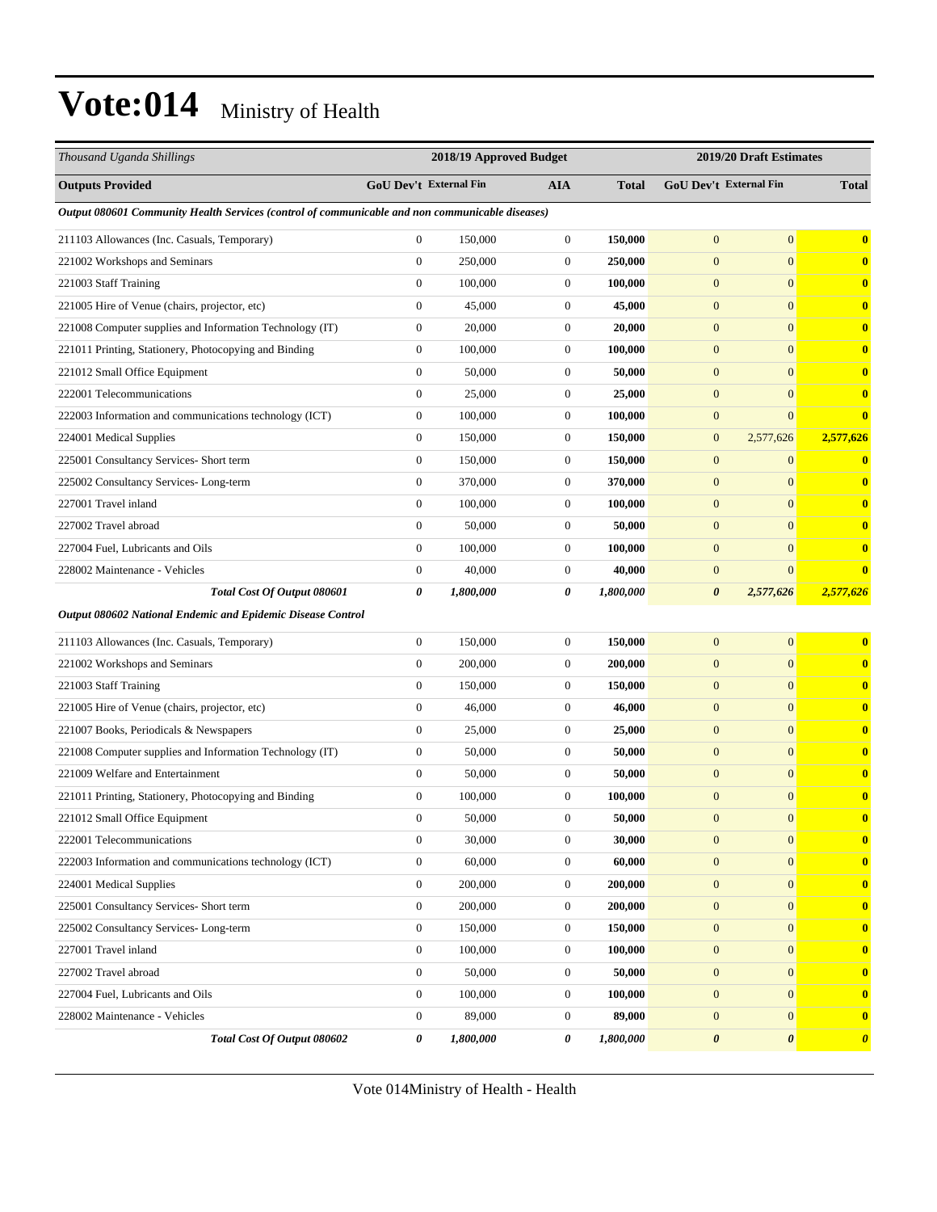| Thousand Uganda Shillings                                                                       |                        | 2018/19 Approved Budget |                  |              |                       | 2019/20 Draft Estimates |                       |
|-------------------------------------------------------------------------------------------------|------------------------|-------------------------|------------------|--------------|-----------------------|-------------------------|-----------------------|
| <b>Outputs Provided</b>                                                                         | GoU Dev't External Fin |                         | <b>AIA</b>       | <b>Total</b> |                       | GoU Dev't External Fin  | <b>Total</b>          |
| Output 080601 Community Health Services (control of communicable and non communicable diseases) |                        |                         |                  |              |                       |                         |                       |
| 211103 Allowances (Inc. Casuals, Temporary)                                                     | $\boldsymbol{0}$       | 150,000                 | $\boldsymbol{0}$ | 150,000      | $\mathbf{0}$          | $\mathbf{0}$            | $\bf{0}$              |
| 221002 Workshops and Seminars                                                                   | $\mathbf{0}$           | 250,000                 | $\boldsymbol{0}$ | 250,000      | $\mathbf{0}$          | $\mathbf{0}$            | $\bf{0}$              |
| 221003 Staff Training                                                                           | $\boldsymbol{0}$       | 100,000                 | $\boldsymbol{0}$ | 100,000      | $\boldsymbol{0}$      | $\mathbf{0}$            | $\bf{0}$              |
| 221005 Hire of Venue (chairs, projector, etc)                                                   | $\boldsymbol{0}$       | 45,000                  | $\boldsymbol{0}$ | 45,000       | $\boldsymbol{0}$      | $\mathbf{0}$            | $\bf{0}$              |
| 221008 Computer supplies and Information Technology (IT)                                        | $\boldsymbol{0}$       | 20,000                  | $\boldsymbol{0}$ | 20,000       | $\mathbf{0}$          | $\mathbf{0}$            | $\bf{0}$              |
| 221011 Printing, Stationery, Photocopying and Binding                                           | $\mathbf{0}$           | 100,000                 | $\boldsymbol{0}$ | 100,000      | $\mathbf{0}$          | $\mathbf{0}$            | $\bf{0}$              |
| 221012 Small Office Equipment                                                                   | $\theta$               | 50,000                  | $\boldsymbol{0}$ | 50,000       | $\mathbf{0}$          | $\mathbf{0}$            | $\bf{0}$              |
| 222001 Telecommunications                                                                       | $\boldsymbol{0}$       | 25,000                  | $\boldsymbol{0}$ | 25,000       | $\boldsymbol{0}$      | $\mathbf{0}$            | $\bf{0}$              |
| 222003 Information and communications technology (ICT)                                          | $\boldsymbol{0}$       | 100,000                 | $\boldsymbol{0}$ | 100,000      | $\boldsymbol{0}$      | $\mathbf{0}$            | $\bf{0}$              |
| 224001 Medical Supplies                                                                         | $\boldsymbol{0}$       | 150,000                 | $\boldsymbol{0}$ | 150,000      | $\mathbf{0}$          | 2,577,626               | 2,577,626             |
| 225001 Consultancy Services- Short term                                                         | $\boldsymbol{0}$       | 150,000                 | $\boldsymbol{0}$ | 150,000      | $\mathbf{0}$          | $\mathbf{0}$            | $\bf{0}$              |
| 225002 Consultancy Services-Long-term                                                           | $\mathbf{0}$           | 370,000                 | $\boldsymbol{0}$ | 370,000      | $\mathbf{0}$          | $\mathbf{0}$            | $\bf{0}$              |
| 227001 Travel inland                                                                            | $\boldsymbol{0}$       | 100,000                 | $\boldsymbol{0}$ | 100,000      | $\boldsymbol{0}$      | $\mathbf{0}$            | $\bf{0}$              |
| 227002 Travel abroad                                                                            | $\boldsymbol{0}$       | 50,000                  | $\boldsymbol{0}$ | 50,000       | $\boldsymbol{0}$      | $\mathbf{0}$            | $\bf{0}$              |
| 227004 Fuel, Lubricants and Oils                                                                | $\boldsymbol{0}$       | 100,000                 | $\boldsymbol{0}$ | 100,000      | $\mathbf{0}$          | $\mathbf{0}$            | $\bf{0}$              |
| 228002 Maintenance - Vehicles                                                                   | $\mathbf{0}$           | 40,000                  | $\boldsymbol{0}$ | 40,000       | $\mathbf{0}$          | $\mathbf{0}$            | $\mathbf{0}$          |
| Total Cost Of Output 080601                                                                     | $\boldsymbol{\theta}$  | 1,800,000               | 0                | 1,800,000    | $\boldsymbol{\theta}$ | 2,577,626               | 2,577,626             |
| Output 080602 National Endemic and Epidemic Disease Control                                     |                        |                         |                  |              |                       |                         |                       |
| 211103 Allowances (Inc. Casuals, Temporary)                                                     | $\boldsymbol{0}$       | 150,000                 | $\boldsymbol{0}$ | 150,000      | $\mathbf{0}$          | $\mathbf{0}$            | $\bf{0}$              |
| 221002 Workshops and Seminars                                                                   | $\boldsymbol{0}$       | 200,000                 | $\boldsymbol{0}$ | 200,000      | $\mathbf{0}$          | $\mathbf{0}$            | $\bf{0}$              |
| 221003 Staff Training                                                                           | $\boldsymbol{0}$       | 150,000                 | $\mathbf{0}$     | 150,000      | $\boldsymbol{0}$      | $\mathbf{0}$            | $\bf{0}$              |
| 221005 Hire of Venue (chairs, projector, etc)                                                   | $\mathbf{0}$           | 46,000                  | $\boldsymbol{0}$ | 46,000       | $\boldsymbol{0}$      | $\mathbf{0}$            | $\bf{0}$              |
| 221007 Books, Periodicals & Newspapers                                                          | $\mathbf{0}$           | 25,000                  | $\boldsymbol{0}$ | 25,000       | $\mathbf{0}$          | $\mathbf{0}$            | $\bf{0}$              |
| 221008 Computer supplies and Information Technology (IT)                                        | $\boldsymbol{0}$       | 50,000                  | $\boldsymbol{0}$ | 50,000       | $\mathbf{0}$          | $\mathbf{0}$            | $\bf{0}$              |
| 221009 Welfare and Entertainment                                                                | $\mathbf{0}$           | 50,000                  | $\boldsymbol{0}$ | 50,000       | $\mathbf{0}$          | $\mathbf{0}$            | $\bf{0}$              |
| 221011 Printing, Stationery, Photocopying and Binding                                           | $\mathbf{0}$           | 100,000                 | $\boldsymbol{0}$ | 100,000      | $\boldsymbol{0}$      | $\mathbf{0}$            | $\bf{0}$              |
| 221012 Small Office Equipment                                                                   | $\Omega$               | 50,000                  | $\Omega$         | 50,000       | $\Omega$              | $\mathbf{0}$            | $\mathbf{0}$          |
| 222001 Telecommunications                                                                       | $\boldsymbol{0}$       | 30,000                  | $\boldsymbol{0}$ | 30,000       | $\mathbf{0}$          | $\mathbf{0}$            | $\bf{0}$              |
| 222003 Information and communications technology (ICT)                                          | $\boldsymbol{0}$       | 60,000                  | $\boldsymbol{0}$ | 60,000       | $\boldsymbol{0}$      | $\mathbf{0}$            | $\mathbf{0}$          |
| 224001 Medical Supplies                                                                         | $\boldsymbol{0}$       | 200,000                 | $\boldsymbol{0}$ | 200,000      | $\mathbf{0}$          | $\mathbf{0}$            | $\bf{0}$              |
| 225001 Consultancy Services- Short term                                                         | $\boldsymbol{0}$       | 200,000                 | $\boldsymbol{0}$ | 200,000      | $\boldsymbol{0}$      | $\mathbf{0}$            | $\bf{0}$              |
| 225002 Consultancy Services-Long-term                                                           | $\boldsymbol{0}$       | 150,000                 | $\boldsymbol{0}$ | 150,000      | $\boldsymbol{0}$      | $\mathbf{0}$            | $\bf{0}$              |
| 227001 Travel inland                                                                            | $\boldsymbol{0}$       | 100,000                 | $\boldsymbol{0}$ | 100,000      | $\boldsymbol{0}$      | $\mathbf{0}$            | $\bf{0}$              |
| 227002 Travel abroad                                                                            | $\boldsymbol{0}$       | 50,000                  | $\boldsymbol{0}$ | 50,000       | $\mathbf{0}$          | $\mathbf{0}$            | $\bf{0}$              |
| 227004 Fuel, Lubricants and Oils                                                                | $\boldsymbol{0}$       | 100,000                 | $\boldsymbol{0}$ | 100,000      | $\mathbf{0}$          | $\mathbf{0}$            | $\bf{0}$              |
| 228002 Maintenance - Vehicles                                                                   | $\boldsymbol{0}$       | 89,000                  | $\boldsymbol{0}$ | 89,000       | $\boldsymbol{0}$      | $\mathbf{0}$            | $\bf{0}$              |
| Total Cost Of Output 080602                                                                     | 0                      | 1,800,000               | 0                | 1,800,000    | 0                     | $\boldsymbol{\theta}$   | $\boldsymbol{\theta}$ |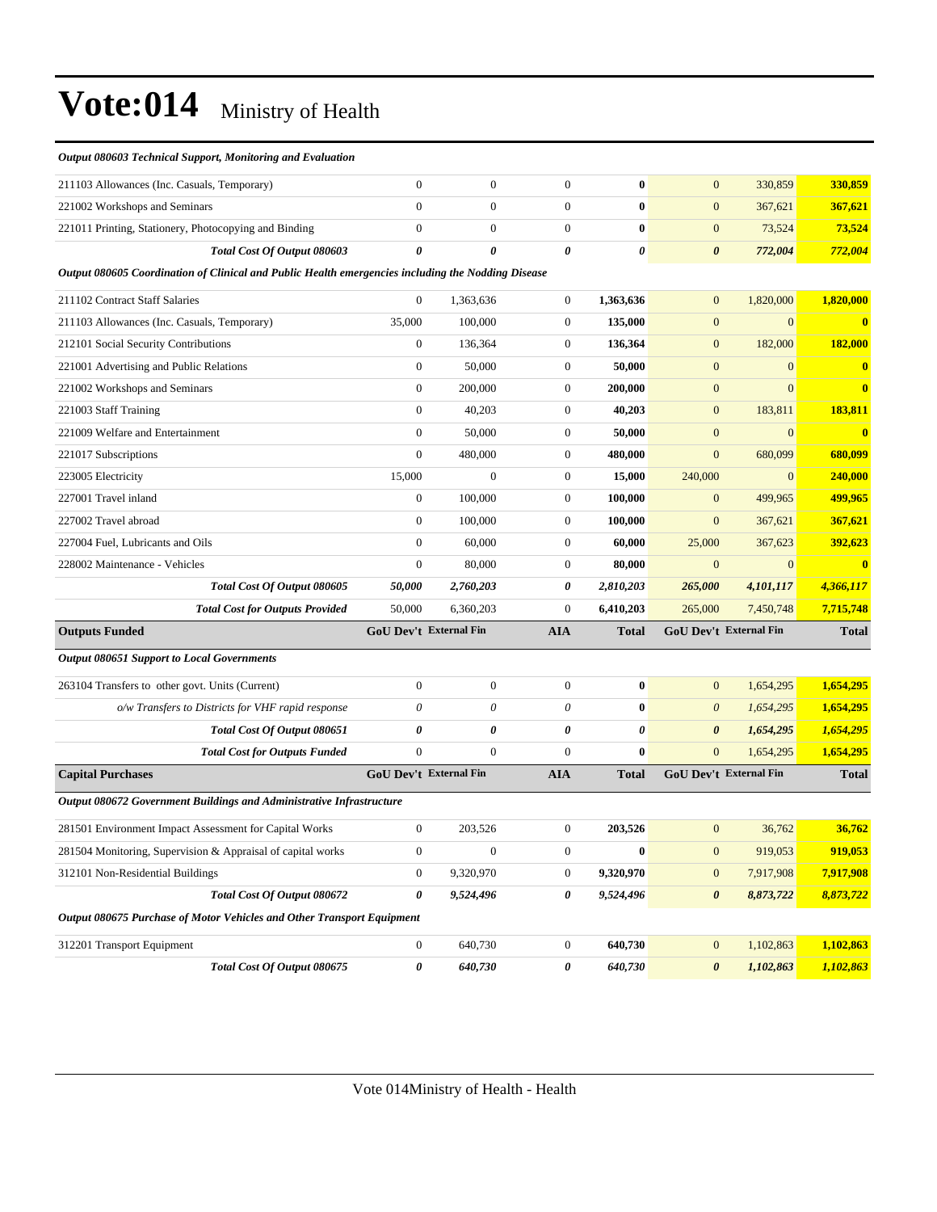| Output 080603 Technical Support, Monitoring and Evaluation                                         |                               |                       |                       |              |                       |                               |                         |
|----------------------------------------------------------------------------------------------------|-------------------------------|-----------------------|-----------------------|--------------|-----------------------|-------------------------------|-------------------------|
| 211103 Allowances (Inc. Casuals, Temporary)                                                        | $\boldsymbol{0}$              | $\boldsymbol{0}$      | $\boldsymbol{0}$      | $\bf{0}$     | $\mathbf{0}$          | 330,859                       | 330,859                 |
| 221002 Workshops and Seminars                                                                      | $\mathbf{0}$                  | $\mathbf{0}$          | $\boldsymbol{0}$      | $\bf{0}$     | $\boldsymbol{0}$      | 367,621                       | 367,621                 |
| 221011 Printing, Stationery, Photocopying and Binding                                              | $\boldsymbol{0}$              | $\mathbf{0}$          | $\boldsymbol{0}$      | $\bf{0}$     | $\mathbf{0}$          | 73,524                        | 73,524                  |
| Total Cost Of Output 080603                                                                        | $\boldsymbol{\theta}$         | $\theta$              | 0                     | 0            | $\boldsymbol{\theta}$ | 772,004                       | 772,004                 |
| Output 080605 Coordination of Clinical and Public Health emergencies including the Nodding Disease |                               |                       |                       |              |                       |                               |                         |
| 211102 Contract Staff Salaries                                                                     | $\boldsymbol{0}$              | 1,363,636             | $\overline{0}$        | 1,363,636    | $\mathbf{0}$          | 1,820,000                     | 1,820,000               |
| 211103 Allowances (Inc. Casuals, Temporary)                                                        | 35,000                        | 100,000               | $\boldsymbol{0}$      | 135,000      | $\boldsymbol{0}$      | $\mathbf{0}$                  | $\mathbf{0}$            |
| 212101 Social Security Contributions                                                               | $\boldsymbol{0}$              | 136,364               | $\boldsymbol{0}$      | 136,364      | $\boldsymbol{0}$      | 182,000                       | 182,000                 |
| 221001 Advertising and Public Relations                                                            | $\boldsymbol{0}$              | 50,000                | $\mathbf{0}$          | 50,000       | $\mathbf{0}$          | $\mathbf{0}$                  | $\mathbf{0}$            |
| 221002 Workshops and Seminars                                                                      | $\boldsymbol{0}$              | 200,000               | $\boldsymbol{0}$      | 200,000      | $\boldsymbol{0}$      | $\mathbf{0}$                  | $\bf{0}$                |
| 221003 Staff Training                                                                              | $\boldsymbol{0}$              | 40,203                | $\mathbf{0}$          | 40,203       | $\mathbf{0}$          | 183,811                       | 183,811                 |
| 221009 Welfare and Entertainment                                                                   | $\boldsymbol{0}$              | 50,000                | $\boldsymbol{0}$      | 50,000       | $\boldsymbol{0}$      | $\boldsymbol{0}$              | $\overline{\mathbf{0}}$ |
| 221017 Subscriptions                                                                               | $\mathbf{0}$                  | 480,000               | $\boldsymbol{0}$      | 480,000      | $\mathbf{0}$          | 680,099                       | 680,099                 |
| 223005 Electricity                                                                                 | 15,000                        | $\mathbf{0}$          | $\mathbf{0}$          | 15,000       | 240,000               | $\mathbf{0}$                  | 240,000                 |
| 227001 Travel inland                                                                               | $\boldsymbol{0}$              | 100,000               | $\boldsymbol{0}$      | 100,000      | $\mathbf{0}$          | 499,965                       | 499,965                 |
| 227002 Travel abroad                                                                               | $\boldsymbol{0}$              | 100,000               | $\boldsymbol{0}$      | 100,000      | $\mathbf{0}$          | 367,621                       | 367,621                 |
| 227004 Fuel, Lubricants and Oils                                                                   | $\boldsymbol{0}$              | 60,000                | $\boldsymbol{0}$      | 60,000       | 25,000                | 367,623                       | 392,623                 |
| 228002 Maintenance - Vehicles                                                                      | $\boldsymbol{0}$              | 80,000                | $\boldsymbol{0}$      | 80,000       | $\mathbf{0}$          | $\boldsymbol{0}$              | $\overline{\mathbf{0}}$ |
| Total Cost Of Output 080605                                                                        | 50,000                        | 2,760,203             | 0                     | 2,810,203    | 265,000               | 4,101,117                     | 4,366,117               |
| <b>Total Cost for Outputs Provided</b>                                                             | 50,000                        | 6,360,203             | $\boldsymbol{0}$      | 6,410,203    | 265,000               | 7,450,748                     | 7,715,748               |
| <b>Outputs Funded</b>                                                                              | <b>GoU Dev't External Fin</b> |                       | <b>AIA</b>            | <b>Total</b> |                       | <b>GoU Dev't External Fin</b> | <b>Total</b>            |
| <b>Output 080651 Support to Local Governments</b>                                                  |                               |                       |                       |              |                       |                               |                         |
| 263104 Transfers to other govt. Units (Current)                                                    | $\boldsymbol{0}$              | $\mathbf{0}$          | $\boldsymbol{0}$      | $\bf{0}$     | $\mathbf{0}$          | 1,654,295                     | 1,654,295               |
| o/w Transfers to Districts for VHF rapid response                                                  | $\theta$                      | $\boldsymbol{\theta}$ | $\theta$              | $\bf{0}$     | $\boldsymbol{\theta}$ | 1,654,295                     | 1,654,295               |
| Total Cost Of Output 080651                                                                        | $\pmb{\theta}$                | $\theta$              | $\boldsymbol{\theta}$ | 0            | $\boldsymbol{\theta}$ | 1,654,295                     | 1,654,295               |
|                                                                                                    |                               |                       |                       |              |                       |                               |                         |
| <b>Total Cost for Outputs Funded</b>                                                               | $\boldsymbol{0}$              | $\mathbf{0}$          | $\mathbf{0}$          | $\bf{0}$     | $\mathbf{0}$          | 1,654,295                     | 1,654,295               |
| <b>Capital Purchases</b>                                                                           | <b>GoU Dev't External Fin</b> |                       | <b>AIA</b>            | <b>Total</b> |                       | GoU Dev't External Fin        | <b>Total</b>            |
| Output 080672 Government Buildings and Administrative Infrastructure                               |                               |                       |                       |              |                       |                               |                         |
| 281501 Environment Impact Assessment for Capital Works                                             | $\boldsymbol{0}$              | 203,526               | $\boldsymbol{0}$      | 203,526      | $\mathbf{0}$          | 36,762                        | 36,762                  |
| 281504 Monitoring, Supervision & Appraisal of capital works                                        | $\boldsymbol{0}$              | $\boldsymbol{0}$      | $\boldsymbol{0}$      | $\bf{0}$     | $\boldsymbol{0}$      | 919,053                       | 919,053                 |
| 312101 Non-Residential Buildings                                                                   | $\boldsymbol{0}$              | 9,320,970             | $\boldsymbol{0}$      | 9,320,970    | $\mathbf{0}$          | 7,917,908                     | 7,917,908               |
| Total Cost Of Output 080672                                                                        | 0                             | 9,524,496             | 0                     | 9,524,496    | $\pmb{\theta}$        | 8,873,722                     | 8,873,722               |
| Output 080675 Purchase of Motor Vehicles and Other Transport Equipment                             |                               |                       |                       |              |                       |                               |                         |
| 312201 Transport Equipment                                                                         | $\boldsymbol{0}$              | 640,730               | $\boldsymbol{0}$      | 640,730      | $\mathbf{0}$          | 1,102,863                     | 1,102,863               |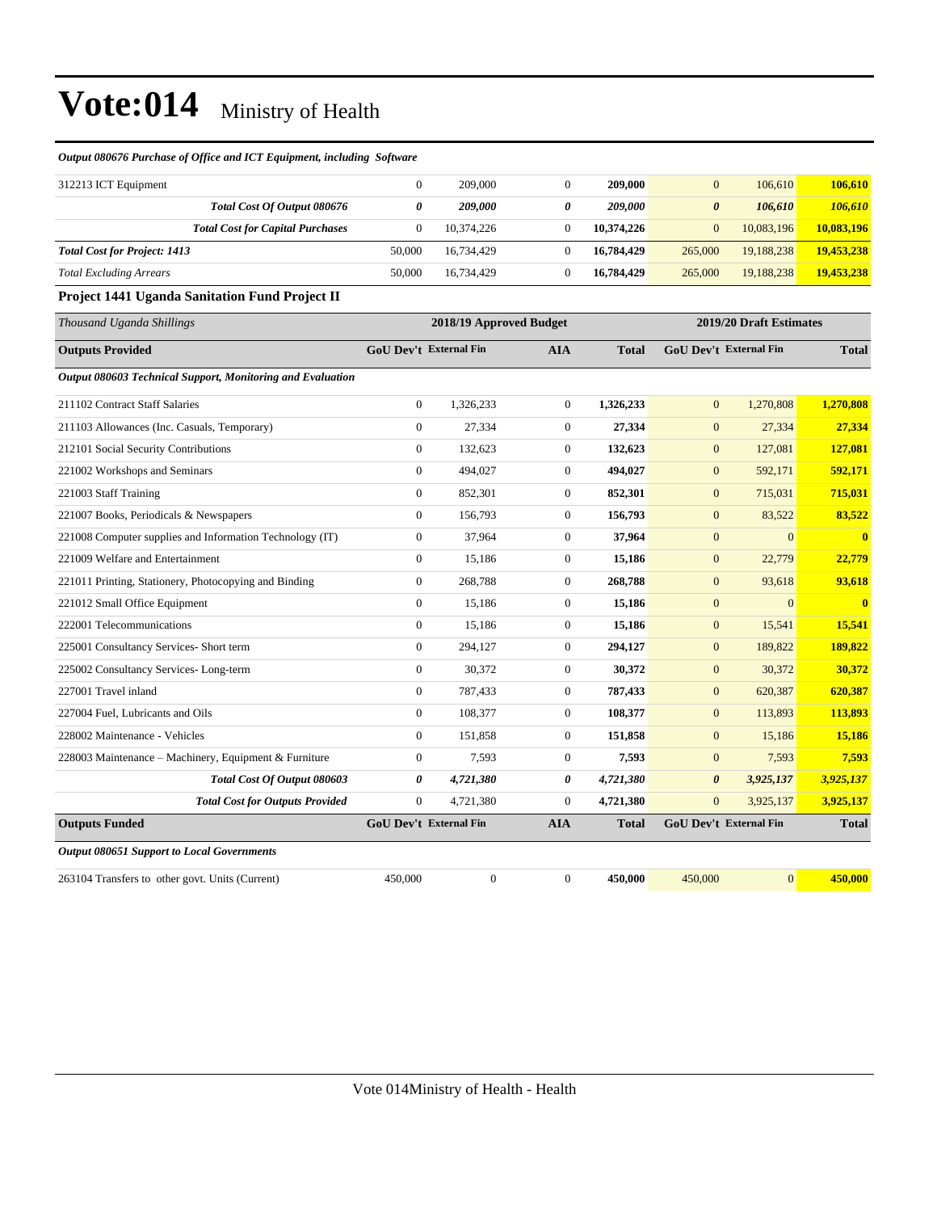#### *Output 080676 Purchase of Office and ICT Equipment, including Software*

| 312213 ICT Equipment                    |        | 209,000    |   | 209,000    | $\Omega$ | 106,610    | 106,610    |
|-----------------------------------------|--------|------------|---|------------|----------|------------|------------|
| Total Cost Of Output 080676             | 0      | 209,000    | 0 | 209,000    | 0        | 106.610    | 106,610    |
| <b>Total Cost for Capital Purchases</b> |        | 10.374.226 |   | 10.374.226 | $\Omega$ | 10.083.196 | 10.083.196 |
| <b>Total Cost for Project: 1413</b>     | 50,000 | 16,734,429 |   | 16,784,429 | 265,000  | 19,188,238 | 19,453,238 |
| <b>Total Excluding Arrears</b>          | 50,000 | 16.734.429 |   | 16,784,429 | 265,000  | 19.188.238 | 19,453,238 |

#### **Project 1441 Uganda Sanitation Fund Project II**

| Thousand Uganda Shillings                                  |                               | 2018/19 Approved Budget |                  |              |                       | 2019/20 Draft Estimates       |                         |
|------------------------------------------------------------|-------------------------------|-------------------------|------------------|--------------|-----------------------|-------------------------------|-------------------------|
| <b>Outputs Provided</b>                                    | <b>GoU Dev't External Fin</b> |                         | <b>AIA</b>       | <b>Total</b> |                       | <b>GoU Dev't External Fin</b> | <b>Total</b>            |
| Output 080603 Technical Support, Monitoring and Evaluation |                               |                         |                  |              |                       |                               |                         |
| 211102 Contract Staff Salaries                             | $\overline{0}$                | 1,326,233               | $\mathbf{0}$     | 1,326,233    | $\mathbf{0}$          | 1,270,808                     | 1,270,808               |
| 211103 Allowances (Inc. Casuals, Temporary)                | $\overline{0}$                | 27,334                  | $\mathbf{0}$     | 27,334       | $\mathbf{0}$          | 27,334                        | 27,334                  |
| 212101 Social Security Contributions                       | $\overline{0}$                | 132,623                 | $\overline{0}$   | 132,623      | $\mathbf{0}$          | 127,081                       | 127,081                 |
| 221002 Workshops and Seminars                              | $\overline{0}$                | 494,027                 | $\overline{0}$   | 494,027      | $\mathbf{0}$          | 592,171                       | 592,171                 |
| 221003 Staff Training                                      | $\overline{0}$                | 852,301                 | $\overline{0}$   | 852,301      | $\mathbf{0}$          | 715,031                       | 715,031                 |
| 221007 Books, Periodicals & Newspapers                     | $\mathbf{0}$                  | 156,793                 | $\overline{0}$   | 156,793      | $\mathbf{0}$          | 83,522                        | 83,522                  |
| 221008 Computer supplies and Information Technology (IT)   | $\boldsymbol{0}$              | 37,964                  | $\overline{0}$   | 37,964       | $\mathbf{0}$          | $\mathbf{0}$                  | $\overline{\mathbf{0}}$ |
| 221009 Welfare and Entertainment                           | $\overline{0}$                | 15,186                  | $\mathbf{0}$     | 15,186       | $\mathbf{0}$          | 22,779                        | 22,779                  |
| 221011 Printing, Stationery, Photocopying and Binding      | $\overline{0}$                | 268,788                 | $\overline{0}$   | 268,788      | $\mathbf{0}$          | 93,618                        | 93,618                  |
| 221012 Small Office Equipment                              | $\Omega$                      | 15,186                  | $\overline{0}$   | 15,186       | $\mathbf{0}$          | $\Omega$                      | $\bf{0}$                |
| 222001 Telecommunications                                  | $\overline{0}$                | 15,186                  | $\mathbf{0}$     | 15,186       | $\mathbf{0}$          | 15,541                        | 15,541                  |
| 225001 Consultancy Services- Short term                    | $\overline{0}$                | 294,127                 | $\overline{0}$   | 294,127      | $\mathbf{0}$          | 189,822                       | 189,822                 |
| 225002 Consultancy Services-Long-term                      | $\overline{0}$                | 30,372                  | $\overline{0}$   | 30,372       | $\mathbf{0}$          | 30,372                        | 30,372                  |
| 227001 Travel inland                                       | $\overline{0}$                | 787,433                 | $\overline{0}$   | 787,433      | $\mathbf{0}$          | 620,387                       | 620,387                 |
| 227004 Fuel, Lubricants and Oils                           | $\boldsymbol{0}$              | 108,377                 | $\mathbf{0}$     | 108,377      | $\mathbf{0}$          | 113,893                       | 113,893                 |
| 228002 Maintenance - Vehicles                              | $\overline{0}$                | 151,858                 | $\mathbf{0}$     | 151,858      | $\mathbf{0}$          | 15,186                        | 15,186                  |
| 228003 Maintenance - Machinery, Equipment & Furniture      | $\overline{0}$                | 7,593                   | $\overline{0}$   | 7,593        | $\overline{0}$        | 7,593                         | 7,593                   |
| Total Cost Of Output 080603                                | 0                             | 4,721,380               | 0                | 4,721,380    | $\boldsymbol{\theta}$ | 3,925,137                     | 3,925,137               |
| <b>Total Cost for Outputs Provided</b>                     | $\boldsymbol{0}$              | 4,721,380               | $\overline{0}$   | 4,721,380    | $\boldsymbol{0}$      | 3,925,137                     | 3,925,137               |
| <b>Outputs Funded</b>                                      | <b>GoU Dev't External Fin</b> |                         | <b>AIA</b>       | <b>Total</b> |                       | <b>GoU Dev't External Fin</b> | <b>Total</b>            |
| <b>Output 080651 Support to Local Governments</b>          |                               |                         |                  |              |                       |                               |                         |
| 263104 Transfers to other govt. Units (Current)            | 450,000                       | $\boldsymbol{0}$        | $\boldsymbol{0}$ | 450,000      | 450,000               | $\mathbf{0}$                  | 450,000                 |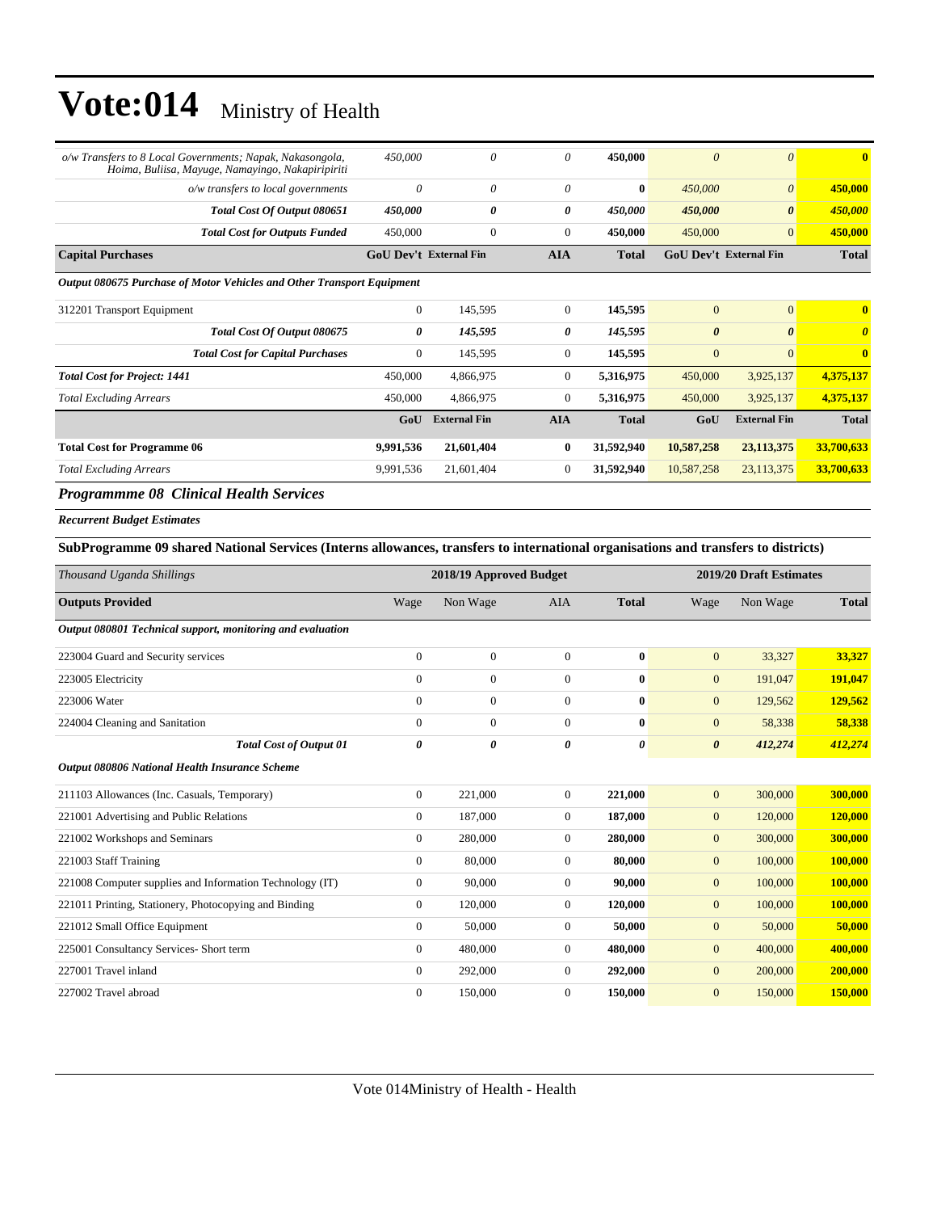| o/w Transfers to 8 Local Governments; Napak, Nakasongola,<br>Hoima, Buliisa, Mayuge, Namayingo, Nakapiripiriti                     | 450,000                | 0                       | $\theta$         | 450,000      | $\theta$              | $\boldsymbol{\theta}$         | $\bf{0}$              |
|------------------------------------------------------------------------------------------------------------------------------------|------------------------|-------------------------|------------------|--------------|-----------------------|-------------------------------|-----------------------|
| o/w transfers to local governments                                                                                                 | $\theta$               | 0                       | 0                | $\bf{0}$     | 450,000               | $\boldsymbol{\theta}$         | 450,000               |
| Total Cost Of Output 080651                                                                                                        | <i><b>450,000</b></i>  | 0                       | 0                | 450,000      | 450,000               | $\boldsymbol{\theta}$         | 450,000               |
| <b>Total Cost for Outputs Funded</b>                                                                                               | 450,000                | $\overline{0}$          | $\boldsymbol{0}$ | 450,000      | 450,000               | $\mathbf{0}$                  | 450,000               |
| <b>Capital Purchases</b>                                                                                                           | GoU Dev't External Fin |                         | <b>AIA</b>       | <b>Total</b> |                       | <b>GoU Dev't External Fin</b> | <b>Total</b>          |
| Output 080675 Purchase of Motor Vehicles and Other Transport Equipment                                                             |                        |                         |                  |              |                       |                               |                       |
| 312201 Transport Equipment                                                                                                         | $\boldsymbol{0}$       | 145,595                 | $\boldsymbol{0}$ | 145,595      | $\mathbf{0}$          | $\mathbf{0}$                  | $\bf{0}$              |
| Total Cost Of Output 080675                                                                                                        | 0                      | 145,595                 | 0                | 145,595      | $\boldsymbol{\theta}$ | $\boldsymbol{\theta}$         | $\boldsymbol{\theta}$ |
| <b>Total Cost for Capital Purchases</b>                                                                                            | $\mathbf{0}$           | 145,595                 | $\boldsymbol{0}$ | 145,595      | $\mathbf{0}$          | $\overline{0}$                | $\bf{0}$              |
| <b>Total Cost for Project: 1441</b>                                                                                                | 450,000                | 4,866,975               | 0                | 5,316,975    | 450,000               | 3,925,137                     | 4,375,137             |
| <b>Total Excluding Arrears</b>                                                                                                     | 450,000                | 4,866,975               | $\boldsymbol{0}$ | 5,316,975    | 450,000               | 3,925,137                     | 4,375,137             |
|                                                                                                                                    | GoU                    | <b>External Fin</b>     | <b>AIA</b>       | <b>Total</b> | GoU                   | <b>External Fin</b>           | <b>Total</b>          |
| <b>Total Cost for Programme 06</b>                                                                                                 | 9,991,536              | 21,601,404              | 0                | 31,592,940   | 10,587,258            | 23,113,375                    | 33,700,633            |
| <b>Total Excluding Arrears</b>                                                                                                     | 9,991,536              | 21,601,404              | $\boldsymbol{0}$ | 31,592,940   | 10,587,258            | 23,113,375                    | 33,700,633            |
| <b>Programmme 08 Clinical Health Services</b>                                                                                      |                        |                         |                  |              |                       |                               |                       |
| <b>Recurrent Budget Estimates</b>                                                                                                  |                        |                         |                  |              |                       |                               |                       |
|                                                                                                                                    |                        |                         |                  |              |                       |                               |                       |
| SubProgramme 09 shared National Services (Interns allowances, transfers to international organisations and transfers to districts) |                        |                         |                  |              |                       |                               |                       |
| Thousand Uganda Shillings                                                                                                          |                        | 2018/19 Approved Budget |                  |              |                       | 2019/20 Draft Estimates       |                       |
| <b>Outputs Provided</b>                                                                                                            | Wage                   | Non Wage                | AIA              | <b>Total</b> | Wage                  | Non Wage                      | <b>Total</b>          |
| Output 080801 Technical support, monitoring and evaluation                                                                         |                        |                         |                  |              |                       |                               |                       |
|                                                                                                                                    | $\boldsymbol{0}$       | $\overline{0}$          | $\overline{0}$   | $\bf{0}$     | $\mathbf{0}$          |                               |                       |
| 223004 Guard and Security services                                                                                                 | $\mathbf{0}$           | $\overline{0}$          | $\overline{0}$   | $\bf{0}$     | $\mathbf{0}$          | 33,327                        | 33,327                |
| 223005 Electricity<br>223006 Water                                                                                                 | $\mathbf{0}$           | $\overline{0}$          | $\overline{0}$   | $\bf{0}$     | $\mathbf{0}$          | 191,047<br>129,562            | 191,047<br>129,562    |
| 224004 Cleaning and Sanitation                                                                                                     | $\boldsymbol{0}$       | $\overline{0}$          | $\boldsymbol{0}$ | $\bf{0}$     | $\mathbf{0}$          | 58,338                        | 58,338                |
| <b>Total Cost of Output 01</b>                                                                                                     | 0                      | 0                       | 0                | 0            | $\boldsymbol{\theta}$ | 412,274                       | 412,274               |
| Output 080806 National Health Insurance Scheme                                                                                     |                        |                         |                  |              |                       |                               |                       |
| 211103 Allowances (Inc. Casuals, Temporary)                                                                                        | $\mathbf{0}$           | 221,000                 | $\boldsymbol{0}$ | 221,000      | $\mathbf{0}$          | 300,000                       | 300,000               |
| 221001 Advertising and Public Relations                                                                                            | $\mathbf{0}$           | 187,000                 | $\mathbf{0}$     | 187,000      | $\mathbf{0}$          | 120,000                       | 120,000               |
| 221002 Workshops and Seminars                                                                                                      | $\boldsymbol{0}$       | 280,000                 | $\boldsymbol{0}$ | 280,000      | $\boldsymbol{0}$      | 300,000                       | 300,000               |
| 221003 Staff Training                                                                                                              | $\boldsymbol{0}$       | 80,000                  | $\boldsymbol{0}$ | 80,000       | $\boldsymbol{0}$      | 100,000                       | <b>100,000</b>        |
| 221008 Computer supplies and Information Technology (IT)                                                                           | $\boldsymbol{0}$       | 90,000                  | $\boldsymbol{0}$ | 90,000       | $\boldsymbol{0}$      | 100,000                       | 100,000               |
| 221011 Printing, Stationery, Photocopying and Binding                                                                              | $\boldsymbol{0}$       | 120,000                 | $\boldsymbol{0}$ | 120,000      | $\boldsymbol{0}$      | 100,000                       | 100,000               |
| 221012 Small Office Equipment                                                                                                      | $\boldsymbol{0}$       | 50,000                  | $\boldsymbol{0}$ | 50,000       | $\boldsymbol{0}$      | 50,000                        | 50,000                |

227001 Travel inland 0 292,000 0 **292,000** 0 200,000 **200,000** 227002 Travel abroad 0 150,000 0 **150,000** 0 150,000 **150,000**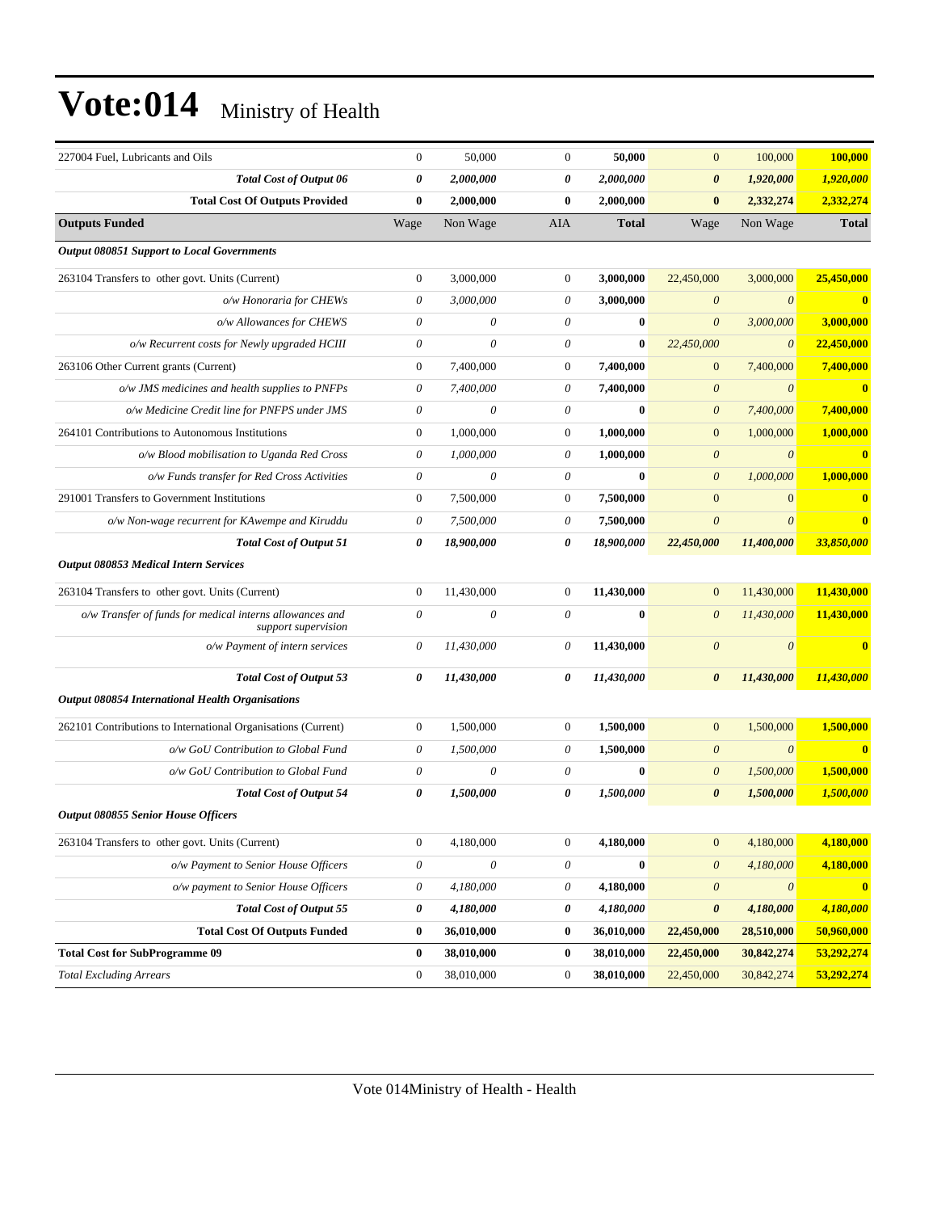| 227004 Fuel, Lubricants and Oils                                                | $\mathbf{0}$              | 50,000                | $\mathbf{0}$     | 50,000       | $\boldsymbol{0}$          | 100,000               | 100,000      |
|---------------------------------------------------------------------------------|---------------------------|-----------------------|------------------|--------------|---------------------------|-----------------------|--------------|
| <b>Total Cost of Output 06</b>                                                  | 0                         | 2,000,000             | 0                | 2,000,000    | $\boldsymbol{\theta}$     | 1,920,000             | 1,920,000    |
| <b>Total Cost Of Outputs Provided</b>                                           | $\bf{0}$                  | 2,000,000             | $\bf{0}$         | 2,000,000    | $\bf{0}$                  | 2,332,274             | 2,332,274    |
| <b>Outputs Funded</b>                                                           | Wage                      | Non Wage              | AIA              | <b>Total</b> | Wage                      | Non Wage              | <b>Total</b> |
| <b>Output 080851 Support to Local Governments</b>                               |                           |                       |                  |              |                           |                       |              |
| 263104 Transfers to other govt. Units (Current)                                 | $\mathbf{0}$              | 3,000,000             | $\boldsymbol{0}$ | 3,000,000    | 22,450,000                | 3,000,000             | 25,450,000   |
| o/w Honoraria for CHEWs                                                         | 0                         | 3,000,000             | 0                | 3,000,000    | $\boldsymbol{\theta}$     | $\theta$              | $\bf{0}$     |
| o/w Allowances for CHEWS                                                        | $\theta$                  | $\theta$              | $\theta$         | $\bf{0}$     | $\boldsymbol{\theta}$     | 3,000,000             | 3,000,000    |
| o/w Recurrent costs for Newly upgraded HCIII                                    | 0                         | $\theta$              | 0                | $\bf{0}$     | 22,450,000                | $\theta$              | 22,450,000   |
| 263106 Other Current grants (Current)                                           | $\boldsymbol{0}$          | 7,400,000             | $\boldsymbol{0}$ | 7,400,000    | $\mathbf{0}$              | 7,400,000             | 7,400,000    |
| o/w JMS medicines and health supplies to PNFPs                                  | 0                         | 7,400,000             | $\theta$         | 7,400,000    | $\boldsymbol{\theta}$     | $\theta$              | $\bf{0}$     |
| o/w Medicine Credit line for PNFPS under JMS                                    | $\theta$                  | $\theta$              | 0                | $\mathbf{0}$ | $\boldsymbol{\theta}$     | 7,400,000             | 7,400,000    |
| 264101 Contributions to Autonomous Institutions                                 | $\boldsymbol{0}$          | 1,000,000             | $\mathbf{0}$     | 1,000,000    | $\mathbf{0}$              | 1,000,000             | 1,000,000    |
| o/w Blood mobilisation to Uganda Red Cross                                      | 0                         | 1,000,000             | $\theta$         | 1,000,000    | $\boldsymbol{\theta}$     | $\boldsymbol{\theta}$ | $\bf{0}$     |
| o/w Funds transfer for Red Cross Activities                                     | $\theta$                  | $\boldsymbol{\theta}$ | $\theta$         | $\bf{0}$     | $\boldsymbol{\theta}$     | 1,000,000             | 1,000,000    |
| 291001 Transfers to Government Institutions                                     | $\boldsymbol{0}$          | 7,500,000             | $\boldsymbol{0}$ | 7,500,000    | $\mathbf{0}$              | $\overline{0}$        | $\bf{0}$     |
| o/w Non-wage recurrent for KAwempe and Kiruddu                                  | 0                         | 7,500,000             | 0                | 7,500,000    | $\theta$                  | $\theta$              | $\bf{0}$     |
| <b>Total Cost of Output 51</b>                                                  | 0                         | 18,900,000            | 0                | 18,900,000   | 22,450,000                | 11,400,000            | 33,850,000   |
| <b>Output 080853 Medical Intern Services</b>                                    |                           |                       |                  |              |                           |                       |              |
| 263104 Transfers to other govt. Units (Current)                                 | $\mathbf{0}$              | 11,430,000            | $\theta$         | 11,430,000   | $\mathbf{0}$              | 11,430,000            | 11,430,000   |
| o/w Transfer of funds for medical interns allowances and<br>support supervision | $\theta$                  | $\boldsymbol{\theta}$ | $\theta$         | $\bf{0}$     | $\boldsymbol{\theta}$     | 11,430,000            | 11,430,000   |
| o/w Payment of intern services                                                  | 0                         | 11,430,000            | $\theta$         | 11,430,000   | $\boldsymbol{\theta}$     | $\theta$              | $\mathbf{0}$ |
| <b>Total Cost of Output 53</b>                                                  | 0                         | 11,430,000            | 0                | 11,430,000   | $\boldsymbol{\theta}$     | 11,430,000            | 11,430,000   |
| <b>Output 080854 International Health Organisations</b>                         |                           |                       |                  |              |                           |                       |              |
| 262101 Contributions to International Organisations (Current)                   | $\mathbf{0}$              | 1,500,000             | $\boldsymbol{0}$ | 1,500,000    | $\mathbf{0}$              | 1,500,000             | 1,500,000    |
| o/w GoU Contribution to Global Fund                                             | 0                         | 1,500,000             | $\theta$         | 1,500,000    | $\boldsymbol{\theta}$     | $\theta$              | $\bf{0}$     |
| o/w GoU Contribution to Global Fund                                             | 0                         | $\theta$              | 0                | $\bf{0}$     | $\boldsymbol{\theta}$     | 1,500,000             | 1,500,000    |
| <b>Total Cost of Output 54</b>                                                  | 0                         | 1,500,000             | 0                | 1,500,000    | 0                         | 1,500,000             | 1,500,000    |
| <b>Output 080855 Senior House Officers</b>                                      |                           |                       |                  |              |                           |                       |              |
| 263104 Transfers to other govt. Units (Current)                                 | $\boldsymbol{0}$          | 4,180,000             | $\boldsymbol{0}$ | 4,180,000    | $\boldsymbol{0}$          | 4,180,000             | 4,180,000    |
| o/w Payment to Senior House Officers                                            | $\boldsymbol{\mathit{0}}$ | $\boldsymbol{\theta}$ | $\theta$         | $\bf{0}$     | $\boldsymbol{\theta}$     | 4,180,000             | 4,180,000    |
| o/w payment to Senior House Officers                                            | $\boldsymbol{\mathit{0}}$ | 4,180,000             | 0                | 4,180,000    | $\boldsymbol{\mathit{0}}$ | $\boldsymbol{\theta}$ | $\bf{0}$     |
| <b>Total Cost of Output 55</b>                                                  | 0                         | 4,180,000             | 0                | 4,180,000    | $\boldsymbol{\theta}$     | 4,180,000             | 4,180,000    |
| <b>Total Cost Of Outputs Funded</b>                                             | $\bf{0}$                  | 36,010,000            | $\bf{0}$         | 36,010,000   | 22,450,000                | 28,510,000            | 50,960,000   |
| <b>Total Cost for SubProgramme 09</b>                                           | $\bf{0}$                  | 38,010,000            | $\bf{0}$         | 38,010,000   | 22,450,000                | 30,842,274            | 53,292,274   |
| <b>Total Excluding Arrears</b>                                                  | $\boldsymbol{0}$          | 38,010,000            | $\boldsymbol{0}$ | 38,010,000   | 22,450,000                | 30,842,274            | 53,292,274   |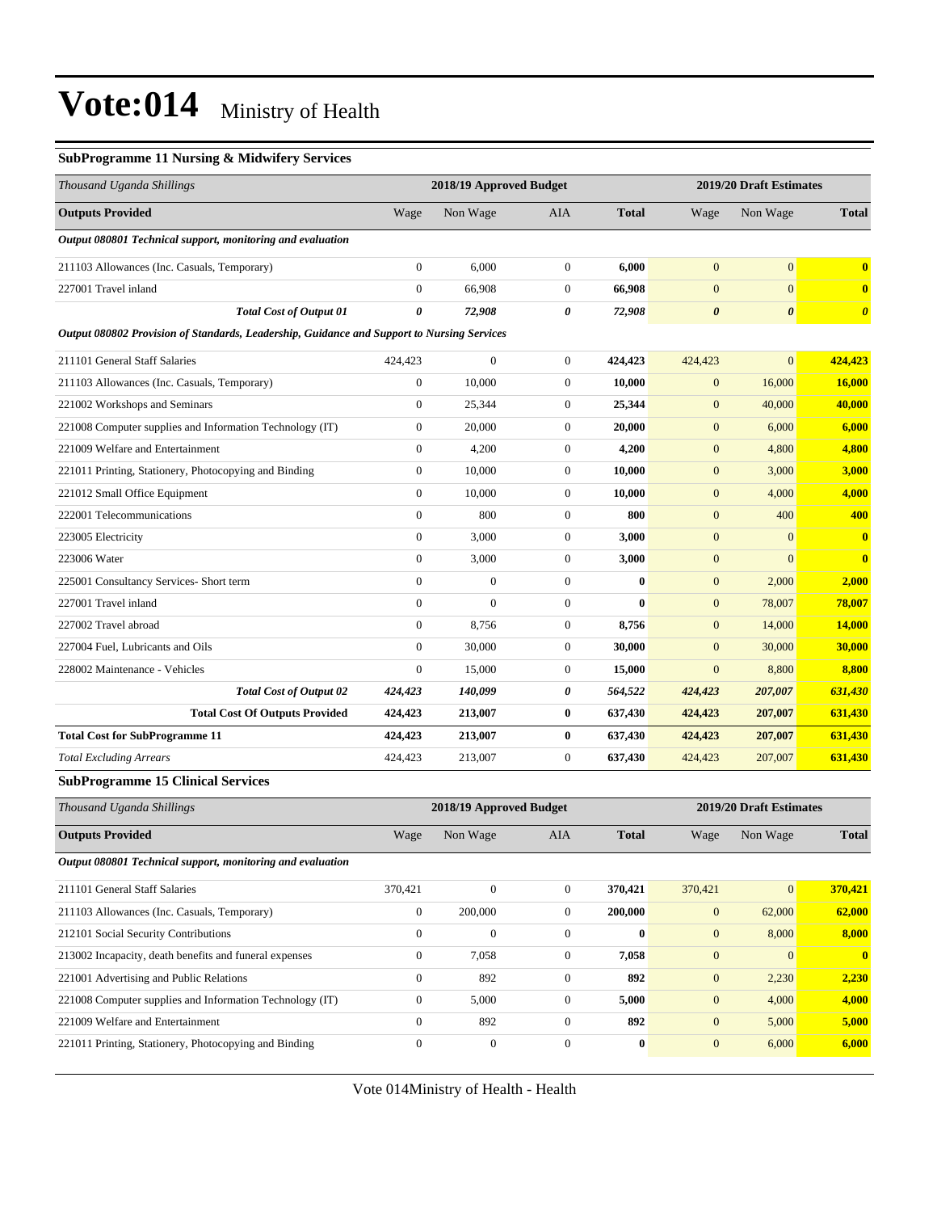#### **SubProgramme 11 Nursing & Midwifery Services**

| Thousand Uganda Shillings                                                                  |                  | 2018/19 Approved Budget |                |              |                       | 2019/20 Draft Estimates |                         |
|--------------------------------------------------------------------------------------------|------------------|-------------------------|----------------|--------------|-----------------------|-------------------------|-------------------------|
| <b>Outputs Provided</b>                                                                    | Wage             | Non Wage                | <b>AIA</b>     | <b>Total</b> | Wage                  | Non Wage                | <b>Total</b>            |
| Output 080801 Technical support, monitoring and evaluation                                 |                  |                         |                |              |                       |                         |                         |
| 211103 Allowances (Inc. Casuals, Temporary)                                                | $\boldsymbol{0}$ | 6,000                   | $\mathbf{0}$   | 6,000        | $\mathbf{0}$          | $\mathbf{0}$            | $\mathbf{0}$            |
| 227001 Travel inland                                                                       | $\overline{0}$   | 66,908                  | $\overline{0}$ | 66,908       | $\overline{0}$        | $\overline{0}$          | $\mathbf{0}$            |
| <b>Total Cost of Output 01</b>                                                             | 0                | 72,908                  | 0              | 72,908       | $\boldsymbol{\theta}$ | $\boldsymbol{\theta}$   | $\boldsymbol{\theta}$   |
| Output 080802 Provision of Standards, Leadership, Guidance and Support to Nursing Services |                  |                         |                |              |                       |                         |                         |
| 211101 General Staff Salaries                                                              | 424,423          | $\overline{0}$          | $\mathbf{0}$   | 424,423      | 424,423               | $\overline{0}$          | 424,423                 |
| 211103 Allowances (Inc. Casuals, Temporary)                                                | $\boldsymbol{0}$ | 10,000                  | $\mathbf{0}$   | 10,000       | $\boldsymbol{0}$      | 16,000                  | 16,000                  |
| 221002 Workshops and Seminars                                                              | $\mathbf{0}$     | 25,344                  | $\overline{0}$ | 25,344       | $\mathbf{0}$          | 40,000                  | 40,000                  |
| 221008 Computer supplies and Information Technology (IT)                                   | $\overline{0}$   | 20,000                  | $\overline{0}$ | 20,000       | $\mathbf{0}$          | 6,000                   | 6,000                   |
| 221009 Welfare and Entertainment                                                           | $\boldsymbol{0}$ | 4,200                   | $\mathbf{0}$   | 4,200        | $\mathbf{0}$          | 4,800                   | 4,800                   |
| 221011 Printing, Stationery, Photocopying and Binding                                      | $\boldsymbol{0}$ | 10,000                  | $\mathbf{0}$   | 10,000       | $\mathbf{0}$          | 3,000                   | 3,000                   |
| 221012 Small Office Equipment                                                              | $\overline{0}$   | 10,000                  | $\overline{0}$ | 10,000       | $\mathbf{0}$          | 4,000                   | 4,000                   |
| 222001 Telecommunications                                                                  | $\overline{0}$   | 800                     | $\mathbf{0}$   | 800          | $\boldsymbol{0}$      | 400                     | 400                     |
| 223005 Electricity                                                                         | $\boldsymbol{0}$ | 3,000                   | $\mathbf{0}$   | 3,000        | $\mathbf{0}$          | $\overline{0}$          | $\bf{0}$                |
| 223006 Water                                                                               | $\boldsymbol{0}$ | 3,000                   | $\mathbf{0}$   | 3,000        | $\mathbf{0}$          | $\overline{0}$          | $\overline{\mathbf{0}}$ |
| 225001 Consultancy Services- Short term                                                    | $\boldsymbol{0}$ | $\boldsymbol{0}$        | $\mathbf{0}$   | $\bf{0}$     | $\mathbf{0}$          | 2,000                   | 2,000                   |
| 227001 Travel inland                                                                       | $\boldsymbol{0}$ | $\mathbf{0}$            | $\mathbf{0}$   | $\mathbf{0}$ | $\boldsymbol{0}$      | 78,007                  | 78,007                  |
| 227002 Travel abroad                                                                       | $\boldsymbol{0}$ | 8,756                   | $\mathbf{0}$   | 8,756        | $\mathbf{0}$          | 14,000                  | 14,000                  |
| 227004 Fuel, Lubricants and Oils                                                           | $\overline{0}$   | 30,000                  | $\overline{0}$ | 30,000       | $\overline{0}$        | 30,000                  | 30,000                  |
| 228002 Maintenance - Vehicles                                                              | $\mathbf{0}$     | 15,000                  | $\overline{0}$ | 15,000       | $\overline{0}$        | 8,800                   | 8,800                   |
| <b>Total Cost of Output 02</b>                                                             | 424,423          | 140,099                 | 0              | 564,522      | 424,423               | 207,007                 | 631,430                 |
| <b>Total Cost Of Outputs Provided</b>                                                      | 424,423          | 213,007                 | $\bf{0}$       | 637,430      | 424,423               | 207,007                 | 631,430                 |
| <b>Total Cost for SubProgramme 11</b>                                                      | 424,423          | 213,007                 | $\bf{0}$       | 637,430      | 424,423               | 207,007                 | 631,430                 |
| <b>Total Excluding Arrears</b>                                                             | 424,423          | 213,007                 | $\overline{0}$ | 637,430      | 424,423               | 207,007                 | 631,430                 |
| <b>SubProgramme 15 Clinical Services</b>                                                   |                  |                         |                |              |                       |                         |                         |

| Thousand Uganda Shillings                                  | 2018/19 Approved Budget |              |              |              | 2019/20 Draft Estimates |              |              |
|------------------------------------------------------------|-------------------------|--------------|--------------|--------------|-------------------------|--------------|--------------|
| <b>Outputs Provided</b>                                    | Wage                    | Non Wage     | <b>AIA</b>   | <b>Total</b> | Wage                    | Non Wage     | <b>Total</b> |
| Output 080801 Technical support, monitoring and evaluation |                         |              |              |              |                         |              |              |
| 211101 General Staff Salaries                              | 370,421                 | $\mathbf{0}$ | $\mathbf{0}$ | 370,421      | 370,421                 | $\mathbf{0}$ | 370,421      |
| 211103 Allowances (Inc. Casuals, Temporary)                | $\mathbf{0}$            | 200,000      | $\Omega$     | 200,000      | $\mathbf{0}$            | 62,000       | 62,000       |
| 212101 Social Security Contributions                       | $\Omega$                | $\Omega$     | $\Omega$     | $\mathbf{0}$ | $\mathbf{0}$            | 8,000        | 8,000        |
| 213002 Incapacity, death benefits and funeral expenses     | $\mathbf{0}$            | 7,058        | $\mathbf{0}$ | 7,058        | $\overline{0}$          | $\Omega$     | $\mathbf{0}$ |
| 221001 Advertising and Public Relations                    | $\mathbf{0}$            | 892          | $\Omega$     | 892          | $\mathbf{0}$            | 2,230        | 2,230        |
| 221008 Computer supplies and Information Technology (IT)   | $\mathbf{0}$            | 5,000        | $\mathbf{0}$ | 5,000        | $\mathbf{0}$            | 4,000        | 4,000        |
| 221009 Welfare and Entertainment                           | $\mathbf{0}$            | 892          | $\Omega$     | 892          | $\mathbf{0}$            | 5,000        | 5,000        |
| 221011 Printing, Stationery, Photocopying and Binding      | $\mathbf{0}$            | $\mathbf{0}$ | $\mathbf{0}$ | $\bf{0}$     | $\mathbf{0}$            | 6,000        | 6,000        |
|                                                            |                         |              |              |              |                         |              |              |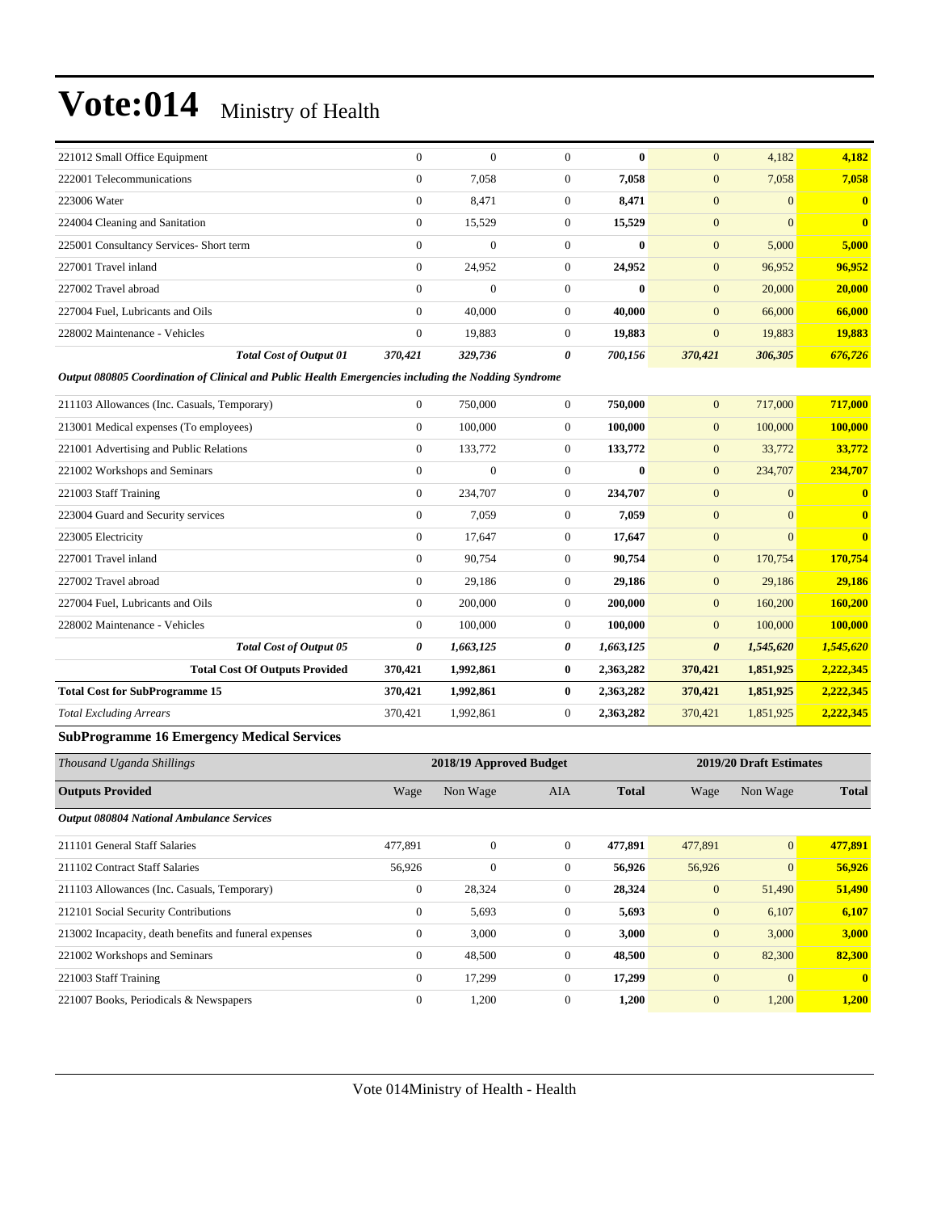| 221012 Small Office Equipment           | $\Omega$     | $\theta$     | 0            | $\mathbf{0}$ | $\mathbf{0}$   | 4,182          | 4,182                   |
|-----------------------------------------|--------------|--------------|--------------|--------------|----------------|----------------|-------------------------|
| 222001 Telecommunications               | $\mathbf{0}$ | 7,058        | $\Omega$     | 7,058        | $\mathbf{0}$   | 7,058          | 7,058                   |
| 223006 Water                            | $\mathbf{0}$ | 8,471        | $\mathbf{0}$ | 8,471        | $\overline{0}$ | $\overline{0}$ | $\overline{\mathbf{0}}$ |
| 224004 Cleaning and Sanitation          | $\mathbf{0}$ | 15,529       | $\mathbf{0}$ | 15,529       | $\mathbf{0}$   | $\overline{0}$ | $\overline{\mathbf{0}}$ |
| 225001 Consultancy Services- Short term | $\mathbf{0}$ | $\mathbf{0}$ | $\Omega$     | $\mathbf{0}$ | $\mathbf{0}$   | 5,000          | 5,000                   |
| 227001 Travel inland                    | $\mathbf{0}$ | 24,952       | $\mathbf{0}$ | 24,952       | $\mathbf{0}$   | 96,952         | 96,952                  |
| 227002 Travel abroad                    | $\Omega$     | $\mathbf{0}$ | $\Omega$     | $\mathbf{0}$ | $\mathbf{0}$   | 20,000         | 20,000                  |
| 227004 Fuel, Lubricants and Oils        | $\mathbf{0}$ | 40,000       | $\Omega$     | 40,000       | $\mathbf{0}$   | 66,000         | 66,000                  |
| 228002 Maintenance - Vehicles           | $\mathbf{0}$ | 19,883       | $\Omega$     | 19,883       | $\overline{0}$ | 19,883         | 19,883                  |
| <b>Total Cost of Output 01</b>          | 370,421      | 329,736      | 0            | 700,156      | 370,421        | 306,305        | 676,726                 |

*Output 080805 Coordination of Clinical and Public Health Emergencies including the Nodding Syndrome*

| $\mathbf{0}$   | 750,000        | $\Omega$     |           | $\overline{0}$        |                                                                                                                                         | 717,000                                                                                                                     |
|----------------|----------------|--------------|-----------|-----------------------|-----------------------------------------------------------------------------------------------------------------------------------------|-----------------------------------------------------------------------------------------------------------------------------|
| $\overline{0}$ | 100,000        | $\mathbf{0}$ |           | $\mathbf{0}$          |                                                                                                                                         | 100,000                                                                                                                     |
| $\mathbf{0}$   | 133,772        | $\mathbf{0}$ |           | $\mathbf{0}$          |                                                                                                                                         | 33,772                                                                                                                      |
| $\mathbf{0}$   | $\overline{0}$ | $\mathbf{0}$ |           | $\overline{0}$        | 234,707                                                                                                                                 | 234,707                                                                                                                     |
| $\mathbf{0}$   | 234,707        | $\mathbf{0}$ | 234,707   | $\overline{0}$        | $\mathbf{0}$                                                                                                                            | $\mathbf{0}$                                                                                                                |
| $\mathbf{0}$   | 7,059          | $\mathbf{0}$ |           | $\mathbf{0}$          | $\mathbf{0}$                                                                                                                            | $\bf{0}$                                                                                                                    |
| $\overline{0}$ | 17,647         | $\mathbf{0}$ | 17,647    | $\overline{0}$        | $\Omega$                                                                                                                                | $\mathbf{0}$                                                                                                                |
| $\mathbf{0}$   | 90,754         | $\mathbf{0}$ |           | $\mathbf{0}$          |                                                                                                                                         | 170,754                                                                                                                     |
| $\overline{0}$ | 29,186         | $\mathbf{0}$ |           | $\mathbf{0}$          |                                                                                                                                         | 29,186                                                                                                                      |
| $\mathbf{0}$   | 200,000        | $\mathbf{0}$ |           | $\overline{0}$        |                                                                                                                                         | 160,200                                                                                                                     |
| $\overline{0}$ | 100,000        | $\mathbf{0}$ |           | $\overline{0}$        |                                                                                                                                         | 100,000                                                                                                                     |
| 0              | 1,663,125      | 0            |           | $\boldsymbol{\theta}$ |                                                                                                                                         | 1,545,620                                                                                                                   |
| 370,421        | 1,992,861      | $\bf{0}$     |           | 370,421               |                                                                                                                                         | 2,222,345                                                                                                                   |
| 370,421        | 1,992,861      | $\bf{0}$     |           | 370,421               |                                                                                                                                         | 2,222,345                                                                                                                   |
| 370,421        | 1,992,861      | $\mathbf{0}$ | 2,363,282 | 370,421               |                                                                                                                                         | 2,222,345                                                                                                                   |
|                |                |              |           |                       | 750,000<br>100,000<br>133,772<br>$\mathbf{0}$<br>7,059<br>90,754<br>29,186<br>200,000<br>100,000<br>1,663,125<br>2,363,282<br>2,363,282 | 717,000<br>100,000<br>33,772<br>170,754<br>29,186<br>160,200<br>100,000<br>1,545,620<br>1,851,925<br>1,851,925<br>1,851,925 |

#### **SubProgramme 16 Emergency Medical Services**

| Thousand Uganda Shillings                              |                |              | 2018/19 Approved Budget |              |              | 2019/20 Draft Estimates |              |  |
|--------------------------------------------------------|----------------|--------------|-------------------------|--------------|--------------|-------------------------|--------------|--|
| <b>Outputs Provided</b>                                | Wage           | Non Wage     | <b>AIA</b>              | <b>Total</b> | Wage         | Non Wage                | <b>Total</b> |  |
| <b>Output 080804 National Ambulance Services</b>       |                |              |                         |              |              |                         |              |  |
| 211101 General Staff Salaries                          | 477,891        | $\mathbf{0}$ | $\overline{0}$          | 477,891      | 477,891      | $\mathbf{0}$            | 477,891      |  |
| 211102 Contract Staff Salaries                         | 56,926         | $\mathbf{0}$ | $\overline{0}$          | 56,926       | 56,926       | $\overline{0}$          | 56,926       |  |
| 211103 Allowances (Inc. Casuals, Temporary)            | $\mathbf{0}$   | 28,324       | $\overline{0}$          | 28,324       | $\mathbf{0}$ | 51,490                  | 51,490       |  |
| 212101 Social Security Contributions                   | $\mathbf{0}$   | 5,693        | $\mathbf{0}$            | 5,693        | $\mathbf{0}$ | 6,107                   | 6,107        |  |
| 213002 Incapacity, death benefits and funeral expenses | $\mathbf{0}$   | 3,000        | $\overline{0}$          | 3,000        | $\mathbf{0}$ | 3,000                   | 3,000        |  |
| 221002 Workshops and Seminars                          | $\mathbf{0}$   | 48,500       | $\overline{0}$          | 48,500       | $\mathbf{0}$ | 82,300                  | 82,300       |  |
| 221003 Staff Training                                  | $\overline{0}$ | 17,299       | $\overline{0}$          | 17,299       | $\mathbf{0}$ | $\overline{0}$          | $\mathbf{0}$ |  |
| 221007 Books, Periodicals & Newspapers                 | $\overline{0}$ | 1,200        | $\overline{0}$          | 1,200        | $\mathbf{0}$ | 1,200                   | 1,200        |  |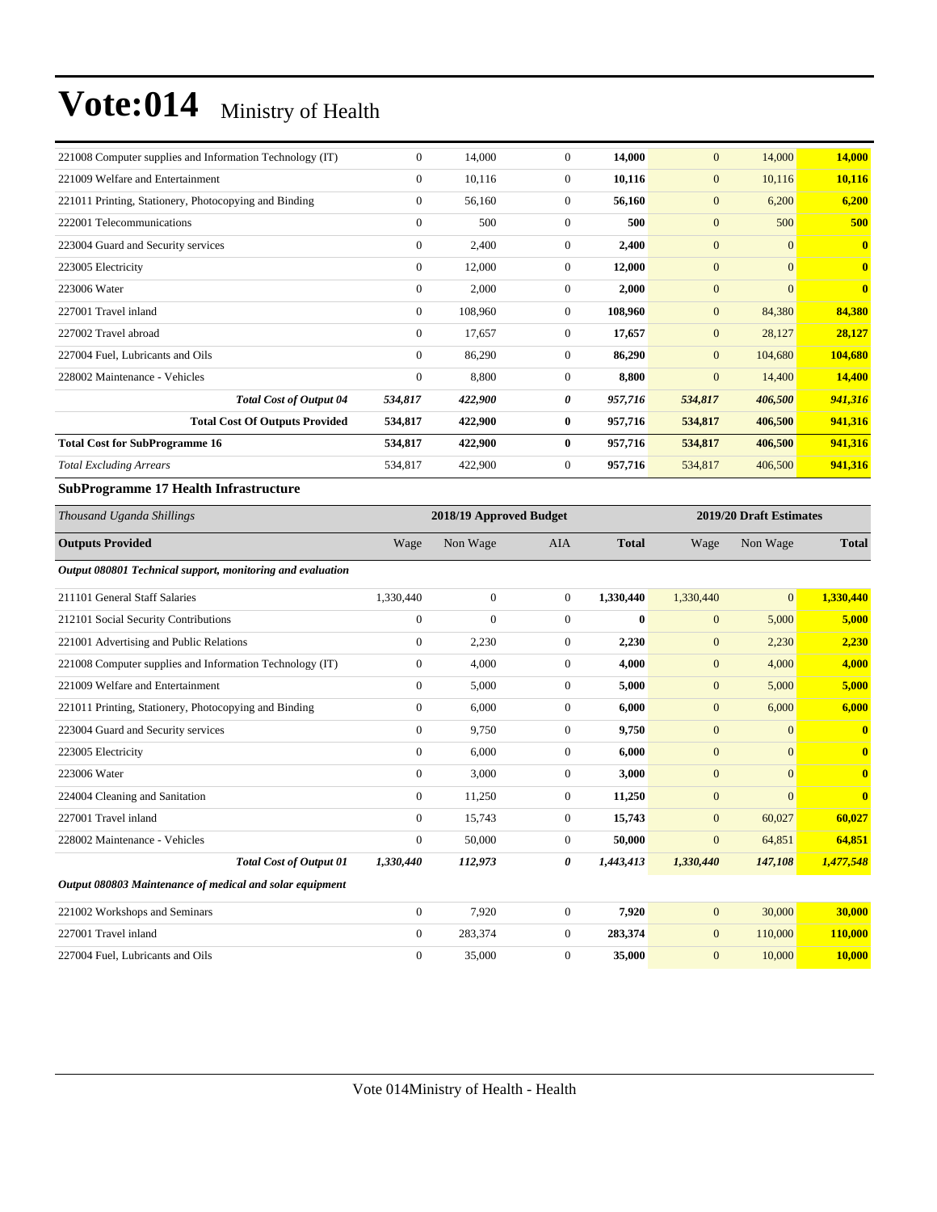| 221008 Computer supplies and Information Technology (IT) | $\mathbf{0}$   | 14,000  | $\mathbf{0}$ | 14,000  | $\mathbf{0}$   | 14,000         | 14,000                  |
|----------------------------------------------------------|----------------|---------|--------------|---------|----------------|----------------|-------------------------|
| 221009 Welfare and Entertainment                         | $\overline{0}$ | 10,116  | $\mathbf{0}$ | 10,116  | $\mathbf{0}$   | 10,116         | 10,116                  |
| 221011 Printing, Stationery, Photocopying and Binding    | $\overline{0}$ | 56,160  | $\Omega$     | 56,160  | $\mathbf{0}$   | 6,200          | 6,200                   |
| 222001 Telecommunications                                | $\overline{0}$ | 500     | $\mathbf{0}$ | 500     | $\mathbf{0}$   | 500            | 500                     |
| 223004 Guard and Security services                       | $\overline{0}$ | 2,400   | $\mathbf{0}$ | 2,400   | $\mathbf{0}$   | $\Omega$       | $\mathbf{0}$            |
| 223005 Electricity                                       | $\mathbf{0}$   | 12,000  | $\mathbf{0}$ | 12,000  | $\mathbf{0}$   | $\Omega$       | $\overline{\mathbf{0}}$ |
| 223006 Water                                             | $\overline{0}$ | 2,000   | $\mathbf{0}$ | 2,000   | $\mathbf{0}$   | $\overline{0}$ | $\mathbf{0}$            |
| 227001 Travel inland                                     | $\mathbf{0}$   | 108,960 | $\mathbf{0}$ | 108,960 | $\mathbf{0}$   | 84,380         | 84,380                  |
| 227002 Travel abroad                                     | $\overline{0}$ | 17,657  | $\theta$     | 17,657  | $\mathbf{0}$   | 28,127         | 28,127                  |
| 227004 Fuel, Lubricants and Oils                         | $\Omega$       | 86,290  | $\mathbf{0}$ | 86,290  | $\mathbf{0}$   | 104,680        | 104,680                 |
| 228002 Maintenance - Vehicles                            | $\mathbf{0}$   | 8,800   | $\Omega$     | 8,800   | $\overline{0}$ | 14,400         | 14,400                  |
| <b>Total Cost of Output 04</b>                           | 534,817        | 422,900 | 0            | 957,716 | 534,817        | 406,500        | 941,316                 |
| <b>Total Cost Of Outputs Provided</b>                    | 534,817        | 422,900 | $\bf{0}$     | 957,716 | 534,817        | 406,500        | 941,316                 |
| <b>Total Cost for SubProgramme 16</b>                    | 534,817        | 422,900 | $\bf{0}$     | 957,716 | 534,817        | 406,500        | 941,316                 |
| <b>Total Excluding Arrears</b>                           | 534,817        | 422,900 | $\mathbf{0}$ | 957,716 | 534,817        | 406,500        | 941,316                 |
| $\sim$ $\sim$ $\sim$<br>$\frac{1}{2}$                    |                |         |              |         |                |                |                         |

#### **SubProgramme 17 Health Infrastructure**

| Thousand Uganda Shillings                                  |                | 2018/19 Approved Budget |                |              |              | 2019/20 Draft Estimates |                         |
|------------------------------------------------------------|----------------|-------------------------|----------------|--------------|--------------|-------------------------|-------------------------|
| <b>Outputs Provided</b>                                    | Wage           | Non Wage                | <b>AIA</b>     | <b>Total</b> | Wage         | Non Wage                | <b>Total</b>            |
| Output 080801 Technical support, monitoring and evaluation |                |                         |                |              |              |                         |                         |
| 211101 General Staff Salaries                              | 1,330,440      | $\overline{0}$          | $\overline{0}$ | 1,330,440    | 1,330,440    | $\overline{0}$          | 1,330,440               |
| 212101 Social Security Contributions                       | $\mathbf{0}$   | $\overline{0}$          | $\overline{0}$ | $\bf{0}$     | $\mathbf{0}$ | 5,000                   | 5,000                   |
| 221001 Advertising and Public Relations                    | $\mathbf{0}$   | 2,230                   | $\overline{0}$ | 2,230        | $\mathbf{0}$ | 2,230                   | 2,230                   |
| 221008 Computer supplies and Information Technology (IT)   | $\mathbf{0}$   | 4,000                   | $\overline{0}$ | 4,000        | $\mathbf{0}$ | 4,000                   | 4,000                   |
| 221009 Welfare and Entertainment                           | $\overline{0}$ | 5,000                   | $\overline{0}$ | 5,000        | $\mathbf{0}$ | 5,000                   | 5,000                   |
| 221011 Printing, Stationery, Photocopying and Binding      | $\mathbf{0}$   | 6,000                   | $\overline{0}$ | 6,000        | $\mathbf{0}$ | 6,000                   | 6,000                   |
| 223004 Guard and Security services                         | $\Omega$       | 9,750                   | $\overline{0}$ | 9,750        | $\mathbf{0}$ | $\overline{0}$          | $\mathbf{0}$            |
| 223005 Electricity                                         | $\mathbf{0}$   | 6,000                   | $\overline{0}$ | 6,000        | $\mathbf{0}$ | $\overline{0}$          | $\mathbf{0}$            |
| 223006 Water                                               | $\mathbf{0}$   | 3,000                   | $\overline{0}$ | 3,000        | $\mathbf{0}$ | $\overline{0}$          | $\overline{\mathbf{0}}$ |
| 224004 Cleaning and Sanitation                             | $\Omega$       | 11,250                  | $\overline{0}$ | 11,250       | $\mathbf{0}$ | $\Omega$                | $\mathbf{0}$            |
| 227001 Travel inland                                       | $\Omega$       | 15,743                  | $\overline{0}$ | 15,743       | $\mathbf{0}$ | 60,027                  | 60,027                  |
| 228002 Maintenance - Vehicles                              | $\mathbf{0}$   | 50,000                  | $\overline{0}$ | 50,000       | $\mathbf{0}$ | 64,851                  | 64,851                  |
| <b>Total Cost of Output 01</b>                             | 1,330,440      | 112,973                 | 0              | 1,443,413    | 1,330,440    | 147,108                 | 1,477,548               |
| Output 080803 Maintenance of medical and solar equipment   |                |                         |                |              |              |                         |                         |
| 221002 Workshops and Seminars                              | $\overline{0}$ | 7,920                   | $\overline{0}$ | 7,920        | $\mathbf{0}$ | 30,000                  | 30,000                  |
| 227001 Travel inland                                       | $\mathbf{0}$   | 283,374                 | $\overline{0}$ | 283,374      | $\mathbf{0}$ | 110,000                 | 110,000                 |
| 227004 Fuel, Lubricants and Oils                           | $\Omega$       | 35,000                  | $\Omega$       | 35,000       | $\mathbf{0}$ | 10,000                  | 10,000                  |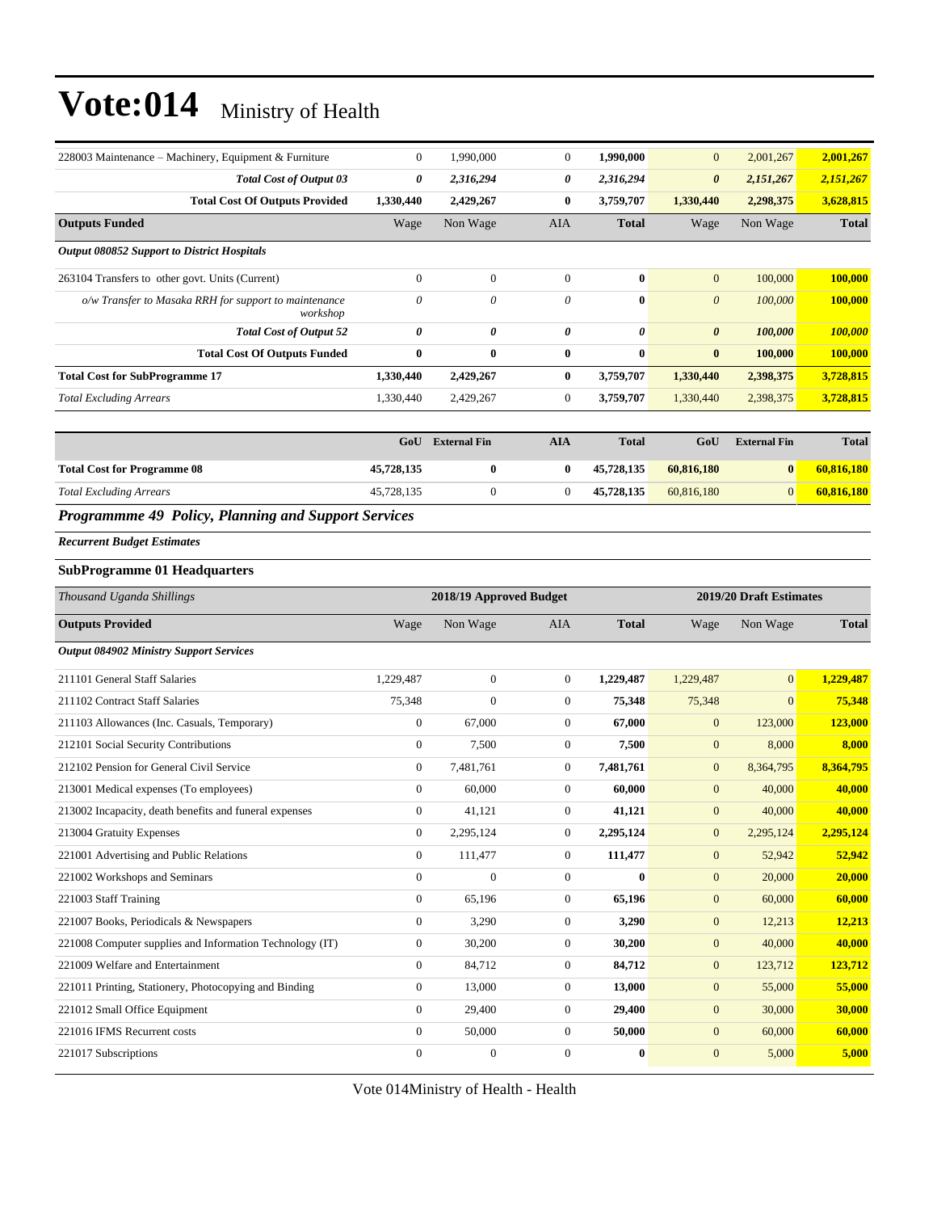| $\overline{0}$        | 1.990.000    | $\theta$              | 1.990.000    | $\overline{0}$        | 2,001,267 | 2,001,267    |
|-----------------------|--------------|-----------------------|--------------|-----------------------|-----------|--------------|
| 0                     | 2,316,294    | 0                     | 2,316,294    | $\boldsymbol{\theta}$ | 2,151,267 | 2,151,267    |
| 1,330,440             | 2,429,267    | $\bf{0}$              | 3,759,707    | 1,330,440             | 2,298,375 | 3,628,815    |
| Wage                  | Non Wage     | <b>AIA</b>            | <b>Total</b> | Wage                  | Non Wage  | <b>Total</b> |
|                       |              |                       |              |                       |           |              |
| $\mathbf{0}$          | $\mathbf{0}$ | $\theta$              | $\mathbf{0}$ | $\mathbf{0}$          | 100,000   | 100,000      |
| 0                     | 0            | $\theta$              | $\bf{0}$     | $\boldsymbol{\theta}$ | 100,000   | 100,000      |
| $\boldsymbol{\theta}$ | 0            | $\boldsymbol{\theta}$ | 0            | $\boldsymbol{\theta}$ | 100,000   | 100,000      |
| $\bf{0}$              | 0            | $\mathbf{0}$          | $\bf{0}$     | $\bf{0}$              | 100,000   | 100,000      |
| 1,330,440             | 2,429,267    | $\bf{0}$              | 3,759,707    | 1,330,440             | 2,398,375 | 3,728,815    |
| 1,330,440             | 2,429,267    | $\overline{0}$        | 3,759,707    | 1,330,440             | 2,398,375 | 3,728,815    |
|                       |              |                       |              |                       |           |              |

|                                    | GoU        | <b>External Fin</b> | AIA | <b>Total</b> | GoU        | <b>External Fin</b> | <b>Total</b> |
|------------------------------------|------------|---------------------|-----|--------------|------------|---------------------|--------------|
| <b>Total Cost for Programme 08</b> | 45,728,135 |                     | 0   | 45,728,135   | 60.816.180 | 0                   | 60.816.180   |
| <b>Total Excluding Arrears</b>     | 45,728,135 |                     |     | 45,728,135   | 60.816.180 | $\Omega$            | 60.816.180   |

#### *Programmme 49 Policy, Planning and Support Services*

#### *Recurrent Budget Estimates*

#### **SubProgramme 01 Headquarters**

| Thousand Uganda Shillings                                |                | 2018/19 Approved Budget |                |              |                | 2019/20 Draft Estimates |              |
|----------------------------------------------------------|----------------|-------------------------|----------------|--------------|----------------|-------------------------|--------------|
| <b>Outputs Provided</b>                                  | Wage           | Non Wage                | <b>AIA</b>     | <b>Total</b> | Wage           | Non Wage                | <b>Total</b> |
| <b>Output 084902 Ministry Support Services</b>           |                |                         |                |              |                |                         |              |
| 211101 General Staff Salaries                            | 1.229.487      | $\overline{0}$          | $\overline{0}$ | 1,229,487    | 1,229,487      | $\overline{0}$          | 1,229,487    |
| 211102 Contract Staff Salaries                           | 75,348         | $\overline{0}$          | $\overline{0}$ | 75,348       | 75,348         | $\mathbf{0}$            | 75,348       |
| 211103 Allowances (Inc. Casuals, Temporary)              | $\overline{0}$ | 67,000                  | $\Omega$       | 67,000       | $\overline{0}$ | 123,000                 | 123,000      |
| 212101 Social Security Contributions                     | $\overline{0}$ | 7,500                   | $\overline{0}$ | 7,500        | $\overline{0}$ | 8,000                   | 8,000        |
| 212102 Pension for General Civil Service                 | $\overline{0}$ | 7,481,761               | $\overline{0}$ | 7,481,761    | $\overline{0}$ | 8,364,795               | 8,364,795    |
| 213001 Medical expenses (To employees)                   | $\Omega$       | 60,000                  | $\Omega$       | 60,000       | $\overline{0}$ | 40,000                  | 40,000       |
| 213002 Incapacity, death benefits and funeral expenses   | $\overline{0}$ | 41,121                  | $\overline{0}$ | 41,121       | $\overline{0}$ | 40,000                  | 40,000       |
| 213004 Gratuity Expenses                                 | $\overline{0}$ | 2,295,124               | $\overline{0}$ | 2,295,124    | $\overline{0}$ | 2,295,124               | 2,295,124    |
| 221001 Advertising and Public Relations                  | $\overline{0}$ | 111,477                 | $\overline{0}$ | 111,477      | $\overline{0}$ | 52,942                  | 52,942       |
| 221002 Workshops and Seminars                            | $\overline{0}$ | $\overline{0}$          | $\Omega$       | $\bf{0}$     | $\overline{0}$ | 20,000                  | 20,000       |
| 221003 Staff Training                                    | $\Omega$       | 65,196                  | $\Omega$       | 65,196       | $\overline{0}$ | 60,000                  | 60,000       |
| 221007 Books, Periodicals & Newspapers                   | $\mathbf{0}$   | 3,290                   | $\overline{0}$ | 3,290        | $\overline{0}$ | 12,213                  | 12,213       |
| 221008 Computer supplies and Information Technology (IT) | $\overline{0}$ | 30,200                  | $\overline{0}$ | 30,200       | $\overline{0}$ | 40,000                  | 40,000       |
| 221009 Welfare and Entertainment                         | $\Omega$       | 84,712                  | $\Omega$       | 84,712       | $\overline{0}$ | 123,712                 | 123,712      |
| 221011 Printing, Stationery, Photocopying and Binding    | $\overline{0}$ | 13,000                  | $\overline{0}$ | 13,000       | $\mathbf{0}$   | 55,000                  | 55,000       |
| 221012 Small Office Equipment                            | $\overline{0}$ | 29,400                  | $\overline{0}$ | 29,400       | $\overline{0}$ | 30,000                  | 30,000       |
| 221016 IFMS Recurrent costs                              | $\overline{0}$ | 50,000                  | $\Omega$       | 50,000       | $\overline{0}$ | 60,000                  | 60,000       |
| 221017 Subscriptions                                     | $\Omega$       | $\Omega$                | $\Omega$       | $\bf{0}$     | $\overline{0}$ | 5,000                   | 5,000        |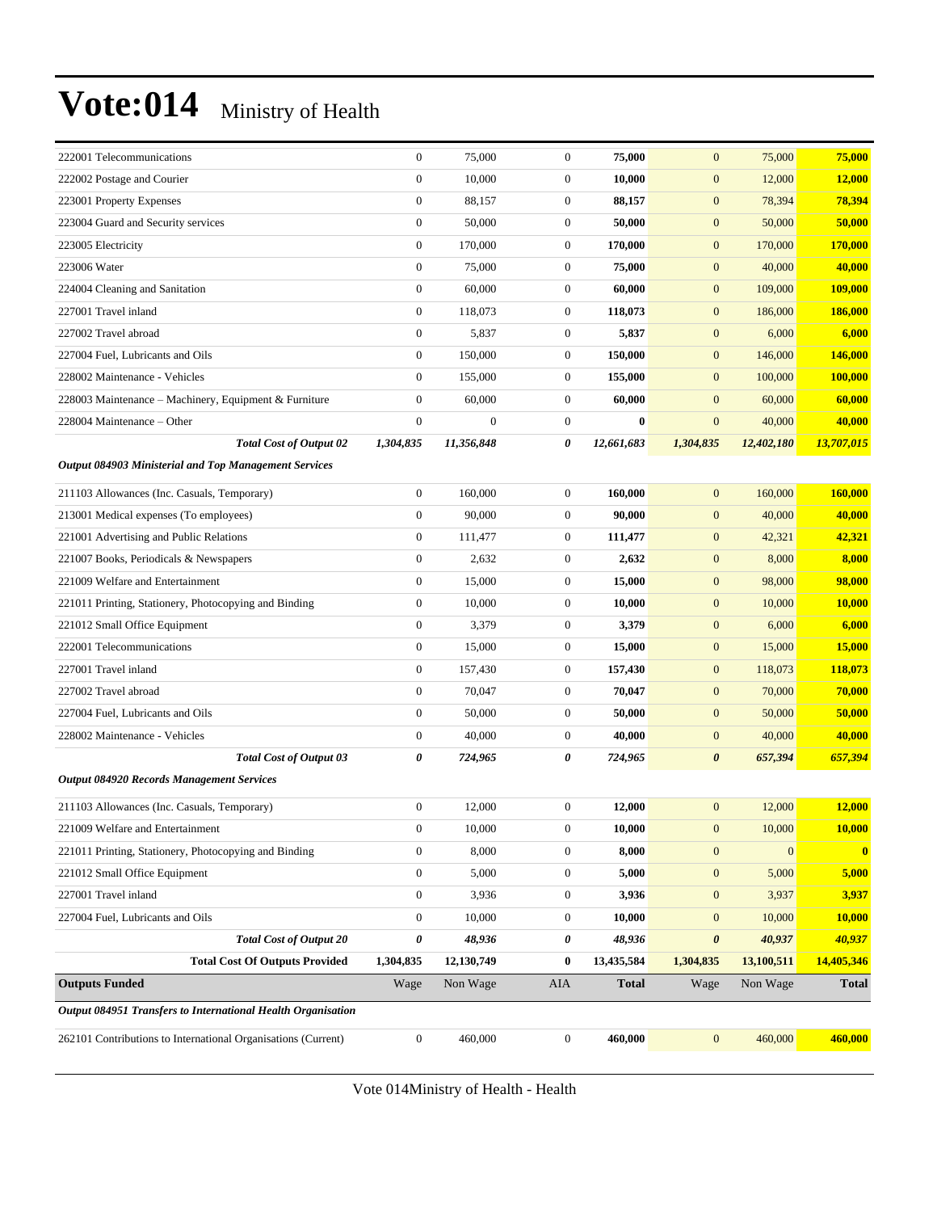| 222001 Telecommunications                                     | $\boldsymbol{0}$ | 75,000           | $\boldsymbol{0}$ | 75,000       | $\mathbf{0}$          | 75,000           | 75,000       |
|---------------------------------------------------------------|------------------|------------------|------------------|--------------|-----------------------|------------------|--------------|
| 222002 Postage and Courier                                    | $\boldsymbol{0}$ | 10,000           | $\boldsymbol{0}$ | 10,000       | $\boldsymbol{0}$      | 12,000           | 12,000       |
| 223001 Property Expenses                                      | $\boldsymbol{0}$ | 88,157           | $\boldsymbol{0}$ | 88,157       | $\mathbf{0}$          | 78,394           | 78,394       |
| 223004 Guard and Security services                            | $\boldsymbol{0}$ | 50,000           | $\boldsymbol{0}$ | 50,000       | $\mathbf{0}$          | 50,000           | 50,000       |
| 223005 Electricity                                            | $\mathbf{0}$     | 170,000          | $\boldsymbol{0}$ | 170,000      | $\boldsymbol{0}$      | 170,000          | 170,000      |
| 223006 Water                                                  | $\boldsymbol{0}$ | 75,000           | $\boldsymbol{0}$ | 75,000       | $\mathbf{0}$          | 40,000           | 40,000       |
| 224004 Cleaning and Sanitation                                | $\boldsymbol{0}$ | 60,000           | $\boldsymbol{0}$ | 60,000       | $\mathbf{0}$          | 109,000          | 109,000      |
| 227001 Travel inland                                          | $\boldsymbol{0}$ | 118,073          | $\boldsymbol{0}$ | 118,073      | $\mathbf{0}$          | 186,000          | 186,000      |
| 227002 Travel abroad                                          | $\boldsymbol{0}$ | 5,837            | $\boldsymbol{0}$ | 5,837        | $\mathbf{0}$          | 6,000            | 6,000        |
| 227004 Fuel, Lubricants and Oils                              | $\mathbf{0}$     | 150,000          | $\boldsymbol{0}$ | 150,000      | $\mathbf{0}$          | 146,000          | 146,000      |
| 228002 Maintenance - Vehicles                                 | $\mathbf{0}$     | 155,000          | $\boldsymbol{0}$ | 155,000      | $\mathbf{0}$          | 100,000          | 100,000      |
| 228003 Maintenance – Machinery, Equipment & Furniture         | $\boldsymbol{0}$ | 60,000           | $\boldsymbol{0}$ | 60,000       | $\mathbf{0}$          | 60,000           | 60,000       |
| 228004 Maintenance – Other                                    | $\boldsymbol{0}$ | $\boldsymbol{0}$ | $\boldsymbol{0}$ | $\bf{0}$     | $\boldsymbol{0}$      | 40,000           | 40,000       |
| <b>Total Cost of Output 02</b>                                | 1,304,835        | 11,356,848       | 0                | 12,661,683   | 1,304,835             | 12,402,180       | 13,707,015   |
| <b>Output 084903 Ministerial and Top Management Services</b>  |                  |                  |                  |              |                       |                  |              |
| 211103 Allowances (Inc. Casuals, Temporary)                   | $\boldsymbol{0}$ | 160,000          | $\boldsymbol{0}$ | 160,000      | $\mathbf{0}$          | 160,000          | 160,000      |
| 213001 Medical expenses (To employees)                        | $\boldsymbol{0}$ | 90,000           | $\boldsymbol{0}$ | 90,000       | $\mathbf{0}$          | 40,000           | 40,000       |
| 221001 Advertising and Public Relations                       | $\boldsymbol{0}$ | 111,477          | $\boldsymbol{0}$ | 111,477      | $\mathbf{0}$          | 42,321           | 42,321       |
| 221007 Books, Periodicals & Newspapers                        | $\boldsymbol{0}$ | 2,632            | $\boldsymbol{0}$ | 2,632        | $\mathbf{0}$          | 8,000            | 8,000        |
| 221009 Welfare and Entertainment                              | $\boldsymbol{0}$ | 15,000           | $\boldsymbol{0}$ | 15,000       | $\mathbf{0}$          | 98,000           | 98,000       |
| 221011 Printing, Stationery, Photocopying and Binding         | $\mathbf{0}$     | 10,000           | $\boldsymbol{0}$ | 10,000       | $\boldsymbol{0}$      | 10,000           | 10,000       |
| 221012 Small Office Equipment                                 | $\boldsymbol{0}$ | 3,379            | $\boldsymbol{0}$ | 3,379        | $\mathbf{0}$          | 6,000            | 6,000        |
| 222001 Telecommunications                                     | $\boldsymbol{0}$ | 15,000           | $\boldsymbol{0}$ | 15,000       | $\mathbf{0}$          | 15,000           | 15,000       |
| 227001 Travel inland                                          | $\boldsymbol{0}$ | 157,430          | $\boldsymbol{0}$ | 157,430      | $\mathbf{0}$          | 118,073          | 118,073      |
| 227002 Travel abroad                                          | $\boldsymbol{0}$ | 70,047           | $\boldsymbol{0}$ | 70,047       | $\mathbf{0}$          | 70,000           | 70,000       |
| 227004 Fuel, Lubricants and Oils                              | $\boldsymbol{0}$ | 50,000           | $\boldsymbol{0}$ | 50,000       | $\boldsymbol{0}$      | 50,000           | 50,000       |
| 228002 Maintenance - Vehicles                                 | $\boldsymbol{0}$ | 40,000           | $\boldsymbol{0}$ | 40,000       | $\mathbf{0}$          | 40,000           | 40,000       |
| <b>Total Cost of Output 03</b>                                | 0                | 724,965          | 0                | 724,965      | $\boldsymbol{\theta}$ | 657,394          | 657,394      |
| <b>Output 084920 Records Management Services</b>              |                  |                  |                  |              |                       |                  |              |
| 211103 Allowances (Inc. Casuals, Temporary)                   | $\boldsymbol{0}$ | 12,000           | $\mathbf{0}$     | 12,000       | $\mathbf{0}$          | 12,000           | 12,000       |
| 221009 Welfare and Entertainment                              | $\boldsymbol{0}$ | 10,000           | $\overline{0}$   | 10,000       | $\mathbf{0}$          | 10,000           | 10,000       |
| 221011 Printing, Stationery, Photocopying and Binding         | $\mathbf{0}$     | 8,000            | $\boldsymbol{0}$ | 8,000        | $\mathbf{0}$          | $\boldsymbol{0}$ | $\mathbf{0}$ |
| 221012 Small Office Equipment                                 | $\boldsymbol{0}$ | 5,000            | $\boldsymbol{0}$ | 5,000        | $\mathbf{0}$          | 5,000            | 5,000        |
| 227001 Travel inland                                          | $\boldsymbol{0}$ | 3,936            | $\boldsymbol{0}$ | 3,936        | $\mathbf{0}$          | 3,937            | 3,937        |
| 227004 Fuel, Lubricants and Oils                              | $\boldsymbol{0}$ | 10,000           | 0                | 10,000       | $\mathbf{0}$          | 10,000           | 10,000       |
| <b>Total Cost of Output 20</b>                                | $\pmb{\theta}$   | 48,936           | 0                | 48,936       | $\boldsymbol{\theta}$ | 40,937           | 40,937       |
| <b>Total Cost Of Outputs Provided</b>                         | 1,304,835        | 12,130,749       | 0                | 13,435,584   | 1,304,835             | 13,100,511       | 14,405,346   |
| <b>Outputs Funded</b>                                         | Wage             | Non Wage         | AIA              | <b>Total</b> | Wage                  | Non Wage         | <b>Total</b> |
| Output 084951 Transfers to International Health Organisation  |                  |                  |                  |              |                       |                  |              |
| 262101 Contributions to International Organisations (Current) | $\boldsymbol{0}$ | 460,000          | $\boldsymbol{0}$ | 460,000      | $\boldsymbol{0}$      | 460,000          | 460,000      |
|                                                               |                  |                  |                  |              |                       |                  |              |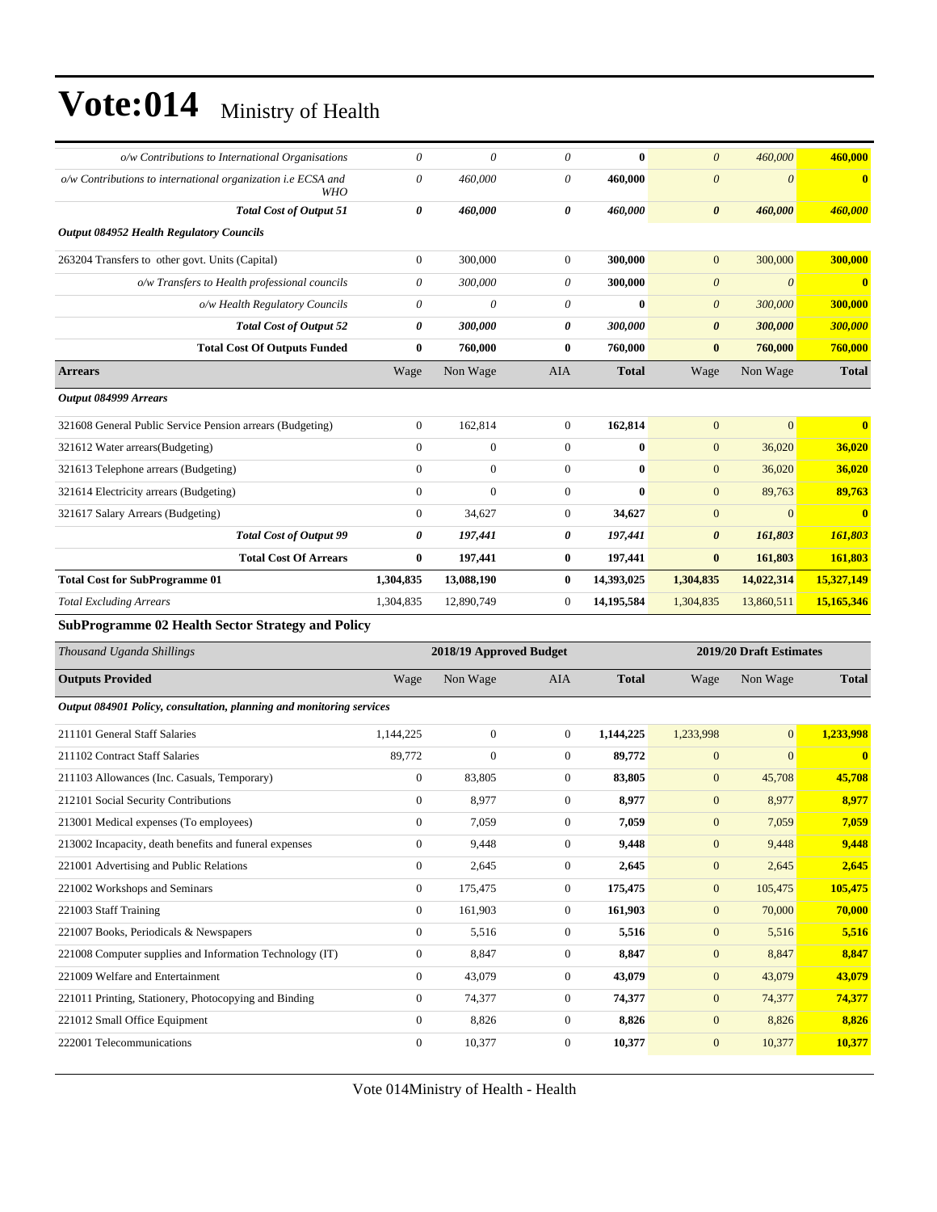| o/w Contributions to International Organisations                           | $\theta$              | $\boldsymbol{\theta}$   | 0                | $\bf{0}$     | $\boldsymbol{\theta}$ | 460,000                 | 460,000                 |
|----------------------------------------------------------------------------|-----------------------|-------------------------|------------------|--------------|-----------------------|-------------------------|-------------------------|
| o/w Contributions to international organization i.e ECSA and<br><b>WHO</b> | $\boldsymbol{\theta}$ | 460,000                 | 0                | 460,000      | $\boldsymbol{\theta}$ | $\theta$                | $\bf{0}$                |
| <b>Total Cost of Output 51</b>                                             | 0                     | 460,000                 | 0                | 460,000      | $\boldsymbol{\theta}$ | 460,000                 | 460,000                 |
| <b>Output 084952 Health Regulatory Councils</b>                            |                       |                         |                  |              |                       |                         |                         |
| 263204 Transfers to other govt. Units (Capital)                            | $\boldsymbol{0}$      | 300,000                 | $\boldsymbol{0}$ | 300,000      | $\mathbf{0}$          | 300,000                 | 300,000                 |
| o/w Transfers to Health professional councils                              | $\theta$              | 300,000                 | 0                | 300,000      | $\boldsymbol{\theta}$ | $\theta$                | $\mathbf{0}$            |
| o/w Health Regulatory Councils                                             | 0                     | $\boldsymbol{\theta}$   | 0                | $\bf{0}$     | $\boldsymbol{\theta}$ | 300,000                 | 300,000                 |
| <b>Total Cost of Output 52</b>                                             | 0                     | 300,000                 | 0                | 300,000      | $\boldsymbol{\theta}$ | 300,000                 | 300,000                 |
| <b>Total Cost Of Outputs Funded</b>                                        | $\bf{0}$              | 760,000                 | $\bf{0}$         | 760,000      | $\bf{0}$              | 760,000                 | 760,000                 |
| <b>Arrears</b>                                                             | Wage                  | Non Wage                | AIA              | <b>Total</b> | Wage                  | Non Wage                | <b>Total</b>            |
| Output 084999 Arrears                                                      |                       |                         |                  |              |                       |                         |                         |
| 321608 General Public Service Pension arrears (Budgeting)                  | $\boldsymbol{0}$      | 162,814                 | $\mathbf{0}$     | 162,814      | $\mathbf{0}$          | $\overline{0}$          | $\overline{\mathbf{0}}$ |
| 321612 Water arrears(Budgeting)                                            | $\boldsymbol{0}$      | $\boldsymbol{0}$        | $\boldsymbol{0}$ | $\bf{0}$     | $\mathbf{0}$          | 36,020                  | 36,020                  |
| 321613 Telephone arrears (Budgeting)                                       | $\boldsymbol{0}$      | $\mathbf{0}$            | $\boldsymbol{0}$ | $\bf{0}$     | $\mathbf{0}$          | 36,020                  | 36,020                  |
| 321614 Electricity arrears (Budgeting)                                     | $\boldsymbol{0}$      | $\mathbf{0}$            | $\boldsymbol{0}$ | $\bf{0}$     | $\boldsymbol{0}$      | 89,763                  | 89,763                  |
| 321617 Salary Arrears (Budgeting)                                          | $\mathbf{0}$          | 34,627                  | $\boldsymbol{0}$ | 34,627       | $\mathbf{0}$          | $\overline{0}$          | $\bf{0}$                |
| <b>Total Cost of Output 99</b>                                             | 0                     | 197,441                 | 0                | 197,441      | $\boldsymbol{\theta}$ | 161,803                 | 161,803                 |
| <b>Total Cost Of Arrears</b>                                               | $\bf{0}$              | 197,441                 | $\bf{0}$         | 197,441      | $\bf{0}$              | 161,803                 | 161,803                 |
|                                                                            | 1,304,835             | 13,088,190              | $\bf{0}$         | 14,393,025   | 1,304,835             | 14,022,314              | 15,327,149              |
| <b>Total Cost for SubProgramme 01</b>                                      |                       |                         |                  |              |                       |                         |                         |
| <b>Total Excluding Arrears</b>                                             | 1,304,835             | 12,890,749              | $\boldsymbol{0}$ | 14,195,584   | 1,304,835             | 13,860,511              | 15,165,346              |
| <b>SubProgramme 02 Health Sector Strategy and Policy</b>                   |                       |                         |                  |              |                       |                         |                         |
| Thousand Uganda Shillings                                                  |                       | 2018/19 Approved Budget |                  |              |                       | 2019/20 Draft Estimates |                         |
| <b>Outputs Provided</b>                                                    | Wage                  | Non Wage                | AIA              | <b>Total</b> | Wage                  | Non Wage                | <b>Total</b>            |
| Output 084901 Policy, consultation, planning and monitoring services       |                       |                         |                  |              |                       |                         |                         |
| 211101 General Staff Salaries                                              | 1,144,225             | $\boldsymbol{0}$        | $\boldsymbol{0}$ | 1,144,225    | 1,233,998             | $\boldsymbol{0}$        | 1,233,998               |
| 211102 Contract Staff Salaries                                             | 89,772                | $\mathbf{0}$            | $\boldsymbol{0}$ | 89,772       | $\mathbf{0}$          | $\mathbf{0}$            | $\mathbf{0}$            |
| 211103 Allowances (Inc. Casuals, Temporary)                                | $\boldsymbol{0}$      | 83,805                  | $\boldsymbol{0}$ | 83,805       | $\mathbf{0}$          | 45,708                  | 45,708                  |
| 212101 Social Security Contributions                                       | $\boldsymbol{0}$      | 8,977                   | $\boldsymbol{0}$ | 8,977        | $\mathbf{0}$          | 8,977                   | 8,977                   |
| 213001 Medical expenses (To employees)                                     | $\mathbf{0}$          | 7,059                   | $\Omega$         | 7,059        | $\boldsymbol{0}$      | 7,059                   | 7,059                   |
| 213002 Incapacity, death benefits and funeral expenses                     | $\boldsymbol{0}$      | 9,448                   | $\boldsymbol{0}$ | 9,448        | $\mathbf{0}$          | 9,448                   | 9,448                   |
| 221001 Advertising and Public Relations                                    | $\boldsymbol{0}$      | 2,645                   | $\boldsymbol{0}$ | 2,645        | $\boldsymbol{0}$      | 2,645                   | 2,645                   |
| 221002 Workshops and Seminars                                              | $\boldsymbol{0}$      | 175,475                 | $\boldsymbol{0}$ | 175,475      | $\boldsymbol{0}$      | 105,475                 | 105,475                 |
| 221003 Staff Training                                                      | $\boldsymbol{0}$      | 161,903                 | $\boldsymbol{0}$ | 161,903      | $\boldsymbol{0}$      | 70,000                  | 70,000                  |
| 221007 Books, Periodicals & Newspapers                                     | $\boldsymbol{0}$      | 5,516                   | $\boldsymbol{0}$ | 5,516        | $\mathbf{0}$          | 5,516                   | 5,516                   |
| 221008 Computer supplies and Information Technology (IT)                   | $\boldsymbol{0}$      | 8,847                   | $\boldsymbol{0}$ | 8,847        | $\boldsymbol{0}$      | 8,847                   | 8,847                   |
| 221009 Welfare and Entertainment                                           | $\boldsymbol{0}$      | 43,079                  | $\boldsymbol{0}$ | 43,079       | $\mathbf{0}$          | 43,079                  | 43,079                  |
| 221011 Printing, Stationery, Photocopying and Binding                      | $\boldsymbol{0}$      | 74,377                  | $\boldsymbol{0}$ | 74,377       | $\mathbf{0}$          | 74,377                  | 74,377                  |
| 221012 Small Office Equipment                                              | $\boldsymbol{0}$      | 8,826                   | $\boldsymbol{0}$ | 8,826        | $\boldsymbol{0}$      | 8,826                   | 8,826                   |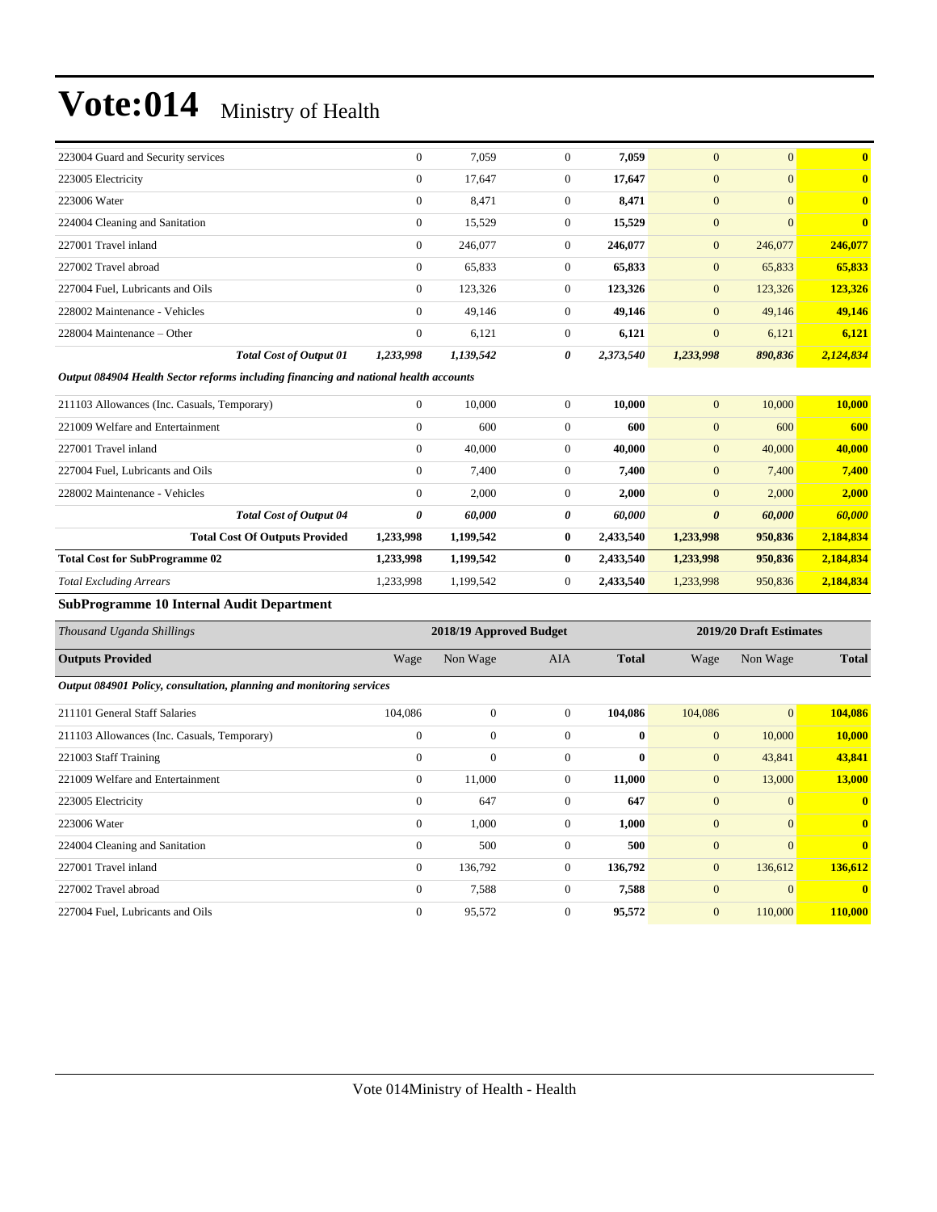| 223004 Guard and Security services |                                | $\mathbf{0}$   | 7,059     | $\mathbf{0}$ | 7,059     | $\overline{0}$ | $\overline{0}$ | $\mathbf{0}$            |
|------------------------------------|--------------------------------|----------------|-----------|--------------|-----------|----------------|----------------|-------------------------|
| 223005 Electricity                 |                                | $\overline{0}$ | 17,647    | $\mathbf{0}$ | 17,647    | $\overline{0}$ | $\overline{0}$ | $\mathbf{0}$            |
| 223006 Water                       |                                | $\overline{0}$ | 8,471     | $\mathbf{0}$ | 8,471     | $\overline{0}$ | $\overline{0}$ | $\overline{\mathbf{0}}$ |
| 224004 Cleaning and Sanitation     |                                | $\overline{0}$ | 15,529    | $\mathbf{0}$ | 15,529    | $\overline{0}$ | $\Omega$       | $\mathbf{0}$            |
| 227001 Travel inland               |                                | $\mathbf{0}$   | 246,077   | $\mathbf{0}$ | 246,077   | $\mathbf{0}$   | 246,077        | 246,077                 |
| 227002 Travel abroad               |                                | $\overline{0}$ | 65,833    | $\mathbf{0}$ | 65,833    | $\mathbf{0}$   | 65,833         | 65,833                  |
| 227004 Fuel, Lubricants and Oils   |                                | $\overline{0}$ | 123,326   | $\mathbf{0}$ | 123,326   | $\mathbf{0}$   | 123,326        | 123,326                 |
| 228002 Maintenance - Vehicles      |                                | $\overline{0}$ | 49,146    | $\mathbf{0}$ | 49,146    | $\mathbf{0}$   | 49,146         | 49,146                  |
| 228004 Maintenance – Other         |                                | $\mathbf{0}$   | 6,121     | $\mathbf{0}$ | 6,121     | $\mathbf{0}$   | 6,121          | 6,121                   |
|                                    | <b>Total Cost of Output 01</b> | 1,233,998      | 1,139,542 | 0            | 2,373,540 | 1,233,998      | 890,836        | 2,124,834               |

*Output 084904 Health Sector reforms including financing and national health accounts*

| 211103 Allowances (Inc. Casuals, Temporary) | $\mathbf{0}$ | 10.000    | 0        | 10,000    | $\mathbf{0}$          | 10,000  | <b>10.000</b> |
|---------------------------------------------|--------------|-----------|----------|-----------|-----------------------|---------|---------------|
| 221009 Welfare and Entertainment            | $\Omega$     | 600       | 0        | 600       | $\mathbf{0}$          | 600     | 600           |
| 227001 Travel inland                        | $\Omega$     | 40,000    | $\Omega$ | 40,000    | $\mathbf{0}$          | 40,000  | 40,000        |
| 227004 Fuel. Lubricants and Oils            | $\Omega$     | 7,400     | 0        | 7,400     | $\mathbf{0}$          | 7,400   | 7,400         |
| 228002 Maintenance - Vehicles               | $\Omega$     | 2,000     | $\Omega$ | 2,000     | $\mathbf{0}$          | 2,000   | 2,000         |
| <b>Total Cost of Output 04</b>              | 0            | 60,000    | 0        | 60,000    | $\boldsymbol{\theta}$ | 60,000  | 60,000        |
| <b>Total Cost Of Outputs Provided</b>       | 1.233.998    | 1,199,542 | $\bf{0}$ | 2.433.540 | 1,233,998             | 950,836 | 2,184,834     |
| <b>Total Cost for SubProgramme 02</b>       | 1,233,998    | 1,199,542 | $\bf{0}$ | 2,433,540 | 1,233,998             | 950,836 | 2,184,834     |
| <b>Total Excluding Arrears</b>              | 1,233,998    | 1,199,542 | $\Omega$ | 2,433,540 | 1,233,998             | 950,836 | 2,184,834     |

**SubProgramme 10 Internal Audit Department**

| Thousand Uganda Shillings                                            |                | 2018/19 Approved Budget |                |              |                | 2019/20 Draft Estimates |              |
|----------------------------------------------------------------------|----------------|-------------------------|----------------|--------------|----------------|-------------------------|--------------|
| <b>Outputs Provided</b>                                              | Wage           | Non Wage                | AIA            | <b>Total</b> | Wage           | Non Wage                | <b>Total</b> |
| Output 084901 Policy, consultation, planning and monitoring services |                |                         |                |              |                |                         |              |
| 211101 General Staff Salaries                                        | 104,086        | $\mathbf{0}$            | $\overline{0}$ | 104,086      | 104,086        | $\mathbf{0}$            | 104,086      |
| 211103 Allowances (Inc. Casuals, Temporary)                          | $\theta$       | $\mathbf{0}$            | $\mathbf{0}$   | $\bf{0}$     | $\mathbf{0}$   | 10,000                  | 10,000       |
| 221003 Staff Training                                                | $\overline{0}$ | $\mathbf{0}$            | $\mathbf{0}$   | $\mathbf{0}$ | $\mathbf{0}$   | 43,841                  | 43,841       |
| 221009 Welfare and Entertainment                                     | $\mathbf{0}$   | 11,000                  | $\overline{0}$ | 11,000       | $\mathbf{0}$   | 13,000                  | 13,000       |
| 223005 Electricity                                                   | $\mathbf{0}$   | 647                     | $\mathbf{0}$   | 647          | $\overline{0}$ | $\Omega$                | $\mathbf{0}$ |
| 223006 Water                                                         | $\overline{0}$ | 1,000                   | $\overline{0}$ | 1,000        | $\overline{0}$ | $\Omega$                | $\bf{0}$     |
| 224004 Cleaning and Sanitation                                       | $\mathbf{0}$   | 500                     | $\Omega$       | 500          | $\mathbf{0}$   | $\Omega$                | $\bf{0}$     |
| 227001 Travel inland                                                 | $\overline{0}$ | 136,792                 | $\Omega$       | 136,792      | $\mathbf{0}$   | 136,612                 | 136,612      |
| 227002 Travel abroad                                                 | $\overline{0}$ | 7,588                   | $\overline{0}$ | 7,588        | $\overline{0}$ | $\Omega$                | $\mathbf{0}$ |
| 227004 Fuel, Lubricants and Oils                                     | $\mathbf{0}$   | 95,572                  | $\overline{0}$ | 95,572       | $\mathbf{0}$   | 110,000                 | 110,000      |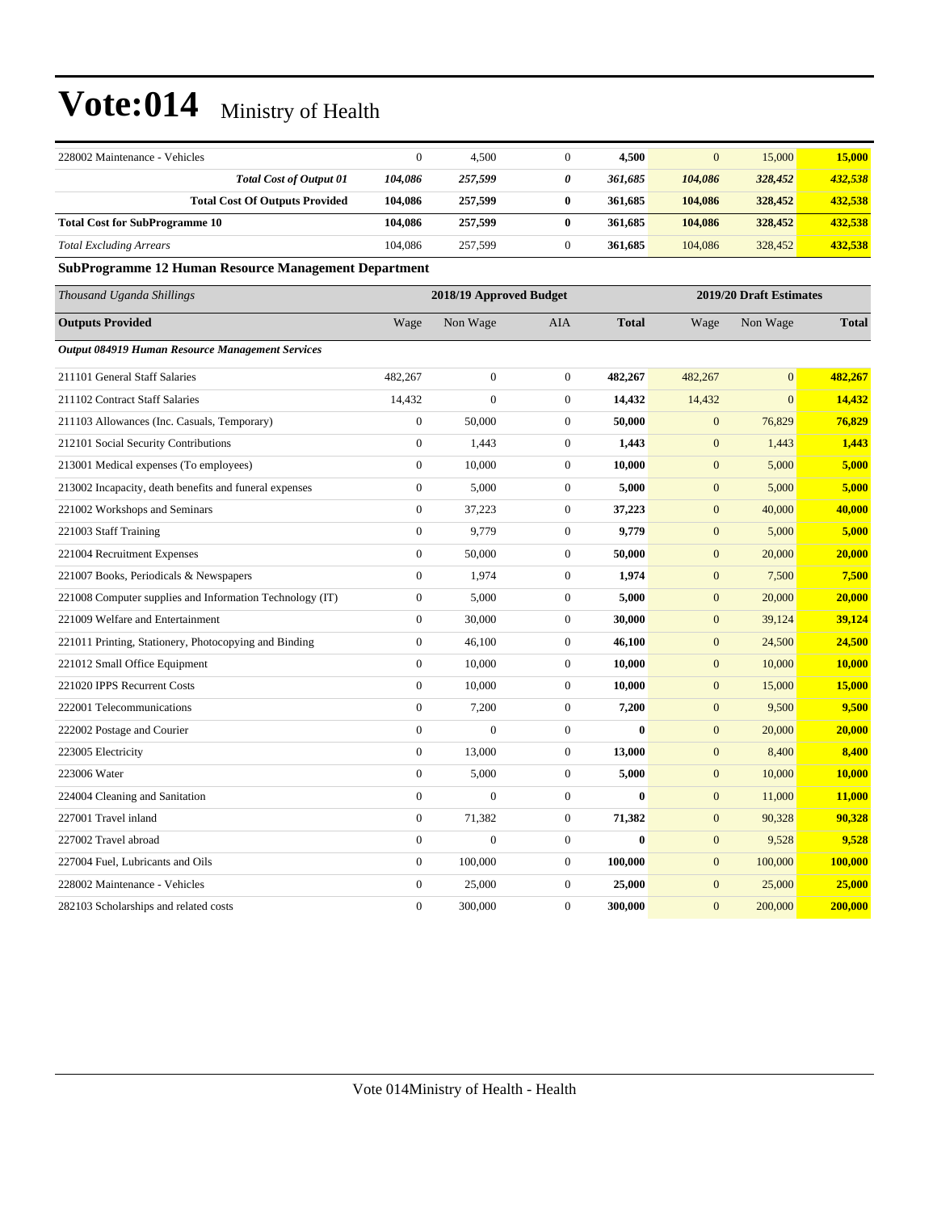| 228002 Maintenance - Vehicles                               | $\theta$         | 4,500                   | $\mathbf{0}$     | 4,500        | $\overline{0}$   | 15,000                  | 15,000       |
|-------------------------------------------------------------|------------------|-------------------------|------------------|--------------|------------------|-------------------------|--------------|
| <b>Total Cost of Output 01</b>                              | 104,086          | 257,599                 | $\pmb{\theta}$   | 361,685      | 104,086          | 328,452                 | 432,538      |
| <b>Total Cost Of Outputs Provided</b>                       | 104,086          | 257,599                 | 0                | 361,685      | 104,086          | 328,452                 | 432,538      |
| <b>Total Cost for SubProgramme 10</b>                       | 104,086          | 257,599                 | $\bf{0}$         | 361,685      | 104,086          | 328,452                 | 432,538      |
| <b>Total Excluding Arrears</b>                              | 104,086          | 257,599                 | $\mathbf{0}$     | 361,685      | 104,086          | 328,452                 | 432,538      |
| <b>SubProgramme 12 Human Resource Management Department</b> |                  |                         |                  |              |                  |                         |              |
| Thousand Uganda Shillings                                   |                  | 2018/19 Approved Budget |                  |              |                  | 2019/20 Draft Estimates |              |
| <b>Outputs Provided</b>                                     | Wage             | Non Wage                | AIA              | <b>Total</b> | Wage             | Non Wage                | <b>Total</b> |
| <b>Output 084919 Human Resource Management Services</b>     |                  |                         |                  |              |                  |                         |              |
| 211101 General Staff Salaries                               | 482,267          | $\boldsymbol{0}$        | $\mathbf{0}$     | 482,267      | 482,267          | $\mathbf{0}$            | 482,267      |
| 211102 Contract Staff Salaries                              | 14,432           | $\overline{0}$          | $\boldsymbol{0}$ | 14,432       | 14,432           | $\overline{0}$          | 14,432       |
| 211103 Allowances (Inc. Casuals, Temporary)                 | $\overline{0}$   | 50,000                  | $\mathbf{0}$     | 50,000       | $\mathbf{0}$     | 76,829                  | 76,829       |
| 212101 Social Security Contributions                        | $\boldsymbol{0}$ | 1,443                   | $\mathbf{0}$     | 1,443        | $\boldsymbol{0}$ | 1,443                   | 1,443        |
| 213001 Medical expenses (To employees)                      | $\mathbf{0}$     | 10,000                  | $\mathbf{0}$     | 10,000       | $\mathbf{0}$     | 5,000                   | 5,000        |
| 213002 Incapacity, death benefits and funeral expenses      | $\boldsymbol{0}$ | 5,000                   | $\mathbf{0}$     | 5,000        | $\mathbf{0}$     | 5,000                   | 5,000        |
| 221002 Workshops and Seminars                               | $\overline{0}$   | 37,223                  | $\mathbf{0}$     | 37,223       | $\mathbf{0}$     | 40,000                  | 40,000       |
| 221003 Staff Training                                       | $\mathbf{0}$     | 9,779                   | $\overline{0}$   | 9,779        | $\boldsymbol{0}$ | 5,000                   | 5,000        |
| 221004 Recruitment Expenses                                 | $\mathbf{0}$     | 50,000                  | $\boldsymbol{0}$ | 50,000       | $\boldsymbol{0}$ | 20,000                  | 20,000       |
| 221007 Books, Periodicals & Newspapers                      | $\mathbf{0}$     | 1,974                   | $\boldsymbol{0}$ | 1,974        | $\boldsymbol{0}$ | 7,500                   | 7,500        |
| 221008 Computer supplies and Information Technology (IT)    | $\overline{0}$   | 5,000                   | $\mathbf{0}$     | 5,000        | $\boldsymbol{0}$ | 20,000                  | 20,000       |
| 221009 Welfare and Entertainment                            | $\boldsymbol{0}$ | 30,000                  | $\mathbf{0}$     | 30,000       | $\boldsymbol{0}$ | 39,124                  | 39,124       |
| 221011 Printing, Stationery, Photocopying and Binding       | $\boldsymbol{0}$ | 46,100                  | $\mathbf{0}$     | 46,100       | $\boldsymbol{0}$ | 24,500                  | 24,500       |
| 221012 Small Office Equipment                               | $\mathbf{0}$     | 10,000                  | $\mathbf{0}$     | 10,000       | $\mathbf{0}$     | 10,000                  | 10,000       |
| 221020 IPPS Recurrent Costs                                 | $\overline{0}$   | 10,000                  | $\mathbf{0}$     | 10,000       | $\mathbf{0}$     | 15,000                  | 15,000       |
| 222001 Telecommunications                                   | $\mathbf{0}$     | 7,200                   | $\overline{0}$   | 7,200        | $\boldsymbol{0}$ | 9,500                   | 9,500        |
| 222002 Postage and Courier                                  | $\boldsymbol{0}$ | $\overline{0}$          | $\boldsymbol{0}$ | $\theta$     | $\boldsymbol{0}$ | 20,000                  | 20,000       |
| 223005 Electricity                                          | $\mathbf{0}$     | 13,000                  | $\mathbf{0}$     | 13,000       | $\mathbf{0}$     | 8,400                   | 8,400        |
| 223006 Water                                                | $\mathbf{0}$     | 5,000                   | $\boldsymbol{0}$ | 5,000        | $\mathbf{0}$     | 10,000                  | 10,000       |
| 224004 Cleaning and Sanitation                              | $\mathbf{0}$     | $\theta$                | $\overline{0}$   | $\mathbf{0}$ | $\boldsymbol{0}$ | 11,000                  | 11,000       |
| 227001 Travel inland                                        | $\boldsymbol{0}$ | 71,382                  | $\mathbf{0}$     | 71,382       | $\boldsymbol{0}$ | 90,328                  | 90,328       |
| 227002 Travel abroad                                        | $\overline{0}$   | $\mathbf{0}$            | $\mathbf{0}$     | $\bf{0}$     | $\boldsymbol{0}$ | 9,528                   | 9,528        |
| 227004 Fuel, Lubricants and Oils                            | $\boldsymbol{0}$ | 100,000                 | $\mathbf{0}$     | 100,000      | $\mathbf{0}$     | 100,000                 | 100,000      |
| 228002 Maintenance - Vehicles                               | $\theta$         | 25,000                  | $\boldsymbol{0}$ | 25,000       | $\boldsymbol{0}$ | 25,000                  | 25,000       |
| 282103 Scholarships and related costs                       | $\boldsymbol{0}$ | 300,000                 | $\mathbf{0}$     | 300,000      | $\mathbf{0}$     | 200,000                 | 200,000      |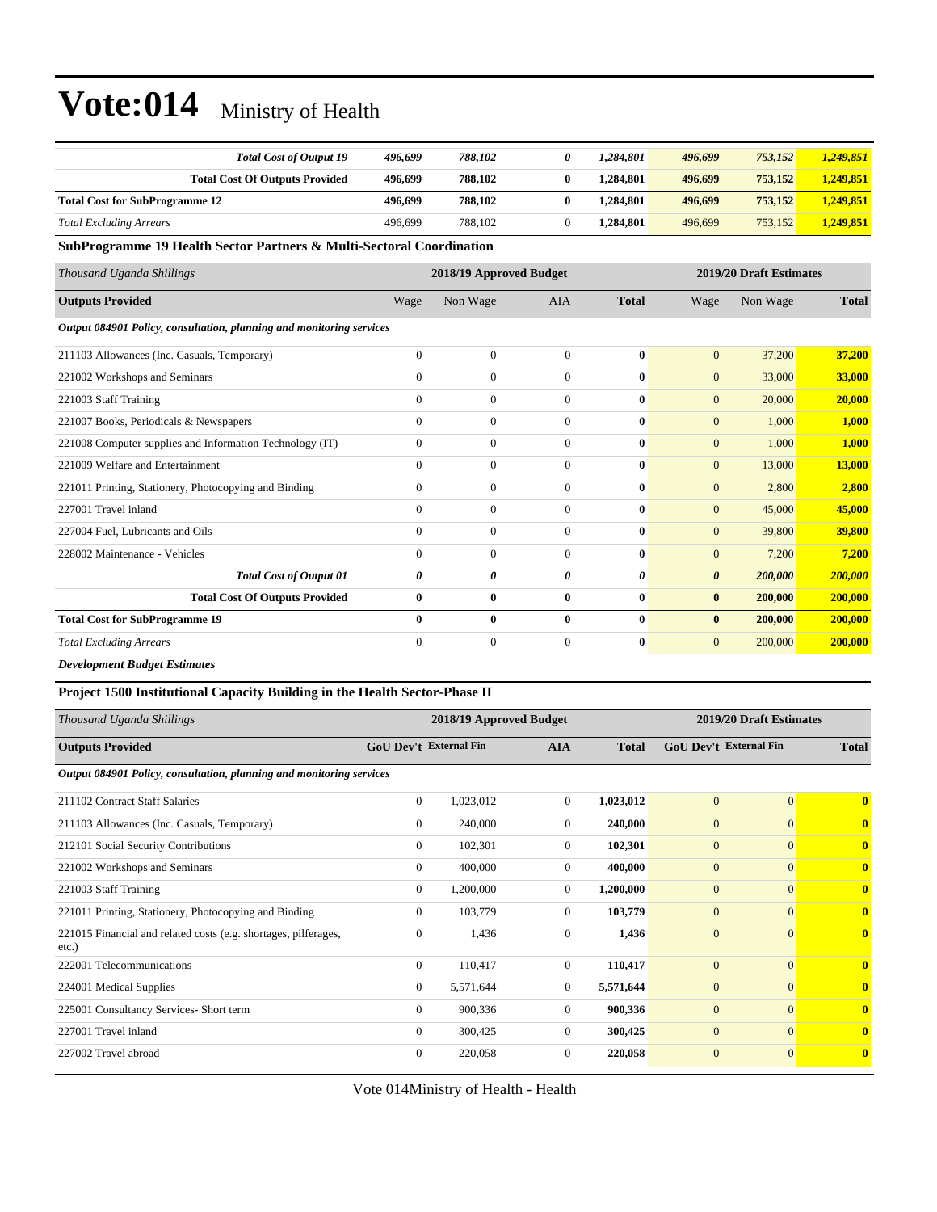| <b>Total Cost of Output 19</b>                                       | 496,699          | 788,102                 | 0                | 1,284,801             | 496,699                 | 753,152  | 1,249,851    |
|----------------------------------------------------------------------|------------------|-------------------------|------------------|-----------------------|-------------------------|----------|--------------|
| <b>Total Cost Of Outputs Provided</b>                                | 496,699          | 788,102                 | $\bf{0}$         | 1,284,801             | 496,699                 | 753,152  | 1,249,851    |
| <b>Total Cost for SubProgramme 12</b>                                | 496,699          | 788,102                 | $\bf{0}$         | 1,284,801             | 496,699                 | 753,152  | 1,249,851    |
| <b>Total Excluding Arrears</b>                                       | 496.699          | 788,102                 | $\overline{0}$   | 1,284,801             | 496,699                 | 753,152  | 1,249,851    |
| SubProgramme 19 Health Sector Partners & Multi-Sectoral Coordination |                  |                         |                  |                       |                         |          |              |
| Thousand Uganda Shillings                                            |                  | 2018/19 Approved Budget |                  |                       | 2019/20 Draft Estimates |          |              |
| <b>Outputs Provided</b>                                              | Wage             | Non Wage                | <b>AIA</b>       | <b>Total</b>          | Wage                    | Non Wage | <b>Total</b> |
| Output 084901 Policy, consultation, planning and monitoring services |                  |                         |                  |                       |                         |          |              |
| 211103 Allowances (Inc. Casuals, Temporary)                          | $\mathbf{0}$     | $\boldsymbol{0}$        | $\overline{0}$   | $\bf{0}$              | $\mathbf{0}$            | 37,200   | 37,200       |
| 221002 Workshops and Seminars                                        | $\Omega$         | $\overline{0}$          | $\Omega$         | $\mathbf{0}$          | $\mathbf{0}$            | 33,000   | 33,000       |
| 221003 Staff Training                                                | $\Omega$         | $\overline{0}$          | $\overline{0}$   | $\mathbf{0}$          | $\mathbf{0}$            | 20,000   | 20,000       |
| 221007 Books, Periodicals & Newspapers                               | $\Omega$         | $\overline{0}$          | $\Omega$         | $\mathbf{0}$          | $\overline{0}$          | 1,000    | 1,000        |
| 221008 Computer supplies and Information Technology (IT)             | $\Omega$         | $\overline{0}$          | $\Omega$         | $\mathbf{0}$          | $\overline{0}$          | 1,000    | 1,000        |
| 221009 Welfare and Entertainment                                     | $\Omega$         | $\overline{0}$          | $\Omega$         | $\mathbf{0}$          | $\mathbf{0}$            | 13,000   | 13,000       |
| 221011 Printing, Stationery, Photocopying and Binding                | $\Omega$         | $\overline{0}$          | $\overline{0}$   | $\mathbf{0}$          | $\overline{0}$          | 2,800    | 2,800        |
| 227001 Travel inland                                                 | $\mathbf{0}$     | $\overline{0}$          | $\overline{0}$   | $\bf{0}$              | $\overline{0}$          | 45,000   | 45,000       |
| 227004 Fuel, Lubricants and Oils                                     | $\Omega$         | $\boldsymbol{0}$        | $\overline{0}$   | $\mathbf{0}$          | $\boldsymbol{0}$        | 39,800   | 39,800       |
| 228002 Maintenance - Vehicles                                        | $\Omega$         | $\overline{0}$          | $\overline{0}$   | $\mathbf{0}$          | $\overline{0}$          | 7,200    | 7,200        |
| <b>Total Cost of Output 01</b>                                       | 0                | 0                       | 0                | $\boldsymbol{\theta}$ | $\boldsymbol{\theta}$   | 200,000  | 200,000      |
| <b>Total Cost Of Outputs Provided</b>                                | $\bf{0}$         | 0                       | $\bf{0}$         | $\bf{0}$              | $\bf{0}$                | 200,000  | 200,000      |
| <b>Total Cost for SubProgramme 19</b>                                | $\mathbf{0}$     | 0                       | 0                | $\mathbf{0}$          | $\bf{0}$                | 200,000  | 200,000      |
| <b>Total Excluding Arrears</b>                                       | $\boldsymbol{0}$ | $\boldsymbol{0}$        | $\boldsymbol{0}$ | $\bf{0}$              | $\mathbf{0}$            | 200,000  | 200,000      |
| <b>Development Budget Estimates</b>                                  |                  |                         |                  |                       |                         |          |              |

#### **Project 1500 Institutional Capacity Building in the Health Sector-Phase II**

| Thousand Uganda Shillings                                                   |                               | 2018/19 Approved Budget |                |              |                               | 2019/20 Draft Estimates |                         |
|-----------------------------------------------------------------------------|-------------------------------|-------------------------|----------------|--------------|-------------------------------|-------------------------|-------------------------|
| <b>Outputs Provided</b>                                                     | <b>GoU Dev't External Fin</b> |                         | <b>AIA</b>     | <b>Total</b> | <b>GoU Dev't External Fin</b> |                         | <b>Total</b>            |
| Output 084901 Policy, consultation, planning and monitoring services        |                               |                         |                |              |                               |                         |                         |
| 211102 Contract Staff Salaries                                              | $\overline{0}$                | 1,023,012               | $\overline{0}$ | 1,023,012    | $\overline{0}$                | $\overline{0}$          | $\overline{\mathbf{0}}$ |
| 211103 Allowances (Inc. Casuals, Temporary)                                 | $\Omega$                      | 240,000                 | $\Omega$       | 240,000      | $\overline{0}$                | $\overline{0}$          | $\mathbf{0}$            |
| 212101 Social Security Contributions                                        | $\overline{0}$                | 102,301                 | $\Omega$       | 102,301      | $\overline{0}$                | $\overline{0}$          | $\overline{\mathbf{0}}$ |
| 221002 Workshops and Seminars                                               | $\overline{0}$                | 400,000                 | $\overline{0}$ | 400,000      | $\overline{0}$                | $\overline{0}$          | $\mathbf{0}$            |
| 221003 Staff Training                                                       | $\overline{0}$                | 1,200,000               | $\overline{0}$ | 1,200,000    | $\overline{0}$                | $\overline{0}$          | $\overline{\mathbf{0}}$ |
| 221011 Printing, Stationery, Photocopying and Binding                       | $\Omega$                      | 103,779                 | $\Omega$       | 103,779      | $\overline{0}$                | $\overline{0}$          | $\mathbf{0}$            |
| 221015 Financial and related costs (e.g. shortages, pilferages,<br>$etc.$ ) | $\mathbf{0}$                  | 1,436                   | $\Omega$       | 1,436        | $\overline{0}$                | $\overline{0}$          | $\overline{\mathbf{0}}$ |
| 222001 Telecommunications                                                   | $\overline{0}$                | 110,417                 | $\overline{0}$ | 110,417      | $\overline{0}$                | $\Omega$                | $\mathbf{0}$            |
| 224001 Medical Supplies                                                     | $\overline{0}$                | 5,571,644               | $\overline{0}$ | 5,571,644    | $\mathbf{0}$                  | $\overline{0}$          | $\overline{\mathbf{0}}$ |
| 225001 Consultancy Services- Short term                                     | $\Omega$                      | 900,336                 | $\Omega$       | 900,336      | $\mathbf{0}$                  | $\Omega$                | $\mathbf{0}$            |
| 227001 Travel inland                                                        | $\Omega$                      | 300,425                 | $\Omega$       | 300,425      | $\mathbf{0}$                  | $\overline{0}$          | $\mathbf{0}$            |
| 227002 Travel abroad                                                        | $\Omega$                      | 220,058                 | $\theta$       | 220,058      | $\mathbf{0}$                  | $\mathbf{0}$            | $\mathbf{0}$            |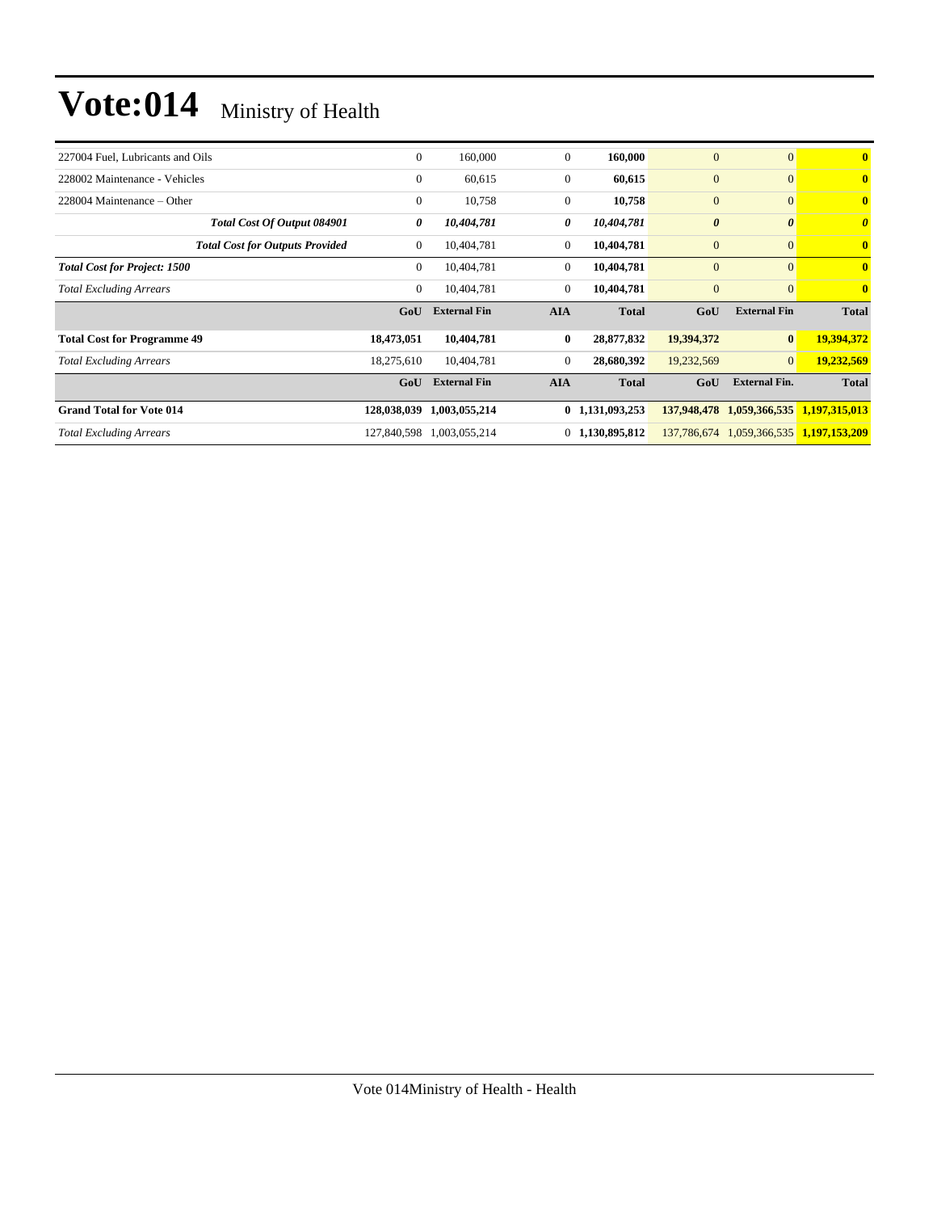| $\mathbf{0}$ | 160,000             | $\theta$       | 160,000      | $\mathbf{0}$                                                                                                                | $\mathbf{0}$          | $\bf{0}$                                     |
|--------------|---------------------|----------------|--------------|-----------------------------------------------------------------------------------------------------------------------------|-----------------------|----------------------------------------------|
| $\mathbf{0}$ | 60,615              |                | 60,615       | $\boldsymbol{0}$                                                                                                            | $\mathbf{0}$          | $\bf{0}$                                     |
| $\mathbf{0}$ | 10,758              |                | 10,758       | $\mathbf{0}$                                                                                                                | $\mathbf{0}$          | $\bf{0}$                                     |
| 0            | 10,404,781          |                | 10,404,781   | $\boldsymbol{\theta}$                                                                                                       | $\boldsymbol{\theta}$ | $\boldsymbol{\theta}$                        |
| $\mathbf{0}$ | 10,404,781          |                | 10,404,781   | $\boldsymbol{0}$                                                                                                            | $\mathbf{0}$          | $\bf{0}$                                     |
| $\mathbf{0}$ | 10,404,781          | $\overline{0}$ | 10,404,781   | $\mathbf{0}$                                                                                                                | $\mathbf{0}$          | $\bf{0}$                                     |
| $\mathbf{0}$ | 10,404,781          |                | 10,404,781   | $\mathbf{0}$                                                                                                                | $\mathbf{0}$          | $\overline{\mathbf{0}}$                      |
| GoU          | <b>External Fin</b> | <b>AIA</b>     | <b>Total</b> | GoU                                                                                                                         | <b>External Fin</b>   | <b>Total</b>                                 |
| 18,473,051   | 10,404,781          | $\bf{0}$       | 28,877,832   | 19,394,372                                                                                                                  |                       | 19,394,372                                   |
| 18,275,610   | 10,404,781          |                | 28,680,392   | 19,232,569                                                                                                                  | $\overline{0}$        | 19,232,569                                   |
| GoU          | <b>External Fin</b> | <b>AIA</b>     | <b>Total</b> | GoU                                                                                                                         | <b>External Fin.</b>  | <b>Total</b>                                 |
| 128,038,039  | 1,003,055,214       |                |              | 137,948,478                                                                                                                 |                       | 1,197,315,013                                |
|              | 1,003,055,214       |                |              |                                                                                                                             |                       | 1,059,366,535 1,197,153,209                  |
|              |                     | 127,840,598    |              | $\overline{0}$<br>$\overline{0}$<br>0<br>$\overline{0}$<br>$\overline{0}$<br>$\theta$<br>0 1,131,093,253<br>0 1,130,895,812 |                       | $\mathbf{0}$<br>1,059,366,535<br>137,786,674 |